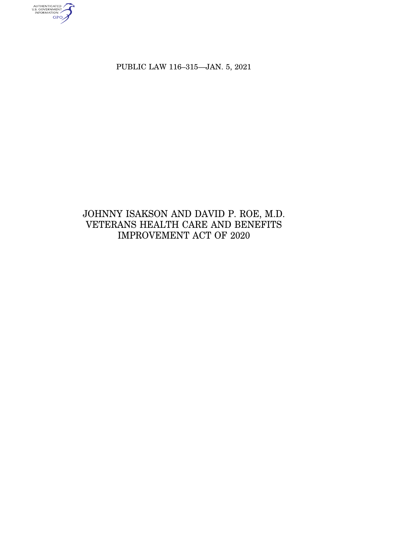AUTHENTICATED<br>U.S. GOVERNMENT<br>INFORMATION

PUBLIC LAW 116–315—JAN. 5, 2021

# JOHNNY ISAKSON AND DAVID P. ROE, M.D. VETERANS HEALTH CARE AND BENEFITS IMPROVEMENT ACT OF 2020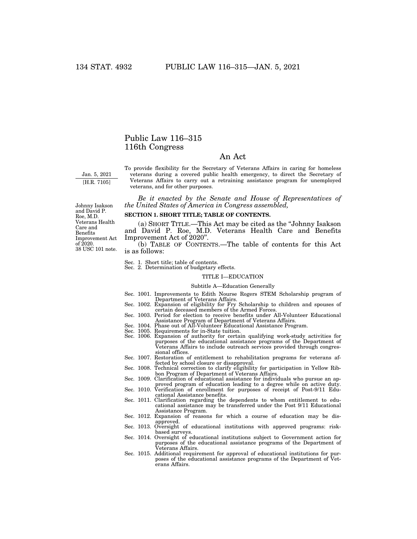## Public Law 116–315 116th Congress

## An Act

Jan. 5, 2021 [H.R. 7105]

To provide flexibility for the Secretary of Veterans Affairs in caring for homeless veterans during a covered public health emergency, to direct the Secretary of Veterans Affairs to carry out a retraining assistance program for unemployed veterans, and for other purposes.

*Be it enacted by the Senate and House of Representatives of the United States of America in Congress assembled,* 

#### **SECTION 1. SHORT TITLE; TABLE OF CONTENTS.**

(a) SHORT TITLE.—This Act may be cited as the ''Johnny Isakson and David P. Roe, M.D. Veterans Health Care and Benefits Improvement Act of 2020''.

(b) TABLE OF CONTENTS.—The table of contents for this Act is as follows:

Sec. 1. Short title; table of contents. Sec. 2. Determination of budgetary effects.

#### TITLE I—EDUCATION

#### Subtitle A—Education Generally

- Sec. 1001. Improvements to Edith Nourse Rogers STEM Scholarship program of Department of Veterans Affairs. Sec. 1002. Expansion of eligibility for Fry Scholarship to children and spouses of
- certain deceased members of the Armed Forces. Sec. 1003. Period for election to receive benefits under All-Volunteer Educational
- Assistance Program of Department of Veterans Affairs. Sec. 1004. Phase out of All-Volunteer Educational Assistance Program.
- 
- Sec. 1005. Requirements for in-State tuition.
- Sec. 1006. Expansion of authority for certain qualifying work-study activities for purposes of the educational assistance programs of the Department of Veterans Affairs to include outreach services provided through congressional offices.
- Sec. 1007. Restoration of entitlement to rehabilitation programs for veterans affected by school closure or disapproval.
- Sec. 1008. Technical correction to clarify eligibility for participation in Yellow Ribbon Program of Department of Veterans Affairs.
- Sec. 1009. Clarification of educational assistance for individuals who pursue an approved program of education leading to a degree while on active duty. Sec. 1010. Verification of enrollment for purposes of receipt of Post-9/11 Edu-
- cational Assistance benefits.
- Sec. 1011. Clarification regarding the dependents to whom entitlement to educational assistance may be transferred under the Post 9/11 Educational Assistance Program.
- Sec. 1012. Expansion of reasons for which a course of education may be dis-
- approved. Sec. 1013. Oversight of educational institutions with approved programs: riskbased surveys. Sec. 1014. Oversight of educational institutions subject to Government action for
- purposes of the educational assistance programs of the Department of Veterans Affairs.
- Sec. 1015. Additional requirement for approval of educational institutions for purposes of the educational assistance programs of the Department of Veterans Affairs.

38 USC 101 note. Johnny Isakson and David P. Roe, M.D. Veterans Health Care and Benefits Improvement Act of 2020.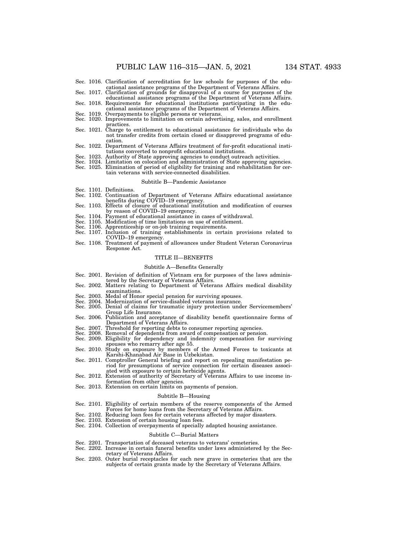- Sec. 1016. Clarification of accreditation for law schools for purposes of the educational assistance programs of the Department of Veterans Affairs. Sec. 1017. Clarification of grounds for disapproval of a course for purposes of the
- educational assistance programs of the Department of Veterans Affairs. Sec. 1018. Requirements for educational institutions participating in the edu-
- cational assistance programs of the Department of Veterans Affairs. Sec. 1019. Overpayments to eligible persons or veterans. Sec. 1020. Improvements to limitation on certain advertising, sales, and enrollment
- 
- practices. Sec. 1021. Charge to entitlement to educational assistance for individuals who do
- not transfer credits from certain closed or disapproved programs of education.
- Sec. 1022. Department of Veterans Affairs treatment of for-profit educational institutions converted to nonprofit educational institutions.
- 
- Sec. 1023. Authority of State approving agencies to conduct outreach activities.<br>Sec. 1024. Limitation on colocation and administration of State approving agencies.<br>Sec. 1025. Elimination of period of eligibility for train
- tain veterans with service-connected disabilities.

#### Subtitle B—Pandemic Assistance

- Sec. 1101. Definitions.
- Sec. 1102. Continuation of Department of Veterans Affairs educational assistance benefits during COVID–19 emergency.
- Sec. 1103. Effects of closure of educational institution and modification of courses by reason of COVID–19 emergency.
- Sec. 1104. Payment of educational assistance in cases of withdrawal. Sec. 1105. Modification of time limitations on use of entitlement.
- 
- Sec. 1106. Apprenticeship or on-job training requirements.
- Sec. 1107. Inclusion of training establishments in certain provisions related to COVID-19 emergency.
- Sec. 1108. Treatment of payment of allowances under Student Veteran Coronavirus Response Act.

#### TITLE II—BENEFITS

#### Subtitle A—Benefits Generally

- Sec. 2001. Revision of definition of Vietnam era for purposes of the laws adminis-
- tered by the Secretary of Veterans Affairs. Sec. 2002. Matters relating to Department of Veterans Affairs medical disability examinations.
- Sec. 2003. Medal of Honor special pension for surviving spouses.
- Sec. 2004. Modernization of service-disabled veterans insurance.
- Sec. 2005. Denial of claims for traumatic injury protection under Servicemembers' Group Life Insurance.
- Sec. 2006. Publication and acceptance of disability benefit questionnaire forms of Department of Veterans Affairs.
- Sec. 2007. Threshold for reporting debts to consumer reporting agencies.<br>Sec. 2008. Removal of dependents from award of compensation or pension.
- Sec. 2008. Removal of dependents from award of compensation or pension. Sec. 2009. Eligibility for dependency and indemnity compensation for surviving
- spouses who remarry after age 55. Sec. 2010. Study on exposure by members of the Armed Forces to toxicants at
- Karshi-Khanabad Air Base in Uzbekistan.
- Sec. 2011. Comptroller General briefing and report on repealing manifestation period for presumptions of service connection for certain diseases associated with exposure to certain herbicide agents. Sec. 2012. Extension of authority of Secretary of Veterans Affairs to use income in-
- formation from other agencies. Sec. 2013. Extension on certain limits on payments of pension.
- 

#### Subtitle B—Housing

- Sec. 2101. Eligibility of certain members of the reserve components of the Armed Forces for home loans from the Secretary of Veterans Affairs.
- Sec. 2102. Reducing loan fees for certain veterans affected by major disasters.
- Sec. 2103. Extension of certain housing loan fees.
- Sec. 2104. Collection of overpayments of specially adapted housing assistance.

#### Subtitle C—Burial Matters

- Sec. 2201. Transportation of deceased veterans to veterans' cemeteries.
- Sec. 2202. Increase in certain funeral benefits under laws administered by the Secretary of Veterans Affairs.
- Sec. 2203. Outer burial receptacles for each new grave in cemeteries that are the subjects of certain grants made by the Secretary of Veterans Affairs.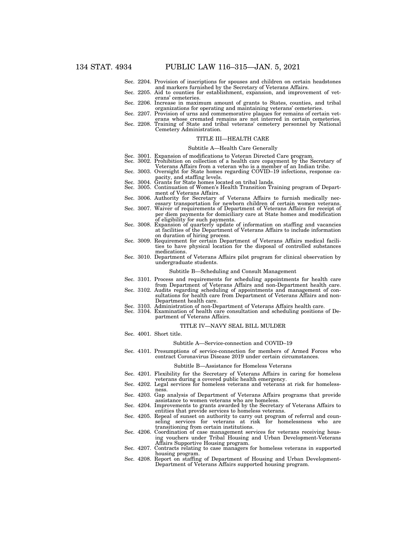- Sec. 2204. Provision of inscriptions for spouses and children on certain headstones
- Sec. 2205. Aid to counties for establishment, expansion, and improvement of veterans' cemeteries.
- Sec. 2206. Increase in maximum amount of grants to States, counties, and tribal organizations for operating and maintaining veterans' cemeteries. Sec. 2207. Provision of urns and commemorative plaques for remains of certain vet-
- erans whose cremated remains are not interred in certain cemeteries.
- Sec. 2208. Training of State and tribal veterans' cemetery personnel by National Cemetery Administration.

## TITLE III—HEALTH CARE

#### Subtitle A—Health Care Generally

- Sec. 3001. Expansion of modifications to Veteran Directed Care program.
- Sec. 3002. Prohibition on collection of a health care copayment by the Secretary of
- Veterans Affairs from a veteran who is a member of an Indian tribe. Sec. 3003. Oversight for State homes regarding COVID–19 infections, response ca-
- 
- pacity, and staffing levels. Sec. 3004. Grants for State homes located on tribal lands. Sec. 3005. Continuation of Women's Health Transition Training program of Department of Veterans Affairs.
- Sec. 3006. Authority for Secretary of Veterans Affairs to furnish medically necessary transportation for newborn children of certain women veterans.
- Sec. 3007. Waiver of requirements of Department of Veterans Affairs for receipt of per diem payments for domiciliary care at State homes and modification
- of eligibility for such payments. Sec. 3008. Expansion of quarterly update of information on staffing and vacancies at facilities of the Department of Veterans Affairs to include information on duration of hiring process.
- Sec. 3009. Requirement for certain Department of Veterans Affairs medical facilities to have physical location for the disposal of controlled substances medications.
- Sec. 3010. Department of Veterans Affairs pilot program for clinical observation by undergraduate students.

#### Subtitle B—Scheduling and Consult Management

- Sec. 3101. Process and requirements for scheduling appointments for health care
- from Department of Veterans Affairs and non-Department health care. Sec. 3102. Audits regarding scheduling of appointments and management of con-
- sultations for health care from Department of Veterans Affairs and non-Department health care.
- Sec. 3103. Administration of non-Department of Veterans Affairs health care.
- Sec. 3104. Examination of health care consultation and scheduling positions of Department of Veterans Affairs.

#### TITLE IV—NAVY SEAL BILL MULDER

Sec. 4001. Short title.

#### Subtitle A—Service-connection and COVID–19

Sec. 4101. Presumptions of service-connection for members of Armed Forces who contract Coronavirus Disease 2019 under certain circumstances.

#### Subtitle B—Assistance for Homeless Veterans

- Sec. 4201. Flexibility for the Secretary of Veterans Affairs in caring for homeless veterans during a covered public health emergency.
- Sec. 4202. Legal services for homeless veterans and veterans at risk for homelessness. Sec. 4203. Gap analysis of Department of Veterans Affairs programs that provide
- assistance to women veterans who are homeless.
- Sec. 4204. Improvements to grants awarded by the Secretary of Veterans Affairs to entities that provide services to homeless veterans.
- Sec. 4205. Repeal of sunset on authority to carry out program of referral and counseling services for veterans at risk for homelessness who are transitioning from certain institutions.
- Sec. 4206. Coordination of case management services for veterans receiving housing vouchers under Tribal Housing and Urban Development-Veterans Affairs Supportive Housing program.
- Sec. 4207. Contracts relating to case managers for homeless veterans in supported housing program.
- Sec. 4208. Report on staffing of Department of Housing and Urban Development-Department of Veterans Affairs supported housing program.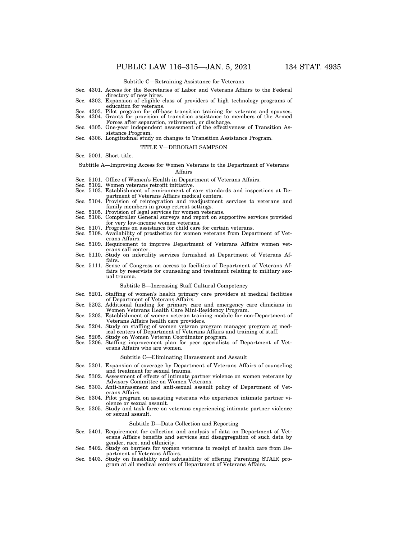Subtitle C—Retraining Assistance for Veterans

- Sec. 4301. Access for the Secretaries of Labor and Veterans Affairs to the Federal directory of new hires.
- Sec. 4302. Expansion of eligible class of providers of high technology programs of education for veterans.
- Sec. 4303. Pilot program for off-base transition training for veterans and spouses. Sec. 4304. Grants for provision of transition assistance to members of the Armed
- Forces after separation, retirement, or discharge. Sec. 4305. One-year independent assessment of the effectiveness of Transition Assistance Program.
- Sec. 4306. Longitudinal study on changes to Transition Assistance Program.

#### TITLE V—DEBORAH SAMPSON

Sec. 5001. Short title.

Subtitle A—Improving Access for Women Veterans to the Department of Veterans Affairs

- Sec. 5101. Office of Women's Health in Department of Veterans Affairs.
- Sec. 5102. Women veterans retrofit initiative.
- Sec. 5103. Establishment of environment of care standards and inspections at Department of Veterans Affairs medical centers.
- Sec. 5104. Provision of reintegration and readjustment services to veterans and family members in group retreat settings.
- Sec. 5105. Provision of legal services for women veterans.
- Sec. 5106. Comptroller General surveys and report on supportive services provided for very low-income women veterans.
- Sec. 5107. Programs on assistance for child care for certain veterans.
- Sec. 5108. Availability of prosthetics for women veterans from Department of Veterans Affairs.
- Sec. 5109. Requirement to improve Department of Veterans Affairs women veterans call center.
- Sec. 5110. Study on infertility services furnished at Department of Veterans Affairs.
- Sec. 5111. Sense of Congress on access to facilities of Department of Veterans Affairs by reservists for counseling and treatment relating to military sexual trauma.

#### Subtitle B—Increasing Staff Cultural Competency

- Sec. 5201. Staffing of women's health primary care providers at medical facilities of Department of Veterans Affairs.
- Sec. 5202. Additional funding for primary care and emergency care clinicians in Women Veterans Health Care Mini-Residency Program.
- Sec. 5203. Establishment of women veteran training module for non-Department of Veterans Affairs health care providers.
- Sec. 5204. Study on staffing of women veteran program manager program at medical centers of Department of Veterans Affairs and training of staff. Sec. 5205. Study on Women Veteran Coordinator program.
- 
- Sec. 5206. Staffing improvement plan for peer specialists of Department of Veterans Affairs who are women.

#### Subtitle C—Eliminating Harassment and Assault

- Sec. 5301. Expansion of coverage by Department of Veterans Affairs of counseling and treatment for sexual trauma.
- Sec. 5302. Assessment of effects of intimate partner violence on women veterans by Advisory Committee on Women Veterans.
- Sec. 5303. Anti-harassment and anti-sexual assault policy of Department of Veterans Affairs.
- Sec. 5304. Pilot program on assisting veterans who experience intimate partner violence or sexual assault.
- Sec. 5305. Study and task force on veterans experiencing intimate partner violence or sexual assault.

#### Subtitle D—Data Collection and Reporting

- Sec. 5401. Requirement for collection and analysis of data on Department of Veterans Affairs benefits and services and disaggregation of such data by gender, race, and ethnicity.
- Sec. 5402. Study on barriers for women veterans to receipt of health care from De-
- partment of Veterans Affairs. Sec. 5403. Study on feasibility and advisability of offering Parenting STAIR program at all medical centers of Department of Veterans Affairs.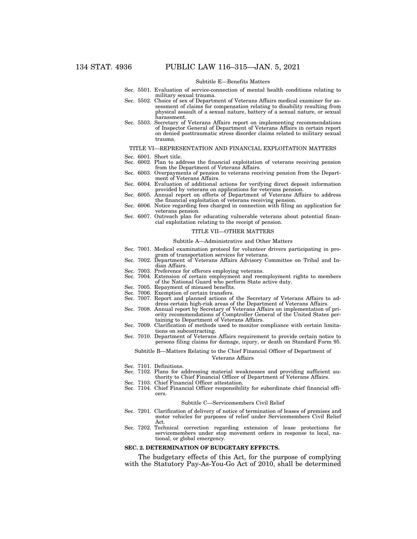#### Subtitle E—Benefits Matters

- Sec. 5501. Evaluation of service-connection of mental health conditions relating to military sexual trauma.
- Sec. 5502. Choice of sex of Department of Veterans Affairs medical examiner for assessment of claims for compensation relating to disability resulting from physical assault of a sexual nature, battery of a sexual nature, or sexual harassment.
- Sec. 5503. Secretary of Veterans Affairs report on implementing recommendations of Inspector General of Department of Veterans Affairs in certain report on denied posttraumatic stress disorder claims related to military sexual trauma.

#### TITLE VI—REPRESENTATION AND FINANCIAL EXPLOITATION MATTERS

- Sec. 6001. Short title.
- Sec. 6002. Plan to address the financial exploitation of veterans receiving pension from the Department of Veterans Affairs.
- Sec. 6003. Overpayments of pension to veterans receiving pension from the Department of Veterans Affairs.
- Sec. 6004. Evaluation of additional actions for verifying direct deposit information provided by veterans on applications for veterans pension.
- Sec. 6005. Annual report on efforts of Department of Veterans Affairs to address the financial exploitation of veterans receiving pension.
- Sec. 6006. Notice regarding fees charged in connection with filing an application for veterans pension.
- Sec. 6007. Outreach plan for educating vulnerable veterans about potential financial exploitation relating to the receipt of pension.

#### TITLE VII—OTHER MATTERS

#### Subtitle A—Administrative and Other Matters

- Sec. 7001. Medical examination protocol for volunteer drivers participating in program of transportation services for veterans.
- Sec. 7002. Department of Veterans Affairs Advisory Committee on Tribal and Indian Affairs.
- Sec. 7003. Preference for offerors employing veterans.
- Sec. 7004. Extension of certain employment and reemployment rights to members of the National Guard who perform State active duty.
- Sec. 7005. Repayment of misused benefits.
- Sec. 7006. Exemption of certain transfers.
- Sec. 7007. Report and planned actions of the Secretary of Veterans Affairs to address certain high-risk areas of the Department of Veterans Affairs.
- Sec. 7008. Annual report by Secretary of Veterans Affairs on implementation of priority recommendations of Comptroller General of the United States pertaining to Department of Veterans Affairs.
- Sec. 7009. Clarification of methods used to monitor compliance with certain limitations on subcontracting.
- Sec. 7010. Department of Veterans Affairs requirement to provide certain notice to persons filing claims for damage, injury, or death on Standard Form 95.

#### Subtitle B—Matters Relating to the Chief Financial Officer of Department of Veterans Affairs

- Sec. 7101. Definitions.
- Sec. 7102. Plans for addressing material weaknesses and providing sufficient authority to Chief Financial Officer of Department of Veterans Affairs.
- Sec. 7103. Chief Financial Officer attestation.
- Sec. 7104. Chief Financial Officer responsibility for subordinate chief financial officers.

#### Subtitle C—Servicemembers Civil Relief

- Sec. 7201. Clarification of delivery of notice of termination of leases of premises and motor vehicles for purposes of relief under Servicemembers Civil Relief Act.
- Sec. 7202. Technical correction regarding extension of lease protections for servicemembers under stop movement orders in response to local, national, or global emergency.

#### **SEC. 2. DETERMINATION OF BUDGETARY EFFECTS.**

The budgetary effects of this Act, for the purpose of complying with the Statutory Pay-As-You-Go Act of 2010, shall be determined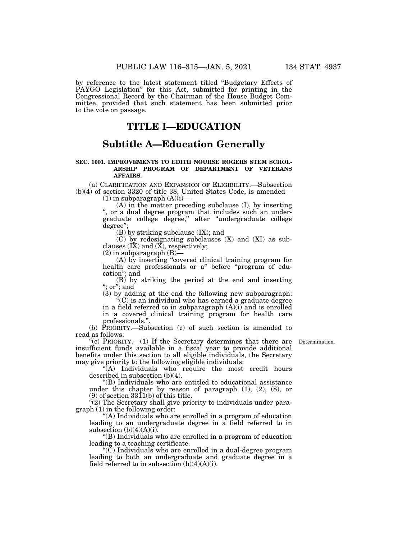by reference to the latest statement titled ''Budgetary Effects of PAYGO Legislation'' for this Act, submitted for printing in the Congressional Record by the Chairman of the House Budget Committee, provided that such statement has been submitted prior to the vote on passage.

## **TITLE I—EDUCATION**

## **Subtitle A—Education Generally**

## **SEC. 1001. IMPROVEMENTS TO EDITH NOURSE ROGERS STEM SCHOL-ARSHIP PROGRAM OF DEPARTMENT OF VETERANS AFFAIRS.**

(a) CLARIFICATION AND EXPANSION OF ELIGIBILITY.—Subsection (b)(4) of section 3320 of title 38, United States Code, is amended—

 $(1)$  in subparagraph  $(A)(i)$ —

(A) in the matter preceding subclause (I), by inserting '', or a dual degree program that includes such an undergraduate college degree,'' after ''undergraduate college degree'';

(B) by striking subclause (IX); and

(C) by redesignating subclauses (X) and (XI) as subclauses  $(I\check{X})$  and  $(\check{X})$ , respectively;

 $(2)$  in subparagraph  $(B)$ —

(A) by inserting ''covered clinical training program for health care professionals or a" before "program of education''; and

(B) by striking the period at the end and inserting ''; or''; and

(3) by adding at the end the following new subparagraph: ''(C) is an individual who has earned a graduate degree

in a field referred to in subparagraph  $(A)(i)$  and is enrolled in a covered clinical training program for health care professionals."

(b) PRIORITY.—Subsection (c) of such section is amended to read as follows:

Determination.

"(c) PRIORITY.—(1) If the Secretary determines that there are insufficient funds available in a fiscal year to provide additional benefits under this section to all eligible individuals, the Secretary may give priority to the following eligible individuals:

"(A) Individuals who require the most credit hours described in subsection (b)(4).

''(B) Individuals who are entitled to educational assistance under this chapter by reason of paragraph (1), (2), (8), or (9) of section  $3311(b)$  of this title.

 $'(2)$  The Secretary shall give priority to individuals under paragraph (1) in the following order:

''(A) Individuals who are enrolled in a program of education leading to an undergraduate degree in a field referred to in subsection  $(b)(4)(A)(i)$ .

''(B) Individuals who are enrolled in a program of education leading to a teaching certificate.

" $(\tilde{C})$  Individuals who are enrolled in a dual-degree program leading to both an undergraduate and graduate degree in a field referred to in subsection  $(b)(4)(A)(i)$ .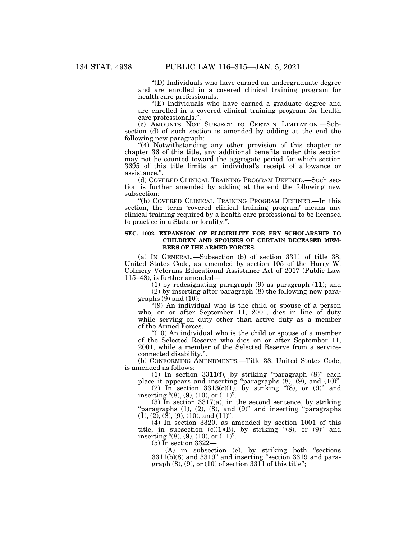''(D) Individuals who have earned an undergraduate degree and are enrolled in a covered clinical training program for health care professionals.

''(E) Individuals who have earned a graduate degree and are enrolled in a covered clinical training program for health care professionals."

(c) AMOUNTS NOT SUBJECT TO CERTAIN LIMITATION.—Subsection (d) of such section is amended by adding at the end the following new paragraph:

''(4) Notwithstanding any other provision of this chapter or chapter 36 of this title, any additional benefits under this section may not be counted toward the aggregate period for which section 3695 of this title limits an individual's receipt of allowance or assistance.''.

(d) COVERED CLINICAL TRAINING PROGRAM DEFINED.—Such section is further amended by adding at the end the following new subsection:

''(h) COVERED CLINICAL TRAINING PROGRAM DEFINED.—In this section, the term 'covered clinical training program' means any clinical training required by a health care professional to be licensed to practice in a State or locality.''.

#### **SEC. 1002. EXPANSION OF ELIGIBILITY FOR FRY SCHOLARSHIP TO CHILDREN AND SPOUSES OF CERTAIN DECEASED MEM-BERS OF THE ARMED FORCES.**

(a) IN GENERAL.—Subsection (b) of section 3311 of title 38, United States Code, as amended by section 105 of the Harry W. Colmery Veterans Educational Assistance Act of 2017 (Public Law 115–48), is further amended—

(1) by redesignating paragraph (9) as paragraph (11); and (2) by inserting after paragraph (8) the following new paragraphs  $(9)$  and  $(10)$ :

''(9) An individual who is the child or spouse of a person who, on or after September 11, 2001, dies in line of duty while serving on duty other than active duty as a member of the Armed Forces.

" $(10)$  An individual who is the child or spouse of a member of the Selected Reserve who dies on or after September 11, 2001, while a member of the Selected Reserve from a serviceconnected disability.''.

(b) CONFORMING AMENDMENTS.—Title 38, United States Code, is amended as follows:

(1) In section 3311(f), by striking ''paragraph (8)'' each place it appears and inserting "paragraphs  $(8)$ ,  $(9)$ , and  $(10)$ ".

(2) In section  $3313(c)(1)$ , by striking "(8), or (9)" and inserting " $(8)$ ,  $(9)$ ,  $(10)$ , or  $(11)$ ".

 $(3)$  In section  $3317(a)$ , in the second sentence, by striking 'paragraphs  $(1)$ ,  $(2)$ ,  $(8)$ , and  $(9)$ " and inserting "paragraphs"  $(1), (2), (8), (9), (10),$  and  $(11)$ ".

(4) In section 3320, as amended by section 1001 of this title, in subsection  $(c)(1)(B)$ , by striking "(8), or  $(9)$ " and inserting " $(8)$ ,  $(9)$ ,  $(10)$ , or  $(11)$ ".

(5) In section 3322—

(A) in subsection (e), by striking both ''sections  $3311(b)(8)$  and  $3319$ " and inserting "section 3319 and paragraph  $(8)$ ,  $(9)$ , or  $(10)$  of section  $3311$  of this title";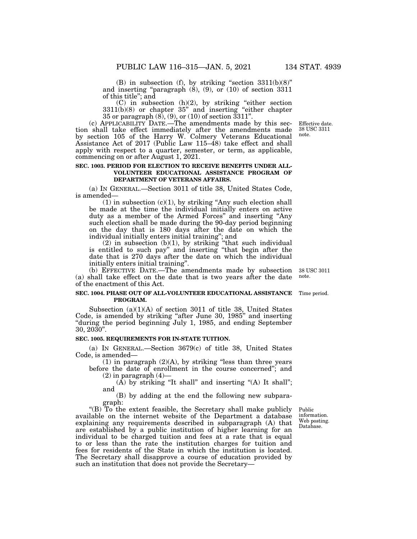(B) in subsection (f), by striking "section  $3311(b)(8)$ "

and inserting "paragraph  $(8)$ ,  $(9)$ , or  $(10)$  of section 3311 of this title''; and

(C) in subsection (h)(2), by striking ''either section 3311(b)(8) or chapter 35'' and inserting ''either chapter 35 or paragraph (8), (9), or (10) of section 3311''.

(c) APPLICABILITY DATE.—The amendments made by this section shall take effect immediately after the amendments made by section 105 of the Harry W. Colmery Veterans Educational Assistance Act of 2017 (Public Law 115–48) take effect and shall apply with respect to a quarter, semester, or term, as applicable, commencing on or after August 1, 2021.

## **SEC. 1003. PERIOD FOR ELECTION TO RECEIVE BENEFITS UNDER ALL-VOLUNTEER EDUCATIONAL ASSISTANCE PROGRAM OF DEPARTMENT OF VETERANS AFFAIRS.**

(a) IN GENERAL.—Section 3011 of title 38, United States Code, is amended—

(1) in subsection  $(c)(1)$ , by striking "Any such election shall be made at the time the individual initially enters on active duty as a member of the Armed Forces'' and inserting ''Any such election shall be made during the 90-day period beginning on the day that is 180 days after the date on which the individual initially enters initial training''; and

 $(2)$  in subsection  $(b)(1)$ , by striking "that such individual is entitled to such pay'' and inserting ''that begin after the date that is 270 days after the date on which the individual initially enters initial training''.

(b) EFFECTIVE DATE.—The amendments made by subsection (a) shall take effect on the date that is two years after the date of the enactment of this Act.

#### **SEC. 1004. PHASE OUT OF ALL-VOLUNTEER EDUCATIONAL ASSISTANCE** Time period. **PROGRAM.**

Subsection (a)(1)(A) of section 3011 of title 38, United States Code, is amended by striking "after June 30, 1985" and inserting ''during the period beginning July 1, 1985, and ending September 30, 2030''.

#### **SEC. 1005. REQUIREMENTS FOR IN-STATE TUITION.**

(a) IN GENERAL.—Section 3679(c) of title 38, United States Code, is amended—

(1) in paragraph  $(2)(A)$ , by striking "less than three years before the date of enrollment in the course concerned''; and

 $(2)$  in paragraph  $(4)$ —

 $(A)$  by striking "It shall" and inserting " $(A)$  It shall"; and

(B) by adding at the end the following new subparagraph:

''(B) To the extent feasible, the Secretary shall make publicly available on the internet website of the Department a database explaining any requirements described in subparagraph (A) that are established by a public institution of higher learning for an individual to be charged tuition and fees at a rate that is equal to or less than the rate the institution charges for tuition and fees for residents of the State in which the institution is located. The Secretary shall disapprove a course of education provided by such an institution that does not provide the Secretary—

Public information. Web posting. Database.

38 USC 3011 note.

Effective date. 38 USC 3311 note.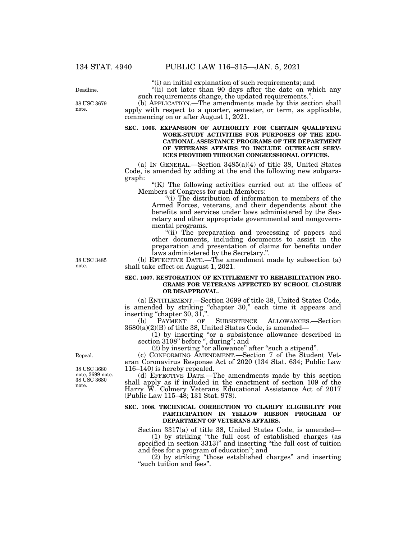''(i) an initial explanation of such requirements; and

"(ii) not later than 90 days after the date on which any such requirements change, the updated requirements."

(b) APPLICATION.—The amendments made by this section shall apply with respect to a quarter, semester, or term, as applicable, commencing on or after August 1, 2021.

## **SEC. 1006. EXPANSION OF AUTHORITY FOR CERTAIN QUALIFYING WORK-STUDY ACTIVITIES FOR PURPOSES OF THE EDU-CATIONAL ASSISTANCE PROGRAMS OF THE DEPARTMENT OF VETERANS AFFAIRS TO INCLUDE OUTREACH SERV-ICES PROVIDED THROUGH CONGRESSIONAL OFFICES.**

(a) IN GENERAL.—Section 3485(a)(4) of title 38, United States Code, is amended by adding at the end the following new subparagraph:

"(K) The following activities carried out at the offices of Members of Congress for such Members:

"(i) The distribution of information to members of the Armed Forces, veterans, and their dependents about the benefits and services under laws administered by the Secretary and other appropriate governmental and nongovernmental programs.

"(ii) The preparation and processing of papers and other documents, including documents to assist in the preparation and presentation of claims for benefits under laws administered by the Secretary.''.

(b) EFFECTIVE DATE.—The amendment made by subsection (a) shall take effect on August 1, 2021.

#### **SEC. 1007. RESTORATION OF ENTITLEMENT TO REHABILITATION PRO-GRAMS FOR VETERANS AFFECTED BY SCHOOL CLOSURE OR DISAPPROVAL.**

(a) ENTITLEMENT.—Section 3699 of title 38, United States Code, is amended by striking "chapter 30," each time it appears and inserting "chapter 30, 31,".

(b) PAYMENT OF SUBSISTENCE ALLOWANCES.—Section 3680(a)(2)(B) of title 38, United States Code, is amended—

(1) by inserting ''or a subsistence allowance described in section 3108" before ", during"; and

(2) by inserting ''or allowance'' after ''such a stipend''.

(c) CONFORMING AMENDMENT.—Section 7 of the Student Veteran Coronavirus Response Act of 2020 (134 Stat. 634; Public Law 116–140) is hereby repealed.

(d) EFFECTIVE DATE.—The amendments made by this section shall apply as if included in the enactment of section 109 of the Harry W. Colmery Veterans Educational Assistance Act of 2017 (Public Law 115–48; 131 Stat. 978).

## **SEC. 1008. TECHNICAL CORRECTION TO CLARIFY ELIGIBILITY FOR PARTICIPATION IN YELLOW RIBBON PROGRAM OF DEPARTMENT OF VETERANS AFFAIRS.**

Section 3317(a) of title 38, United States Code, is amended—

(1) by striking ''the full cost of established charges (as specified in section 3313)" and inserting "the full cost of tuition and fees for a program of education''; and

(2) by striking ''those established charges'' and inserting ''such tuition and fees''.

38 USC 3485 note.

Repeal.

38 USC 3680 note. 38 USC 3680 note, 3699 note.

Deadline.

38 USC 3679 note.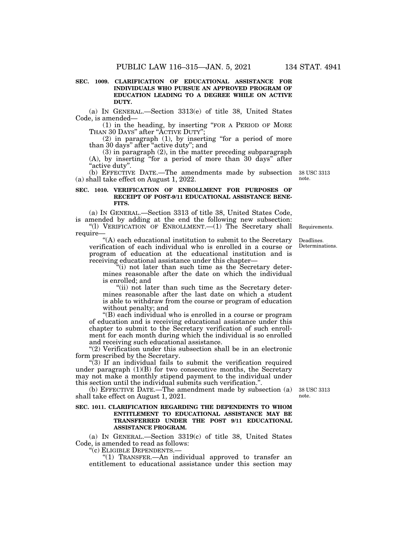### **SEC. 1009. CLARIFICATION OF EDUCATIONAL ASSISTANCE FOR INDIVIDUALS WHO PURSUE AN APPROVED PROGRAM OF EDUCATION LEADING TO A DEGREE WHILE ON ACTIVE DUTY.**

(a) IN GENERAL.—Section 3313(e) of title 38, United States Code, is amended—

(1) in the heading, by inserting ''FOR A PERIOD OF MORE THAN 30 DAYS" after "ACTIVE DUTY"

(2) in paragraph (1), by inserting ''for a period of more than 30 days'' after ''active duty''; and

(3) in paragraph (2), in the matter preceding subparagraph (A), by inserting ''for a period of more than 30 days'' after "active duty".

(b) EFFECTIVE DATE.—The amendments made by subsection (a) shall take effect on August 1, 2022.

## **SEC. 1010. VERIFICATION OF ENROLLMENT FOR PURPOSES OF RECEIPT OF POST-9/11 EDUCATIONAL ASSISTANCE BENE-FITS.**

(a) IN GENERAL.—Section 3313 of title 38, United States Code, is amended by adding at the end the following new subsection:

"(1) VERIFICATION OF ENROLLMENT.—(1) The Secretary shall Requirements. require—

''(A) each educational institution to submit to the Secretary verification of each individual who is enrolled in a course or program of education at the educational institution and is receiving educational assistance under this chapter—

''(i) not later than such time as the Secretary determines reasonable after the date on which the individual is enrolled; and

"(ii) not later than such time as the Secretary determines reasonable after the last date on which a student is able to withdraw from the course or program of education without penalty; and

''(B) each individual who is enrolled in a course or program of education and is receiving educational assistance under this chapter to submit to the Secretary verification of such enrollment for each month during which the individual is so enrolled and receiving such educational assistance.

"(2) Verification under this subsection shall be in an electronic form prescribed by the Secretary.

 $\degree$ (3) If an individual fails to submit the verification required under paragraph  $(1)(B)$  for two consecutive months, the Secretary may not make a monthly stipend payment to the individual under this section until the individual submits such verification.''.

(b) EFFECTIVE DATE.—The amendment made by subsection (a) shall take effect on August 1, 2021.

## **SEC. 1011. CLARIFICATION REGARDING THE DEPENDENTS TO WHOM ENTITLEMENT TO EDUCATIONAL ASSISTANCE MAY BE TRANSFERRED UNDER THE POST 9/11 EDUCATIONAL ASSISTANCE PROGRAM.**

(a) IN GENERAL.—Section 3319(c) of title 38, United States Code, is amended to read as follows:

''(c) ELIGIBLE DEPENDENTS.—

" $(1)$  TRANSFER.—An individual approved to transfer an entitlement to educational assistance under this section may

38 USC 3313 note.

38 USC 3313 note.

Deadlines. Determinations.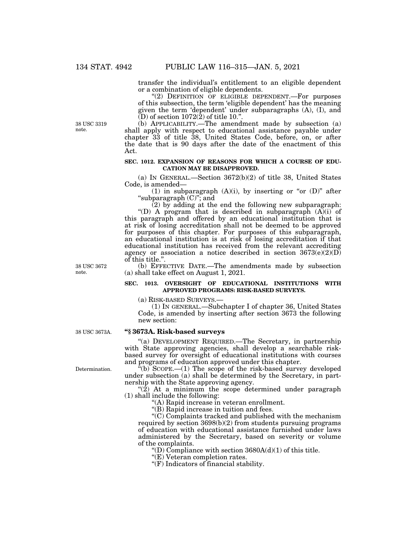transfer the individual's entitlement to an eligible dependent or a combination of eligible dependents.

"(2) DEFINITION OF ELIGIBLE DEPENDENT.—For purposes of this subsection, the term 'eligible dependent' has the meaning given the term 'dependent' under subparagraphs (A), (I), and  $(D)$  of section  $1072(2)$  of title 10.".

38 USC 3319 note.

(b) APPLICABILITY.—The amendment made by subsection (a) shall apply with respect to educational assistance payable under chapter 33 of title 38, United States Code, before, on, or after the date that is 90 days after the date of the enactment of this Act.

#### **SEC. 1012. EXPANSION OF REASONS FOR WHICH A COURSE OF EDU-CATION MAY BE DISAPPROVED.**

(a) IN GENERAL.—Section 3672(b)(2) of title 38, United States Code, is amended—

(1) in subparagraph  $(A)(i)$ , by inserting or "or  $(D)$ " after ''subparagraph (C)''; and

 $(2)$  by adding at the end the following new subparagraph: "(D) A program that is described in subparagraph  $(A)(i)$  of

this paragraph and offered by an educational institution that is at risk of losing accreditation shall not be deemed to be approved for purposes of this chapter. For purposes of this subparagraph, an educational institution is at risk of losing accreditation if that educational institution has received from the relevant accrediting agency or association a notice described in section  $3673(e)(2)(D)$ of this title.''.

(b) EFFECTIVE DATE.—The amendments made by subsection (a) shall take effect on August 1, 2021.

#### **SEC. 1013. OVERSIGHT OF EDUCATIONAL INSTITUTIONS WITH APPROVED PROGRAMS: RISK-BASED SURVEYS.**

(a) RISK-BASED SURVEYS.— (1) IN GENERAL.—Subchapter I of chapter 36, United States Code, is amended by inserting after section 3673 the following new section:

#### **''§ 3673A. Risk-based surveys**  38 USC 3673A.

''(a) DEVELOPMENT REQUIRED.—The Secretary, in partnership with State approving agencies, shall develop a searchable riskbased survey for oversight of educational institutions with courses and programs of education approved under this chapter.

 $f(b)$  SCOPE.—(1) The scope of the risk-based survey developed under subsection (a) shall be determined by the Secretary, in partnership with the State approving agency.

" $(2)$  At a minimum the scope determined under paragraph (1) shall include the following:

''(A) Rapid increase in veteran enrollment.

''(B) Rapid increase in tuition and fees.

''(C) Complaints tracked and published with the mechanism required by section 3698(b)(2) from students pursuing programs of education with educational assistance furnished under laws administered by the Secretary, based on severity or volume of the complaints.

"(D) Compliance with section  $3680A(d)(1)$  of this title.

''(E) Veteran completion rates.

''(F) Indicators of financial stability.

38 USC 3672 note.

Determination.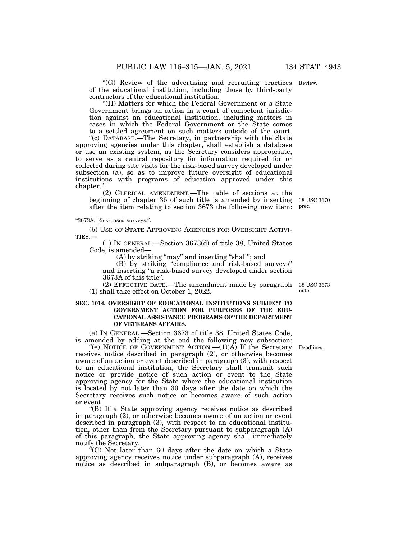"(G) Review of the advertising and recruiting practices Review. of the educational institution, including those by third-party contractors of the educational institution.

''(H) Matters for which the Federal Government or a State Government brings an action in a court of competent jurisdiction against an educational institution, including matters in cases in which the Federal Government or the State comes to a settled agreement on such matters outside of the court.

''(c) DATABASE.—The Secretary, in partnership with the State approving agencies under this chapter, shall establish a database or use an existing system, as the Secretary considers appropriate, to serve as a central repository for information required for or collected during site visits for the risk-based survey developed under subsection (a), so as to improve future oversight of educational institutions with programs of education approved under this chapter.''.

(2) CLERICAL AMENDMENT.—The table of sections at the beginning of chapter 36 of such title is amended by inserting after the item relating to section 3673 the following new item:

''3673A. Risk-based surveys.''.

(b) USE OF STATE APPROVING AGENCIES FOR OVERSIGHT ACTIVI-TIES.—

(1) IN GENERAL.—Section 3673(d) of title 38, United States Code, is amended—

(A) by striking "may" and inserting "shall"; and

(B) by striking ''compliance and risk-based surveys'' and inserting ''a risk-based survey developed under section 3673A of this title''.

(2) EFFECTIVE DATE.—The amendment made by paragraph (1) shall take effect on October 1, 2022.

## **SEC. 1014. OVERSIGHT OF EDUCATIONAL INSTITUTIONS SUBJECT TO GOVERNMENT ACTION FOR PURPOSES OF THE EDU-CATIONAL ASSISTANCE PROGRAMS OF THE DEPARTMENT OF VETERANS AFFAIRS.**

(a) IN GENERAL.—Section 3673 of title 38, United States Code, is amended by adding at the end the following new subsection:

"(e) NOTICE OF GOVERNMENT ACTION.— $(1)(A)$  If the Secretary receives notice described in paragraph (2), or otherwise becomes aware of an action or event described in paragraph (3), with respect to an educational institution, the Secretary shall transmit such notice or provide notice of such action or event to the State approving agency for the State where the educational institution is located by not later than 30 days after the date on which the Secretary receives such notice or becomes aware of such action or event.

''(B) If a State approving agency receives notice as described in paragraph (2), or otherwise becomes aware of an action or event described in paragraph (3), with respect to an educational institution, other than from the Secretary pursuant to subparagraph (A) of this paragraph, the State approving agency shall immediately notify the Secretary.

 $\mathcal{F}^{\mathcal{F}}(C)$  Not later than 60 days after the date on which a State approving agency receives notice under subparagraph (A), receives notice as described in subparagraph (B), or becomes aware as

Deadlines.

38 USC 3673 note.

38 USC 3670 prec.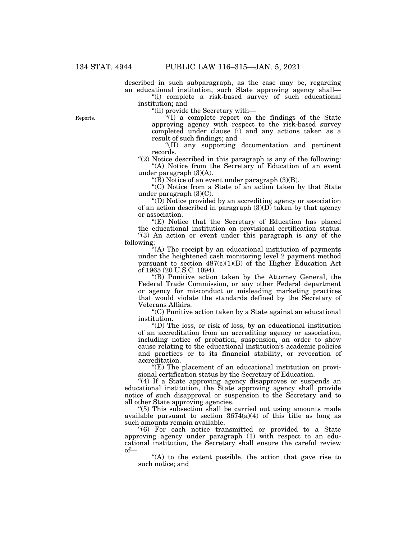described in such subparagraph, as the case may be, regarding an educational institution, such State approving agency shall—

"(i) complete a risk-based survey of such educational institution; and

''(ii) provide the Secretary with—

 $\sqrt[2a]{(I)}$  a complete report on the findings of the State approving agency with respect to the risk-based survey completed under clause (i) and any actions taken as a result of such findings; and

''(II) any supporting documentation and pertinent records.

"(2) Notice described in this paragraph is any of the following: "(A) Notice from the Secretary of Education of an event under paragraph (3)(A).

" $(\hat{B})$  Notice of an event under paragraph  $(3)(B)$ .

''(C) Notice from a State of an action taken by that State under paragraph  $(3)(C)$ .

 $\mathrm{``(D)}$  Notice provided by an accrediting agency or association of an action described in paragraph  $(3)(D)$  taken by that agency or association.

"(E) Notice that the Secretary of Education has placed the educational institution on provisional certification status. "(3) An action or event under this paragraph is any of the following:

''(A) The receipt by an educational institution of payments under the heightened cash monitoring level 2 payment method pursuant to section  $487(c)(1)(B)$  of the Higher Education Act of 1965 (20 U.S.C. 1094).

''(B) Punitive action taken by the Attorney General, the Federal Trade Commission, or any other Federal department or agency for misconduct or misleading marketing practices that would violate the standards defined by the Secretary of Veterans Affairs.

''(C) Punitive action taken by a State against an educational institution.

''(D) The loss, or risk of loss, by an educational institution of an accreditation from an accrediting agency or association, including notice of probation, suspension, an order to show cause relating to the educational institution's academic policies and practices or to its financial stability, or revocation of accreditation.

 $E(E)$  The placement of an educational institution on provisional certification status by the Secretary of Education.

"(4) If a State approving agency disapproves or suspends an educational institution, the State approving agency shall provide notice of such disapproval or suspension to the Secretary and to all other State approving agencies.

''(5) This subsection shall be carried out using amounts made available pursuant to section  $3674(a)(4)$  of this title as long as such amounts remain available.

''(6) For each notice transmitted or provided to a State approving agency under paragraph (1) with respect to an educational institution, the Secretary shall ensure the careful review of—

"(A) to the extent possible, the action that gave rise to such notice; and

Reports.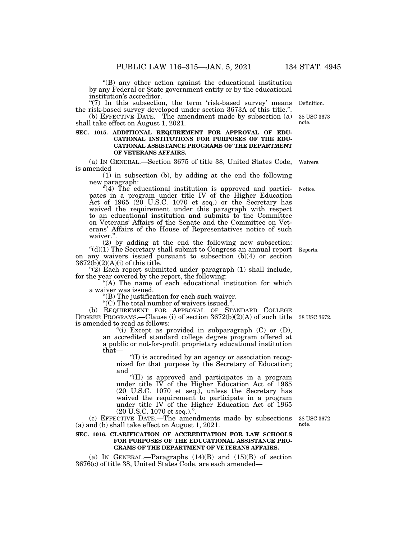''(B) any other action against the educational institution by any Federal or State government entity or by the educational institution's accreditor.

" $(7)$  In this subsection, the term 'risk-based survey' means the risk-based survey developed under section 3673A of this title.''.

(b) EFFECTIVE DATE.—The amendment made by subsection (a) shall take effect on August 1, 2021.

## **SEC. 1015. ADDITIONAL REQUIREMENT FOR APPROVAL OF EDU-CATIONAL INSTITUTIONS FOR PURPOSES OF THE EDU-CATIONAL ASSISTANCE PROGRAMS OF THE DEPARTMENT OF VETERANS AFFAIRS.**

(a) IN GENERAL.—Section 3675 of title 38, United States Code, is amended— Waivers.

(1) in subsection (b), by adding at the end the following new paragraph:

 $*(4)$  The educational institution is approved and participates in a program under title IV of the Higher Education Act of  $1965$  (20 U.S.C. 1070 et seq.) or the Secretary has waived the requirement under this paragraph with respect to an educational institution and submits to the Committee on Veterans' Affairs of the Senate and the Committee on Veterans' Affairs of the House of Representatives notice of such waiver." Notice.

(2) by adding at the end the following new subsection:  $"(d)(1)$  The Secretary shall submit to Congress an annual report on any waivers issued pursuant to subsection (b)(4) or section  $3672(b)(2)(A)(i)$  of this title.

 $(2)$  Each report submitted under paragraph  $(1)$  shall include, for the year covered by the report, the following:

"(A) The name of each educational institution for which a waiver was issued.

''(B) The justification for each such waiver.

''(C) The total number of waivers issued.''.

(b) REQUIREMENT FOR APPROVAL OF STANDARD COLLEGE DEGREE PROGRAMS.—Clause (i) of section  $3672(b)(2)(A)$  of such title 38 USC 3672. is amended to read as follows:

"(i) Except as provided in subparagraph  $(C)$  or  $(D)$ , an accredited standard college degree program offered at a public or not-for-profit proprietary educational institution that—

''(I) is accredited by an agency or association recognized for that purpose by the Secretary of Education; and

''(II) is approved and participates in a program under title IV of the Higher Education Act of  $1965$ (20 U.S.C. 1070 et seq.), unless the Secretary has waived the requirement to participate in a program under title IV of the Higher Education Act of 1965 (20 U.S.C. 1070 et seq.).''.

(c) EFFECTIVE DATE.—The amendments made by subsections (a) and (b) shall take effect on August 1, 2021.

#### **SEC. 1016. CLARIFICATION OF ACCREDITATION FOR LAW SCHOOLS FOR PURPOSES OF THE EDUCATIONAL ASSISTANCE PRO-GRAMS OF THE DEPARTMENT OF VETERANS AFFAIRS.**

(a) IN GENERAL.—Paragraphs  $(14)(B)$  and  $(15)(B)$  of section 3676(c) of title 38, United States Code, are each amended—

38 USC 3672 note.

Reports.

**Definition** 

note.

38 USC 3673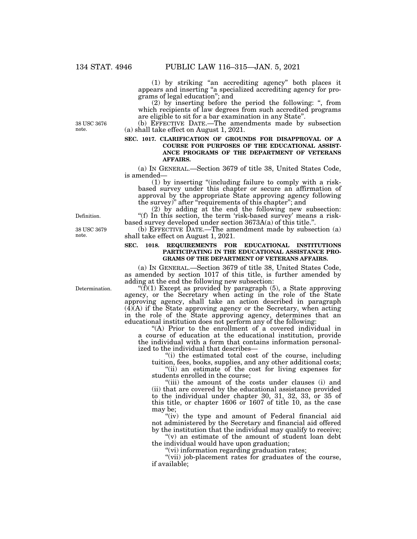(1) by striking ''an accrediting agency'' both places it appears and inserting ''a specialized accrediting agency for programs of legal education''; and

(2) by inserting before the period the following: '', from which recipients of law degrees from such accredited programs are eligible to sit for a bar examination in any State''.

(b) EFFECTIVE DATE.—The amendments made by subsection (a) shall take effect on August 1, 2021.

## **SEC. 1017. CLARIFICATION OF GROUNDS FOR DISAPPROVAL OF A COURSE FOR PURPOSES OF THE EDUCATIONAL ASSIST-ANCE PROGRAMS OF THE DEPARTMENT OF VETERANS AFFAIRS.**

(a) IN GENERAL.—Section 3679 of title 38, United States Code, is amended—

(1) by inserting ''(including failure to comply with a riskbased survey under this chapter or secure an affirmation of approval by the appropriate State approving agency following the survey)'' after ''requirements of this chapter''; and

(2) by adding at the end the following new subsection: "(f) In this section, the term 'risk-based survey' means a riskbased survey developed under section 3673A(a) of this title.''.

(b) EFFECTIVE DATE.—The amendment made by subsection (a) shall take effect on August 1, 2021.

#### **SEC. 1018. REQUIREMENTS FOR EDUCATIONAL INSTITUTIONS PARTICIPATING IN THE EDUCATIONAL ASSISTANCE PRO-GRAMS OF THE DEPARTMENT OF VETERANS AFFAIRS.**

(a) IN GENERAL.—Section 3679 of title 38, United States Code, as amended by section 1017 of this title, is further amended by adding at the end the following new subsection:

" $(f)(1)$  Except as provided by paragraph (5), a State approving agency, or the Secretary when acting in the role of the State approving agency, shall take an action described in paragraph  $(\overline{4})(\overline{A})$  if the State approving agency or the Secretary, when acting in the role of the State approving agency, determines that an educational institution does not perform any of the following:

''(A) Prior to the enrollment of a covered individual in a course of education at the educational institution, provide the individual with a form that contains information personalized to the individual that describes—

"(i) the estimated total cost of the course, including tuition, fees, books, supplies, and any other additional costs;

"(ii) an estimate of the cost for living expenses for students enrolled in the course;

''(iii) the amount of the costs under clauses (i) and (ii) that are covered by the educational assistance provided to the individual under chapter 30, 31, 32, 33, or 35 of this title, or chapter 1606 or 1607 of title 10, as the case may be;

"(iv) the type and amount of Federal financial aid not administered by the Secretary and financial aid offered by the institution that the individual may qualify to receive;

" $(v)$  an estimate of the amount of student loan debt the individual would have upon graduation;

''(vi) information regarding graduation rates;

"(vii) job-placement rates for graduates of the course, if available;

38 USC 3676 note.

Definition.

38 USC 3679 note.

Determination.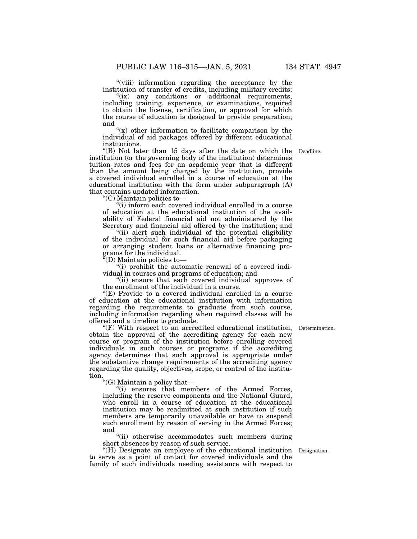"(viii) information regarding the acceptance by the institution of transfer of credits, including military credits;

"(ix) any conditions or additional requirements, including training, experience, or examinations, required to obtain the license, certification, or approval for which the course of education is designed to provide preparation; and

" $(x)$  other information to facilitate comparison by the individual of aid packages offered by different educational institutions.

''(B) Not later than 15 days after the date on which the institution (or the governing body of the institution) determines tuition rates and fees for an academic year that is different than the amount being charged by the institution, provide a covered individual enrolled in a course of education at the educational institution with the form under subparagraph (A) that contains updated information.

''(C) Maintain policies to—

''(i) inform each covered individual enrolled in a course of education at the educational institution of the availability of Federal financial aid not administered by the Secretary and financial aid offered by the institution; and

"(ii) alert such individual of the potential eligibility of the individual for such financial aid before packaging or arranging student loans or alternative financing programs for the individual.

''(D) Maintain policies to—

''(i) prohibit the automatic renewal of a covered individual in courses and programs of education; and

''(ii) ensure that each covered individual approves of the enrollment of the individual in a course.

''(E) Provide to a covered individual enrolled in a course of education at the educational institution with information regarding the requirements to graduate from such course, including information regarding when required classes will be offered and a timeline to graduate.

''(F) With respect to an accredited educational institution, obtain the approval of the accrediting agency for each new course or program of the institution before enrolling covered individuals in such courses or programs if the accrediting agency determines that such approval is appropriate under the substantive change requirements of the accrediting agency regarding the quality, objectives, scope, or control of the institution.

''(G) Maintain a policy that—

''(i) ensures that members of the Armed Forces, including the reserve components and the National Guard, who enroll in a course of education at the educational institution may be readmitted at such institution if such members are temporarily unavailable or have to suspend such enrollment by reason of serving in the Armed Forces; and

"(ii) otherwise accommodates such members during short absences by reason of such service.

''(H) Designate an employee of the educational institution Designation. to serve as a point of contact for covered individuals and the family of such individuals needing assistance with respect to

Determination.

Deadline.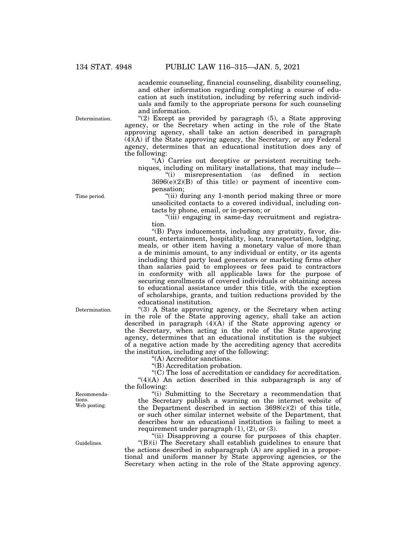academic counseling, financial counseling, disability counseling, and other information regarding completing a course of education at such institution, including by referring such individuals and family to the appropriate persons for such counseling and information.

Determination.

Time period.

" $(2)$  Except as provided by paragraph  $(5)$ , a State approving agency, or the Secretary when acting in the role of the State approving agency, shall take an action described in paragraph (4)(A) if the State approving agency, the Secretary, or any Federal agency, determines that an educational institution does any of the following:

"(A) Carries out deceptive or persistent recruiting techniques, including on military installations, that may include—

''(i) misrepresentation (as defined in section  $3696(e)(2)(B)$  of this title) or payment of incentive compensation;

''(ii) during any 1-month period making three or more unsolicited contacts to a covered individual, including contacts by phone, email, or in-person; or

"(iii) engaging in same-day recruitment and registration.

''(B) Pays inducements, including any gratuity, favor, discount, entertainment, hospitality, loan, transportation, lodging, meals, or other item having a monetary value of more than a de minimis amount, to any individual or entity, or its agents including third party lead generators or marketing firms other than salaries paid to employees or fees paid to contractors in conformity with all applicable laws for the purpose of securing enrollments of covered individuals or obtaining access to educational assistance under this title, with the exception of scholarships, grants, and tuition reductions provided by the educational institution.

" $(3)$  A State approving agency, or the Secretary when acting in the role of the State approving agency, shall take an action described in paragraph (4)(A) if the State approving agency or the Secretary, when acting in the role of the State approving agency, determines that an educational institution is the subject of a negative action made by the accrediting agency that accredits the institution, including any of the following:

''(A) Accreditor sanctions.

''(B) Accreditation probation.

''(C) The loss of accreditation or candidacy for accreditation.  $(4)(A)$  An action described in this subparagraph is any of the following:

''(i) Submitting to the Secretary a recommendation that the Secretary publish a warning on the internet website of the Department described in section  $3698(c)(2)$  of this title, or such other similar internet website of the Department, that describes how an educational institution is failing to meet a requirement under paragraph  $(1)$ ,  $(2)$ , or  $(3)$ .

"(ii) Disapproving a course for purposes of this chapter. "(B)(i) The Secretary shall establish guidelines to ensure that the actions described in subparagraph (A) are applied in a proportional and uniform manner by State approving agencies, or the Secretary when acting in the role of the State approving agency.

Determination.

Recommendations. Web posting.

Guidelines.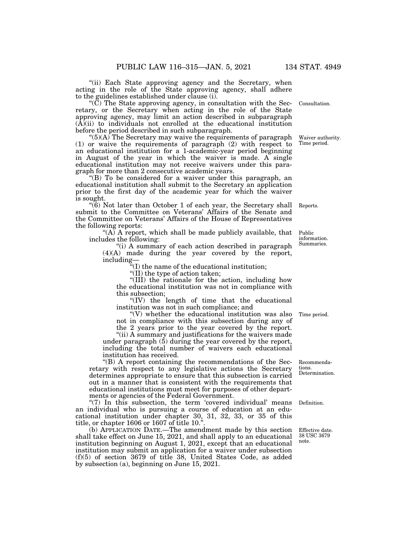"(ii) Each State approving agency and the Secretary, when acting in the role of the State approving agency, shall adhere to the guidelines established under clause (i).

''(C) The State approving agency, in consultation with the Secretary, or the Secretary when acting in the role of the State approving agency, may limit an action described in subparagraph  $(\overline{A})(ii)$  to individuals not enrolled at the educational institution before the period described in such subparagraph.

 $^{(6)}$ (A) The Secretary may waive the requirements of paragraph (1) or waive the requirements of paragraph (2) with respect to an educational institution for a 1-academic-year period beginning in August of the year in which the waiver is made. A single educational institution may not receive waivers under this paragraph for more than 2 consecutive academic years.

''(B) To be considered for a waiver under this paragraph, an educational institution shall submit to the Secretary an application prior to the first day of the academic year for which the waiver is sought.

"(6) Not later than October 1 of each year, the Secretary shall Reports. submit to the Committee on Veterans' Affairs of the Senate and the Committee on Veterans' Affairs of the House of Representatives the following reports:

" $(A)$  A report, which shall be made publicly available, that includes the following:

''(i) A summary of each action described in paragraph (4)(A) made during the year covered by the report, including—

 $f''(I)$  the name of the educational institution;

''(II) the type of action taken;

"(III) the rationale for the action, including how the educational institution was not in compliance with this subsection;

" $(IV)$  the length of time that the educational institution was not in such compliance; and

''(V) whether the educational institution was also not in compliance with this subsection during any of

the 2 years prior to the year covered by the report. "(ii) A summary and justifications for the waivers made

under paragraph  $(5)$  during the year covered by the report, including the total number of waivers each educational institution has received.

''(B) A report containing the recommendations of the Secretary with respect to any legislative actions the Secretary determines appropriate to ensure that this subsection is carried out in a manner that is consistent with the requirements that educational institutions must meet for purposes of other departments or agencies of the Federal Government.

"(7) In this subsection, the term 'covered individual' means an individual who is pursuing a course of education at an educational institution under chapter 30, 31, 32, 33, or 35 of this title, or chapter 1606 or 1607 of title 10.''.

(b) APPLICATION DATE.—The amendment made by this section shall take effect on June 15, 2021, and shall apply to an educational institution beginning on August 1, 2021, except that an educational institution may submit an application for a waiver under subsection (f)(5) of section 3679 of title 38, United States Code, as added by subsection (a), beginning on June 15, 2021.

Consultation.

Waiver authority. Time period.

Public information. Summaries.

Time period.

Recommendations.

Determination.

Definition.

Effective date. 38 USC 3679 note.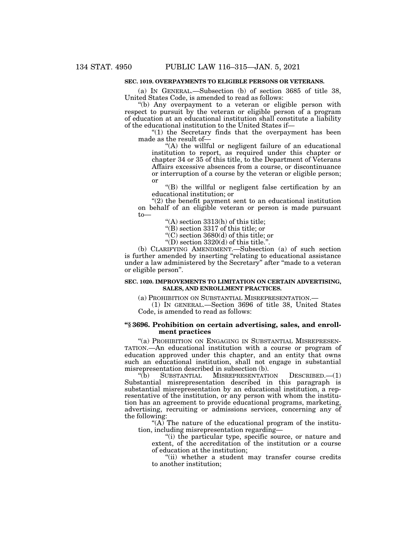## **SEC. 1019. OVERPAYMENTS TO ELIGIBLE PERSONS OR VETERANS.**

(a) IN GENERAL.—Subsection (b) of section 3685 of title 38, United States Code, is amended to read as follows:

''(b) Any overpayment to a veteran or eligible person with respect to pursuit by the veteran or eligible person of a program of education at an educational institution shall constitute a liability of the educational institution to the United States if—

" $(1)$  the Secretary finds that the overpayment has been made as the result of—

"(A) the willful or negligent failure of an educational institution to report, as required under this chapter or chapter 34 or 35 of this title, to the Department of Veterans Affairs excessive absences from a course, or discontinuance or interruption of a course by the veteran or eligible person; or

''(B) the willful or negligent false certification by an educational institution; or

''(2) the benefit payment sent to an educational institution on behalf of an eligible veteran or person is made pursuant to—

''(A) section 3313(h) of this title;

''(B) section 3317 of this title; or

''(C) section 3680(d) of this title; or

"(D) section  $3320(d)$  of this title.".

(b) CLARIFYING AMENDMENT.—Subsection (a) of such section is further amended by inserting ''relating to educational assistance under a law administered by the Secretary'' after ''made to a veteran or eligible person''.

#### **SEC. 1020. IMPROVEMENTS TO LIMITATION ON CERTAIN ADVERTISING, SALES, AND ENROLLMENT PRACTICES.**

(a) PROHIBITION ON SUBSTANTIAL MISREPRESENTATION.—

(1) IN GENERAL.—Section 3696 of title 38, United States Code, is amended to read as follows:

#### **''§ 3696. Prohibition on certain advertising, sales, and enrollment practices**

"(a) PROHIBITION ON ENGAGING IN SUBSTANTIAL MISREPRESEN-TATION.—An educational institution with a course or program of education approved under this chapter, and an entity that owns such an educational institution, shall not engage in substantial misrepresentation described in subsection (b).<br>
"(b) SUBSTANTIAL MISREPRESENTATI

MISREPRESENTATION DESCRIBED.—(1) Substantial misrepresentation described in this paragraph is substantial misrepresentation by an educational institution, a representative of the institution, or any person with whom the institution has an agreement to provide educational programs, marketing, advertising, recruiting or admissions services, concerning any of the following:

 $\mathcal{H}(A)$  The nature of the educational program of the institution, including misrepresentation regarding—

''(i) the particular type, specific source, or nature and extent, of the accreditation of the institution or a course of education at the institution;

"(ii) whether a student may transfer course credits to another institution;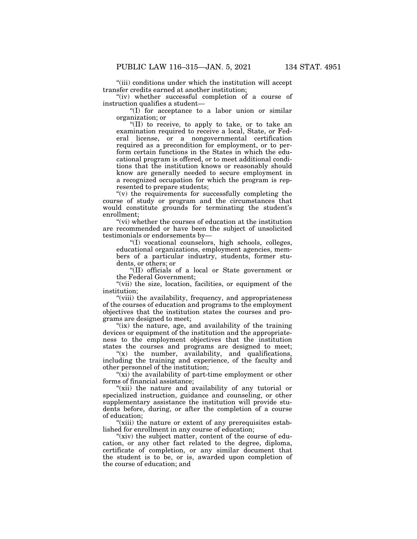''(iii) conditions under which the institution will accept transfer credits earned at another institution;

"(iv) whether successful completion of a course of instruction qualifies a student—

" $(I)$  for acceptance to a labor union or similar organization; or

''(II) to receive, to apply to take, or to take an examination required to receive a local, State, or Federal license, or a nongovernmental certification required as a precondition for employment, or to perform certain functions in the States in which the educational program is offered, or to meet additional conditions that the institution knows or reasonably should know are generally needed to secure employment in a recognized occupation for which the program is represented to prepare students;

 $''(v)$  the requirements for successfully completing the course of study or program and the circumstances that would constitute grounds for terminating the student's enrollment;

''(vi) whether the courses of education at the institution are recommended or have been the subject of unsolicited testimonials or endorsements by—

''(I) vocational counselors, high schools, colleges, educational organizations, employment agencies, members of a particular industry, students, former students, or others; or

''(II) officials of a local or State government or the Federal Government;

"(vii) the size, location, facilities, or equipment of the institution;

''(viii) the availability, frequency, and appropriateness of the courses of education and programs to the employment objectives that the institution states the courses and programs are designed to meet;

"(ix) the nature, age, and availability of the training devices or equipment of the institution and the appropriateness to the employment objectives that the institution states the courses and programs are designed to meet;

" $(x)$  the number, availability, and qualifications, including the training and experience, of the faculty and other personnel of the institution;

" $(xi)$  the availability of part-time employment or other forms of financial assistance;

"(xii) the nature and availability of any tutorial or specialized instruction, guidance and counseling, or other supplementary assistance the institution will provide students before, during, or after the completion of a course of education;

"(xiii) the nature or extent of any prerequisites established for enrollment in any course of education;

"(xiv) the subject matter, content of the course of education, or any other fact related to the degree, diploma, certificate of completion, or any similar document that the student is to be, or is, awarded upon completion of the course of education; and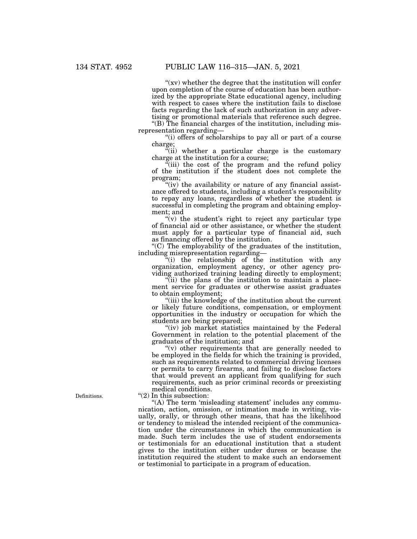" $(xv)$  whether the degree that the institution will confer upon completion of the course of education has been authorized by the appropriate State educational agency, including with respect to cases where the institution fails to disclose facts regarding the lack of such authorization in any advertising or promotional materials that reference such degree. ''(B) The financial charges of the institution, including misrepresentation regarding—

''(i) offers of scholarships to pay all or part of a course charge;

"(ii) whether a particular charge is the customary charge at the institution for a course;

"(iii) the cost of the program and the refund policy of the institution if the student does not complete the program;

"(iv) the availability or nature of any financial assistance offered to students, including a student's responsibility to repay any loans, regardless of whether the student is successful in completing the program and obtaining employment; and

"(v) the student's right to reject any particular type" of financial aid or other assistance, or whether the student must apply for a particular type of financial aid, such as financing offered by the institution.

''(C) The employability of the graduates of the institution, including misrepresentation regarding—

 $f(i)$  the relationship of the institution with any organization, employment agency, or other agency providing authorized training leading directly to employment;

 $\tilde{f}$ (ii) the plans of the institution to maintain a placement service for graduates or otherwise assist graduates to obtain employment;

''(iii) the knowledge of the institution about the current or likely future conditions, compensation, or employment opportunities in the industry or occupation for which the students are being prepared;

"(iv) job market statistics maintained by the Federal Government in relation to the potential placement of the graduates of the institution; and

"(v) other requirements that are generally needed to be employed in the fields for which the training is provided, such as requirements related to commercial driving licenses or permits to carry firearms, and failing to disclose factors that would prevent an applicant from qualifying for such requirements, such as prior criminal records or preexisting medical conditions.

" $(2)$  In this subsection:

"(A) The term 'misleading statement' includes any communication, action, omission, or intimation made in writing, visually, orally, or through other means, that has the likelihood or tendency to mislead the intended recipient of the communication under the circumstances in which the communication is made. Such term includes the use of student endorsements or testimonials for an educational institution that a student gives to the institution either under duress or because the institution required the student to make such an endorsement or testimonial to participate in a program of education.

Definitions.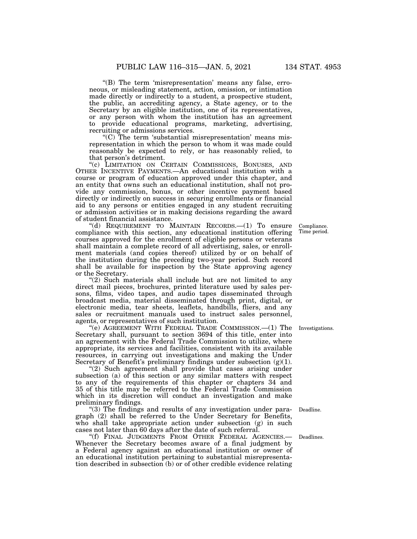''(B) The term 'misrepresentation' means any false, erroneous, or misleading statement, action, omission, or intimation made directly or indirectly to a student, a prospective student, the public, an accrediting agency, a State agency, or to the Secretary by an eligible institution, one of its representatives, or any person with whom the institution has an agreement to provide educational programs, marketing, advertising, recruiting or admissions services.

 $(C)$  The term 'substantial misrepresentation' means misrepresentation in which the person to whom it was made could reasonably be expected to rely, or has reasonably relied, to that person's detriment.

''(c) LIMITATION ON CERTAIN COMMISSIONS, BONUSES, AND OTHER INCENTIVE PAYMENTS.—An educational institution with a course or program of education approved under this chapter, and an entity that owns such an educational institution, shall not provide any commission, bonus, or other incentive payment based directly or indirectly on success in securing enrollments or financial aid to any persons or entities engaged in any student recruiting or admission activities or in making decisions regarding the award of student financial assistance.

''(d) REQUIREMENT TO MAINTAIN RECORDS.—(1) To ensure compliance with this section, any educational institution offering courses approved for the enrollment of eligible persons or veterans shall maintain a complete record of all advertising, sales, or enrollment materials (and copies thereof) utilized by or on behalf of the institution during the preceding two-year period. Such record shall be available for inspection by the State approving agency or the Secretary.

"(2) Such materials shall include but are not limited to any direct mail pieces, brochures, printed literature used by sales persons, films, video tapes, and audio tapes disseminated through broadcast media, material disseminated through print, digital, or electronic media, tear sheets, leaflets, handbills, fliers, and any sales or recruitment manuals used to instruct sales personnel, agents, or representatives of such institution.

''(e) AGREEMENT WITH FEDERAL TRADE COMMISSION.—(1) The Investigations. Secretary shall, pursuant to section 3694 of this title, enter into an agreement with the Federal Trade Commission to utilize, where appropriate, its services and facilities, consistent with its available resources, in carrying out investigations and making the Under Secretary of Benefit's preliminary findings under subsection  $(g)(1)$ .

"(2) Such agreement shall provide that cases arising under subsection (a) of this section or any similar matters with respect to any of the requirements of this chapter or chapters 34 and 35 of this title may be referred to the Federal Trade Commission which in its discretion will conduct an investigation and make preliminary findings.

''(3) The findings and results of any investigation under paragraph (2) shall be referred to the Under Secretary for Benefits, who shall take appropriate action under subsection (g) in such cases not later than 60 days after the date of such referral.

''(f) FINAL JUDGMENTS FROM OTHER FEDERAL AGENCIES.— Whenever the Secretary becomes aware of a final judgment by a Federal agency against an educational institution or owner of an educational institution pertaining to substantial misrepresentation described in subsection (b) or of other credible evidence relating

Compliance. Time period.

Deadline.

Deadlines.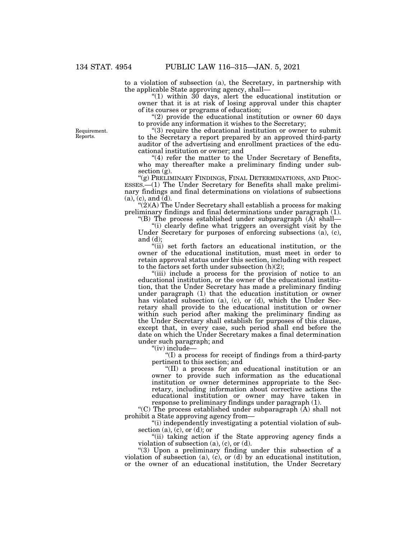to a violation of subsection (a), the Secretary, in partnership with the applicable State approving agency, shall—

" $(1)$  within  $30$  days, alert the educational institution or owner that it is at risk of losing approval under this chapter of its courses or programs of education;

" $(2)$  provide the educational institution or owner 60 days to provide any information it wishes to the Secretary;

''(3) require the educational institution or owner to submit to the Secretary a report prepared by an approved third-party auditor of the advertising and enrollment practices of the educational institution or owner; and

 $(4)$  refer the matter to the Under Secretary of Benefits, who may thereafter make a preliminary finding under subsection (g).<br>"(g) Preliminary Findings, Final Determinations, and Proc-

 $\text{ESSES.} \rightarrow$  The Under Secretary for Benefits shall make preliminary findings and final determinations on violations of subsections  $(a)$ ,  $(c)$ , and  $\overline{d}$ .

 $''(2)$ (A) The Under Secretary shall establish a process for making preliminary findings and final determinations under paragraph (1).

"(B) The process established under subparagraph  $(\overline{A})$  shall— (i) clearly define what triggers an oversight visit by the Under Secretary for purposes of enforcing subsections (a), (c), and (d);

''(ii) set forth factors an educational institution, or the owner of the educational institution, must meet in order to retain approval status under this section, including with respect to the factors set forth under subsection (h)(2);

"(iii) include a process for the provision of notice to an educational institution, or the owner of the educational institution, that the Under Secretary has made a preliminary finding under paragraph (1) that the education institution or owner has violated subsection (a), (c), or (d), which the Under Secretary shall provide to the educational institution or owner within such period after making the preliminary finding as the Under Secretary shall establish for purposes of this clause, except that, in every case, such period shall end before the date on which the Under Secretary makes a final determination under such paragraph; and

''(iv) include—

''(I) a process for receipt of findings from a third-party pertinent to this section; and

''(II) a process for an educational institution or an owner to provide such information as the educational institution or owner determines appropriate to the Secretary, including information about corrective actions the educational institution or owner may have taken in response to preliminary findings under paragraph (1).

"(C) The process established under subparagraph  $(A)$  shall not prohibit a State approving agency from—

"(i) independently investigating a potential violation of subsection (a),  $(c)$ , or (d); or

"(ii) taking action if the State approving agency finds a violation of subsection  $(a)$ ,  $(c)$ , or  $(d)$ .

"(3) Upon a preliminary finding under this subsection of a violation of subsection (a), (c), or (d) by an educational institution, or the owner of an educational institution, the Under Secretary

Requirement. Reports.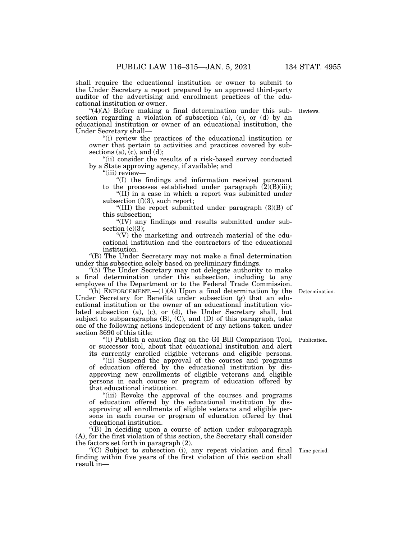shall require the educational institution or owner to submit to the Under Secretary a report prepared by an approved third-party auditor of the advertising and enrollment practices of the educational institution or owner.

" $(4)(A)$  Before making a final determination under this sub-Reviews. section regarding a violation of subsection (a), (c), or (d) by an educational institution or owner of an educational institution, the Under Secretary shall—

''(i) review the practices of the educational institution or owner that pertain to activities and practices covered by subsections (a), (c), and (d);

"(ii) consider the results of a risk-based survey conducted by a State approving agency, if available; and

''(iii) review—

''(I) the findings and information received pursuant to the processes established under paragraph  $(2)(B)(iii)$ ;

" $(II)$  in a case in which a report was submitted under subsection (f)(3), such report;

"(III) the report submitted under paragraph  $(3)(B)$  of this subsection;

"(IV) any findings and results submitted under subsection  $(e)(3)$ ;

" $(V)$  the marketing and outreach material of the educational institution and the contractors of the educational institution.

''(B) The Under Secretary may not make a final determination under this subsection solely based on preliminary findings.

"(5) The Under Secretary may not delegate authority to make a final determination under this subsection, including to any employee of the Department or to the Federal Trade Commission.

"(h) ENFORCEMENT.— $(1)(A)$  Upon a final determination by the Under Secretary for Benefits under subsection (g) that an educational institution or the owner of an educational institution violated subsection (a), (c), or (d), the Under Secretary shall, but subject to subparagraphs  $(B)$ ,  $(C)$ , and  $(D)$  of this paragraph, take one of the following actions independent of any actions taken under section 3690 of this title:

''(i) Publish a caution flag on the GI Bill Comparison Tool, or successor tool, about that educational institution and alert its currently enrolled eligible veterans and eligible persons.

''(ii) Suspend the approval of the courses and programs of education offered by the educational institution by disapproving new enrollments of eligible veterans and eligible persons in each course or program of education offered by that educational institution.

"(iii) Revoke the approval of the courses and programs of education offered by the educational institution by disapproving all enrollments of eligible veterans and eligible persons in each course or program of education offered by that educational institution.

''(B) In deciding upon a course of action under subparagraph (A), for the first violation of this section, the Secretary shall consider the factors set forth in paragraph (2).

''(C) Subject to subsection (i), any repeat violation and final Time period. finding within five years of the first violation of this section shall result in—

Publication.

Determination.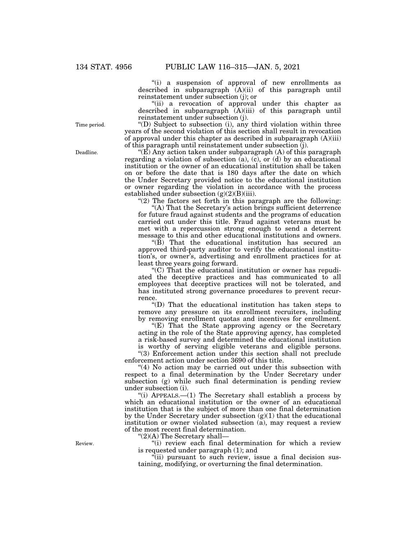"(i) a suspension of approval of new enrollments as described in subparagraph  $(A)(ii)$  of this paragraph until reinstatement under subsection (j); or

"(ii) a revocation of approval under this chapter as described in subparagraph  $\overline{A}$ )(iii) of this paragraph until reinstatement under subsection (j).

''(D) Subject to subsection (i), any third violation within three years of the second violation of this section shall result in revocation of approval under this chapter as described in subparagraph  $(A)(iii)$ of this paragraph until reinstatement under subsection (j).

" $(E)$  Any action taken under subparagraph  $(A)$  of this paragraph regarding a violation of subsection (a), (c), or (d) by an educational institution or the owner of an educational institution shall be taken on or before the date that is 180 days after the date on which the Under Secretary provided notice to the educational institution or owner regarding the violation in accordance with the process established under subsection  $(g)(2)(B)(iii)$ .

" $(2)$  The factors set forth in this paragraph are the following:

"(A) That the Secretary's action brings sufficient deterrence for future fraud against students and the programs of education carried out under this title. Fraud against veterans must be met with a repercussion strong enough to send a deterrent message to this and other educational institutions and owners.

 $\langle (B)$  That the educational institution has secured an approved third-party auditor to verify the educational institution's, or owner's, advertising and enrollment practices for at least three years going forward.

''(C) That the educational institution or owner has repudiated the deceptive practices and has communicated to all employees that deceptive practices will not be tolerated, and has instituted strong governance procedures to prevent recurrence.

''(D) That the educational institution has taken steps to remove any pressure on its enrollment recruiters, including by removing enrollment quotas and incentives for enrollment.

"(E) That the State approving agency or the Secretary acting in the role of the State approving agency, has completed a risk-based survey and determined the educational institution is worthy of serving eligible veterans and eligible persons.

''(3) Enforcement action under this section shall not preclude enforcement action under section 3690 of this title.

"(4) No action may be carried out under this subsection with respect to a final determination by the Under Secretary under subsection (g) while such final determination is pending review under subsection (i).

"(i) APPEALS.—(1) The Secretary shall establish a process by which an educational institution or the owner of an educational institution that is the subject of more than one final determination by the Under Secretary under subsection  $(g)(1)$  that the educational institution or owner violated subsection (a), may request a review of the most recent final determination.

''(2)(A) The Secretary shall—

"(i) review each final determination for which a review is requested under paragraph (1); and

 $\tilde{f}$ (ii) pursuant to such review, issue a final decision sustaining, modifying, or overturning the final determination.

Time period.

Deadline.

Review.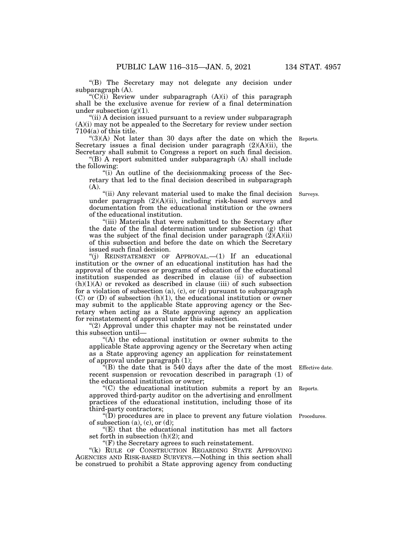''(B) The Secretary may not delegate any decision under subparagraph (A).

" $(C)$ (i) Review under subparagraph  $(A)(i)$  of this paragraph shall be the exclusive avenue for review of a final determination under subsection  $(g)(1)$ .

''(ii) A decision issued pursuant to a review under subparagraph (A)(i) may not be appealed to the Secretary for review under section 7104(a) of this title.

" $(3)(A)$  Not later than 30 days after the date on which the Reports. Secretary issues a final decision under paragraph  $(2)(A)(ii)$ , the Secretary shall submit to Congress a report on such final decision.

"(B) A report submitted under subparagraph  $(A)$  shall include the following:

''(i) An outline of the decisionmaking process of the Secretary that led to the final decision described in subparagraph (A).

"(ii) Any relevant material used to make the final decision under paragraph (2)(A)(ii), including risk-based surveys and documentation from the educational institution or the owners of the educational institution.

"(iii) Materials that were submitted to the Secretary after the date of the final determination under subsection (g) that was the subject of the final decision under paragraph  $(2)(A)(ii)$ of this subsection and before the date on which the Secretary issued such final decision.

''(j) REINSTATEMENT OF APPROVAL.—(1) If an educational institution or the owner of an educational institution has had the approval of the courses or programs of education of the educational institution suspended as described in clause (ii) of subsection  $(h)(1)(A)$  or revoked as described in clause (iii) of such subsection for a violation of subsection (a), (c), or (d) pursuant to subparagraph (C) or (D) of subsection (h)(1), the educational institution or owner may submit to the applicable State approving agency or the Secretary when acting as a State approving agency an application for reinstatement of approval under this subsection.

"(2) Approval under this chapter may not be reinstated under this subsection until—

''(A) the educational institution or owner submits to the applicable State approving agency or the Secretary when acting as a State approving agency an application for reinstatement of approval under paragraph (1);

 $\overline{f}(B)$  the date that is 540 days after the date of the most recent suspension or revocation described in paragraph (1) of the educational institution or owner;

''(C) the educational institution submits a report by an approved third-party auditor on the advertising and enrollment practices of the educational institution, including those of its third-party contractors;

''(D) procedures are in place to prevent any future violation Procedures. of subsection  $(a)$ ,  $(c)$ , or  $(d)$ ;

''(E) that the educational institution has met all factors set forth in subsection (h)(2); and

''(F) the Secretary agrees to such reinstatement.

''(k) RULE OF CONSTRUCTION REGARDING STATE APPROVING AGENCIES AND RISK-BASED SURVEYS.—Nothing in this section shall be construed to prohibit a State approving agency from conducting

Effective date.

Reports.

Surveys.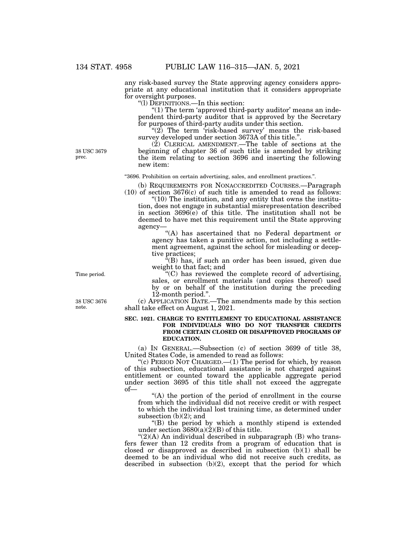any risk-based survey the State approving agency considers appropriate at any educational institution that it considers appropriate for oversight purposes.

''(l) DEFINITIONS.—In this section:

"(1) The term 'approved third-party auditor' means an independent third-party auditor that is approved by the Secretary for purposes of third-party audits under this section.

" $(2)$  The term 'risk-based survey' means the risk-based survey developed under section 3673A of this title.''.

(2) CLERICAL AMENDMENT.—The table of sections at the beginning of chapter 36 of such title is amended by striking the item relating to section 3696 and inserting the following new item:

''3696. Prohibition on certain advertising, sales, and enrollment practices.''.

(b) REQUIREMENTS FOR NONACCREDITED COURSES.—Paragraph  $(10)$  of section 3676 $(c)$  of such title is amended to read as follows:

 $\degree$ (10) The institution, and any entity that owns the institution, does not engage in substantial misrepresentation described in section  $3696(e)$  of this title. The institution shall not be deemed to have met this requirement until the State approving agency—

''(A) has ascertained that no Federal department or agency has taken a punitive action, not including a settlement agreement, against the school for misleading or deceptive practices;

''(B) has, if such an order has been issued, given due weight to that fact; and

''(C) has reviewed the complete record of advertising, sales, or enrollment materials (and copies thereof) used by or on behalf of the institution during the preceding 12-month period.''.

(c) APPLICATION DATE.—The amendments made by this section shall take effect on August 1, 2021.

## **SEC. 1021. CHARGE TO ENTITLEMENT TO EDUCATIONAL ASSISTANCE FOR INDIVIDUALS WHO DO NOT TRANSFER CREDITS FROM CERTAIN CLOSED OR DISAPPROVED PROGRAMS OF EDUCATION.**

(a) IN GENERAL.—Subsection (c) of section 3699 of title 38, United States Code, is amended to read as follows:

"(c) PERIOD NOT CHARGED.— $(1)$  The period for which, by reason of this subsection, educational assistance is not charged against entitlement or counted toward the applicable aggregate period under section 3695 of this title shall not exceed the aggregate of—

''(A) the portion of the period of enrollment in the course from which the individual did not receive credit or with respect to which the individual lost training time, as determined under subsection (b)(2); and

''(B) the period by which a monthly stipend is extended under section  $3680(a)(2)(B)$  of this title.

" $(2)(A)$  An individual described in subparagraph  $(B)$  who transfers fewer than 12 credits from a program of education that is closed or disapproved as described in subsection (b)(1) shall be deemed to be an individual who did not receive such credits, as described in subsection (b)(2), except that the period for which

Time period.

38 USC 3676 note.

38 USC 3679 prec.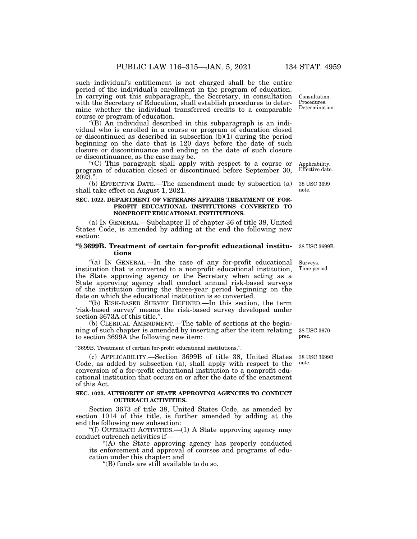such individual's entitlement is not charged shall be the entire period of the individual's enrollment in the program of education. In carrying out this subparagraph, the Secretary, in consultation with the Secretary of Education, shall establish procedures to determine whether the individual transferred credits to a comparable course or program of education.

"(B) An individual described in this subparagraph is an individual who is enrolled in a course or program of education closed or discontinued as described in subsection (b)(1) during the period beginning on the date that is 120 days before the date of such closure or discontinuance and ending on the date of such closure or discontinuance, as the case may be.

''(C) This paragraph shall apply with respect to a course or program of education closed or discontinued before September 30, 2023.''.

(b) EFFECTIVE DATE.—The amendment made by subsection (a) shall take effect on August 1, 2021.

## **SEC. 1022. DEPARTMENT OF VETERANS AFFAIRS TREATMENT OF FOR-PROFIT EDUCATIONAL INSTITUTIONS CONVERTED TO NONPROFIT EDUCATIONAL INSTITUTIONS.**

(a) IN GENERAL.—Subchapter II of chapter 36 of title 38, United States Code, is amended by adding at the end the following new section:

## **''§ 3699B. Treatment of certain for-profit educational institutions**

"(a) IN GENERAL.—In the case of any for-profit educational institution that is converted to a nonprofit educational institution, the State approving agency or the Secretary when acting as a State approving agency shall conduct annual risk-based surveys of the institution during the three-year period beginning on the date on which the educational institution is so converted.

''(b) RISK-BASED SURVEY DEFINED.—In this section, the term 'risk-based survey' means the risk-based survey developed under section 3673A of this title.''.

(b) CLERICAL AMENDMENT.—The table of sections at the beginning of such chapter is amended by inserting after the item relating to section 3699A the following new item:

''3699B. Treatment of certain for-profit educational institutions.''.

(c) APPLICABILITY.—Section 3699B of title 38, United States Code, as added by subsection (a), shall apply with respect to the conversion of a for-profit educational institution to a nonprofit educational institution that occurs on or after the date of the enactment of this Act.

## **SEC. 1023. AUTHORITY OF STATE APPROVING AGENCIES TO CONDUCT OUTREACH ACTIVITIES.**

Section 3673 of title 38, United States Code, as amended by section 1014 of this title, is further amended by adding at the end the following new subsection:

''(f) OUTREACH ACTIVITIES.—(1) A State approving agency may conduct outreach activities if—

''(A) the State approving agency has properly conducted its enforcement and approval of courses and programs of education under this chapter; and

''(B) funds are still available to do so.

Consultation. Procedures. Determination.

Applicability. Effective date.

38 USC 3699 note.

38 USC 3699B.

Surveys. Time period.

38 USC 3670 prec.

38 USC 3699B note.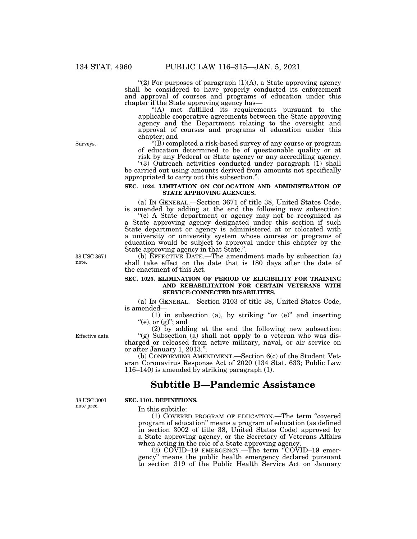"(2) For purposes of paragraph  $(1)(A)$ , a State approving agency shall be considered to have properly conducted its enforcement and approval of courses and programs of education under this chapter if the State approving agency has—

''(A) met fulfilled its requirements pursuant to the applicable cooperative agreements between the State approving agency and the Department relating to the oversight and approval of courses and programs of education under this chapter; and

" $(B)$  completed a risk-based survey of any course or program of education determined to be of questionable quality or at risk by any Federal or State agency or any accrediting agency.

"(3) Outreach activities conducted under paragraph (1) shall be carried out using amounts derived from amounts not specifically appropriated to carry out this subsection.''.

#### **SEC. 1024. LIMITATION ON COLOCATION AND ADMINISTRATION OF STATE APPROVING AGENCIES.**

(a) IN GENERAL.—Section 3671 of title 38, United States Code, is amended by adding at the end the following new subsection:

''(c) A State department or agency may not be recognized as a State approving agency designated under this section if such State department or agency is administered at or colocated with a university or university system whose courses or programs of education would be subject to approval under this chapter by the State approving agency in that State."

(b) EFFECTIVE DATE.—The amendment made by subsection (a) shall take effect on the date that is 180 days after the date of the enactment of this Act.

#### **SEC. 1025. ELIMINATION OF PERIOD OF ELIGIBILITY FOR TRAINING AND REHABILITATION FOR CERTAIN VETERANS WITH SERVICE-CONNECTED DISABILITIES.**

(a) IN GENERAL.—Section 3103 of title 38, United States Code, is amended—

(1) in subsection (a), by striking "or  $(e)$ " and inserting "(e), or  $(g)$ "; and

(2) by adding at the end the following new subsection: "(g) Subsection  $(a)$  shall not apply to a veteran who was discharged or released from active military, naval, or air service on or after January 1, 2013.''.

(b) CONFORMING AMENDMENT.—Section 6(c) of the Student Veteran Coronavirus Response Act of 2020 (134 Stat. 633; Public Law 116–140) is amended by striking paragraph (1).

## **Subtitle B—Pandemic Assistance**

38 USC 3001 note prec.

Effective date.

## **SEC. 1101. DEFINITIONS.**

In this subtitle:

(1) COVERED PROGRAM OF EDUCATION.—The term ''covered program of education'' means a program of education (as defined in section 3002 of title 38, United States Code) approved by a State approving agency, or the Secretary of Veterans Affairs when acting in the role of a State approving agency.

(2) COVID–19 EMERGENCY.—The term ''COVID–19 emergency'' means the public health emergency declared pursuant to section 319 of the Public Health Service Act on January

Surveys.

38 USC 3671 note.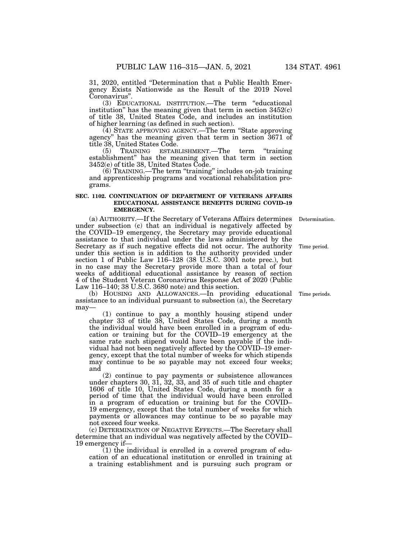31, 2020, entitled ''Determination that a Public Health Emergency Exists Nationwide as the Result of the 2019 Novel Coronavirus''.

(3) EDUCATIONAL INSTITUTION.—The term ''educational institution" has the meaning given that term in section  $3452(c)$ of title 38, United States Code, and includes an institution of higher learning (as defined in such section).

(4) STATE APPROVING AGENCY.—The term ''State approving agency'' has the meaning given that term in section 3671 of title 38, United States Code.

(5) TRAINING ESTABLISHMENT.—The term ''training establishment'' has the meaning given that term in section 3452(e) of title 38, United States Code.

(6) TRAINING.—The term ''training'' includes on-job training and apprenticeship programs and vocational rehabilitation programs.

## **SEC. 1102. CONTINUATION OF DEPARTMENT OF VETERANS AFFAIRS EDUCATIONAL ASSISTANCE BENEFITS DURING COVID–19 EMERGENCY.**

(a) AUTHORITY.—If the Secretary of Veterans Affairs determines Determination. under subsection (c) that an individual is negatively affected by the COVID–19 emergency, the Secretary may provide educational assistance to that individual under the laws administered by the Secretary as if such negative effects did not occur. The authority under this section is in addition to the authority provided under section 1 of Public Law 116–128 (38 U.S.C. 3001 note prec.), but in no case may the Secretary provide more than a total of four weeks of additional educational assistance by reason of section 4 of the Student Veteran Coronavirus Response Act of 2020 (Public Law 116–140; 38 U.S.C. 3680 note) and this section. Time period.

(b) HOUSING AND ALLOWANCES.—In providing educational assistance to an individual pursuant to subsection (a), the Secretary may—

(1) continue to pay a monthly housing stipend under chapter 33 of title 38, United States Code, during a month the individual would have been enrolled in a program of education or training but for the COVID–19 emergency at the same rate such stipend would have been payable if the individual had not been negatively affected by the COVID–19 emergency, except that the total number of weeks for which stipends may continue to be so payable may not exceed four weeks; and

(2) continue to pay payments or subsistence allowances under chapters 30, 31, 32, 33, and 35 of such title and chapter 1606 of title 10, United States Code, during a month for a period of time that the individual would have been enrolled in a program of education or training but for the COVID– 19 emergency, except that the total number of weeks for which payments or allowances may continue to be so payable may not exceed four weeks.

(c) DETERMINATION OF NEGATIVE EFFECTS.—The Secretary shall determine that an individual was negatively affected by the COVID– 19 emergency if—

(1) the individual is enrolled in a covered program of education of an educational institution or enrolled in training at a training establishment and is pursuing such program or

Time periods.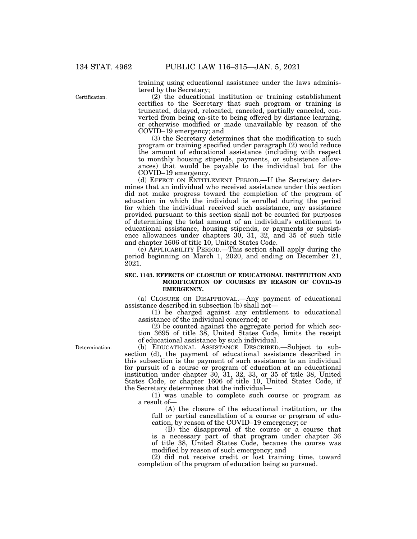Certification.

training using educational assistance under the laws administered by the Secretary;

(2) the educational institution or training establishment certifies to the Secretary that such program or training is truncated, delayed, relocated, canceled, partially canceled, converted from being on-site to being offered by distance learning, or otherwise modified or made unavailable by reason of the COVID–19 emergency; and

(3) the Secretary determines that the modification to such program or training specified under paragraph (2) would reduce the amount of educational assistance (including with respect to monthly housing stipends, payments, or subsistence allowances) that would be payable to the individual but for the COVID–19 emergency.

(d) EFFECT ON ENTITLEMENT PERIOD.—If the Secretary determines that an individual who received assistance under this section did not make progress toward the completion of the program of education in which the individual is enrolled during the period for which the individual received such assistance, any assistance provided pursuant to this section shall not be counted for purposes of determining the total amount of an individual's entitlement to educational assistance, housing stipends, or payments or subsistence allowances under chapters 30, 31, 32, and 35 of such title and chapter 1606 of title 10, United States Code.

(e) APPLICABILITY PERIOD.—This section shall apply during the period beginning on March 1, 2020, and ending on December 21, 2021.

## **SEC. 1103. EFFECTS OF CLOSURE OF EDUCATIONAL INSTITUTION AND MODIFICATION OF COURSES BY REASON OF COVID–19 EMERGENCY.**

(a) CLOSURE OR DISAPPROVAL.—Any payment of educational assistance described in subsection (b) shall not—

(1) be charged against any entitlement to educational assistance of the individual concerned; or

(2) be counted against the aggregate period for which section 3695 of title 38, United States Code, limits the receipt of educational assistance by such individual.

Determination.

(b) EDUCATIONAL ASSISTANCE DESCRIBED.—Subject to subsection (d), the payment of educational assistance described in this subsection is the payment of such assistance to an individual for pursuit of a course or program of education at an educational institution under chapter 30, 31, 32, 33, or 35 of title 38, United States Code, or chapter 1606 of title 10, United States Code, if the Secretary determines that the individual—

(1) was unable to complete such course or program as a result of—

(A) the closure of the educational institution, or the full or partial cancellation of a course or program of education, by reason of the COVID–19 emergency; or

(B) the disapproval of the course or a course that is a necessary part of that program under chapter 36 of title 38, United States Code, because the course was modified by reason of such emergency; and

(2) did not receive credit or lost training time, toward completion of the program of education being so pursued.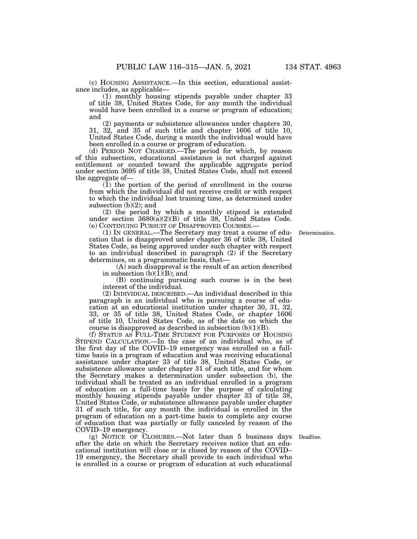(c) HOUSING ASSISTANCE.—In this section, educational assistance includes, as applicable—

(1) monthly housing stipends payable under chapter 33 of title 38, United States Code, for any month the individual would have been enrolled in a course or program of education; and

(2) payments or subsistence allowances under chapters 30, 31, 32, and 35 of such title and chapter 1606 of title 10, United States Code, during a month the individual would have been enrolled in a course or program of education.

(d) PERIOD NOT CHARGED.—The period for which, by reason of this subsection, educational assistance is not charged against entitlement or counted toward the applicable aggregate period under section 3695 of title 38, United States Code, shall not exceed the aggregate of—

(1) the portion of the period of enrollment in the course from which the individual did not receive credit or with respect to which the individual lost training time, as determined under subsection (b)(2); and

(2) the period by which a monthly stipend is extended under section 3680(a)(2)(B) of title 38, United States Code. (e) CONTINUING PURSUIT OF DISAPPROVED COURSES.—

(1) IN GENERAL.—The Secretary may treat a course of education that is disapproved under chapter 36 of title 38, United States Code, as being approved under such chapter with respect to an individual described in paragraph (2) if the Secretary determines, on a programmatic basis, that—

(A) such disapproval is the result of an action described in subsection  $(b)(1)(B)$ ; and

(B) continuing pursuing such course is in the best interest of the individual.

(2) INDIVIDUAL DESCRIBED.—An individual described in this paragraph is an individual who is pursuing a course of education at an educational institution under chapter 30, 31, 32, 33, or 35 of title 38, United States Code, or chapter 1606 of title 10, United States Code, as of the date on which the course is disapproved as described in subsection (b)(1)(B).

(f) STATUS AS FULL-TIME STUDENT FOR PURPOSES OF HOUSING STIPEND CALCULATION.—In the case of an individual who, as of the first day of the COVID–19 emergency was enrolled on a fulltime basis in a program of education and was receiving educational assistance under chapter 33 of title 38, United States Code, or subsistence allowance under chapter 31 of such title, and for whom the Secretary makes a determination under subsection (b), the individual shall be treated as an individual enrolled in a program of education on a full-time basis for the purpose of calculating monthly housing stipends payable under chapter 33 of title 38, United States Code, or subsistence allowance payable under chapter 31 of such title, for any month the individual is enrolled in the program of education on a part-time basis to complete any course of education that was partially or fully canceled by reason of the COVID–19 emergency.

(g) NOTICE OF CLOSURES.—Not later than 5 business days after the date on which the Secretary receives notice that an educational institution will close or is closed by reason of the COVID– 19 emergency, the Secretary shall provide to each individual who is enrolled in a course or program of education at such educational

Deadline.

Determination.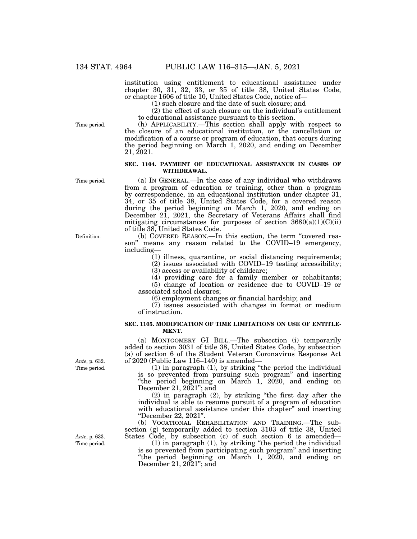institution using entitlement to educational assistance under chapter 30, 31, 32, 33, or 35 of title 38, United States Code, or chapter 1606 of title 10, United States Code, notice of—

(1) such closure and the date of such closure; and

(2) the effect of such closure on the individual's entitlement to educational assistance pursuant to this section.

(h) APPLICABILITY.—This section shall apply with respect to the closure of an educational institution, or the cancellation or modification of a course or program of education, that occurs during the period beginning on March 1, 2020, and ending on December 21, 2021.

### **SEC. 1104. PAYMENT OF EDUCATIONAL ASSISTANCE IN CASES OF WITHDRAWAL.**

Time period.

Time period.

(a) IN GENERAL.—In the case of any individual who withdraws from a program of education or training, other than a program by correspondence, in an educational institution under chapter 31, 34, or 35 of title 38, United States Code, for a covered reason during the period beginning on March 1, 2020, and ending on December 21, 2021, the Secretary of Veterans Affairs shall find mitigating circumstances for purposes of section  $3680(a)(1)(C)(ii)$ of title 38, United States Code.

(b) COVERED REASON.—In this section, the term ''covered reason'' means any reason related to the COVID–19 emergency, including—

(1) illness, quarantine, or social distancing requirements;

(2) issues associated with COVID–19 testing accessibility;

(3) access or availability of childcare;

(4) providing care for a family member or cohabitants; (5) change of location or residence due to COVID–19 or associated school closures;

(6) employment changes or financial hardship; and

(7) issues associated with changes in format or medium of instruction.

## **SEC. 1105. MODIFICATION OF TIME LIMITATIONS ON USE OF ENTITLE-MENT.**

(a) MONTGOMERY GI BILL.—The subsection (i) temporarily added to section 3031 of title 38, United States Code, by subsection (a) of section 6 of the Student Veteran Coronavirus Response Act of 2020 (Public Law 116–140) is amended—

(1) in paragraph (1), by striking ''the period the individual is so prevented from pursuing such program'' and inserting ''the period beginning on March 1, 2020, and ending on December 21, 2021''; and

(2) in paragraph (2), by striking ''the first day after the individual is able to resume pursuit of a program of education with educational assistance under this chapter" and inserting ''December 22, 2021''.

(b) VOCATIONAL REHABILITATION AND TRAINING.—The subsection (g) temporarily added to section 3103 of title 38, United States Code, by subsection (c) of such section 6 is amended—

(1) in paragraph (1), by striking ''the period the individual is so prevented from participating such program'' and inserting ''the period beginning on March 1, 2020, and ending on December 21, 2021''; and

Time period. *Ante*, p. 632.

Time period. *Ante*, p. 633.

Definition.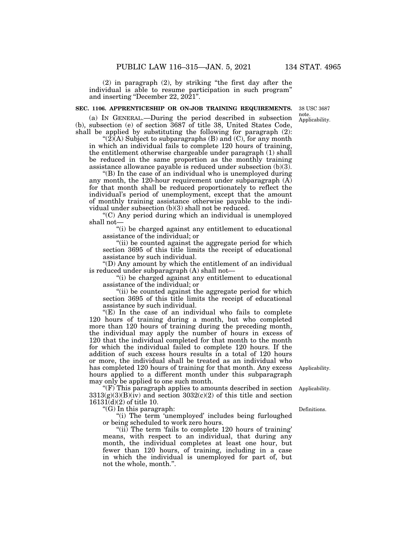(2) in paragraph (2), by striking ''the first day after the individual is able to resume participation in such program'' and inserting "December 22, 2021".

#### **SEC. 1106. APPRENTICESHIP OR ON-JOB TRAINING REQUIREMENTS.**

(a) IN GENERAL.—During the period described in subsection (b), subsection (e) of section 3687 of title 38, United States Code, shall be applied by substituting the following for paragraph (2):

" $(2)$  $(A)$  Subject to subparagraphs  $(B)$  and  $(C)$ , for any month in which an individual fails to complete 120 hours of training, the entitlement otherwise chargeable under paragraph (1) shall be reduced in the same proportion as the monthly training assistance allowance payable is reduced under subsection (b)(3).

''(B) In the case of an individual who is unemployed during any month, the 120-hour requirement under subparagraph (A) for that month shall be reduced proportionately to reflect the individual's period of unemployment, except that the amount of monthly training assistance otherwise payable to the individual under subsection (b)(3) shall not be reduced.

''(C) Any period during which an individual is unemployed shall not—

''(i) be charged against any entitlement to educational assistance of the individual; or

"(ii) be counted against the aggregate period for which section 3695 of this title limits the receipt of educational assistance by such individual.

''(D) Any amount by which the entitlement of an individual is reduced under subparagraph (A) shall not—

''(i) be charged against any entitlement to educational assistance of the individual; or

"(ii) be counted against the aggregate period for which section 3695 of this title limits the receipt of educational assistance by such individual.

"(E) In the case of an individual who fails to complete 120 hours of training during a month, but who completed more than 120 hours of training during the preceding month, the individual may apply the number of hours in excess of 120 that the individual completed for that month to the month for which the individual failed to complete 120 hours. If the addition of such excess hours results in a total of 120 hours or more, the individual shall be treated as an individual who has completed 120 hours of training for that month. Any excess hours applied to a different month under this subparagraph may only be applied to one such month.

''(F) This paragraph applies to amounts described in section  $3313(g)(3)(B)(iv)$  and section  $3032(c)(2)$  of this title and section 16131(d)(2) of title 10.

''(G) In this paragraph:

"(i) The term 'unemployed' includes being furloughed or being scheduled to work zero hours.

"(ii) The term 'fails to complete 120 hours of training' means, with respect to an individual, that during any month, the individual completes at least one hour, but fewer than 120 hours, of training, including in a case in which the individual is unemployed for part of, but not the whole, month.''.

Applicability.

Applicability.

Definitions.

Applicability. 38 USC 3687 note.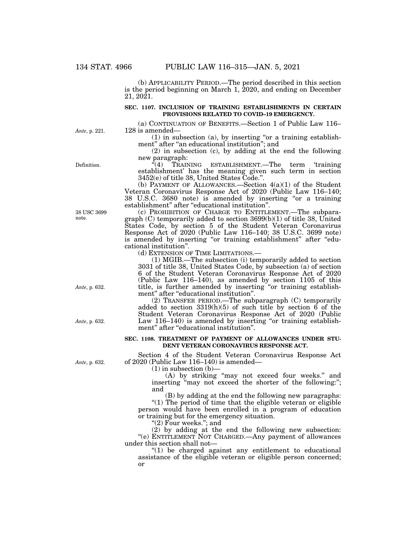(b) APPLICABILITY PERIOD.—The period described in this section is the period beginning on March 1, 2020, and ending on December 21, 2021.

## **SEC. 1107. INCLUSION OF TRAINING ESTABLISHMENTS IN CERTAIN PROVISIONS RELATED TO COVID–19 EMERGENCY.**

*Ante*, p. 221.

Definition.

(a) CONTINUATION OF BENEFITS.—Section 1 of Public Law 116– 128 is amended—

 $(1)$  in subsection  $(a)$ , by inserting "or a training establishment" after "an educational institution"; and

(2) in subsection (c), by adding at the end the following new paragraph:<br>  $(4)$  TRAIN

''(4) TRAINING ESTABLISHMENT.—The term 'training establishment' has the meaning given such term in section 3452(e) of title 38, United States Code.''.

(b) PAYMENT OF ALLOWANCES.—Section  $4(a)(1)$  of the Student Veteran Coronavirus Response Act of 2020 (Public Law 116–140; 38 U.S.C. 3680 note) is amended by inserting "or a training establishment'' after ''educational institution''.

(c) PROHIBITION OF CHARGE TO ENTITLEMENT.—The subparagraph (C) temporarily added to section 3699(b)(1) of title 38, United States Code, by section 5 of the Student Veteran Coronavirus Response Act of 2020 (Public Law 116–140; 38 U.S.C. 3699 note) is amended by inserting "or training establishment" after "educational institution''.

(d) EXTENSION OF TIME LIMITATIONS.—

(1) MGIB.—The subsection (i) temporarily added to section 3031 of title 38, United States Code, by subsection (a) of section 6 of the Student Veteran Coronavirus Response Act of 2020 (Public Law 116–140), as amended by section 1105 of this title, is further amended by inserting ''or training establishment'' after ''educational institution''.

(2) TRANSFER PERIOD.—The subparagraph (C) temporarily added to section  $3319(h)(5)$  of such title by section 6 of the Student Veteran Coronavirus Response Act of 2020 (Public Law  $116-140$ ) is amended by inserting "or training establishment" after "educational institution".

#### **SEC. 1108. TREATMENT OF PAYMENT OF ALLOWANCES UNDER STU-DENT VETERAN CORONAVIRUS RESPONSE ACT.**

Section 4 of the Student Veteran Coronavirus Response Act of 2020 (Public Law 116–140) is amended—

 $(1)$  in subsection  $(b)$ –

(A) by striking ''may not exceed four weeks.'' and inserting "may not exceed the shorter of the following:"; and

(B) by adding at the end the following new paragraphs: "(1) The period of time that the eligible veteran or eligible person would have been enrolled in a program of education or training but for the emergency situation.

''(2) Four weeks.''; and

(2) by adding at the end the following new subsection: "(e) ENTITLEMENT NOT CHARGED. Any payment of allowances under this section shall not—

 $''(1)$  be charged against any entitlement to educational assistance of the eligible veteran or eligible person concerned; or

38 USC 3699 note.

*Ante*, p. 632.

*Ante*, p. 632.

*Ante*, p. 632.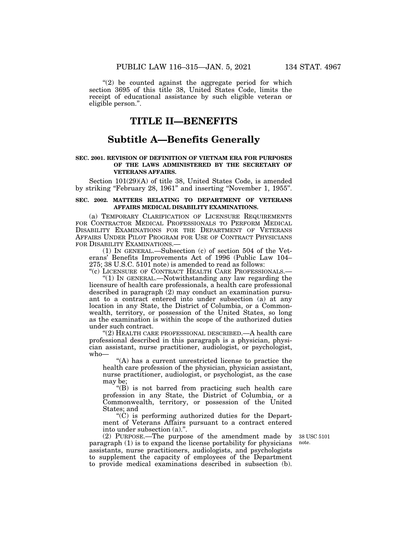"(2) be counted against the aggregate period for which section 3695 of this title 38, United States Code, limits the receipt of educational assistance by such eligible veteran or eligible person.''.

# **TITLE II—BENEFITS**

# **Subtitle A—Benefits Generally**

### **SEC. 2001. REVISION OF DEFINITION OF VIETNAM ERA FOR PURPOSES OF THE LAWS ADMINISTERED BY THE SECRETARY OF VETERANS AFFAIRS.**

Section 101(29)(A) of title 38, United States Code, is amended by striking ''February 28, 1961'' and inserting ''November 1, 1955''.

#### **SEC. 2002. MATTERS RELATING TO DEPARTMENT OF VETERANS AFFAIRS MEDICAL DISABILITY EXAMINATIONS.**

(a) TEMPORARY CLARIFICATION OF LICENSURE REQUIREMENTS FOR CONTRACTOR MEDICAL PROFESSIONALS TO PERFORM MEDICAL DISABILITY EXAMINATIONS FOR THE DEPARTMENT OF VETERANS AFFAIRS UNDER PILOT PROGRAM FOR USE OF CONTRACT PHYSICIANS FOR DISABILITY EXAMINATIONS.-

(1) IN GENERAL.—Subsection (c) of section 504 of the Veterans' Benefits Improvements Act of 1996 (Public Law 104– 275; 38 U.S.C. 5101 note) is amended to read as follows:

"(c) LICENSURE OF CONTRACT HEALTH CARE PROFESSIONALS. " $(1)$  In GENERAL.—Notwithstanding any law regarding the licensure of health care professionals, a health care professional described in paragraph (2) may conduct an examination pursuant to a contract entered into under subsection (a) at any location in any State, the District of Columbia, or a Commonwealth, territory, or possession of the United States, so long as the examination is within the scope of the authorized duties under such contract.

''(2) HEALTH CARE PROFESSIONAL DESCRIBED.—A health care professional described in this paragraph is a physician, physician assistant, nurse practitioner, audiologist, or psychologist, who—

''(A) has a current unrestricted license to practice the health care profession of the physician, physician assistant, nurse practitioner, audiologist, or psychologist, as the case may be;

''(B) is not barred from practicing such health care profession in any State, the District of Columbia, or a Commonwealth, territory, or possession of the United States; and

''(C) is performing authorized duties for the Department of Veterans Affairs pursuant to a contract entered into under subsection (a).''.

(2) PURPOSE.—The purpose of the amendment made by paragraph (1) is to expand the license portability for physicians assistants, nurse practitioners, audiologists, and psychologists to supplement the capacity of employees of the Department to provide medical examinations described in subsection (b).

38 USC 5101 note.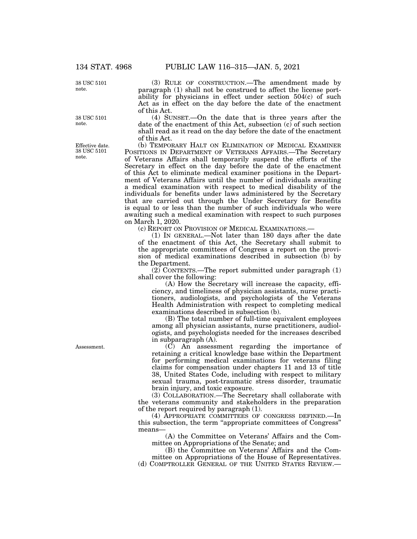38 USC 5101 note.

38 USC 5101 note.

Effective date. 38 USC 5101 note.

(3) RULE OF CONSTRUCTION.—The amendment made by paragraph (1) shall not be construed to affect the license portability for physicians in effect under section  $504(c)$  of such Act as in effect on the day before the date of the enactment of this Act.

(4) SUNSET.—On the date that is three years after the date of the enactment of this Act, subsection (c) of such section shall read as it read on the day before the date of the enactment of this Act.

(b) TEMPORARY HALT ON ELIMINATION OF MEDICAL EXAMINER POSITIONS IN DEPARTMENT OF VETERANS AFFAIRS.—The Secretary of Veterans Affairs shall temporarily suspend the efforts of the Secretary in effect on the day before the date of the enactment of this Act to eliminate medical examiner positions in the Department of Veterans Affairs until the number of individuals awaiting a medical examination with respect to medical disability of the individuals for benefits under laws administered by the Secretary that are carried out through the Under Secretary for Benefits is equal to or less than the number of such individuals who were awaiting such a medical examination with respect to such purposes on March 1, 2020.

(c) REPORT ON PROVISION OF MEDICAL EXAMINATIONS.—

(1) IN GENERAL.—Not later than 180 days after the date of the enactment of this Act, the Secretary shall submit to the appropriate committees of Congress a report on the provision of medical examinations described in subsection (b) by the Department.

 $(2)$  CONTENTS.—The report submitted under paragraph  $(1)$ shall cover the following:

(A) How the Secretary will increase the capacity, efficiency, and timeliness of physician assistants, nurse practitioners, audiologists, and psychologists of the Veterans Health Administration with respect to completing medical examinations described in subsection (b).

(B) The total number of full-time equivalent employees among all physician assistants, nurse practitioners, audiologists, and psychologists needed for the increases described in subparagraph (A).

(C) An assessment regarding the importance of retaining a critical knowledge base within the Department for performing medical examinations for veterans filing claims for compensation under chapters 11 and 13 of title 38, United States Code, including with respect to military sexual trauma, post-traumatic stress disorder, traumatic brain injury, and toxic exposure.

(3) COLLABORATION.—The Secretary shall collaborate with the veterans community and stakeholders in the preparation of the report required by paragraph (1).

(4) APPROPRIATE COMMITTEES OF CONGRESS DEFINED.—In this subsection, the term "appropriate committees of Congress" means—

(A) the Committee on Veterans' Affairs and the Committee on Appropriations of the Senate; and

(B) the Committee on Veterans' Affairs and the Committee on Appropriations of the House of Representatives.

(d) COMPTROLLER GENERAL OF THE UNITED STATES REVIEW.—

Assessment.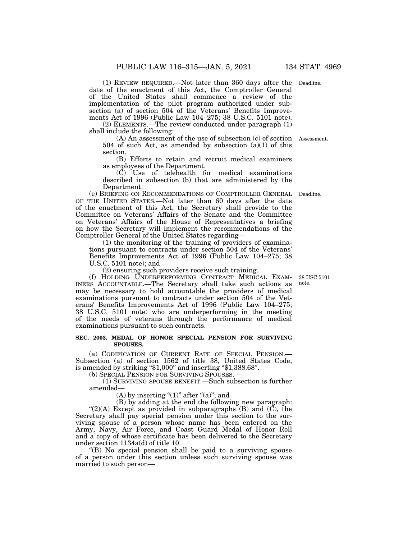(1) REVIEW REQUIRED.—Not later than 360 days after the Deadline. date of the enactment of this Act, the Comptroller General of the United States shall commence a review of the implementation of the pilot program authorized under subsection (a) of section 504 of the Veterans' Benefits Improvements Act of 1996 (Public Law 104–275; 38 U.S.C. 5101 note).

(2) ELEMENTS.—The review conducted under paragraph (1) shall include the following:

(A) An assessment of the use of subsection (c) of section Assessment. 504 of such Act, as amended by subsection  $(a)(1)$  of this section.

(B) Efforts to retain and recruit medical examiners as employees of the Department.

 $(\dot{C})$  Use of telehealth for medical examinations described in subsection (b) that are administered by the Department.

(e) BRIEFING ON RECOMMENDATIONS OF COMPTROLLER GENERAL Deadline. OF THE UNITED STATES.—Not later than 60 days after the date of the enactment of this Act, the Secretary shall provide to the Committee on Veterans' Affairs of the Senate and the Committee on Veterans' Affairs of the House of Representatives a briefing on how the Secretary will implement the recommendations of the Comptroller General of the United States regarding—

(1) the monitoring of the training of providers of examinations pursuant to contracts under section 504 of the Veterans' Benefits Improvements Act of 1996 (Public Law 104–275; 38 U.S.C. 5101 note); and

(2) ensuring such providers receive such training.

(f) HOLDING UNDERPERFORMING CONTRACT MEDICAL EXAM-INERS ACCOUNTABLE.—The Secretary shall take such actions as may be necessary to hold accountable the providers of medical examinations pursuant to contracts under section 504 of the Veterans' Benefits Improvements Act of 1996 (Public Law 104–275; 38 U.S.C. 5101 note) who are underperforming in the meeting of the needs of veterans through the performance of medical examinations pursuant to such contracts.

#### **SEC. 2003. MEDAL OF HONOR SPECIAL PENSION FOR SURVIVING SPOUSES.**

(a) CODIFICATION OF CURRENT RATE OF SPECIAL PENSION.— Subsection (a) of section 1562 of title 38, United States Code, is amended by striking "\$1,000" and inserting "\$1,388.68".

(b) SPECIAL PENSION FOR SURVIVING SPOUSES.—

(1) SURVIVING SPOUSE BENEFIT.—Such subsection is further amended—

(A) by inserting " $(1)$ " after " $(a)$ "; and

(B) by adding at the end the following new paragraph: " $(2)(A)$  Except as provided in subparagraphs  $(B)$  and  $(C)$ , the Secretary shall pay special pension under this section to the surviving spouse of a person whose name has been entered on the Army, Navy, Air Force, and Coast Guard Medal of Honor Roll and a copy of whose certificate has been delivered to the Secretary under section 1134a(d) of title 10.

''(B) No special pension shall be paid to a surviving spouse of a person under this section unless such surviving spouse was married to such person—

38 USC 5101 note.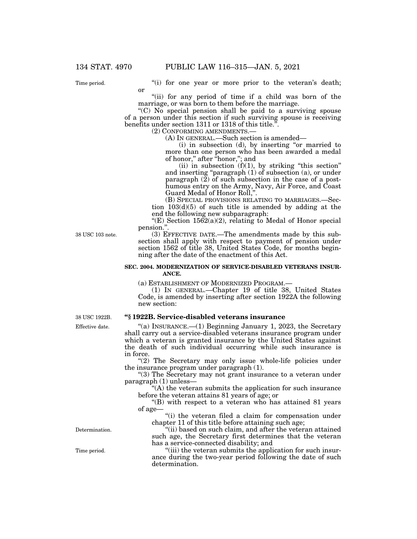Time period.

"(i) for one year or more prior to the veteran's death; or

"(ii) for any period of time if a child was born of the marriage, or was born to them before the marriage.

''(C) No special pension shall be paid to a surviving spouse of a person under this section if such surviving spouse is receiving benefits under section 1311 or 1318 of this title.<sup>"</sup>

(2) CONFORMING AMENDMENTS.—

(A) IN GENERAL.—Such section is amended—

(i) in subsection (d), by inserting ''or married to more than one person who has been awarded a medal of honor," after "honor,"; and

(ii) in subsection  $(f)(1)$ , by striking "this section" and inserting "paragraph (1) of subsection (a), or under paragraph (2) of such subsection in the case of a posthumous entry on the Army, Navy, Air Force, and Coast Guard Medal of Honor Roll,".

(B) SPECIAL PROVISIONS RELATING TO MARRIAGES.—Section 103(d)(5) of such title is amended by adding at the end the following new subparagraph:

"(E) Section  $1562(a)(2)$ , relating to Medal of Honor special pension.''.

38 USC 103 note.

(3) EFFECTIVE DATE.—The amendments made by this subsection shall apply with respect to payment of pension under section 1562 of title 38, United States Code, for months beginning after the date of the enactment of this Act.

#### **SEC. 2004. MODERNIZATION OF SERVICE-DISABLED VETERANS INSUR-ANCE.**

(a) ESTABLISHMENT OF MODERNIZED PROGRAM.—

(1) IN GENERAL.—Chapter 19 of title 38, United States Code, is amended by inserting after section 1922A the following new section:

#### **''§ 1922B. Service-disabled veterans insurance**

 $(a)$  INSURANCE.—(1) Beginning January 1, 2023, the Secretary shall carry out a service-disabled veterans insurance program under which a veteran is granted insurance by the United States against the death of such individual occurring while such insurance is in force.

''(2) The Secretary may only issue whole-life policies under the insurance program under paragraph (1).

''(3) The Secretary may not grant insurance to a veteran under paragraph (1) unless—

 $f(A)$  the veteran submits the application for such insurance before the veteran attains 81 years of age; or

''(B) with respect to a veteran who has attained 81 years of age—

"(i) the veteran filed a claim for compensation under chapter 11 of this title before attaining such age;

"(ii) based on such claim, and after the veteran attained such age, the Secretary first determines that the veteran has a service-connected disability; and

''(iii) the veteran submits the application for such insurance during the two-year period following the date of such determination.

Effective date. 38 USC 1922B.

Determination.

Time period.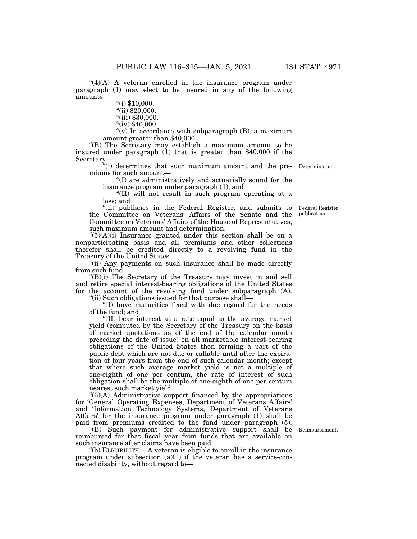" $(4)(A)$  A veteran enrolled in the insurance program under paragraph (1) may elect to be insured in any of the following amounts:

 $\degree$ (i) \$10,000.

 $"$ (ii) \$20,000.

"(iii) \$30,000.

"(iv) \$40,000.

"(v) In accordance with subparagraph  $(B)$ , a maximum amount greater than \$40,000.

''(B) The Secretary may establish a maximum amount to be insured under paragraph (1) that is greater than \$40,000 if the Secretary—

''(i) determines that such maximum amount and the pre-Determination. miums for such amount—

''(I) are administratively and actuarially sound for the insurance program under paragraph (1); and

''(II) will not result in such program operating at a loss; and

"(ii) publishes in the Federal Register, and submits to the Committee on Veterans' Affairs of the Senate and the Committee on Veterans' Affairs of the House of Representatives, such maximum amount and determination.

 $"(5)(A)(i)$  Insurance granted under this section shall be on a nonparticipating basis and all premiums and other collections therefor shall be credited directly to a revolving fund in the Treasury of the United States.

"(ii) Any payments on such insurance shall be made directly from such fund.

 $'(B)(i)$  The Secretary of the Treasury may invest in and sell and retire special interest-bearing obligations of the United States for the account of the revolving fund under subparagraph (A).

''(ii) Such obligations issued for that purpose shall—

''(I) have maturities fixed with due regard for the needs of the fund; and

''(II) bear interest at a rate equal to the average market yield (computed by the Secretary of the Treasury on the basis of market quotations as of the end of the calendar month preceding the date of issue) on all marketable interest-bearing obligations of the United States then forming a part of the public debt which are not due or callable until after the expiration of four years from the end of such calendar month; except that where such average market yield is not a multiple of one-eighth of one per centum, the rate of interest of such obligation shall be the multiple of one-eighth of one per centum nearest such market yield.

 $!(6)(A)$  Administrative support financed by the appropriations for 'General Operating Expenses, Department of Veterans Affairs' and 'Information Technology Systems, Department of Veterans Affairs' for the insurance program under paragraph (1) shall be paid from premiums credited to the fund under paragraph (5).

''(B) Such payment for administrative support shall be reimbursed for that fiscal year from funds that are available on such insurance after claims have been paid.

''(b) ELIGIBILITY.—A veteran is eligible to enroll in the insurance program under subsection  $(a)(1)$  if the veteran has a service-connected disability, without regard to—

Reimbursement.

Federal Register, publication.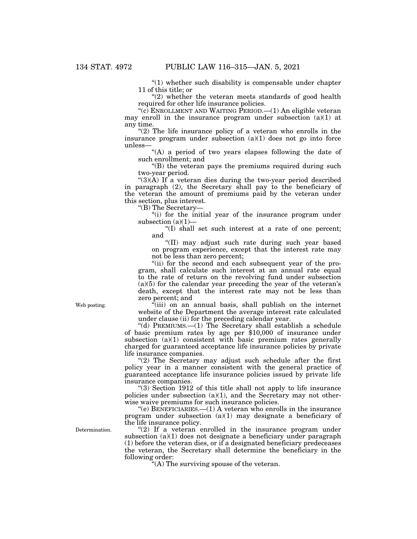$(1)$  whether such disability is compensable under chapter 11 of this title; or

 $(2)$  whether the veteran meets standards of good health required for other life insurance policies.

" $(c)$  ENROLLMENT AND WAITING PERIOD.— $(1)$  An eligible veteran may enroll in the insurance program under subsection  $(a)(1)$  at any time.

" $(2)$  The life insurance policy of a veteran who enrolls in the insurance program under subsection  $(a)(1)$  does not go into force unless—

"(A) a period of two years elapses following the date of such enrollment; and

''(B) the veteran pays the premiums required during such two-year period.

" $(3)(A)$  If a veteran dies during the two-year period described in paragraph (2), the Secretary shall pay to the beneficiary of the veteran the amount of premiums paid by the veteran under this section, plus interest.

''(B) The Secretary—

"(i) for the initial year of the insurance program under subsection  $(a)(1)$ —

''(I) shall set such interest at a rate of one percent; and

''(II) may adjust such rate during such year based on program experience, except that the interest rate may not be less than zero percent;

"(ii) for the second and each subsequent year of the program, shall calculate such interest at an annual rate equal to the rate of return on the revolving fund under subsection (a)(5) for the calendar year preceding the year of the veteran's death, except that the interest rate may not be less than zero percent; and

 $\epsilon$ <sup>(iii)</sup> on an annual basis, shall publish on the internet website of the Department the average interest rate calculated under clause (ii) for the preceding calendar year.

"(d) PREMIUMS.—(1) The Secretary shall establish a schedule of basic premium rates by age per \$10,000 of insurance under subsection (a)(1) consistent with basic premium rates generally charged for guaranteed acceptance life insurance policies by private life insurance companies.

"(2) The Secretary may adjust such schedule after the first policy year in a manner consistent with the general practice of guaranteed acceptance life insurance policies issued by private life insurance companies.

''(3) Section 1912 of this title shall not apply to life insurance policies under subsection  $(a)(1)$ , and the Secretary may not otherwise waive premiums for such insurance policies.

"(e)  $B$ ENEFICIARIES.—(1) A veteran who enrolls in the insurance program under subsection (a)(1) may designate a beneficiary of the life insurance policy.

"(2) If a veteran enrolled in the insurance program under subsection  $(a)(1)$  does not designate a beneficiary under paragraph (1) before the veteran dies, or if a designated beneficiary predeceases the veteran, the Secretary shall determine the beneficiary in the following order:

''(A) The surviving spouse of the veteran.

Web posting.

Determination.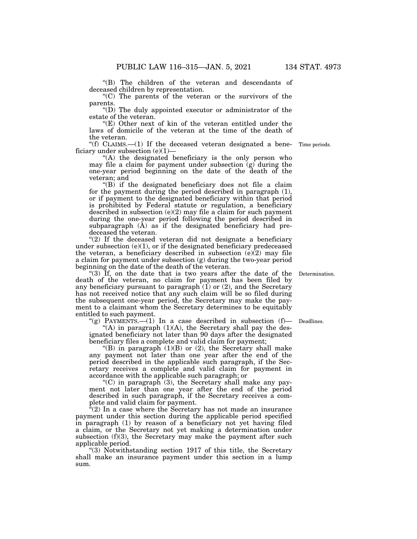''(B) The children of the veteran and descendants of deceased children by representation.

"(C) The parents of the veteran or the survivors of the parents.

''(D) The duly appointed executor or administrator of the estate of the veteran.

"(E) Other next of kin of the veteran entitled under the laws of domicile of the veteran at the time of the death of the veteran.

"(f) CLAIMS. $-(1)$  If the deceased veteran designated a bene- Time periods. ficiary under subsection  $(e)(1)$ 

"(A) the designated beneficiary is the only person who may file a claim for payment under subsection  $(g)$  during the one-year period beginning on the date of the death of the veteran; and

''(B) if the designated beneficiary does not file a claim for the payment during the period described in paragraph (1), or if payment to the designated beneficiary within that period is prohibited by Federal statute or regulation, a beneficiary described in subsection (e)(2) may file a claim for such payment during the one-year period following the period described in subparagraph (A) as if the designated beneficiary had predeceased the veteran.

" $(2)$  If the deceased veteran did not designate a beneficiary under subsection  $(e)(1)$ , or if the designated beneficiary predeceased the veteran, a beneficiary described in subsection  $(e)(2)$  may file a claim for payment under subsection (g) during the two-year period beginning on the date of the death of the veteran.

"(3) If, on the date that is two years after the date of the death of the veteran, no claim for payment has been filed by any beneficiary pursuant to paragraph  $(1)$  or  $(2)$ , and the Secretary has not received notice that any such claim will be so filed during the subsequent one-year period, the Secretary may make the payment to a claimant whom the Secretary determines to be equitably entitled to such payment.

"(g) PAYMENTS.  $-(1)$  In a case described in subsection (f) Deadlines. "(A) in paragraph  $(1)(A)$ , the Secretary shall pay the designated beneficiary not later than 90 days after the designated beneficiary files a complete and valid claim for payment;

"(B) in paragraph  $(1)(B)$  or  $(2)$ , the Secretary shall make any payment not later than one year after the end of the period described in the applicable such paragraph, if the Secretary receives a complete and valid claim for payment in accordance with the applicable such paragraph; or

"(C) in paragraph  $(3)$ , the Secretary shall make any payment not later than one year after the end of the period described in such paragraph, if the Secretary receives a complete and valid claim for payment.

 $\sqrt[n]{(2)}$  In a case where the Secretary has not made an insurance payment under this section during the applicable period specified in paragraph (1) by reason of a beneficiary not yet having filed a claim, or the Secretary not yet making a determination under subsection  $(f)(3)$ , the Secretary may make the payment after such applicable period.

''(3) Notwithstanding section 1917 of this title, the Secretary shall make an insurance payment under this section in a lump sum.

Determination.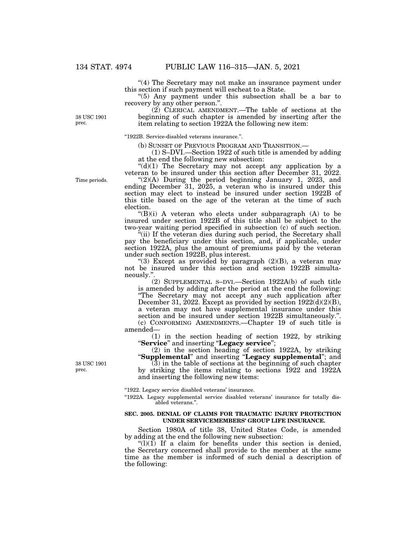''(4) The Secretary may not make an insurance payment under this section if such payment will escheat to a State.

''(5) Any payment under this subsection shall be a bar to recovery by any other person.''.

(2) CLERICAL AMENDMENT.—The table of sections at the beginning of such chapter is amended by inserting after the item relating to section 1922A the following new item:

''1922B. Service-disabled veterans insurance.''.

(b) SUNSET OF PREVIOUS PROGRAM AND TRANSITION.— (1) S–DVI.—Section 1922 of such title is amended by adding at the end the following new subsection:

" $(d)(1)$  The Secretary may not accept any application by a veteran to be insured under this section after December 31, 2022.

" $(2)(A)$  During the period beginning January 1, 2023, and ending December 31, 2025, a veteran who is insured under this section may elect to instead be insured under section 1922B of this title based on the age of the veteran at the time of such election.

 $'(B)(i)$  A veteran who elects under subparagraph  $(A)$  to be insured under section 1922B of this title shall be subject to the two-year waiting period specified in subsection (c) of such section.

''(ii) If the veteran dies during such period, the Secretary shall pay the beneficiary under this section, and, if applicable, under section 1922A, plus the amount of premiums paid by the veteran under such section 1922B, plus interest.

"(3) Except as provided by paragraph  $(2)(B)$ , a veteran may not be insured under this section and section 1922B simultaneously.''.

(2) SUPPLEMENTAL S–DVI.—Section 1922A(b) of such title is amended by adding after the period at the end the following: "The Secretary may not accept any such application after December 31, 2022. Except as provided by section 1922(d)(2)(B), a veteran may not have supplemental insurance under this section and be insured under section 1922B simultaneously.''. (c) CONFORMING AMENDMENTS.—Chapter 19 of such title is amended—

(1) in the section heading of section 1922, by striking ''**Service**'' and inserting ''**Legacy service**'';

(2) in the section heading of section 1922A, by striking ''**Supplemental**'' and inserting ''**Legacy supplemental**''; and

 $(3)$  in the table of sections at the beginning of such chapter by striking the items relating to sections 1922 and 1922A and inserting the following new items:

''1922. Legacy service disabled veterans' insurance.

"1922A. Legacy supplemental service disabled veterans' insurance for totally disabled veterans.''.

#### **SEC. 2005. DENIAL OF CLAIMS FOR TRAUMATIC INJURY PROTECTION UNDER SERVICEMEMBERS' GROUP LIFE INSURANCE.**

Section 1980A of title 38, United States Code, is amended by adding at the end the following new subsection:

 $\binom{1}{1}(1)$  If a claim for benefits under this section is denied, the Secretary concerned shall provide to the member at the same time as the member is informed of such denial a description of the following:

Time periods.

38 USC 1901 prec.

38 USC 1901 prec.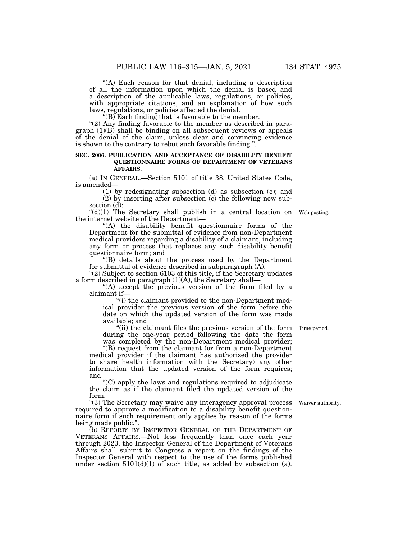"(A) Each reason for that denial, including a description of all the information upon which the denial is based and a description of the applicable laws, regulations, or policies, with appropriate citations, and an explanation of how such laws, regulations, or policies affected the denial.

 $\sqrt{\text{B}}$  Each finding that is favorable to the member.

" $(2)$  Any finding favorable to the member as described in para $graph (1)(B) shall be binding on all subsequent reviews or appeals$ of the denial of the claim, unless clear and convincing evidence is shown to the contrary to rebut such favorable finding.''.

#### **SEC. 2006. PUBLICATION AND ACCEPTANCE OF DISABILITY BENEFIT QUESTIONNAIRE FORMS OF DEPARTMENT OF VETERANS AFFAIRS.**

(a) IN GENERAL.—Section 5101 of title 38, United States Code, is amended—

(1) by redesignating subsection (d) as subsection (e); and

(2) by inserting after subsection (c) the following new subsection (d):

" $(d)(1)$  The Secretary shall publish in a central location on Web posting. the internet website of the Department—

''(A) the disability benefit questionnaire forms of the Department for the submittal of evidence from non-Department medical providers regarding a disability of a claimant, including any form or process that replaces any such disability benefit questionnaire form; and

''(B) details about the process used by the Department for submittal of evidence described in subparagraph (A).

" $(2)$  Subject to section 6103 of this title, if the Secretary updates a form described in paragraph (1)(A), the Secretary shall—

"(A) accept the previous version of the form filed by a claimant if—

''(i) the claimant provided to the non-Department medical provider the previous version of the form before the date on which the updated version of the form was made available; and

"(ii) the claimant files the previous version of the form during the one-year period following the date the form was completed by the non-Department medical provider;

''(B) request from the claimant (or from a non-Department medical provider if the claimant has authorized the provider to share health information with the Secretary) any other information that the updated version of the form requires; and

''(C) apply the laws and regulations required to adjudicate the claim as if the claimant filed the updated version of the form.

"(3) The Secretary may waive any interagency approval process required to approve a modification to a disability benefit questionnaire form if such requirement only applies by reason of the forms being made public.''.

(b) REPORTS BY INSPECTOR GENERAL OF THE DEPARTMENT OF VETERANS AFFAIRS.—Not less frequently than once each year through 2023, the Inspector General of the Department of Veterans Affairs shall submit to Congress a report on the findings of the Inspector General with respect to the use of the forms published under section 5101(d)(1) of such title, as added by subsection (a).

Time period.

Waiver authority.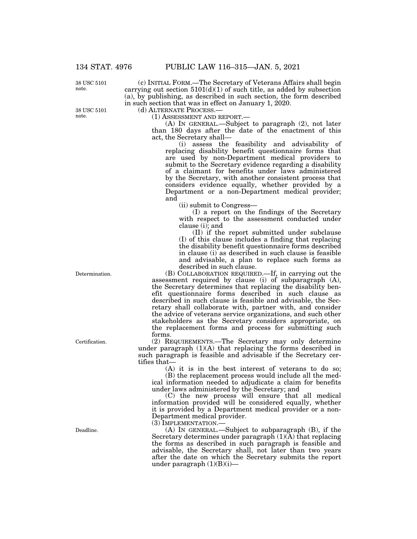(c) INITIAL FORM.—The Secretary of Veterans Affairs shall begin carrying out section  $5101(d)(1)$  of such title, as added by subsection (a), by publishing, as described in such section, the form described

38 USC 5101 note.

38 USC 5101 note.

in such section that was in effect on January 1, 2020.<br>(d) ALTERNATE PROCESS.—

(1) ASSESSMENT AND REPORT.—<br>(A) IN GENERAL.—Subject to paragraph (2), not later than 180 days after the date of the enactment of this act, the Secretary shall—

(i) assess the feasibility and advisability of replacing disability benefit questionnaire forms that are used by non-Department medical providers to submit to the Secretary evidence regarding a disability of a claimant for benefits under laws administered by the Secretary, with another consistent process that considers evidence equally, whether provided by a Department or a non-Department medical provider; and

(ii) submit to Congress—

(I) a report on the findings of the Secretary with respect to the assessment conducted under clause (i); and

(II) if the report submitted under subclause (I) of this clause includes a finding that replacing the disability benefit questionnaire forms described in clause (i) as described in such clause is feasible and advisable, a plan to replace such forms as described in such clause.

(B) COLLABORATION REQUIRED.—If, in carrying out the assessment required by clause (i) of subparagraph (A), the Secretary determines that replacing the disability benefit questionnaire forms described in such clause as described in such clause is feasible and advisable, the Secretary shall collaborate with, partner with, and consider the advice of veterans service organizations, and such other stakeholders as the Secretary considers appropriate, on the replacement forms and process for submitting such forms.

(2) REQUIREMENTS.—The Secretary may only determine under paragraph (1)(A) that replacing the forms described in such paragraph is feasible and advisable if the Secretary certifies that-

(A) it is in the best interest of veterans to do so; (B) the replacement process would include all the medical information needed to adjudicate a claim for benefits under laws administered by the Secretary; and

(C) the new process will ensure that all medical information provided will be considered equally, whether it is provided by a Department medical provider or a non-Department medical provider.

(3) IMPLEMENTATION.— (A) IN GENERAL.—Subject to subparagraph (B), if the Secretary determines under paragraph  $(1)(\overline{A})$  that replacing the forms as described in such paragraph is feasible and advisable, the Secretary shall, not later than two years after the date on which the Secretary submits the report under paragraph  $(1)(B)(i)$ —

Determination.

Certification.

Deadline.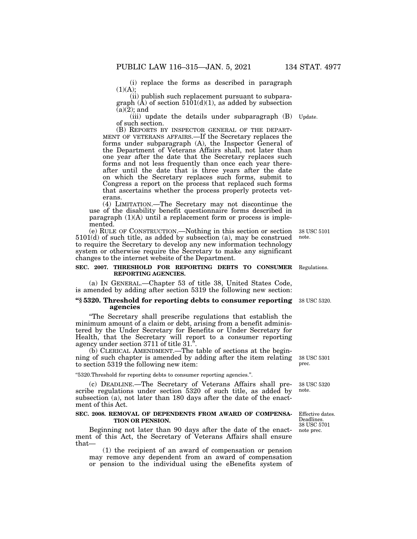(i) replace the forms as described in paragraph  $(1)(A);$ 

(ii) publish such replacement pursuant to subparagraph  $(\tilde{A})$  of section 5101(d)(1), as added by subsection  $(a)(\overline{2})$ ; and

(iii) update the details under subparagraph (B) Update. of such section.<br>(B) REPORTS BY INSPECTOR GENERAL OF THE DEPART-

(B) REPORTS BY INSPECTOR GENERAL OF THE DEPART-<br>MENT OF VETERANS AFFAIRS.—If the Secretary replaces the forms under subparagraph (A), the Inspector General of the Department of Veterans Affairs shall, not later than one year after the date that the Secretary replaces such forms and not less frequently than once each year thereafter until the date that is three years after the date on which the Secretary replaces such forms, submit to Congress a report on the process that replaced such forms that ascertains whether the process properly protects veterans.

(4) LIMITATION.—The Secretary may not discontinue the use of the disability benefit questionnaire forms described in paragraph (1)(A) until a replacement form or process is implemented.

(e) RULE OF CONSTRUCTION.—Nothing in this section or section 38 USC 5101 5101(d) of such title, as added by subsection (a), may be construed to require the Secretary to develop any new information technology system or otherwise require the Secretary to make any significant changes to the internet website of the Department. note.

#### **SEC. 2007. THRESHOLD FOR REPORTING DEBTS TO CONSUMER**  Regulations. **REPORTING AGENCIES.**

(a) IN GENERAL.—Chapter 53 of title 38, United States Code, is amended by adding after section 5319 the following new section:

#### **''§ 5320. Threshold for reporting debts to consumer reporting**  38 USC 5320. **agencies**

''The Secretary shall prescribe regulations that establish the minimum amount of a claim or debt, arising from a benefit administered by the Under Secretary for Benefits or Under Secretary for Health, that the Secretary will report to a consumer reporting agency under section 3711 of title 31.''.

(b) CLERICAL AMENDMENT.—The table of sections at the beginning of such chapter is amended by adding after the item relating to section 5319 the following new item:

#### ''5320.Threshold for reporting debts to consumer reporting agencies.''.

(c) DEADLINE.—The Secretary of Veterans Affairs shall prescribe regulations under section 5320 of such title, as added by subsection (a), not later than 180 days after the date of the enactment of this Act.

#### **SEC. 2008. REMOVAL OF DEPENDENTS FROM AWARD OF COMPENSA-TION OR PENSION.**

Beginning not later than 90 days after the date of the enactment of this Act, the Secretary of Veterans Affairs shall ensure that—

(1) the recipient of an award of compensation or pension may remove any dependent from an award of compensation or pension to the individual using the eBenefits system of

38 USC 5301 prec.

38 USC 5320 note.

Effective dates. Deadlines. 38 USC 5701 note prec.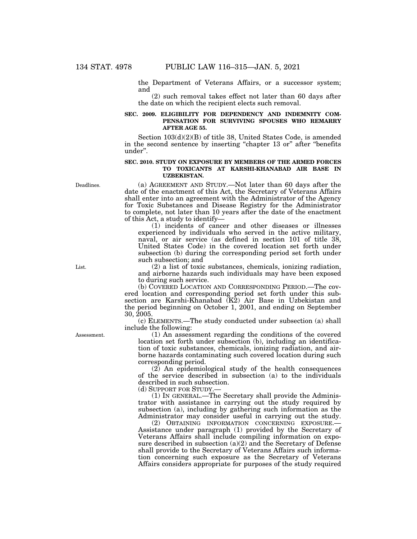the Department of Veterans Affairs, or a successor system; and

(2) such removal takes effect not later than 60 days after the date on which the recipient elects such removal.

### **SEC. 2009. ELIGIBILITY FOR DEPENDENCY AND INDEMNITY COM-PENSATION FOR SURVIVING SPOUSES WHO REMARRY AFTER AGE 55.**

Section 103(d)(2)(B) of title 38, United States Code, is amended in the second sentence by inserting "chapter 13 or" after "benefits under''.

#### **SEC. 2010. STUDY ON EXPOSURE BY MEMBERS OF THE ARMED FORCES TO TOXICANTS AT KARSHI-KHANABAD AIR BASE IN UZBEKISTAN.**

(a) AGREEMENT AND STUDY.—Not later than 60 days after the date of the enactment of this Act, the Secretary of Veterans Affairs shall enter into an agreement with the Administrator of the Agency for Toxic Substances and Disease Registry for the Administrator to complete, not later than 10 years after the date of the enactment of this Act, a study to identify—

(1) incidents of cancer and other diseases or illnesses experienced by individuals who served in the active military, naval, or air service (as defined in section 101 of title 38, United States Code) in the covered location set forth under subsection (b) during the corresponding period set forth under such subsection; and

(2) a list of toxic substances, chemicals, ionizing radiation, and airborne hazards such individuals may have been exposed to during such service.

(b) COVERED LOCATION AND CORRESPONDING PERIOD.—The covered location and corresponding period set forth under this subsection are Karshi-Khanabad (K2) Air Base in Uzbekistan and the period beginning on October 1, 2001, and ending on September 30, 2005.

(c) ELEMENTS.—The study conducted under subsection (a) shall include the following:

(1) An assessment regarding the conditions of the covered location set forth under subsection (b), including an identification of toxic substances, chemicals, ionizing radiation, and airborne hazards contaminating such covered location during such corresponding period.

(2) An epidemiological study of the health consequences of the service described in subsection (a) to the individuals described in such subsection.

(d) SUPPORT FOR STUDY.—

(1) IN GENERAL.—The Secretary shall provide the Administrator with assistance in carrying out the study required by subsection (a), including by gathering such information as the Administrator may consider useful in carrying out the study.<br>(2) OBTAINING INFORMATION CONCERNING EXPOSURE.—

Assistance under paragraph (1) provided by the Secretary of Veterans Affairs shall include compiling information on exposure described in subsection  $(a)(2)$  and the Secretary of Defense shall provide to the Secretary of Veterans Affairs such information concerning such exposure as the Secretary of Veterans Affairs considers appropriate for purposes of the study required

Deadlines.

List.

Assessment.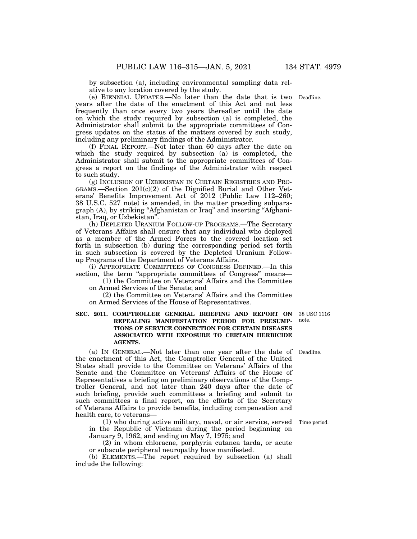by subsection (a), including environmental sampling data relative to any location covered by the study.

(e) BIENNIAL UPDATES.—No later than the date that is two years after the date of the enactment of this Act and not less frequently than once every two years thereafter until the date on which the study required by subsection (a) is completed, the Administrator shall submit to the appropriate committees of Congress updates on the status of the matters covered by such study, including any preliminary findings of the Administrator.

(f) FINAL REPORT.—Not later than 60 days after the date on which the study required by subsection (a) is completed, the Administrator shall submit to the appropriate committees of Congress a report on the findings of the Administrator with respect to such study.

(g) INCLUSION OF UZBEKISTAN IN CERTAIN REGISTRIES AND PRO-GRAMS.—Section 201(c)(2) of the Dignified Burial and Other Veterans' Benefits Improvement Act of 2012 (Public Law 112–260; 38 U.S.C. 527 note) is amended, in the matter preceding subparagraph (A), by striking ''Afghanistan or Iraq'' and inserting ''Afghanistan, Iraq, or Uzbekistan''.

(h) DEPLETED URANIUM FOLLOW-UP PROGRAMS.—The Secretary of Veterans Affairs shall ensure that any individual who deployed as a member of the Armed Forces to the covered location set forth in subsection (b) during the corresponding period set forth in such subsection is covered by the Depleted Uranium Followup Programs of the Department of Veterans Affairs.

(i) APPROPRIATE COMMITTEES OF CONGRESS DEFINED.—In this section, the term "appropriate committees of Congress" means—

(1) the Committee on Veterans' Affairs and the Committee on Armed Services of the Senate; and

(2) the Committee on Veterans' Affairs and the Committee on Armed Services of the House of Representatives.

### **SEC. 2011. COMPTROLLER GENERAL BRIEFING AND REPORT ON REPEALING MANIFESTATION PERIOD FOR PRESUMP-TIONS OF SERVICE CONNECTION FOR CERTAIN DISEASES ASSOCIATED WITH EXPOSURE TO CERTAIN HERBICIDE AGENTS.**

(a) IN GENERAL.—Not later than one year after the date of the enactment of this Act, the Comptroller General of the United States shall provide to the Committee on Veterans' Affairs of the Senate and the Committee on Veterans' Affairs of the House of Representatives a briefing on preliminary observations of the Comptroller General, and not later than 240 days after the date of such briefing, provide such committees a briefing and submit to such committees a final report, on the efforts of the Secretary of Veterans Affairs to provide benefits, including compensation and health care, to veterans—

(1) who during active military, naval, or air service, served in the Republic of Vietnam during the period beginning on January 9, 1962, and ending on May 7, 1975; and

(2) in whom chloracne, porphyria cutanea tarda, or acute or subacute peripheral neuropathy have manifested.

(b) ELEMENTS.—The report required by subsection (a) shall include the following:

38 USC 1116 note.

Deadline.

Time period.

Deadline.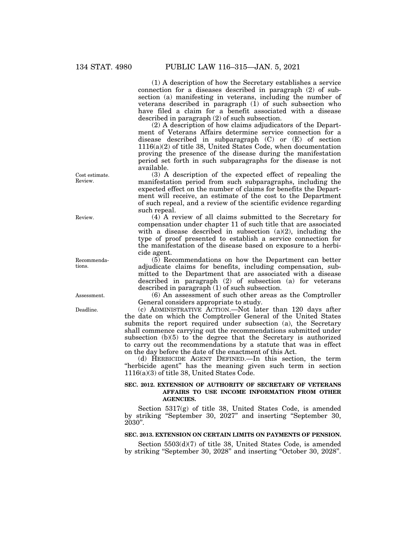(1) A description of how the Secretary establishes a service connection for a diseases described in paragraph (2) of subsection (a) manifesting in veterans, including the number of veterans described in paragraph (1) of such subsection who have filed a claim for a benefit associated with a disease described in paragraph (2) of such subsection.

(2) A description of how claims adjudicators of the Department of Veterans Affairs determine service connection for a disease described in subparagraph (C) or (E) of section 1116(a)(2) of title 38, United States Code, when documentation proving the presence of the disease during the manifestation period set forth in such subparagraphs for the disease is not available.

(3) A description of the expected effect of repealing the manifestation period from such subparagraphs, including the expected effect on the number of claims for benefits the Department will receive, an estimate of the cost to the Department of such repeal, and a review of the scientific evidence regarding such repeal.

(4) A review of all claims submitted to the Secretary for compensation under chapter 11 of such title that are associated with a disease described in subsection  $(a)(2)$ , including the type of proof presented to establish a service connection for the manifestation of the disease based on exposure to a herbicide agent.

(5) Recommendations on how the Department can better adjudicate claims for benefits, including compensation, submitted to the Department that are associated with a disease described in paragraph (2) of subsection (a) for veterans described in paragraph (1) of such subsection.

(6) An assessment of such other areas as the Comptroller General considers appropriate to study.

(c) ADMINISTRATIVE ACTION.—Not later than 120 days after the date on which the Comptroller General of the United States submits the report required under subsection (a), the Secretary shall commence carrying out the recommendations submitted under subsection (b)(5) to the degree that the Secretary is authorized to carry out the recommendations by a statute that was in effect on the day before the date of the enactment of this Act.

(d) HERBICIDE AGENT DEFINED.—In this section, the term "herbicide agent" has the meaning given such term in section 1116(a)(3) of title 38, United States Code.

### **SEC. 2012. EXTENSION OF AUTHORITY OF SECRETARY OF VETERANS AFFAIRS TO USE INCOME INFORMATION FROM OTHER AGENCIES.**

Section 5317(g) of title 38, United States Code, is amended by striking "September 30, 2027" and inserting "September 30, 2030''.

### **SEC. 2013. EXTENSION ON CERTAIN LIMITS ON PAYMENTS OF PENSION.**

Section 5503(d)(7) of title 38, United States Code, is amended by striking ''September 30, 2028'' and inserting ''October 30, 2028''.

Cost estimate. Review.

Review.

Recommendations.

Assessment.

Deadline.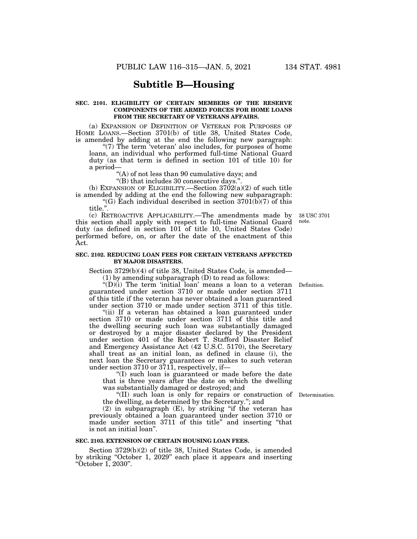## **Subtitle B—Housing**

#### **SEC. 2101. ELIGIBILITY OF CERTAIN MEMBERS OF THE RESERVE COMPONENTS OF THE ARMED FORCES FOR HOME LOANS FROM THE SECRETARY OF VETERANS AFFAIRS.**

(a) EXPANSION OF DEFINITION OF VETERAN FOR PURPOSES OF HOME LOANS.—Section 3701(b) of title 38, United States Code, is amended by adding at the end the following new paragraph:

"(7) The term 'veteran' also includes, for purposes of home loans, an individual who performed full-time National Guard duty (as that term is defined in section 101 of title 10) for a period—

"(A) of not less than 90 cumulative days; and

"(B) that includes 30 consecutive days.'

(b) EXPANSION OF ELIGIBILITY.—Section  $3702(a)(2)$  of such title is amended by adding at the end the following new subparagraph:

"(G) Each individual described in section  $3701(b)(7)$  of this title.''.

(c) RETROACTIVE APPLICABILITY.—The amendments made by this section shall apply with respect to full-time National Guard duty (as defined in section 101 of title 10, United States Code) performed before, on, or after the date of the enactment of this Act.

#### **SEC. 2102. REDUCING LOAN FEES FOR CERTAIN VETERANS AFFECTED BY MAJOR DISASTERS.**

Section 3729(b)(4) of title 38, United States Code, is amended—

(1) by amending subparagraph (D) to read as follows:

" $(D)(i)$  The term 'initial loan' means a loan to a veteran Definition. guaranteed under section 3710 or made under section 3711 of this title if the veteran has never obtained a loan guaranteed under section 3710 or made under section 3711 of this title.

"(ii) If a veteran has obtained a loan guaranteed under section 3710 or made under section 3711 of this title and the dwelling securing such loan was substantially damaged or destroyed by a major disaster declared by the President under section 401 of the Robert T. Stafford Disaster Relief and Emergency Assistance Act (42 U.S.C. 5170), the Secretary shall treat as an initial loan, as defined in clause (i), the next loan the Secretary guarantees or makes to such veteran under section 3710 or 3711, respectively, if—

''(I) such loan is guaranteed or made before the date that is three years after the date on which the dwelling was substantially damaged or destroyed; and

''(II) such loan is only for repairs or construction of Determination. the dwelling, as determined by the Secretary.''; and

(2) in subparagraph (E), by striking ''if the veteran has previously obtained a loan guaranteed under section 3710 or made under section 3711 of this title'' and inserting ''that is not an initial loan''.

### **SEC. 2103. EXTENSION OF CERTAIN HOUSING LOAN FEES.**

Section 3729(b)(2) of title 38, United States Code, is amended by striking ''October 1, 2029'' each place it appears and inserting ''October 1, 2030''.

38 USC 3701 note.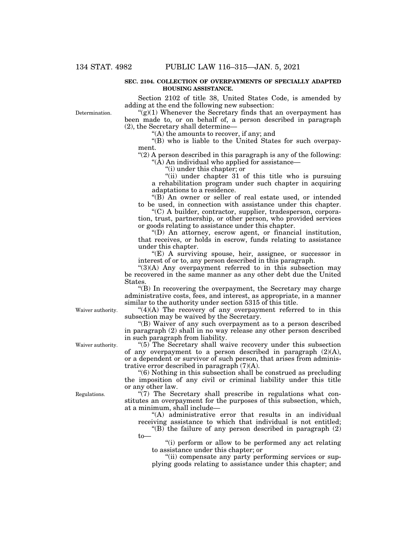Determination.

#### **SEC. 2104. COLLECTION OF OVERPAYMENTS OF SPECIALLY ADAPTED HOUSING ASSISTANCE.**

Section 2102 of title 38, United States Code, is amended by adding at the end the following new subsection:

 $\sqrt{\frac{g(1)}}$  Whenever the Secretary finds that an overpayment has been made to, or on behalf of, a person described in paragraph (2), the Secretary shall determine—

''(A) the amounts to recover, if any; and

''(B) who is liable to the United States for such overpayment.

" $(2)$  A person described in this paragraph is any of the following: " $(\tilde{A})$  An individual who applied for assistance—

''(i) under this chapter; or

"(ii) under chapter 31 of this title who is pursuing a rehabilitation program under such chapter in acquiring adaptations to a residence.

"(B) An owner or seller of real estate used, or intended to be used, in connection with assistance under this chapter.

''(C) A builder, contractor, supplier, tradesperson, corporation, trust, partnership, or other person, who provided services or goods relating to assistance under this chapter.

''(D) An attorney, escrow agent, or financial institution, that receives, or holds in escrow, funds relating to assistance under this chapter.

 $E(E)$  A surviving spouse, heir, assignee, or successor in interest of or to, any person described in this paragraph.

 $\mathcal{L}(3)(A)$  Any overpayment referred to in this subsection may be recovered in the same manner as any other debt due the United States.

''(B) In recovering the overpayment, the Secretary may charge administrative costs, fees, and interest, as appropriate, in a manner similar to the authority under section 5315 of this title.

 $"(4)(A)$  The recovery of any overpayment referred to in this subsection may be waived by the Secretary.

''(B) Waiver of any such overpayment as to a person described in paragraph (2) shall in no way release any other person described in such paragraph from liability.

"(5) The Secretary shall waive recovery under this subsection of any overpayment to a person described in paragraph (2)(A), or a dependent or survivor of such person, that arises from administrative error described in paragraph (7)(A).

''(6) Nothing in this subsection shall be construed as precluding the imposition of any civil or criminal liability under this title or any other law.

 $\sqrt{\gamma}$ . The Secretary shall prescribe in regulations what constitutes an overpayment for the purposes of this subsection, which, at a minimum, shall include—

"(A) administrative error that results in an individual receiving assistance to which that individual is not entitled;

"(B) the failure of any person described in paragraph  $(2)$ to—

''(i) perform or allow to be performed any act relating to assistance under this chapter; or

"(ii) compensate any party performing services or supplying goods relating to assistance under this chapter; and

Waiver authority.

Waiver authority.

Regulations.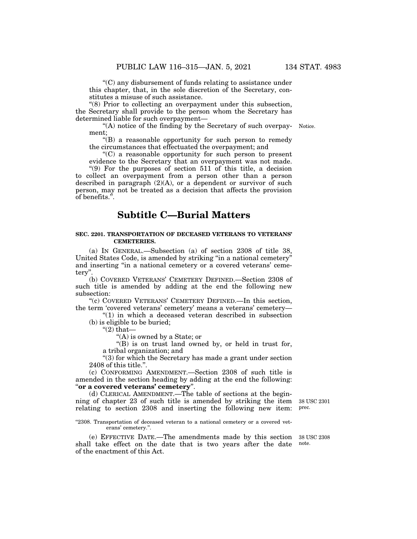$(C)$  any disbursement of funds relating to assistance under this chapter, that, in the sole discretion of the Secretary, constitutes a misuse of such assistance.

"(8) Prior to collecting an overpayment under this subsection, the Secretary shall provide to the person whom the Secretary has determined liable for such overpayment—

"(A) notice of the finding by the Secretary of such overpay- Notice. ment;

''(B) a reasonable opportunity for such person to remedy the circumstances that effectuated the overpayment; and

 $C$ ) a reasonable opportunity for such person to present evidence to the Secretary that an overpayment was not made.

''(9) For the purposes of section 511 of this title, a decision to collect an overpayment from a person other than a person described in paragraph (2)(A), or a dependent or survivor of such person, may not be treated as a decision that affects the provision of benefits.''.

# **Subtitle C—Burial Matters**

### **SEC. 2201. TRANSPORTATION OF DECEASED VETERANS TO VETERANS' CEMETERIES.**

(a) IN GENERAL.—Subsection (a) of section 2308 of title 38, United States Code, is amended by striking ''in a national cemetery'' and inserting ''in a national cemetery or a covered veterans' cemetery''.

(b) COVERED VETERANS' CEMETERY DEFINED.—Section 2308 of such title is amended by adding at the end the following new subsection:

''(c) COVERED VETERANS' CEMETERY DEFINED.—In this section, the term 'covered veterans' cemetery' means a veterans' cemetery—

''(1) in which a deceased veteran described in subsection (b) is eligible to be buried;

" $(2)$  that-

''(A) is owned by a State; or

''(B) is on trust land owned by, or held in trust for, a tribal organization; and

''(3) for which the Secretary has made a grant under section 2408 of this title.''.

(c) CONFORMING AMENDMENT.—Section 2308 of such title is amended in the section heading by adding at the end the following: ''**or a covered veterans' cemetery**''.

(d) CLERICAL AMENDMENT.—The table of sections at the beginning of chapter 23 of such title is amended by striking the item relating to section 2308 and inserting the following new item: 38 USC 2301 prec.

"2308. Transportation of deceased veteran to a national cemetery or a covered veterans' cemetery.''.

(e) EFFECTIVE DATE.—The amendments made by this section shall take effect on the date that is two years after the date of the enactment of this Act. note.

38 USC 2308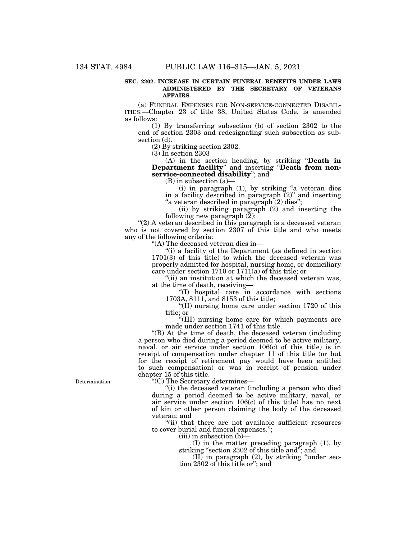#### **SEC. 2202. INCREASE IN CERTAIN FUNERAL BENEFITS UNDER LAWS ADMINISTERED BY THE SECRETARY OF VETERANS AFFAIRS.**

(a) FUNERAL EXPENSES FOR NON-SERVICE-CONNECTED DISABIL-ITIES.—Chapter 23 of title 38, United States Code, is amended as follows:

(1) By transferring subsection (b) of section 2302 to the end of section 2303 and redesignating such subsection as subsection (d).

(2) By striking section 2302.

(3) In section 2303—

(A) in the section heading, by striking ''**Death in Department facility**'' and inserting ''**Death from nonservice-connected disability**''; and

(B) in subsection (a)—

 $(i)$  in paragraph  $(1)$ , by striking "a veteran dies in a facility described in paragraph  $(2)$ " and inserting "a veteran described in paragraph (2) dies";

(ii) by striking paragraph (2) and inserting the following new paragraph (2):

" $(2)$  A veteran described in this paragraph is a deceased veteran who is not covered by section 2307 of this title and who meets any of the following criteria:

''(A) The deceased veteran dies in—

''(i) a facility of the Department (as defined in section 1701(3) of this title) to which the deceased veteran was properly admitted for hospital, nursing home, or domiciliary care under section 1710 or 1711(a) of this title; or

"(ii) an institution at which the deceased veteran was, at the time of death, receiving—

''(I) hospital care in accordance with sections 1703A, 8111, and 8153 of this title;

''(II) nursing home care under section 1720 of this title; or

''(III) nursing home care for which payments are made under section 1741 of this title.

''(B) At the time of death, the deceased veteran (including a person who died during a period deemed to be active military, naval, or air service under section 106(c) of this title) is in receipt of compensation under chapter 11 of this title (or but for the receipt of retirement pay would have been entitled to such compensation) or was in receipt of pension under chapter 15 of this title.

''(C) The Secretary determines—

"(i) the deceased veteran (including a person who died during a period deemed to be active military, naval, or air service under section 106(c) of this title) has no next of kin or other person claiming the body of the deceased veteran; and

"(ii) that there are not available sufficient resources to cover burial and funeral expenses.'';

 $(iii)$  in subsection  $(b)$ –

(I) in the matter preceding paragraph (1), by striking ''section 2302 of this title and''; and

 $(II)$  in paragraph  $(2)$ , by striking "under section 2302 of this title or''; and

Determination.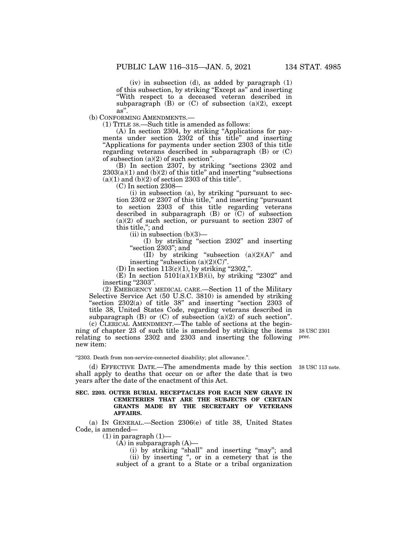(iv) in subsection (d), as added by paragraph (1) of this subsection, by striking ''Except as'' and inserting ''With respect to a deceased veteran described in subparagraph  $(B)$  or  $(C)$  of subsection  $(a)(2)$ , except as''.

(b) CONFORMING AMENDMENTS.—

(1) TITLE 38.—Such title is amended as follows:

(A) In section 2304, by striking ''Applications for payments under section 2302 of this title'' and inserting ''Applications for payments under section 2303 of this title regarding veterans described in subparagraph (B) or (C) of subsection (a)(2) of such section''.

(B) In section 2307, by striking ''sections 2302 and  $2303(a)(1)$  and  $(b)(2)$  of this title" and inserting "subsections"  $(a)(1)$  and  $(b)(2)$  of section 2303 of this title".

(C) In section 2308—

(i) in subsection (a), by striking ''pursuant to section 2302 or 2307 of this title,'' and inserting ''pursuant to section 2303 of this title regarding veterans described in subparagraph  $(B)$  or  $(C)$  of subsection  $(a)(2)$  of such section, or pursuant to section 2307 of this title,''; and

(ii) in subsection  $(b)(3)$ —

(I) by striking ''section 2302'' and inserting "section  $2303$ "; and

(II) by striking "subsection  $(a)(2)(A)$ " and inserting "subsection  $(a)(2)(C)$ ".

(D) In section  $113(c)(1)$ , by striking "2302,".

(E) In section  $5101(a)(1)(B)(i)$ , by striking "2302" and inserting "2303".

(2) EMERGENCY MEDICAL CARE.—Section 11 of the Military Selective Service Act (50 U.S.C. 3810) is amended by striking "section  $2302(a)$  of title 38" and inserting "section  $2303$  of title 38, United States Code, regarding veterans described in subparagraph  $(B)$  or  $(C)$  of subsection  $(a)(2)$  of such section". (c) CLERICAL AMENDMENT.—The table of sections at the begin-

ning of chapter 23 of such title is amended by striking the items relating to sections 2302 and 2303 and inserting the following new item:

''2303. Death from non-service-connected disability; plot allowance.''.

(d) EFFECTIVE DATE.—The amendments made by this section 38 USC 113 note. shall apply to deaths that occur on or after the date that is two years after the date of the enactment of this Act.

#### **SEC. 2203. OUTER BURIAL RECEPTACLES FOR EACH NEW GRAVE IN CEMETERIES THAT ARE THE SUBJECTS OF CERTAIN GRANTS MADE BY THE SECRETARY OF VETERANS AFFAIRS.**

(a) IN GENERAL.—Section 2306(e) of title 38, United States Code, is amended—

 $(1)$  in paragraph  $(1)$ —

 $(A)$  in subparagraph  $(A)$ —

(i) by striking "shall" and inserting "may"; and (ii) by inserting ", or in a cemetery that is the subject of a grant to a State or a tribal organization

38 USC 2301 prec.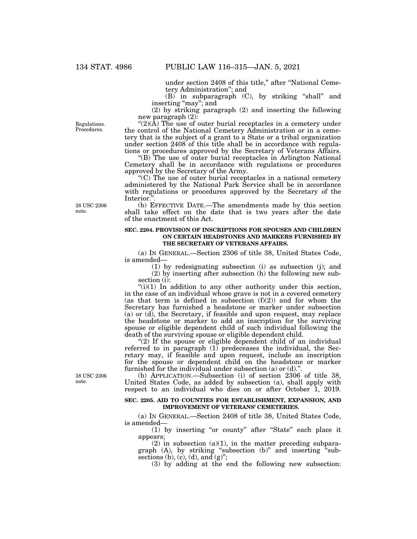under section 2408 of this title," after "National Cemetery Administration''; and

(B) in subparagraph (C), by striking ''shall'' and inserting ''may''; and

(2) by striking paragraph (2) and inserting the following new paragraph (2):

Regulations. **Procedures** 

" $(2)(\overline{A})$  The use of outer burial receptacles in a cemetery under the control of the National Cemetery Administration or in a cemetery that is the subject of a grant to a State or a tribal organization under section 2408 of this title shall be in accordance with regulations or procedures approved by the Secretary of Veterans Affairs.

''(B) The use of outer burial receptacles in Arlington National Cemetery shall be in accordance with regulations or procedures approved by the Secretary of the Army.

''(C) The use of outer burial receptacles in a national cemetery administered by the National Park Service shall be in accordance with regulations or procedures approved by the Secretary of the Interior.''.

of the enactment of this Act.

(b) EFFECTIVE DATE.—The amendments made by this section shall take effect on the date that is two years after the date

38 USC 2306 note.

> (a) IN GENERAL.—Section 2306 of title 38, United States Code, is amended—

**SEC. 2204. PROVISION OF INSCRIPTIONS FOR SPOUSES AND CHILDREN** 

**THE SECRETARY OF VETERANS AFFAIRS.** 

(1) by redesignating subsection (i) as subsection (j); and (2) by inserting after subsection (h) the following new subsection (i):

**ON CERTAIN HEADSTONES AND MARKERS FURNISHED BY** 

 $(ii)(1)$  In addition to any other authority under this section, in the case of an individual whose grave is not in a covered cemetery (as that term is defined in subsection  $(f)(2)$ ) and for whom the Secretary has furnished a headstone or marker under subsection (a) or (d), the Secretary, if feasible and upon request, may replace the headstone or marker to add an inscription for the surviving spouse or eligible dependent child of such individual following the death of the surviving spouse or eligible dependent child.

 $(2)$  If the spouse or eligible dependent child of an individual referred to in paragraph (1) predeceases the individual, the Secretary may, if feasible and upon request, include an inscription for the spouse or dependent child on the headstone or marker furnished for the individual under subsection (a) or  $(d)$ ."

(b) APPLICATION.—Subsection (i) of section 2306 of title 38, United States Code, as added by subsection (a), shall apply with respect to an individual who dies on or after October 1, 2019.

#### **SEC. 2205. AID TO COUNTIES FOR ESTABLISHMENT, EXPANSION, AND IMPROVEMENT OF VETERANS' CEMETERIES.**

(a) IN GENERAL.—Section 2408 of title 38, United States Code, is amended—

(1) by inserting "or county" after "State" each place it appears;

 $(2)$  in subsection  $(a)(1)$ , in the matter preceding subparagraph  $(A)$ , by striking "subsection  $(b)$ " and inserting "subsections (b), (c), (d), and  $(g)$ ";

(3) by adding at the end the following new subsection:

38 USC 2306 note.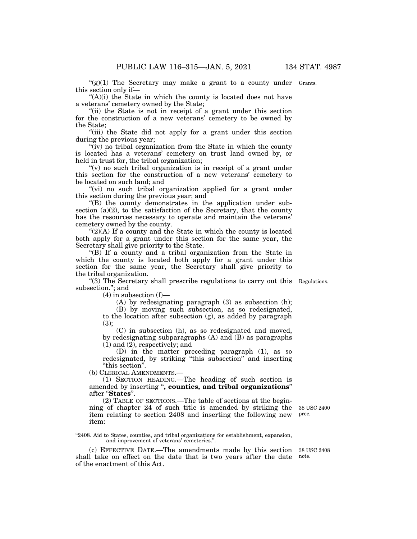" $(g)(1)$  The Secretary may make a grant to a county under Grants. this section only if—

 $(A)(i)$  the State in which the county is located does not have a veterans' cemetery owned by the State;

"(ii) the State is not in receipt of a grant under this section for the construction of a new veterans' cemetery to be owned by the State;

"(iii) the State did not apply for a grant under this section during the previous year;

" $(iv)$  no tribal organization from the State in which the county is located has a veterans' cemetery on trust land owned by, or held in trust for, the tribal organization;

" $(v)$  no such tribal organization is in receipt of a grant under this section for the construction of a new veterans' cemetery to be located on such land; and

"(vi) no such tribal organization applied for a grant under this section during the previous year; and

''(B) the county demonstrates in the application under subsection  $(a)(2)$ , to the satisfaction of the Secretary, that the county has the resources necessary to operate and maintain the veterans' cemetery owned by the county.

" $(2)(A)$  If a county and the State in which the county is located both apply for a grant under this section for the same year, the Secretary shall give priority to the State.

''(B) If a county and a tribal organization from the State in which the county is located both apply for a grant under this section for the same year, the Secretary shall give priority to the tribal organization.

''(3) The Secretary shall prescribe regulations to carry out this Regulations. subsection.''; and

 $(4)$  in subsection  $(f)$ —

(A) by redesignating paragraph (3) as subsection (h);

(B) by moving such subsection, as so redesignated, to the location after subsection (g), as added by paragraph (3);

(C) in subsection (h), as so redesignated and moved, by redesignating subparagraphs (A) and (B) as paragraphs (1) and (2), respectively; and

(D) in the matter preceding paragraph (1), as so redesignated, by striking ''this subsection'' and inserting ''this section''.

(b) CLERICAL AMENDMENTS.—

(1) SECTION HEADING.—The heading of such section is amended by inserting ''**, counties, and tribal organizations**'' after ''**States**''.

(2) TABLE OF SECTIONS.—The table of sections at the beginning of chapter 24 of such title is amended by striking the item relating to section 2408 and inserting the following new item:

38 USC 2400 prec.

"2408. Aid to States, counties, and tribal organizations for establishment, expansion, and improvement of veterans' cemeteries.''.

(c) EFFECTIVE DATE.—The amendments made by this section shall take on effect on the date that is two years after the date of the enactment of this Act.

38 USC 2408 note.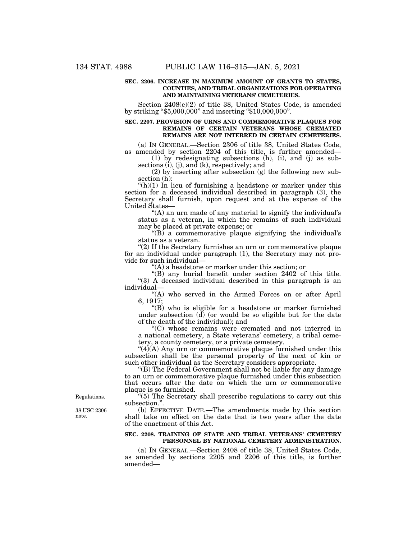#### **SEC. 2206. INCREASE IN MAXIMUM AMOUNT OF GRANTS TO STATES, COUNTIES, AND TRIBAL ORGANIZATIONS FOR OPERATING AND MAINTAINING VETERANS' CEMETERIES.**

Section 2408(e)(2) of title 38, United States Code, is amended by striking ''\$5,000,000'' and inserting ''\$10,000,000''.

#### **SEC. 2207. PROVISION OF URNS AND COMMEMORATIVE PLAQUES FOR REMAINS OF CERTAIN VETERANS WHOSE CREMATED REMAINS ARE NOT INTERRED IN CERTAIN CEMETERIES.**

(a) IN GENERAL.—Section 2306 of title 38, United States Code, as amended by section 2204 of this title, is further amended—

(1) by redesignating subsections (h), (i), and (j) as subsections (i), (j), and (k), respectively; and

(2) by inserting after subsection (g) the following new subsection (h):

" $(h)(1)$  In lieu of furnishing a headstone or marker under this section for a deceased individual described in paragraph (3), the Secretary shall furnish, upon request and at the expense of the United States—

"(A) an urn made of any material to signify the individual's status as a veteran, in which the remains of such individual may be placed at private expense; or

" $(B)$  a commemorative plaque signifying the individual's status as a veteran.

"(2) If the Secretary furnishes an urn or commemorative plaque for an individual under paragraph (1), the Secretary may not provide for such individual—

''(A) a headstone or marker under this section; or

''(B) any burial benefit under section 2402 of this title. "(3) A deceased individual described in this paragraph is an individual—

"(A) who served in the Armed Forces on or after April 6, 1917;

" $(B)$  who is eligible for a headstone or marker furnished under subsection  $\overrightarrow{d}$  (or would be so eligible but for the date of the death of the individual); and

''(C) whose remains were cremated and not interred in a national cemetery, a State veterans' cemetery, a tribal cemetery, a county cemetery, or a private cemetery.

 $"(4)(A)$  Any urn or commemorative plaque furnished under this subsection shall be the personal property of the next of kin or such other individual as the Secretary considers appropriate.

''(B) The Federal Government shall not be liable for any damage to an urn or commemorative plaque furnished under this subsection that occurs after the date on which the urn or commemorative plaque is so furnished.

''(5) The Secretary shall prescribe regulations to carry out this subsection.''.

(b) EFFECTIVE DATE.—The amendments made by this section shall take on effect on the date that is two years after the date of the enactment of this Act.

### **SEC. 2208. TRAINING OF STATE AND TRIBAL VETERANS' CEMETERY PERSONNEL BY NATIONAL CEMETERY ADMINISTRATION.**

(a) IN GENERAL.—Section 2408 of title 38, United States Code, as amended by sections 2205 and 2206 of this title, is further amended—

Regulations.

38 USC 2306 note.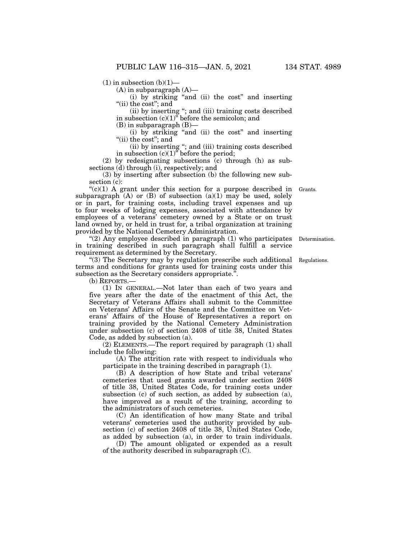(A) in subparagraph (A)—

(i) by striking ''and (ii) the cost'' and inserting "(ii) the cost"; and

(ii) by inserting ''; and (iii) training costs described in subsection  $(c)(1)$ <sup>"</sup> before the semicolon; and

(B) in subparagraph (B)—

(i) by striking ''and (ii) the cost'' and inserting ''(ii) the cost''; and

(ii) by inserting ''; and (iii) training costs described in subsection  $(c)(1)$ <sup>"</sup> before the period;

(2) by redesignating subsections (c) through (h) as subsections (d) through (i), respectively; and

(3) by inserting after subsection (b) the following new subsection (c):

" $(c)(1)$  A grant under this section for a purpose described in Grants. subparagraph  $(A)$  or  $(B)$  of subsection  $(a)(1)$  may be used, solely or in part, for training costs, including travel expenses and up to four weeks of lodging expenses, associated with attendance by employees of a veterans' cemetery owned by a State or on trust land owned by, or held in trust for, a tribal organization at training provided by the National Cemetery Administration.

" $(2)$  Any employee described in paragraph  $(1)$  who participates in training described in such paragraph shall fulfill a service requirement as determined by the Secretary.

''(3) The Secretary may by regulation prescribe such additional terms and conditions for grants used for training costs under this subsection as the Secretary considers appropriate.''.

(b) REPORTS.—

(1) IN GENERAL.—Not later than each of two years and five years after the date of the enactment of this Act, the Secretary of Veterans Affairs shall submit to the Committee on Veterans' Affairs of the Senate and the Committee on Veterans' Affairs of the House of Representatives a report on training provided by the National Cemetery Administration under subsection (c) of section 2408 of title 38, United States Code, as added by subsection (a).

(2) ELEMENTS.—The report required by paragraph (1) shall include the following:

(A) The attrition rate with respect to individuals who participate in the training described in paragraph (1).

(B) A description of how State and tribal veterans' cemeteries that used grants awarded under section 2408 of title 38, United States Code, for training costs under subsection (c) of such section, as added by subsection (a), have improved as a result of the training, according to the administrators of such cemeteries.

(C) An identification of how many State and tribal veterans' cemeteries used the authority provided by subsection (c) of section 2408 of title 38, United States Code, as added by subsection (a), in order to train individuals.

(D) The amount obligated or expended as a result of the authority described in subparagraph (C).

Determination.

Regulations.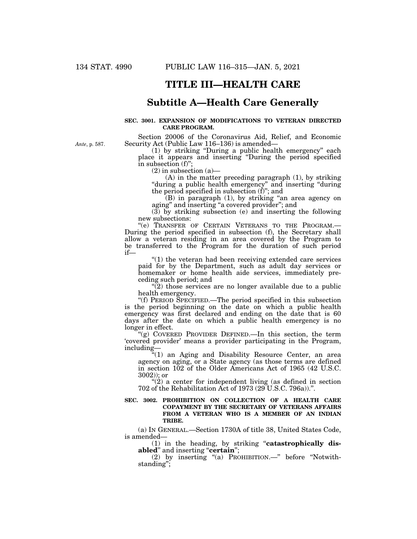*Ante*, p. 587.

# **TITLE III—HEALTH CARE**

## **Subtitle A—Health Care Generally**

### **SEC. 3001. EXPANSION OF MODIFICATIONS TO VETERAN DIRECTED CARE PROGRAM.**

Section 20006 of the Coronavirus Aid, Relief, and Economic Security Act (Public Law 116–136) is amended—

(1) by striking ''During a public health emergency'' each place it appears and inserting ''During the period specified in subsection (f)'';

(2) in subsection (a)—

 $(A)$  in the matter preceding paragraph  $(1)$ , by striking ''during a public health emergency'' and inserting ''during the period specified in subsection (f)''; and

(B) in paragraph (1), by striking ''an area agency on aging'' and inserting ''a covered provider''; and

(3) by striking subsection (e) and inserting the following new subsections:<br>"(e) TRANSFER OF CERTAIN VETERANS TO THE PROGRAM.-

During the period specified in subsection (f), the Secretary shall allow a veteran residing in an area covered by the Program to be transferred to the Program for the duration of such period if—

''(1) the veteran had been receiving extended care services paid for by the Department, such as adult day services or homemaker or home health aide services, immediately preceding such period; and

 $\sqrt{\frac{2}{2}}$  those services are no longer available due to a public health emergency.

''(f) PERIOD SPECIFIED.—The period specified in this subsection is the period beginning on the date on which a public health emergency was first declared and ending on the date that is 60 days after the date on which a public health emergency is no longer in effect.

''(g) COVERED PROVIDER DEFINED.—In this section, the term 'covered provider' means a provider participating in the Program, including—

''(1) an Aging and Disability Resource Center, an area agency on aging, or a State agency (as those terms are defined in section 102 of the Older Americans Act of 1965 (42 U.S.C. 3002)); or

 $''(2)$  a center for independent living (as defined in section 702 of the Rehabilitation Act of 1973 (29 U.S.C. 796a)).''.

#### **SEC. 3002. PROHIBITION ON COLLECTION OF A HEALTH CARE COPAYMENT BY THE SECRETARY OF VETERANS AFFAIRS FROM A VETERAN WHO IS A MEMBER OF AN INDIAN TRIBE.**

(a) IN GENERAL.—Section 1730A of title 38, United States Code, is amended—

(1) in the heading, by striking ''**catastrophically disabled**" and inserting "**certain**";

(2) by inserting ''(a) PROHIBITION.—'' before ''Notwithstanding'';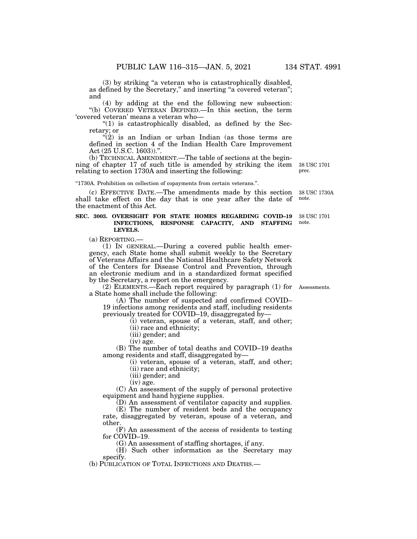(3) by striking ''a veteran who is catastrophically disabled, as defined by the Secretary," and inserting "a covered veteran"; and

(4) by adding at the end the following new subsection: ''(b) COVERED VETERAN DEFINED.—In this section, the term 'covered veteran' means a veteran who—

" $(1)$  is catastrophically disabled, as defined by the Secretary; or

 $\mathfrak{B}(2)$  is an Indian or urban Indian (as those terms are defined in section 4 of the Indian Health Care Improvement Act (25 U.S.C. 1603)).''.

(b) TECHNICAL AMENDMENT.—The table of sections at the beginning of chapter 17 of such title is amended by striking the item relating to section 1730A and inserting the following:

''1730A. Prohibition on collection of copayments from certain veterans.''.

(c) EFFECTIVE DATE.—The amendments made by this section shall take effect on the day that is one year after the date of the enactment of this Act. 38 USC 1730A note.

#### **SEC. 3003. OVERSIGHT FOR STATE HOMES REGARDING COVID–19 INFECTIONS, RESPONSE CAPACITY, AND STAFFING LEVELS.**  38 USC 1701 note.

(a) REPORTING.—

(1) IN GENERAL.—During a covered public health emergency, each State home shall submit weekly to the Secretary of Veterans Affairs and the National Healthcare Safety Network of the Centers for Disease Control and Prevention, through an electronic medium and in a standardized format specified by the Secretary, a report on the emergency.

(2) ELEMENTS.—Each report required by paragraph (1) for Assessments. a State home shall include the following:

(A) The number of suspected and confirmed COVID– 19 infections among residents and staff, including residents previously treated for COVID–19, disaggregated by—

(i) veteran, spouse of a veteran, staff, and other;

(ii) race and ethnicity;

(iii) gender; and (iv) age.

(B) The number of total deaths and COVID–19 deaths among residents and staff, disaggregated by—

(i) veteran, spouse of a veteran, staff, and other;

(ii) race and ethnicity;

(iii) gender; and

(iv) age.

(C) An assessment of the supply of personal protective equipment and hand hygiene supplies.

(D) An assessment of ventilator capacity and supplies.

(E) The number of resident beds and the occupancy rate, disaggregated by veteran, spouse of a veteran, and other.

(F) An assessment of the access of residents to testing for COVID–19.

(G) An assessment of staffing shortages, if any.

(H) Such other information as the Secretary may specify.

(b) PUBLICATION OF TOTAL INFECTIONS AND DEATHS.—

38 USC 1701 prec.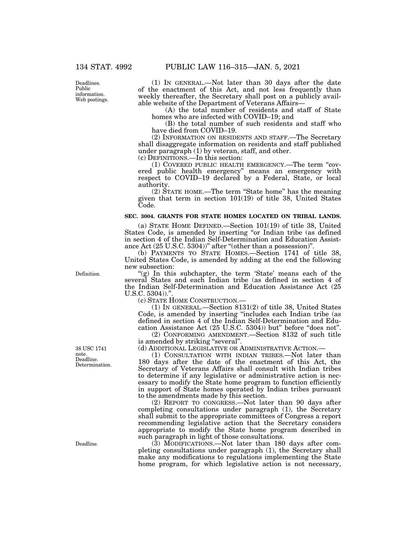Deadlines. Public information. Web postings.

(1) IN GENERAL.—Not later than 30 days after the date of the enactment of this Act, and not less frequently than weekly thereafter, the Secretary shall post on a publicly available website of the Department of Veterans Affairs—

(A) the total number of residents and staff of State homes who are infected with COVID–19; and

(B) the total number of such residents and staff who have died from COVID–19.

(2) INFORMATION ON RESIDENTS AND STAFF.—The Secretary shall disaggregate information on residents and staff published under paragraph (1) by veteran, staff, and other.

(c) DEFINITIONS.—In this section:

(1) COVERED PUBLIC HEALTH EMERGENCY.—The term ''covered public health emergency'' means an emergency with respect to COVID–19 declared by a Federal, State, or local authority.

(2) STATE HOME.—The term ''State home'' has the meaning given that term in section 101(19) of title 38, United States Code.

#### **SEC. 3004. GRANTS FOR STATE HOMES LOCATED ON TRIBAL LANDS.**

(a) STATE HOME DEFINED.—Section 101(19) of title 38, United States Code, is amended by inserting "or Indian tribe (as defined in section 4 of the Indian Self-Determination and Education Assistance Act  $(25 \text{ U.S.C. } 5304)$ <sup>"</sup> after "(other than a possession)".

(b) PAYMENTS TO STATE HOMES.—Section 1741 of title 38, United States Code, is amended by adding at the end the following new subsection:

"(g) In this subchapter, the term 'State' means each of the several States and each Indian tribe (as defined in section 4 of the Indian Self-Determination and Education Assistance Act (25 U.S.C. 5304))."

(c) STATE HOME CONSTRUCTION.—

(1) IN GENERAL.—Section 8131(2) of title 38, United States Code, is amended by inserting ''includes each Indian tribe (as defined in section 4 of the Indian Self-Determination and Education Assistance Act (25 U.S.C. 5304)) but" before "does not".

(2) CONFORMING AMENDMENT.—Section 8132 of such title is amended by striking "several".

(d) ADDITIONAL LEGISLATIVE OR ADMINISTRATIVE ACTION.—

(1) CONSULTATION WITH INDIAN TRIBES.—Not later than 180 days after the date of the enactment of this Act, the Secretary of Veterans Affairs shall consult with Indian tribes to determine if any legislative or administrative action is necessary to modify the State home program to function efficiently in support of State homes operated by Indian tribes pursuant to the amendments made by this section.

(2) REPORT TO CONGRESS.—Not later than 90 days after completing consultations under paragraph (1), the Secretary shall submit to the appropriate committees of Congress a report recommending legislative action that the Secretary considers appropriate to modify the State home program described in such paragraph in light of those consultations.

(3) MODIFICATIONS.—Not later than 180 days after completing consultations under paragraph (1), the Secretary shall make any modifications to regulations implementing the State home program, for which legislative action is not necessary,

Definition.

Deadline. Determination. 38 USC 1741 note.

Deadline.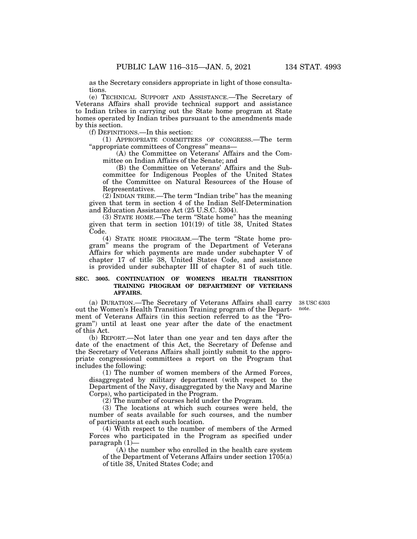as the Secretary considers appropriate in light of those consultations.

(e) TECHNICAL SUPPORT AND ASSISTANCE.—The Secretary of Veterans Affairs shall provide technical support and assistance to Indian tribes in carrying out the State home program at State homes operated by Indian tribes pursuant to the amendments made by this section.

(f) DEFINITIONS.—In this section:

(1) APPROPRIATE COMMITTEES OF CONGRESS.—The term ''appropriate committees of Congress'' means—

(A) the Committee on Veterans' Affairs and the Committee on Indian Affairs of the Senate; and

(B) the Committee on Veterans' Affairs and the Subcommittee for Indigenous Peoples of the United States of the Committee on Natural Resources of the House of Representatives.

(2) INDIAN TRIBE.—The term ''Indian tribe'' has the meaning given that term in section 4 of the Indian Self-Determination and Education Assistance Act (25 U.S.C. 5304).

(3) STATE HOME.—The term ''State home'' has the meaning given that term in section 101(19) of title 38, United States Code.

(4) STATE HOME PROGRAM.—The term ''State home program'' means the program of the Department of Veterans Affairs for which payments are made under subchapter V of chapter 17 of title 38, United States Code, and assistance is provided under subchapter III of chapter 81 of such title.

### **SEC. 3005. CONTINUATION OF WOMEN'S HEALTH TRANSITION TRAINING PROGRAM OF DEPARTMENT OF VETERANS AFFAIRS.**

note.

(a) DURATION.—The Secretary of Veterans Affairs shall carry 38 USC 6303 out the Women's Health Transition Training program of the Department of Veterans Affairs (in this section referred to as the ''Program'') until at least one year after the date of the enactment of this Act.

(b) REPORT.—Not later than one year and ten days after the date of the enactment of this Act, the Secretary of Defense and the Secretary of Veterans Affairs shall jointly submit to the appropriate congressional committees a report on the Program that includes the following:

(1) The number of women members of the Armed Forces, disaggregated by military department (with respect to the Department of the Navy, disaggregated by the Navy and Marine Corps), who participated in the Program.

(2) The number of courses held under the Program.

(3) The locations at which such courses were held, the number of seats available for such courses, and the number of participants at each such location.

(4) With respect to the number of members of the Armed Forces who participated in the Program as specified under paragraph (1)—

(A) the number who enrolled in the health care system of the Department of Veterans Affairs under section 1705(a) of title 38, United States Code; and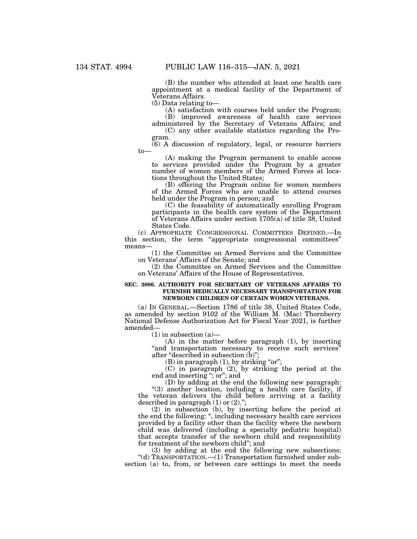(B) the number who attended at least one health care appointment at a medical facility of the Department of Veterans Affairs.

(5) Data relating to—

(A) satisfaction with courses held under the Program; (B) improved awareness of health care services administered by the Secretary of Veterans Affairs; and

(C) any other available statistics regarding the Program.

(6) A discussion of regulatory, legal, or resource barriers to—

(A) making the Program permanent to enable access to services provided under the Program by a greater number of women members of the Armed Forces at locations throughout the United States;

(B) offering the Program online for women members of the Armed Forces who are unable to attend courses held under the Program in person; and

(C) the feasability of automatically enrolling Program participants in the health care system of the Department of Veterans Affairs under section 1705(a) of title 38, United States Code.

(c) APPROPRIATE CONGRESSIONAL COMMITTEES DEFINED.—In this section, the term ''appropriate congressional committees'' means—

(1) the Committee on Armed Services and the Committee on Veterans' Affairs of the Senate; and

(2) the Committee on Armed Services and the Committee on Veterans' Affairs of the House of Representatives.

#### **SEC. 3006. AUTHORITY FOR SECRETARY OF VETERANS AFFAIRS TO FURNISH MEDICALLY NECESSARY TRANSPORTATION FOR NEWBORN CHILDREN OF CERTAIN WOMEN VETERANS.**

(a) IN GENERAL.—Section 1786 of title 38, United States Code, as amended by section 9102 of the William M. (Mac) Thornberry National Defense Authorization Act for Fiscal Year 2021, is further amended—

 $(1)$  in subsection  $(a)$ —

(A) in the matter before paragraph (1), by inserting "and transportation necessary to receive such services" after "described in subsection (b)";

 $(B)$  in paragraph  $(1)$ , by striking "or";

(C) in paragraph (2), by striking the period at the end and inserting ''; or''; and

(D) by adding at the end the following new paragraph:

''(3) another location, including a health care facility, if the veteran delivers the child before arriving at a facility described in paragraph  $(1)$  or  $(2)$ .";

(2) in subsection (b), by inserting before the period at the end the following: '', including necessary health care services provided by a facility other than the facility where the newborn child was delivered (including a specialty pediatric hospital) that accepts transfer of the newborn child and responsibility for treatment of the newborn child''; and

(3) by adding at the end the following new subsections: ''(d) TRANSPORTATION.—(1) Transportation furnished under subsection (a) to, from, or between care settings to meet the needs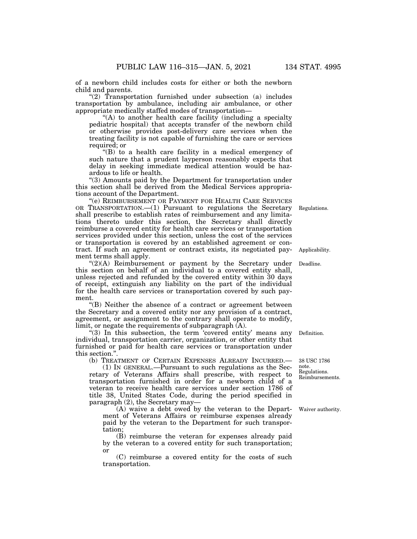of a newborn child includes costs for either or both the newborn child and parents.

" $(2)$  Transportation furnished under subsection  $(a)$  includes transportation by ambulance, including air ambulance, or other appropriate medically staffed modes of transportation—

''(A) to another health care facility (including a specialty pediatric hospital) that accepts transfer of the newborn child or otherwise provides post-delivery care services when the treating facility is not capable of furnishing the care or services required; or

''(B) to a health care facility in a medical emergency of such nature that a prudent layperson reasonably expects that delay in seeking immediate medical attention would be hazardous to life or health.

''(3) Amounts paid by the Department for transportation under this section shall be derived from the Medical Services appropriations account of the Department.

''(e) REIMBURSEMENT OR PAYMENT FOR HEALTH CARE SERVICES OR TRANSPORTATION.—(1) Pursuant to regulations the Secretary shall prescribe to establish rates of reimbursement and any limitations thereto under this section, the Secretary shall directly reimburse a covered entity for health care services or transportation services provided under this section, unless the cost of the services or transportation is covered by an established agreement or contract. If such an agreement or contract exists, its negotiated payment terms shall apply.

"(2)(A) Reimbursement or payment by the Secretary under Deadline. this section on behalf of an individual to a covered entity shall, unless rejected and refunded by the covered entity within 30 days of receipt, extinguish any liability on the part of the individual for the health care services or transportation covered by such payment.

''(B) Neither the absence of a contract or agreement between the Secretary and a covered entity nor any provision of a contract, agreement, or assignment to the contrary shall operate to modify, limit, or negate the requirements of subparagraph (A).

 $\cdot$ (3) In this subsection, the term  $\cdot$  covered entity' means any individual, transportation carrier, organization, or other entity that furnished or paid for health care services or transportation under this section.''.

(b) TREATMENT OF CERTAIN EXPENSES ALREADY INCURRED.—

(1) IN GENERAL.—Pursuant to such regulations as the Secretary of Veterans Affairs shall prescribe, with respect to transportation furnished in order for a newborn child of a veteran to receive health care services under section 1786 of title 38, United States Code, during the period specified in paragraph  $(2)$ , the Secretary may-

(A) waive a debt owed by the veteran to the Department of Veterans Affairs or reimburse expenses already paid by the veteran to the Department for such transportation;

(B) reimburse the veteran for expenses already paid by the veteran to a covered entity for such transportation; or

(C) reimburse a covered entity for the costs of such transportation.

Definition.

Regulations. Reimbursements. 38 USC 1786 note.

Waiver authority.

Regulations.

Applicability.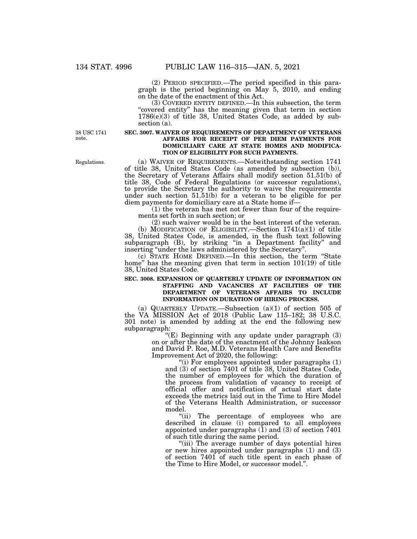(2) PERIOD SPECIFIED.—The period specified in this paragraph is the period beginning on May 5, 2010, and ending on the date of the enactment of this Act.

(3) COVERED ENTITY DEFINED.—In this subsection, the term "covered entity" has the meaning given that term in section 1786(e)(3) of title 38, United States Code, as added by subsection (a).

38 USC 1741 note.

#### **SEC. 3007. WAIVER OF REQUIREMENTS OF DEPARTMENT OF VETERANS AFFAIRS FOR RECEIPT OF PER DIEM PAYMENTS FOR DOMICILIARY CARE AT STATE HOMES AND MODIFICA-TION OF ELIGIBILITY FOR SUCH PAYMENTS.**

(a) WAIVER OF REQUIREMENTS.—Notwithstanding section 1741 of title 38, United States Code (as amended by subsection (b)), the Secretary of Veterans Affairs shall modify section 51.51(b) of title 38, Code of Federal Regulations (or successor regulations), to provide the Secretary the authority to waive the requirements under such section 51.51(b) for a veteran to be eligible for per diem payments for domiciliary care at a State home if—

 $(1)$  the veteran has met not fewer than four of the requirements set forth in such section; or

(2) such waiver would be in the best interest of the veteran. (b) MODIFICATION OF ELIGIBILITY.—Section  $1741(a)(1)$  of title 38, United States Code, is amended, in the flush text following subparagraph (B), by striking "in a Department facility" and inserting ''under the laws administered by the Secretary''.

(c) STATE HOME DEFINED.—In this section, the term ''State home" has the meaning given that term in section 101(19) of title 38, United States Code.

#### **SEC. 3008. EXPANSION OF QUARTERLY UPDATE OF INFORMATION ON STAFFING AND VACANCIES AT FACILITIES OF THE DEPARTMENT OF VETERANS AFFAIRS TO INCLUDE INFORMATION ON DURATION OF HIRING PROCESS.**

(a) QUARTERLY UPDATE.—Subsection (a)(1) of section 505 of the VA MISSION Act of 2018 (Public Law 115–182; 38 U.S.C. 301 note) is amended by adding at the end the following new subparagraph:

"(E) Beginning with any update under paragraph (3) on or after the date of the enactment of the Johnny Isakson and David P. Roe, M.D. Veterans Health Care and Benefits Improvement Act of 2020, the following:

"(i) For employees appointed under paragraphs  $(1)$ and (3) of section 7401 of title 38, United States Code, the number of employees for which the duration of the process from validation of vacancy to receipt of official offer and notification of actual start date exceeds the metrics laid out in the Time to Hire Model of the Veterans Health Administration, or successor model.

"(ii) The percentage of employees who are described in clause (i) compared to all employees appointed under paragraphs  $(1)$  and  $(3)$  of section  $7401$ of such title during the same period.

''(iii) The average number of days potential hires or new hires appointed under paragraphs (1) and (3) of section 7401 of such title spent in each phase of the Time to Hire Model, or successor model.''.

Regulations.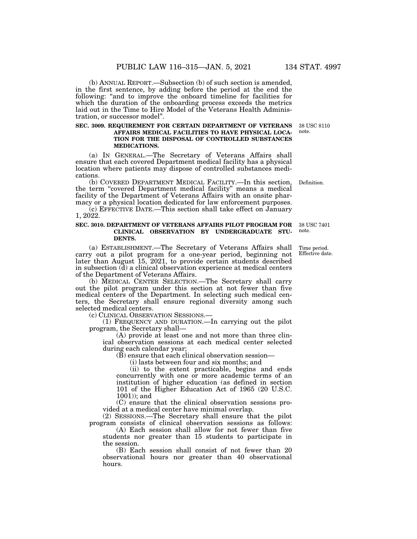(b) ANNUAL REPORT.—Subsection (b) of such section is amended, in the first sentence, by adding before the period at the end the following: "and to improve the onboard timeline for facilities for which the duration of the onboarding process exceeds the metrics laid out in the Time to Hire Model of the Veterans Health Administration, or successor model''.

#### **SEC. 3009. REQUIREMENT FOR CERTAIN DEPARTMENT OF VETERANS AFFAIRS MEDICAL FACILITIES TO HAVE PHYSICAL LOCA-TION FOR THE DISPOSAL OF CONTROLLED SUBSTANCES MEDICATIONS.**

(a) IN GENERAL.—The Secretary of Veterans Affairs shall ensure that each covered Department medical facility has a physical location where patients may dispose of controlled substances medications.

(b) COVERED DEPARTMENT MEDICAL FACILITY.—In this section, the term ''covered Department medical facility'' means a medical facility of the Department of Veterans Affairs with an onsite pharmacy or a physical location dedicated for law enforcement purposes.

(c) EFFECTIVE DATE.—This section shall take effect on January 1, 2022.

#### **SEC. 3010. DEPARTMENT OF VETERANS AFFAIRS PILOT PROGRAM FOR CLINICAL OBSERVATION BY UNDERGRADUATE STU-DENTS.**  38 USC 7401 note.

(a) ESTABLISHMENT.—The Secretary of Veterans Affairs shall carry out a pilot program for a one-year period, beginning not later than August 15, 2021, to provide certain students described in subsection (d) a clinical observation experience at medical centers of the Department of Veterans Affairs.

(b) MEDICAL CENTER SELECTION.—The Secretary shall carry out the pilot program under this section at not fewer than five medical centers of the Department. In selecting such medical centers, the Secretary shall ensure regional diversity among such selected medical centers.<br>(c) CLINICAL OBSERVATION SESSIONS.—

(1) FREQUENCY AND DURATION.—In carrying out the pilot program, the Secretary shall—

(A) provide at least one and not more than three clinical observation sessions at each medical center selected during each calendar year;

(B) ensure that each clinical observation session—

(i) lasts between four and six months; and

(ii) to the extent practicable, begins and ends concurrently with one or more academic terms of an institution of higher education (as defined in section 101 of the Higher Education Act of 1965 (20 U.S.C. 1001)); and

(C) ensure that the clinical observation sessions provided at a medical center have minimal overlap.

(2) SESSIONS.—The Secretary shall ensure that the pilot program consists of clinical observation sessions as follows:

(A) Each session shall allow for not fewer than five students nor greater than 15 students to participate in the session.

(B) Each session shall consist of not fewer than 20 observational hours nor greater than 40 observational hours.

Time period. Effective date.

38 USC 8110 note.

Definition.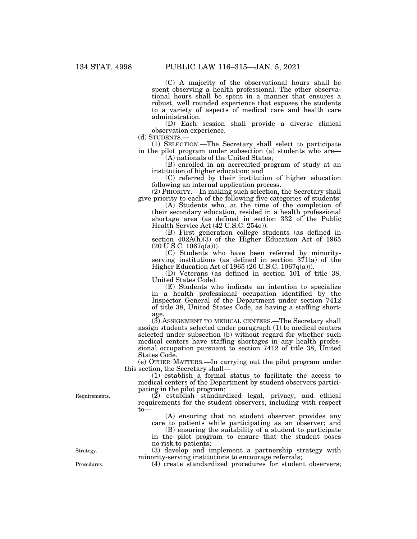(C) A majority of the observational hours shall be spent observing a health professional. The other observational hours shall be spent in a manner that ensures a robust, well rounded experience that exposes the students to a variety of aspects of medical care and health care administration.

(D) Each session shall provide a diverse clinical observation experience.<br>(d) STUDENTS.—

(1) SELECTION.—The Secretary shall select to participate in the pilot program under subsection (a) students who are—

(A) nationals of the United States;

(B) enrolled in an accredited program of study at an institution of higher education; and

(C) referred by their institution of higher education following an internal application process.

(2) PRIORITY.—In making such selection, the Secretary shall give priority to each of the following five categories of students:

(A) Students who, at the time of the completion of their secondary education, resided in a health professional shortage area (as defined in section 332 of the Public Health Service Act (42 U.S.C. 254e)).

(B) First generation college students (as defined in section  $402A(h)(3)$  of the Higher Education Act of 1965  $(20 \text{ U.S.C. } 1067q(a))$ ).

(C) Students who have been referred by minorityserving institutions (as defined in section 371(a) of the Higher Education Act of 1965 (20 U.S.C. 1067q(a))).

(D) Veterans (as defined in section 101 of title 38, United States Code).

(E) Students who indicate an intention to specialize in a health professional occupation identified by the Inspector General of the Department under section 7412 of title 38, United States Code, as having a staffing shortage.

(3) ASSIGNMENT TO MEDICAL CENTERS.—The Secretary shall assign students selected under paragraph (1) to medical centers selected under subsection (b) without regard for whether such medical centers have staffing shortages in any health professional occupation pursuant to section 7412 of title 38, United States Code.

(e) OTHER MATTERS.—In carrying out the pilot program under this section, the Secretary shall—

(1) establish a formal status to facilitate the access to medical centers of the Department by student observers participating in the pilot program;

(2) establish standardized legal, privacy, and ethical requirements for the student observers, including with respect to—

(A) ensuring that no student observer provides any care to patients while participating as an observer; and

(B) ensuring the suitability of a student to participate in the pilot program to ensure that the student poses no risk to patients;

(3) develop and implement a partnership strategy with minority-serving institutions to encourage referrals;

Procedures. (4) create standardized procedures for student observers;

Requirements.

Strategy.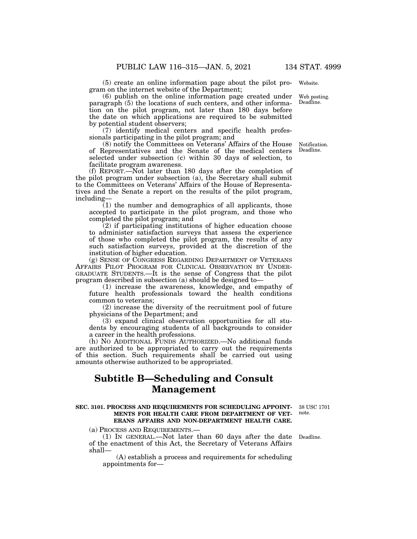(5) create an online information page about the pilot program on the internet website of the Department; Web posting.

(6) publish on the online information page created under paragraph (5) the locations of such centers, and other information on the pilot program, not later than 180 days before the date on which applications are required to be submitted by potential student observers;

(7) identify medical centers and specific health professionals participating in the pilot program; and

(8) notify the Committees on Veterans' Affairs of the House of Representatives and the Senate of the medical centers selected under subsection (c) within 30 days of selection, to facilitate program awareness.

(f) REPORT.—Not later than 180 days after the completion of the pilot program under subsection (a), the Secretary shall submit to the Committees on Veterans' Affairs of the House of Representatives and the Senate a report on the results of the pilot program, including—

(1) the number and demographics of all applicants, those accepted to participate in the pilot program, and those who completed the pilot program; and

(2) if participating institutions of higher education choose to administer satisfaction surveys that assess the experience of those who completed the pilot program, the results of any such satisfaction surveys, provided at the discretion of the institution of higher education.

(g) SENSE OF CONGRESS REGARDING DEPARTMENT OF VETERANS AFFAIRS PILOT PROGRAM FOR CLINICAL OBSERVATION BY UNDER-GRADUATE STUDENTS.—It is the sense of Congress that the pilot program described in subsection (a) should be designed to—

(1) increase the awareness, knowledge, and empathy of future health professionals toward the health conditions common to veterans;

(2) increase the diversity of the recruitment pool of future physicians of the Department; and

(3) expand clinical observation opportunities for all students by encouraging students of all backgrounds to consider a career in the health professions.

(h) NO ADDITIONAL FUNDS AUTHORIZED.—No additional funds are authorized to be appropriated to carry out the requirements of this section. Such requirements shall be carried out using amounts otherwise authorized to be appropriated.

# **Subtitle B—Scheduling and Consult Management**

#### **SEC. 3101. PROCESS AND REQUIREMENTS FOR SCHEDULING APPOINT-**38 USC 1701 **MENTS FOR HEALTH CARE FROM DEPARTMENT OF VET-ERANS AFFAIRS AND NON-DEPARTMENT HEALTH CARE.**

note.

(a) PROCESS AND REQUIREMENTS.—

(1) IN GENERAL.—Not later than 60 days after the date of the enactment of this Act, the Secretary of Veterans Affairs shall— Deadline.

(A) establish a process and requirements for scheduling appointments for—

Notification. Deadline.

Website.

Deadline.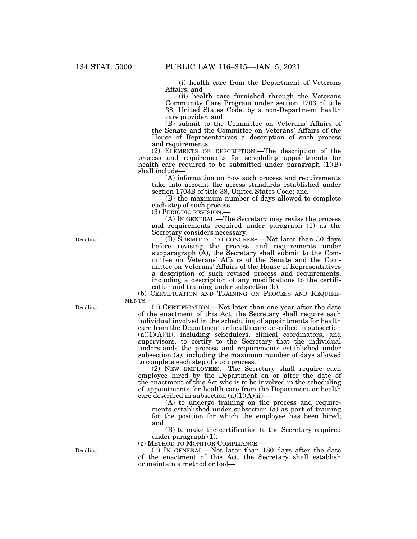(i) health care from the Department of Veterans Affairs; and

(ii) health care furnished through the Veterans Community Care Program under section 1703 of title 38, United States Code, by a non-Department health care provider; and

(B) submit to the Committee on Veterans' Affairs of the Senate and the Committee on Veterans' Affairs of the House of Representatives a description of such process and requirements.

(2) ELEMENTS OF DESCRIPTION.—The description of the process and requirements for scheduling appointments for health care required to be submitted under paragraph  $(1)(B)$ shall include—

(A) information on how such process and requirements take into account the access standards established under section 1703B of title 38, United States Code; and

(B) the maximum number of days allowed to complete each step of such process.

(3) PERIODIC REVISION.—

(A) IN GENERAL.—The Secretary may revise the process and requirements required under paragraph (1) as the Secretary considers necessary.

(B) SUBMITTAL TO CONGRESS.—Not later than 30 days before revising the process and requirements under subparagraph (A), the Secretary shall submit to the Committee on Veterans' Affairs of the Senate and the Committee on Veterans' Affairs of the House of Representatives a description of such revised process and requirements, including a description of any modifications to the certification and training under subsection (b).

(b) CERTIFICATION AND TRAINING ON PROCESS AND REQUIRE-MENTS.—

(1) CERTIFICATION.—Not later than one year after the date of the enactment of this Act, the Secretary shall require each individual involved in the scheduling of appointments for health care from the Department or health care described in subsection (a)(1)(A)(ii), including schedulers, clinical coordinators, and supervisors, to certify to the Secretary that the individual understands the process and requirements established under subsection (a), including the maximum number of days allowed to complete each step of such process.

(2) NEW EMPLOYEES.—The Secretary shall require each employee hired by the Department on or after the date of the enactment of this Act who is to be involved in the scheduling of appointments for health care from the Department or health care described in subsection  $(a)(1)(A)(ii)$ —

(A) to undergo training on the process and requirements established under subsection (a) as part of training for the position for which the employee has been hired; and

(B) to make the certification to the Secretary required under paragraph (1).

(c) METHOD TO MONITOR COMPLIANCE.—

(1) IN GENERAL.—Not later than 180 days after the date of the enactment of this Act, the Secretary shall establish or maintain a method or tool—

Deadline.

Deadline.

Deadline.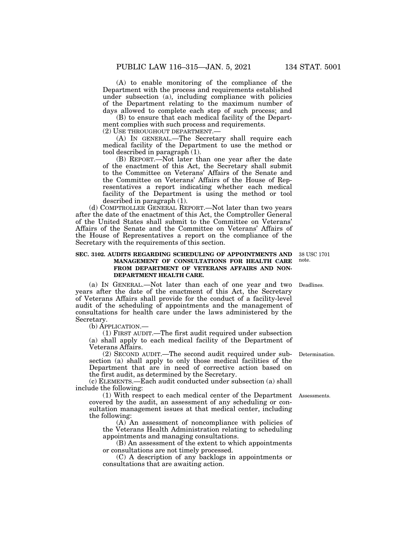(A) to enable monitoring of the compliance of the Department with the process and requirements established under subsection (a), including compliance with policies of the Department relating to the maximum number of days allowed to complete each step of such process; and

(B) to ensure that each medical facility of the Department complies with such process and requirements.

(2) USE THROUGHOUT DEPARTMENT.—

(A) IN GENERAL.—The Secretary shall require each medical facility of the Department to use the method or tool described in paragraph (1).

(B) REPORT.—Not later than one year after the date of the enactment of this Act, the Secretary shall submit to the Committee on Veterans' Affairs of the Senate and the Committee on Veterans' Affairs of the House of Representatives a report indicating whether each medical facility of the Department is using the method or tool described in paragraph (1).

(d) COMPTROLLER GENERAL REPORT.—Not later than two years after the date of the enactment of this Act, the Comptroller General of the United States shall submit to the Committee on Veterans' Affairs of the Senate and the Committee on Veterans' Affairs of the House of Representatives a report on the compliance of the Secretary with the requirements of this section.

#### **SEC. 3102. AUDITS REGARDING SCHEDULING OF APPOINTMENTS AND MANAGEMENT OF CONSULTATIONS FOR HEALTH CARE FROM DEPARTMENT OF VETERANS AFFAIRS AND NON-DEPARTMENT HEALTH CARE.**  38 USC 1701

(a) IN GENERAL.—Not later than each of one year and two years after the date of the enactment of this Act, the Secretary of Veterans Affairs shall provide for the conduct of a facility-level audit of the scheduling of appointments and the management of consultations for health care under the laws administered by the Secretary.

(b) APPLICATION.—

(1) FIRST AUDIT.—The first audit required under subsection (a) shall apply to each medical facility of the Department of Veterans Affairs.

(2) SECOND AUDIT.—The second audit required under subsection (a) shall apply to only those medical facilities of the Department that are in need of corrective action based on the first audit, as determined by the Secretary.

(c) ELEMENTS.—Each audit conducted under subsection (a) shall include the following:

(1) With respect to each medical center of the Department Assessments. covered by the audit, an assessment of any scheduling or consultation management issues at that medical center, including the following:

(A) An assessment of noncompliance with policies of the Veterans Health Administration relating to scheduling appointments and managing consultations.

(B) An assessment of the extent to which appointments or consultations are not timely processed.

(C) A description of any backlogs in appointments or consultations that are awaiting action.

Deadlines.

note.

Determination.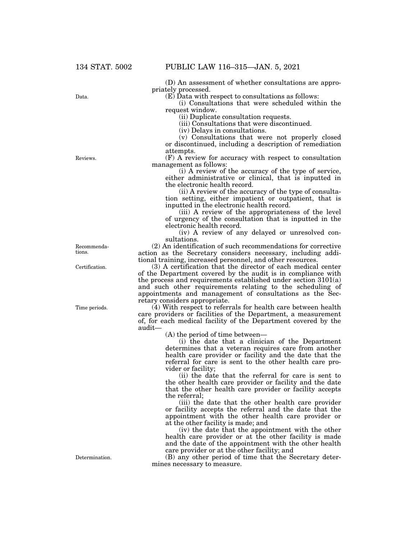(D) An assessment of whether consultations are appropriately processed.

(E) Data with respect to consultations as follows:

(i) Consultations that were scheduled within the request window.

(ii) Duplicate consultation requests.

(iii) Consultations that were discontinued.

(iv) Delays in consultations.

(v) Consultations that were not properly closed or discontinued, including a description of remediation attempts.

(F) A review for accuracy with respect to consultation management as follows:

(i) A review of the accuracy of the type of service, either administrative or clinical, that is inputted in the electronic health record.

(ii) A review of the accuracy of the type of consultation setting, either impatient or outpatient, that is inputted in the electronic health record.

(iii) A review of the appropriateness of the level of urgency of the consultation that is inputted in the electronic health record.

(iv) A review of any delayed or unresolved consultations.

(2) An identification of such recommendations for corrective action as the Secretary considers necessary, including additional training, increased personnel, and other resources.

(3) A certification that the director of each medical center of the Department covered by the audit is in compliance with the process and requirements established under section 3101(a) and such other requirements relating to the scheduling of appointments and management of consultations as the Secretary considers appropriate.

(4) With respect to referrals for health care between health care providers or facilities of the Department, a measurement of, for each medical facility of the Department covered by the audit—

(A) the period of time between—

(i) the date that a clinician of the Department determines that a veteran requires care from another health care provider or facility and the date that the referral for care is sent to the other health care provider or facility;

(ii) the date that the referral for care is sent to the other health care provider or facility and the date that the other health care provider or facility accepts the referral;

(iii) the date that the other health care provider or facility accepts the referral and the date that the appointment with the other health care provider or at the other facility is made; and

(iv) the date that the appointment with the other health care provider or at the other facility is made and the date of the appointment with the other health care provider or at the other facility; and

(B) any other period of time that the Secretary determines necessary to measure.

Reviews.

Data.

Recommendations.

Certification.

Time periods.

Determination.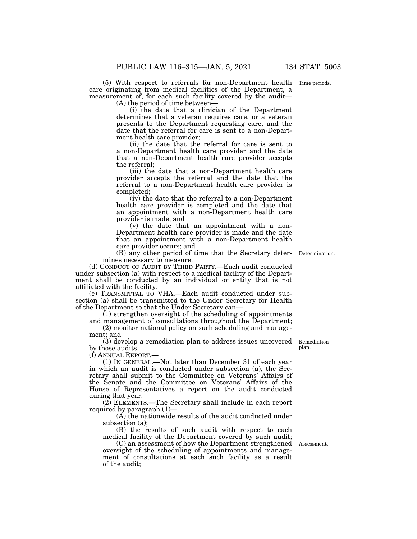(5) With respect to referrals for non-Department health Time periods. care originating from medical facilities of the Department, a measurement of, for each such facility covered by the audit— (A) the period of time between—

(i) the date that a clinician of the Department determines that a veteran requires care, or a veteran presents to the Department requesting care, and the date that the referral for care is sent to a non-Department health care provider;

(ii) the date that the referral for care is sent to a non-Department health care provider and the date that a non-Department health care provider accepts the referral;

(iii) the date that a non-Department health care provider accepts the referral and the date that the referral to a non-Department health care provider is completed;

(iv) the date that the referral to a non-Department health care provider is completed and the date that an appointment with a non-Department health care provider is made; and

(v) the date that an appointment with a non-Department health care provider is made and the date that an appointment with a non-Department health care provider occurs; and

(B) any other period of time that the Secretary deter-Determination. mines necessary to measure.

(d) CONDUCT OF AUDIT BY THIRD PARTY.—Each audit conducted under subsection (a) with respect to a medical facility of the Department shall be conducted by an individual or entity that is not affiliated with the facility.

(e) TRANSMITTAL TO VHA.—Each audit conducted under subsection (a) shall be transmitted to the Under Secretary for Health of the Department so that the Under Secretary can—

 $(1)$  strengthen oversight of the scheduling of appointments and management of consultations throughout the Department;

(2) monitor national policy on such scheduling and management; and

(3) develop a remediation plan to address issues uncovered by those audits.

(f) ANNUAL REPORT.—

(1) IN GENERAL.—Not later than December 31 of each year in which an audit is conducted under subsection (a), the Secretary shall submit to the Committee on Veterans' Affairs of the Senate and the Committee on Veterans' Affairs of the House of Representatives a report on the audit conducted during that year.

(2) ELEMENTS.—The Secretary shall include in each report required by paragraph (1)—

(A) the nationwide results of the audit conducted under subsection (a);

(B) the results of such audit with respect to each medical facility of the Department covered by such audit;

(C) an assessment of how the Department strengthened Assessment. oversight of the scheduling of appointments and management of consultations at each such facility as a result of the audit;

Remediation plan.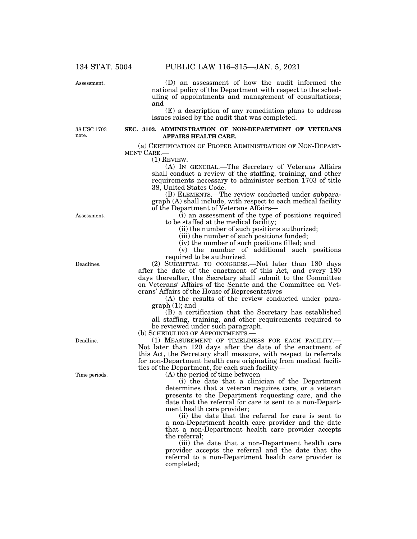Assessment.

(D) an assessment of how the audit informed the national policy of the Department with respect to the scheduling of appointments and management of consultations; and

(E) a description of any remediation plans to address issues raised by the audit that was completed.

38 USC 1703 note.

## **SEC. 3103. ADMINISTRATION OF NON-DEPARTMENT OF VETERANS AFFAIRS HEALTH CARE.**

(a) CERTIFICATION OF PROPER ADMINISTRATION OF NON-DEPART-MENT CARE.—

 $(1)$  REVIEW. $-$ 

(A) IN GENERAL.—The Secretary of Veterans Affairs shall conduct a review of the staffing, training, and other requirements necessary to administer section 1703 of title 38, United States Code.

(B) ELEMENTS.—The review conducted under subparagraph (A) shall include, with respect to each medical facility of the Department of Veterans Affairs—

(i) an assessment of the type of positions required to be staffed at the medical facility;

(ii) the number of such positions authorized;

(iii) the number of such positions funded;

(iv) the number of such positions filled; and

(v) the number of additional such positions required to be authorized.

(2) SUBMITTAL TO CONGRESS.—Not later than 180 days after the date of the enactment of this Act, and every 180 days thereafter, the Secretary shall submit to the Committee on Veterans' Affairs of the Senate and the Committee on Veterans' Affairs of the House of Representatives—

(A) the results of the review conducted under paragraph (1); and

(B) a certification that the Secretary has established all staffing, training, and other requirements required to be reviewed under such paragraph.

(b) SCHEDULING OF APPOINTMENTS.

(1) MEASUREMENT OF TIMELINESS FOR EACH FACILITY.— Not later than 120 days after the date of the enactment of this Act, the Secretary shall measure, with respect to referrals for non-Department health care originating from medical facilities of the Department, for each such facility—

(A) the period of time between—

(i) the date that a clinician of the Department determines that a veteran requires care, or a veteran presents to the Department requesting care, and the date that the referral for care is sent to a non-Department health care provider;

(ii) the date that the referral for care is sent to a non-Department health care provider and the date that a non-Department health care provider accepts the referral;

(iii) the date that a non-Department health care provider accepts the referral and the date that the referral to a non-Department health care provider is completed;

Assessment.

Deadlines.

Deadline.

Time periods.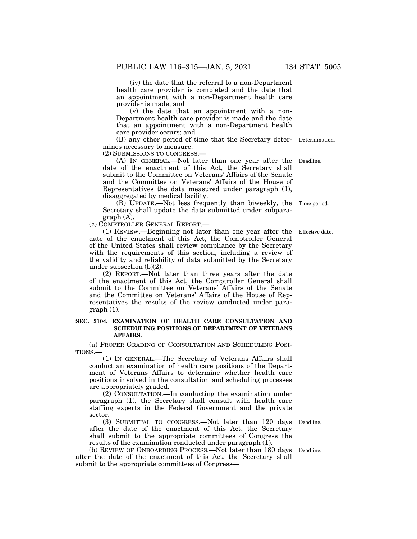(iv) the date that the referral to a non-Department health care provider is completed and the date that an appointment with a non-Department health care provider is made; and

(v) the date that an appointment with a non-Department health care provider is made and the date that an appointment with a non-Department health care provider occurs; and

(B) any other period of time that the Secretary deter-Determination. mines necessary to measure.

(2) SUBMISSIONS TO CONGRESS.—

(A) IN GENERAL.—Not later than one year after the date of the enactment of this Act, the Secretary shall submit to the Committee on Veterans' Affairs of the Senate and the Committee on Veterans' Affairs of the House of Representatives the data measured under paragraph (1), disaggregated by medical facility. Deadline.

(B) UPDATE.—Not less frequently than biweekly, the Secretary shall update the data submitted under subparagraph (A).

(c) COMPTROLLER GENERAL REPORT.—

(1) REVIEW.—Beginning not later than one year after the date of the enactment of this Act, the Comptroller General of the United States shall review compliance by the Secretary with the requirements of this section, including a review of the validity and reliability of data submitted by the Secretary under subsection (b)(2).

(2) REPORT.—Not later than three years after the date of the enactment of this Act, the Comptroller General shall submit to the Committee on Veterans' Affairs of the Senate and the Committee on Veterans' Affairs of the House of Representatives the results of the review conducted under paragraph (1).

# **SEC. 3104. EXAMINATION OF HEALTH CARE CONSULTATION AND SCHEDULING POSITIONS OF DEPARTMENT OF VETERANS AFFAIRS.**

(a) PROPER GRADING OF CONSULTATION AND SCHEDULING POSI-TIONS.—

(1) IN GENERAL.—The Secretary of Veterans Affairs shall conduct an examination of health care positions of the Department of Veterans Affairs to determine whether health care positions involved in the consultation and scheduling processes are appropriately graded.

 $(2)$  CONSULTATION.—In conducting the examination under paragraph (1), the Secretary shall consult with health care staffing experts in the Federal Government and the private sector.

(3) SUBMITTAL TO CONGRESS.—Not later than 120 days Deadline. after the date of the enactment of this Act, the Secretary shall submit to the appropriate committees of Congress the results of the examination conducted under paragraph (1).

(b) REVIEW OF ONBOARDING PROCESS.—Not later than 180 days after the date of the enactment of this Act, the Secretary shall submit to the appropriate committees of Congress—

Deadline.

Effective date.

Time period.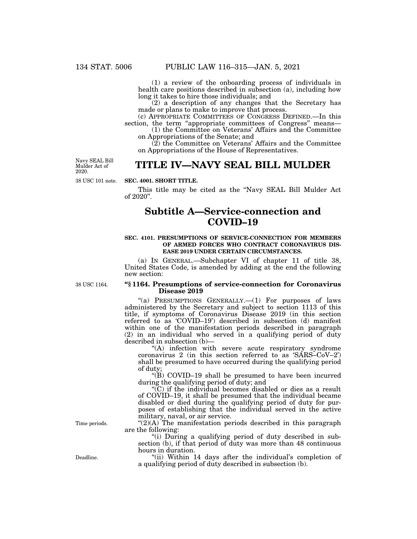(1) a review of the onboarding process of individuals in health care positions described in subsection (a), including how long it takes to hire those individuals; and

(2) a description of any changes that the Secretary has made or plans to make to improve that process.

(c) APPROPRIATE COMMITTEES OF CONGRESS DEFINED.—In this section, the term "appropriate committees of Congress" means-

(1) the Committee on Veterans' Affairs and the Committee on Appropriations of the Senate; and

(2) the Committee on Veterans' Affairs and the Committee on Appropriations of the House of Representatives.

38 USC 101 note. Navy SEAL Bill Mulder Act of 2020.

# **TITLE IV—NAVY SEAL BILL MULDER**

## **SEC. 4001. SHORT TITLE.**

This title may be cited as the "Navy SEAL Bill Mulder Act" of 2020''.

# **Subtitle A—Service-connection and COVID–19**

### **SEC. 4101. PRESUMPTIONS OF SERVICE-CONNECTION FOR MEMBERS OF ARMED FORCES WHO CONTRACT CORONAVIRUS DIS-EASE 2019 UNDER CERTAIN CIRCUMSTANCES.**

(a) IN GENERAL.—Subchapter VI of chapter 11 of title 38, United States Code, is amended by adding at the end the following new section:

38 USC 1164.

## **''§ 1164. Presumptions of service-connection for Coronavirus Disease 2019**

"(a) PRESUMPTIONS GENERALLY. $-(1)$  For purposes of laws administered by the Secretary and subject to section 1113 of this title, if symptoms of Coronavirus Disease 2019 (in this section referred to as 'COVID–19') described in subsection (d) manifest within one of the manifestation periods described in paragraph (2) in an individual who served in a qualifying period of duty described in subsection (b)—

''(A) infection with severe acute respiratory syndrome coronavirus 2 (in this section referred to as 'SARS–CoV–2') shall be presumed to have occurred during the qualifying period of duty;

''(B) COVID–19 shall be presumed to have been incurred during the qualifying period of duty; and

''(C) if the individual becomes disabled or dies as a result of COVID–19, it shall be presumed that the individual became disabled or died during the qualifying period of duty for purposes of establishing that the individual served in the active military, naval, or air service.

" $(2)(A)$  The manifestation periods described in this paragraph are the following:

''(i) During a qualifying period of duty described in subsection (b), if that period of duty was more than 48 continuous hours in duration.

"(ii) Within 14 days after the individual's completion of a qualifying period of duty described in subsection (b).

Time periods.

Deadline.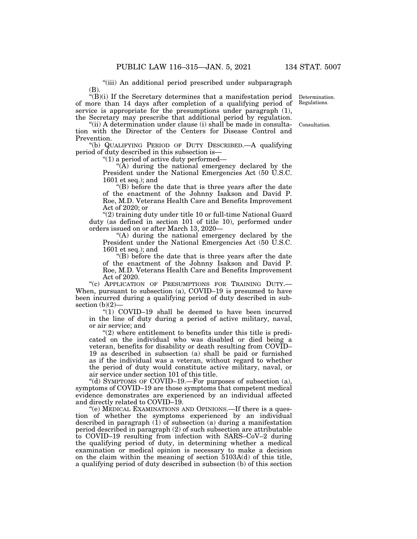''(iii) An additional period prescribed under subparagraph (B).

''(B)(i) If the Secretary determines that a manifestation period of more than 14 days after completion of a qualifying period of service is appropriate for the presumptions under paragraph (1), the Secretary may prescribe that additional period by regulation.

"(ii) A determination under clause (i) shall be made in consultation with the Director of the Centers for Disease Control and Prevention.

''(b) QUALIFYING PERIOD OF DUTY DESCRIBED.—A qualifying period of duty described in this subsection is—

" $(1)$  a period of active duty performed—

" $(A)$  during the national emergency declared by the President under the National Emergencies Act (50 U.S.C. 1601 et seq.); and

''(B) before the date that is three years after the date of the enactment of the Johnny Isakson and David P. Roe, M.D. Veterans Health Care and Benefits Improvement Act of 2020; or

''(2) training duty under title 10 or full-time National Guard duty (as defined in section 101 of title 10), performed under orders issued on or after March 13, 2020—

''(A) during the national emergency declared by the President under the National Emergencies Act (50 U.S.C. 1601 et seq.); and

''(B) before the date that is three years after the date of the enactment of the Johnny Isakson and David P. Roe, M.D. Veterans Health Care and Benefits Improvement Act of 2020.

"(c) APPLICATION OF PRESUMPTIONS FOR TRAINING DUTY.-When, pursuant to subsection (a), COVID–19 is presumed to have been incurred during a qualifying period of duty described in subsection  $(b)(2)$ 

" $(1)$  COVID-19 shall be deemed to have been incurred in the line of duty during a period of active military, naval, or air service; and

 $(2)$  where entitlement to benefits under this title is predicated on the individual who was disabled or died being a veteran, benefits for disability or death resulting from COVID– 19 as described in subsection (a) shall be paid or furnished as if the individual was a veteran, without regard to whether the period of duty would constitute active military, naval, or air service under section 101 of this title.

''(d) SYMPTOMS OF COVID–19.—For purposes of subsection (a), symptoms of COVID–19 are those symptoms that competent medical evidence demonstrates are experienced by an individual affected and directly related to COVID–19.

''(e) MEDICAL EXAMINATIONS AND OPINIONS.—If there is a question of whether the symptoms experienced by an individual described in paragraph  $(1)$  of subsection  $(a)$  during a manifestation period described in paragraph (2) of such subsection are attributable to COVID–19 resulting from infection with SARS–CoV–2 during the qualifying period of duty, in determining whether a medical examination or medical opinion is necessary to make a decision on the claim within the meaning of section 5103A(d) of this title, a qualifying period of duty described in subsection (b) of this section

Determination. Regulations.

Consultation.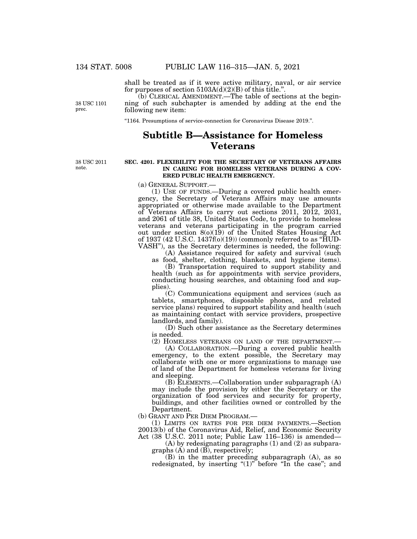shall be treated as if it were active military, naval, or air service for purposes of section  $5103A(d)(2)(B)$  of this title.".

(b) CLERICAL AMENDMENT.—The table of sections at the beginning of such subchapter is amended by adding at the end the following new item:

''1164. Presumptions of service-connection for Coronavirus Disease 2019.''.

# **Subtitle B—Assistance for Homeless Veterans**

38 USC 2011 note.

38 USC 1101 prec.

## **SEC. 4201. FLEXIBILITY FOR THE SECRETARY OF VETERANS AFFAIRS IN CARING FOR HOMELESS VETERANS DURING A COV-ERED PUBLIC HEALTH EMERGENCY.**

(a) GENERAL SUPPORT.—<br>(1) USE OF FUNDS.—During a covered public health emergency, the Secretary of Veterans Affairs may use amounts appropriated or otherwise made available to the Department of Veterans Affairs to carry out sections 2011, 2012, 2031, and 2061 of title 38, United States Code, to provide to homeless veterans and veterans participating in the program carried out under section 8(o)(19) of the United States Housing Act of 1937 (42 U.S.C. 1437f(o)(19)) (commonly referred to as "HUD-VASH''), as the Secretary determines is needed, the following:

(A) Assistance required for safety and survival (such as food, shelter, clothing, blankets, and hygiene items).

(B) Transportation required to support stability and health (such as for appointments with service providers, conducting housing searches, and obtaining food and supplies).

(C) Communications equipment and services (such as tablets, smartphones, disposable phones, and related service plans) required to support stability and health (such as maintaining contact with service providers, prospective landlords, and family).

(D) Such other assistance as the Secretary determines is needed.

(2) HOMELESS VETERANS ON LAND OF THE DEPARTMENT.—

(A) COLLABORATION.—During a covered public health emergency, to the extent possible, the Secretary may collaborate with one or more organizations to manage use of land of the Department for homeless veterans for living and sleeping.

(B) ELEMENTS.—Collaboration under subparagraph (A) may include the provision by either the Secretary or the organization of food services and security for property, buildings, and other facilities owned or controlled by the Department.

(b) GRANT AND PER DIEM PROGRAM.—

(1) LIMITS ON RATES FOR PER DIEM PAYMENTS.—Section 20013(b) of the Coronavirus Aid, Relief, and Economic Security Act (38 U.S.C. 2011 note; Public Law 116–136) is amended—

(A) by redesignating paragraphs (1) and (2) as subparagraphs (A) and (B), respectively;

(B) in the matter preceding subparagraph (A), as so redesignated, by inserting "(1)" before "In the case"; and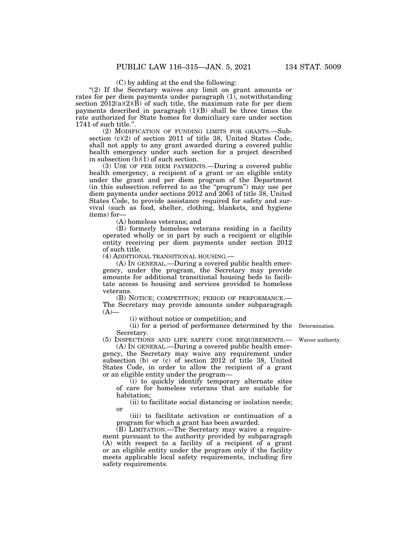(C) by adding at the end the following:

"(2) If the Secretary waives any limit on grant amounts or rates for per diem payments under paragraph (1), notwithstanding section  $2012(a)(2)(B)$  of such title, the maximum rate for per diem payments described in paragraph (1)(B) shall be three times the rate authorized for State homes for domiciliary care under section 1741 of such title.''.

(2) MODIFICATION OF FUNDING LIMITS FOR GRANTS.—Subsection (c)(2) of section 2011 of title 38, United States Code, shall not apply to any grant awarded during a covered public health emergency under such section for a project described in subsection (b)(1) of such section.

(3) USE OF PER DIEM PAYMENTS.—During a covered public health emergency, a recipient of a grant or an eligible entity under the grant and per diem program of the Department (in this subsection referred to as the ''program'') may use per diem payments under sections 2012 and 2061 of title 38, United States Code, to provide assistance required for safety and survival (such as food, shelter, clothing, blankets, and hygiene items) for—

(A) homeless veterans; and

(B) formerly homeless veterans residing in a facility operated wholly or in part by such a recipient or eligible entity receiving per diem payments under section 2012 of such title.

(4) ADDITIONAL TRANSITIONAL HOUSING.—

(A) IN GENERAL.—During a covered public health emergency, under the program, the Secretary may provide amounts for additional transitional housing beds to facilitate access to housing and services provided to homeless veterans.

(B) NOTICE; COMPETITION; PERIOD OF PERFORMANCE.— The Secretary may provide amounts under subparagraph  $(A)$ —

(i) without notice or competition; and

(ii) for a period of performance determined by the Determination. Secretary.

(5) INSPECTIONS AND LIFE SAFETY CODE REQUIREMENTS.— Waiver authority.

(A) IN GENERAL.—During a covered public health emergency, the Secretary may waive any requirement under subsection (b) or (c) of section 2012 of title 38, United States Code, in order to allow the recipient of a grant or an eligible entity under the program—

(i) to quickly identify temporary alternate sites of care for homeless veterans that are suitable for habitation;

(ii) to facilitate social distancing or isolation needs; or

(iii) to facilitate activation or continuation of a program for which a grant has been awarded.

(B) LIMITATION.—The Secretary may waive a requirement pursuant to the authority provided by subparagraph (A) with respect to a facility of a recipient of a grant or an eligible entity under the program only if the facility meets applicable local safety requirements, including fire safety requirements.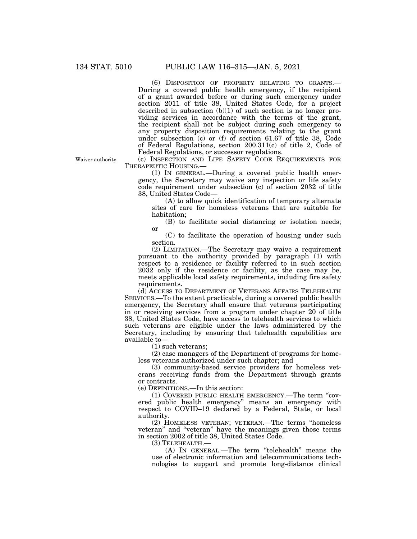(6) DISPOSITION OF PROPERTY RELATING TO GRANTS.— During a covered public health emergency, if the recipient of a grant awarded before or during such emergency under section 2011 of title 38, United States Code, for a project described in subsection (b)(1) of such section is no longer providing services in accordance with the terms of the grant, the recipient shall not be subject during such emergency to any property disposition requirements relating to the grant under subsection (c) or (f) of section 61.67 of title 38, Code of Federal Regulations, section 200.311(c) of title 2, Code of Federal Regulations, or successor regulations.

Waiver authority.

(c) INSPECTION AND LIFE SAFETY CODE REQUIREMENTS FOR THERAPEUTIC HOUSING.—

(1) IN GENERAL.—During a covered public health emergency, the Secretary may waive any inspection or life safety code requirement under subsection (c) of section 2032 of title 38, United States Code—

(A) to allow quick identification of temporary alternate sites of care for homeless veterans that are suitable for habitation;

(B) to facilitate social distancing or isolation needs; or

(C) to facilitate the operation of housing under such section.

(2) LIMITATION.—The Secretary may waive a requirement pursuant to the authority provided by paragraph (1) with respect to a residence or facility referred to in such section 2032 only if the residence or facility, as the case may be, meets applicable local safety requirements, including fire safety requirements.

(d) ACCESS TO DEPARTMENT OF VETERANS AFFAIRS TELEHEALTH SERVICES.—To the extent practicable, during a covered public health emergency, the Secretary shall ensure that veterans participating in or receiving services from a program under chapter 20 of title 38, United States Code, have access to telehealth services to which such veterans are eligible under the laws administered by the Secretary, including by ensuring that telehealth capabilities are available to—

(1) such veterans;

(2) case managers of the Department of programs for homeless veterans authorized under such chapter; and

(3) community-based service providers for homeless veterans receiving funds from the Department through grants or contracts.

(e) DEFINITIONS.—In this section:

(1) COVERED PUBLIC HEALTH EMERGENCY.—The term ''covered public health emergency'' means an emergency with respect to COVID–19 declared by a Federal, State, or local authority.

(2) HOMELESS VETERAN; VETERAN.—The terms ''homeless veteran'' and ''veteran'' have the meanings given those terms in section 2002 of title 38, United States Code.

(3) TELEHEALTH.—

(A) IN GENERAL.—The term ''telehealth'' means the use of electronic information and telecommunications technologies to support and promote long-distance clinical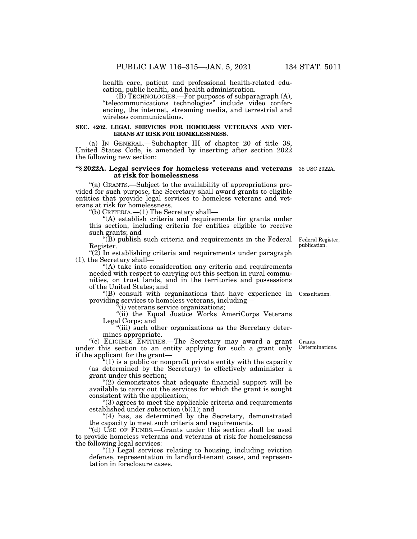health care, patient and professional health-related education, public health, and health administration.

(B) TECHNOLOGIES.—For purposes of subparagraph (A), ''telecommunications technologies'' include video conferencing, the internet, streaming media, and terrestrial and wireless communications.

## **SEC. 4202. LEGAL SERVICES FOR HOMELESS VETERANS AND VET-ERANS AT RISK FOR HOMELESSNESS.**

(a) IN GENERAL.—Subchapter III of chapter 20 of title 38, United States Code, is amended by inserting after section 2022 the following new section:

## **''§ 2022A. Legal services for homeless veterans and veterans**  38 USC 2022A. **at risk for homelessness**

''(a) GRANTS.—Subject to the availability of appropriations provided for such purpose, the Secretary shall award grants to eligible entities that provide legal services to homeless veterans and veterans at risk for homelessness.

''(b) CRITERIA.—(1) The Secretary shall—

(A) establish criteria and requirements for grants under this section, including criteria for entities eligible to receive such grants; and

 $\mathcal{F}(B)$  publish such criteria and requirements in the Federal Federal Register, Register.

" $(2)$  In establishing criteria and requirements under paragraph (1), the Secretary shall—

''(A) take into consideration any criteria and requirements needed with respect to carrying out this section in rural communities, on trust lands, and in the territories and possessions of the United States; and

''(B) consult with organizations that have experience in Consultation. providing services to homeless veterans, including—

''(i) veterans service organizations;

"(ii) the Equal Justice Works AmeriCorps Veterans Legal Corps; and

"(iii) such other organizations as the Secretary determines appropriate.

''(c) ELIGIBLE ENTITIES.—The Secretary may award a grant under this section to an entity applying for such a grant only if the applicant for the grant—

 $\mathcal{L}(1)$  is a public or nonprofit private entity with the capacity (as determined by the Secretary) to effectively administer a grant under this section;

 $''(2)$  demonstrates that adequate financial support will be available to carry out the services for which the grant is sought consistent with the application;

''(3) agrees to meet the applicable criteria and requirements established under subsection (b)(1); and

"(4) has, as determined by the Secretary, demonstrated the capacity to meet such criteria and requirements.

"(d) USE OF FUNDS.—Grants under this section shall be used to provide homeless veterans and veterans at risk for homelessness the following legal services:

''(1) Legal services relating to housing, including eviction defense, representation in landlord-tenant cases, and representation in foreclosure cases.

Grants. Determinations.

publication.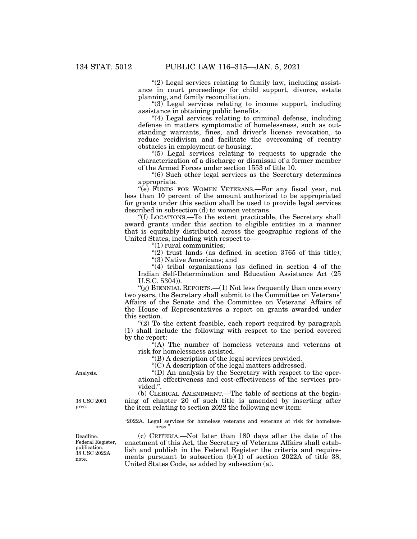" $(2)$  Legal services relating to family law, including assistance in court proceedings for child support, divorce, estate planning, and family reconciliation.

"(3) Legal services relating to income support, including assistance in obtaining public benefits.

''(4) Legal services relating to criminal defense, including defense in matters symptomatic of homelessness, such as outstanding warrants, fines, and driver's license revocation, to reduce recidivism and facilitate the overcoming of reentry obstacles in employment or housing.

''(5) Legal services relating to requests to upgrade the characterization of a discharge or dismissal of a former member of the Armed Forces under section 1553 of title 10.

''(6) Such other legal services as the Secretary determines appropriate.

''(e) FUNDS FOR WOMEN VETERANS.—For any fiscal year, not less than 10 percent of the amount authorized to be appropriated for grants under this section shall be used to provide legal services described in subsection (d) to women veterans.

''(f) LOCATIONS.—To the extent practicable, the Secretary shall award grants under this section to eligible entities in a manner that is equitably distributed across the geographic regions of the United States, including with respect to—

''(1) rural communities;

" $(2)$  trust lands (as defined in section 3765 of this title);

"(3) Native Americans; and

''(4) tribal organizations (as defined in section 4 of the Indian Self-Determination and Education Assistance Act (25 U.S.C. 5304)).

''(g) BIENNIAL REPORTS.—(1) Not less frequently than once every two years, the Secretary shall submit to the Committee on Veterans' Affairs of the Senate and the Committee on Veterans' Affairs of the House of Representatives a report on grants awarded under this section.

" $(2)$  To the extent feasible, each report required by paragraph (1) shall include the following with respect to the period covered by the report:

 $\lambda^{2}(A)$  The number of homeless veterans and veterans at risk for homelessness assisted.

''(B) A description of the legal services provided.

''(C) A description of the legal matters addressed.

''(D) An analysis by the Secretary with respect to the operational effectiveness and cost-effectiveness of the services provided.''.

(b) CLERICAL AMENDMENT.—The table of sections at the beginning of chapter 20 of such title is amended by inserting after the item relating to section 2022 the following new item:

"2022A. Legal services for homeless veterans and veterans at risk for homelessness<sup>'</sup>

(c) CRITERIA.—Not later than 180 days after the date of the enactment of this Act, the Secretary of Veterans Affairs shall establish and publish in the Federal Register the criteria and requirements pursuant to subsection  $(b)(1)$  of section 2022A of title 38, United States Code, as added by subsection (a).

Analysis.

38 USC 2001 prec.

Deadline. Federal Register, publication. 38 USC 2022A note.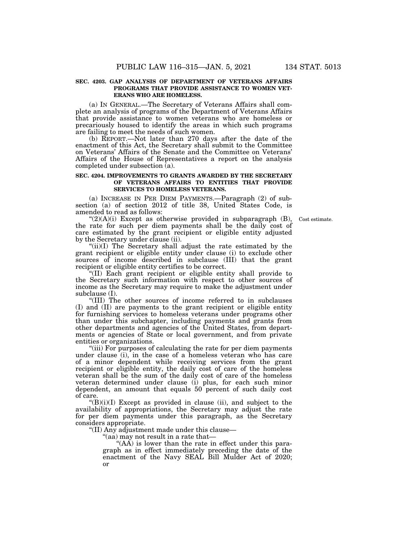# **SEC. 4203. GAP ANALYSIS OF DEPARTMENT OF VETERANS AFFAIRS PROGRAMS THAT PROVIDE ASSISTANCE TO WOMEN VET-ERANS WHO ARE HOMELESS.**

(a) IN GENERAL.—The Secretary of Veterans Affairs shall complete an analysis of programs of the Department of Veterans Affairs that provide assistance to women veterans who are homeless or precariously housed to identify the areas in which such programs are failing to meet the needs of such women.

(b) REPORT.—Not later than 270 days after the date of the enactment of this Act, the Secretary shall submit to the Committee on Veterans' Affairs of the Senate and the Committee on Veterans' Affairs of the House of Representatives a report on the analysis completed under subsection  $(a)$ .

## **SEC. 4204. IMPROVEMENTS TO GRANTS AWARDED BY THE SECRETARY OF VETERANS AFFAIRS TO ENTITIES THAT PROVIDE SERVICES TO HOMELESS VETERANS.**

(a) INCREASE IN PER DIEM PAYMENTS.—Paragraph (2) of subsection (a) of section 2012 of title 38, United States Code, is amended to read as follows:

Cost estimate.

 $\mathcal{L}(2)(A)(i)$  Except as otherwise provided in subparagraph  $(B)$ , the rate for such per diem payments shall be the daily cost of care estimated by the grant recipient or eligible entity adjusted by the Secretary under clause (ii).

"(ii)(I) The Secretary shall adjust the rate estimated by the grant recipient or eligible entity under clause (i) to exclude other sources of income described in subclause (III) that the grant recipient or eligible entity certifies to be correct.

''(II) Each grant recipient or eligible entity shall provide to the Secretary such information with respect to other sources of income as the Secretary may require to make the adjustment under subclause (I).

''(III) The other sources of income referred to in subclauses (I) and (II) are payments to the grant recipient or eligible entity for furnishing services to homeless veterans under programs other than under this subchapter, including payments and grants from other departments and agencies of the United States, from departments or agencies of State or local government, and from private entities or organizations.

"(iii) For purposes of calculating the rate for per diem payments under clause (i), in the case of a homeless veteran who has care of a minor dependent while receiving services from the grant recipient or eligible entity, the daily cost of care of the homeless veteran shall be the sum of the daily cost of care of the homeless veteran determined under clause (i) plus, for each such minor dependent, an amount that equals 50 percent of such daily cost of care.

 $\mathcal{L}(B)(i)(I)$  Except as provided in clause (ii), and subject to the availability of appropriations, the Secretary may adjust the rate for per diem payments under this paragraph, as the Secretary considers appropriate.

''(II) Any adjustment made under this clause—

''(aa) may not result in a rate that—

"(AA) is lower than the rate in effect under this paragraph as in effect immediately preceding the date of the enactment of the Navy SEAL Bill Mulder Act of 2020; or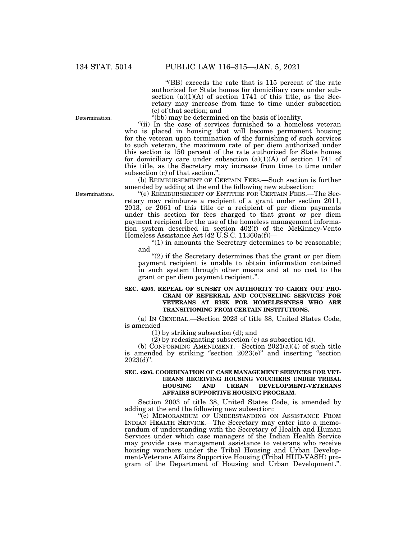"(BB) exceeds the rate that is 115 percent of the rate authorized for State homes for domiciliary care under subsection  $(a)(1)(A)$  of section 1741 of this title, as the Secretary may increase from time to time under subsection (c) of that section; and

''(bb) may be determined on the basis of locality.

"(ii) In the case of services furnished to a homeless veteran who is placed in housing that will become permanent housing for the veteran upon termination of the furnishing of such services to such veteran, the maximum rate of per diem authorized under this section is 150 percent of the rate authorized for State homes for domiciliary care under subsection  $(a)(1)(A)$  of section 1741 of this title, as the Secretary may increase from time to time under subsection (c) of that section.''.

(b) REIMBURSEMENT OF CERTAIN FEES.—Such section is further amended by adding at the end the following new subsection:

''(e) REIMBURSEMENT OF ENTITIES FOR CERTAIN FEES.—The Secretary may reimburse a recipient of a grant under section 2011, 2013, or 2061 of this title or a recipient of per diem payments under this section for fees charged to that grant or per diem payment recipient for the use of the homeless management information system described in section 402(f) of the McKinney-Vento Homeless Assistance Act (42 U.S.C. 11360a(f))—

 $\degree$ (1) in amounts the Secretary determines to be reasonable; and

" $(2)$  if the Secretary determines that the grant or per diem payment recipient is unable to obtain information contained in such system through other means and at no cost to the grant or per diem payment recipient.''.

# **SEC. 4205. REPEAL OF SUNSET ON AUTHORITY TO CARRY OUT PRO-GRAM OF REFERRAL AND COUNSELING SERVICES FOR VETERANS AT RISK FOR HOMELESSNESS WHO ARE TRANSITIONING FROM CERTAIN INSTITUTIONS.**

(a) IN GENERAL.—Section 2023 of title 38, United States Code, is amended—

(1) by striking subsection (d); and

(2) by redesignating subsection (e) as subsection (d).

(b) CONFORMING AMENDMENT.—Section  $2021(a)(4)$  of such title is amended by striking ''section 2023(e)'' and inserting ''section  $2023(d)$ ".

# **SEC. 4206. COORDINATION OF CASE MANAGEMENT SERVICES FOR VET-ERANS RECEIVING HOUSING VOUCHERS UNDER TRIBAL HOUSING AND URBAN DEVELOPMENT-VETERANS AFFAIRS SUPPORTIVE HOUSING PROGRAM.**

Section 2003 of title 38, United States Code, is amended by adding at the end the following new subsection:

"(c) MEMORANDUM OF UNDERSTANDING ON ASSISTANCE FROM INDIAN HEALTH SERVICE.—The Secretary may enter into a memorandum of understanding with the Secretary of Health and Human Services under which case managers of the Indian Health Service may provide case management assistance to veterans who receive housing vouchers under the Tribal Housing and Urban Development-Veterans Affairs Supportive Housing (Tribal HUD-VASH) program of the Department of Housing and Urban Development.''.

Determinations.

Determination.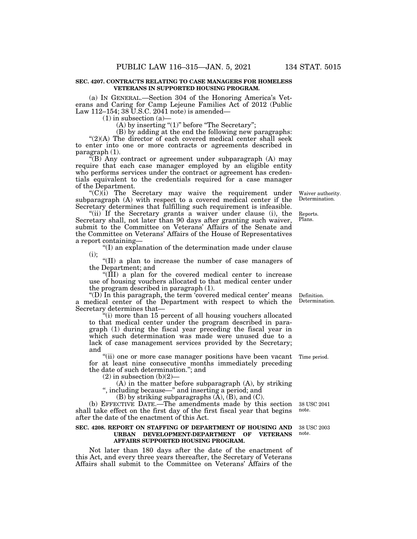### **SEC. 4207. CONTRACTS RELATING TO CASE MANAGERS FOR HOMELESS VETERANS IN SUPPORTED HOUSING PROGRAM.**

(a) IN GENERAL.—Section 304 of the Honoring America's Veterans and Caring for Camp Lejeune Families Act of 2012 (Public Law 112–154; 38 U.S.C. 2041 note) is amended—

 $(1)$  in subsection  $(a)$ 

(A) by inserting " $(1)$ " before "The Secretary";

(B) by adding at the end the following new paragraphs:  $''(2)(A)$  The director of each covered medical center shall seek to enter into one or more contracts or agreements described in paragraph (1).

''(B) Any contract or agreement under subparagraph (A) may require that each case manager employed by an eligible entity who performs services under the contract or agreement has credentials equivalent to the credentials required for a case manager of the Department.

 $(C)(i)$  The Secretary may waive the requirement under subparagraph (A) with respect to a covered medical center if the Secretary determines that fulfilling such requirement is infeasible.

"(ii) If the Secretary grants a waiver under clause (i), the Secretary shall, not later than 90 days after granting such waiver, submit to the Committee on Veterans' Affairs of the Senate and the Committee on Veterans' Affairs of the House of Representatives a report containing—

''(I) an explanation of the determination made under clause (i);

''(II) a plan to increase the number of case managers of the Department; and

''(III) a plan for the covered medical center to increase use of housing vouchers allocated to that medical center under the program described in paragraph (1).

"(D) In this paragraph, the term 'covered medical center' means a medical center of the Department with respect to which the Secretary determines that—

''(i) more than 15 percent of all housing vouchers allocated to that medical center under the program described in paragraph (1) during the fiscal year preceding the fiscal year in which such determination was made were unused due to a lack of case management services provided by the Secretary; and

"(ii) one or more case manager positions have been vacant Time period. for at least nine consecutive months immediately preceding the date of such determination.''; and

 $(2)$  in subsection  $(b)(2)$ –

(A) in the matter before subparagraph (A), by striking '', including because—'' and inserting a period; and

 $(B)$  by striking subparagraphs  $(\tilde{A})$ ,  $(\tilde{B})$ , and  $(C)$ .

(b) EFFECTIVE DATE.—The amendments made by this section shall take effect on the first day of the first fiscal year that begins after the date of the enactment of this Act.

## **SEC. 4208. REPORT ON STAFFING OF DEPARTMENT OF HOUSING AND URBAN DEVELOPMENT-DEPARTMENT OF VETERANS AFFAIRS SUPPORTED HOUSING PROGRAM.**

Not later than 180 days after the date of the enactment of this Act, and every three years thereafter, the Secretary of Veterans Affairs shall submit to the Committee on Veterans' Affairs of the

Definition. Determination.

38 USC 2041 note.

38 USC 2003 note.

Waiver authority. Determination.

Reports. Plans.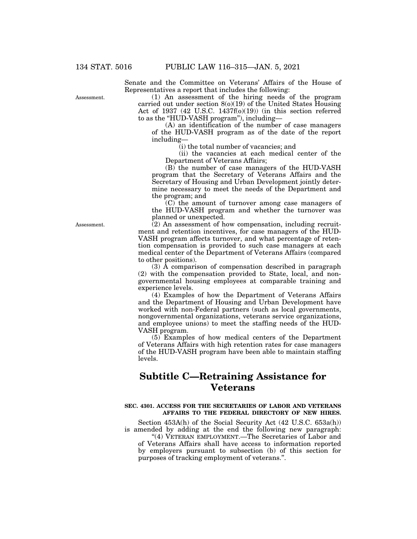Senate and the Committee on Veterans' Affairs of the House of Representatives a report that includes the following:

Assessment.

(1) An assessment of the hiring needs of the program carried out under section 8(o)(19) of the United States Housing Act of 1937 (42 U.S.C. 1437 $f(0)(19)$ ) (in this section referred to as the ''HUD-VASH program''), including—

(A) an identification of the number of case managers of the HUD-VASH program as of the date of the report including—

(i) the total number of vacancies; and

(ii) the vacancies at each medical center of the Department of Veterans Affairs;

(B) the number of case managers of the HUD-VASH program that the Secretary of Veterans Affairs and the Secretary of Housing and Urban Development jointly determine necessary to meet the needs of the Department and the program; and

(C) the amount of turnover among case managers of the HUD-VASH program and whether the turnover was planned or unexpected.

(2) An assessment of how compensation, including recruitment and retention incentives, for case managers of the HUD-VASH program affects turnover, and what percentage of retention compensation is provided to such case managers at each medical center of the Department of Veterans Affairs (compared to other positions).

(3) A comparison of compensation described in paragraph (2) with the compensation provided to State, local, and nongovernmental housing employees at comparable training and experience levels.

(4) Examples of how the Department of Veterans Affairs and the Department of Housing and Urban Development have worked with non-Federal partners (such as local governments, nongovernmental organizations, veterans service organizations, and employee unions) to meet the staffing needs of the HUD-VASH program.

(5) Examples of how medical centers of the Department of Veterans Affairs with high retention rates for case managers of the HUD-VASH program have been able to maintain staffing levels.

# **Subtitle C—Retraining Assistance for Veterans**

## **SEC. 4301. ACCESS FOR THE SECRETARIES OF LABOR AND VETERANS AFFAIRS TO THE FEDERAL DIRECTORY OF NEW HIRES.**

Section 453A(h) of the Social Security Act (42 U.S.C. 653a(h)) is amended by adding at the end the following new paragraph:

"(4) VETERAN EMPLOYMENT.—The Secretaries of Labor and of Veterans Affairs shall have access to information reported by employers pursuant to subsection (b) of this section for purposes of tracking employment of veterans.''.

Assessment.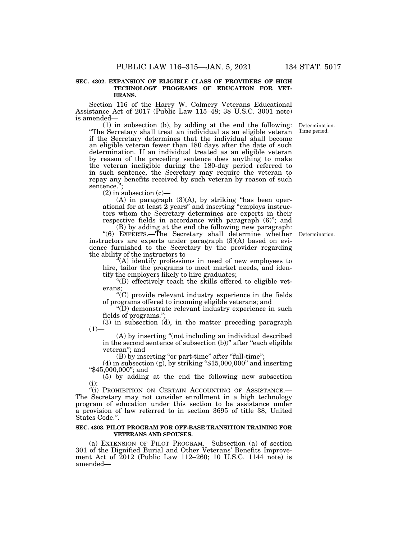## **SEC. 4302. EXPANSION OF ELIGIBLE CLASS OF PROVIDERS OF HIGH TECHNOLOGY PROGRAMS OF EDUCATION FOR VET-ERANS.**

Section 116 of the Harry W. Colmery Veterans Educational Assistance Act of 2017 (Public Law 115–48; 38 U.S.C. 3001 note) is amended—

(1) in subsection (b), by adding at the end the following: ''The Secretary shall treat an individual as an eligible veteran if the Secretary determines that the individual shall become an eligible veteran fewer than 180 days after the date of such determination. If an individual treated as an eligible veteran by reason of the preceding sentence does anything to make the veteran ineligible during the 180-day period referred to in such sentence, the Secretary may require the veteran to repay any benefits received by such veteran by reason of such sentence.'

 $(2)$  in subsection  $(c)$ —

(A) in paragraph (3)(A), by striking ''has been operational for at least 2 years'' and inserting ''employs instructors whom the Secretary determines are experts in their respective fields in accordance with paragraph (6)"; and

(B) by adding at the end the following new paragraph: ''(6) EXPERTS.—The Secretary shall determine whether Determination. instructors are experts under paragraph (3)(A) based on evidence furnished to the Secretary by the provider regarding the ability of the instructors to—

 $\mathcal{H}(A)$  identify professions in need of new employees to hire, tailor the programs to meet market needs, and identify the employers likely to hire graduates;

''(B) effectively teach the skills offered to eligible veterans;

''(C) provide relevant industry experience in the fields of programs offered to incoming eligible veterans; and

''(D) demonstrate relevant industry experience in such fields of programs."

 $(3)$  in subsection  $(d)$ , in the matter preceding paragraph  $(1)$ 

(A) by inserting ''(not including an individual described in the second sentence of subsection (b))" after "each eligible veteran''; and

(B) by inserting "or part-time" after "full-time";

 $(4)$  in subsection  $(g)$ , by striking "\$15,000,000" and inserting ''\$45,000,000''; and

(5) by adding at the end the following new subsection

(i):<br>"(i) Prohibition on Certain Accounting of Assistance.— The Secretary may not consider enrollment in a high technology program of education under this section to be assistance under a provision of law referred to in section 3695 of title 38, United States Code.''.

# **SEC. 4303. PILOT PROGRAM FOR OFF-BASE TRANSITION TRAINING FOR VETERANS AND SPOUSES.**

(a) EXTENSION OF PILOT PROGRAM.—Subsection (a) of section 301 of the Dignified Burial and Other Veterans' Benefits Improvement Act of 2012 (Public Law 112–260; 10 U.S.C. 1144 note) is amended—

Determination. Time period.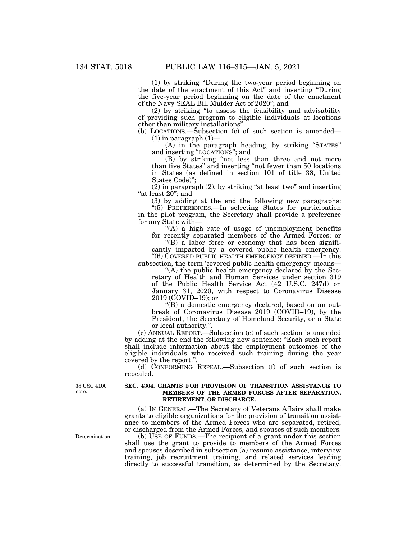(1) by striking ''During the two-year period beginning on the date of the enactment of this Act'' and inserting ''During the five-year period beginning on the date of the enactment of the Navy SEAL Bill Mulder Act of 2020''; and

(2) by striking ''to assess the feasibility and advisability of providing such program to eligible individuals at locations other than military installations''.

(b) LOCATIONS.—Subsection (c) of such section is amended—  $(1)$  in paragraph  $(1)$ —

 $(A)$  in the paragraph heading, by striking "STATES" and inserting ''LOCATIONS''; and

(B) by striking ''not less than three and not more than five States'' and inserting ''not fewer than 50 locations in States (as defined in section 101 of title 38, United States Code)'';

(2) in paragraph (2), by striking ''at least two'' and inserting "at least  $20$ "; and

(3) by adding at the end the following new paragraphs:

''(5) PREFERENCES.—In selecting States for participation in the pilot program, the Secretary shall provide a preference for any State with—

"(A) a high rate of usage of unemployment benefits" for recently separated members of the Armed Forces; or

 $f(B)$  a labor force or economy that has been significantly impacted by a covered public health emergency. ''(6) COVERED PUBLIC HEALTH EMERGENCY DEFINED.—In this

subsection, the term 'covered public health emergency' means— "(A) the public health emergency declared by the Sec-

retary of Health and Human Services under section 319 of the Public Health Service Act (42 U.S.C. 247d) on January 31, 2020, with respect to Coronavirus Disease 2019 (COVID–19); or

''(B) a domestic emergency declared, based on an outbreak of Coronavirus Disease 2019 (COVID–19), by the President, the Secretary of Homeland Security, or a State or local authority."

(c) ANNUAL REPORT.—Subsection (e) of such section is amended by adding at the end the following new sentence: ''Each such report shall include information about the employment outcomes of the eligible individuals who received such training during the year covered by the report."

(d) CONFORMING REPEAL.—Subsection (f) of such section is repealed.

38 USC 4100 note.

## **SEC. 4304. GRANTS FOR PROVISION OF TRANSITION ASSISTANCE TO MEMBERS OF THE ARMED FORCES AFTER SEPARATION, RETIREMENT, OR DISCHARGE.**

(a) IN GENERAL.—The Secretary of Veterans Affairs shall make grants to eligible organizations for the provision of transition assistance to members of the Armed Forces who are separated, retired, or discharged from the Armed Forces, and spouses of such members.

(b) USE OF FUNDS.—The recipient of a grant under this section shall use the grant to provide to members of the Armed Forces and spouses described in subsection (a) resume assistance, interview training, job recruitment training, and related services leading directly to successful transition, as determined by the Secretary.

Determination.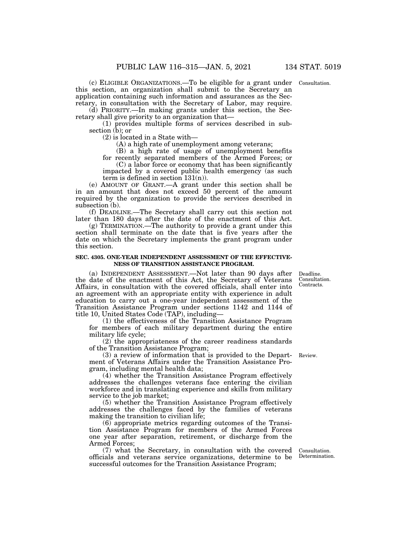(c) ELIGIBLE ORGANIZATIONS.—To be eligible for a grant under this section, an organization shall submit to the Secretary an application containing such information and assurances as the Secretary, in consultation with the Secretary of Labor, may require.

(d) PRIORITY.—In making grants under this section, the Secretary shall give priority to an organization that—

(1) provides multiple forms of services described in subsection (b); or

(2) is located in a State with—

(A) a high rate of unemployment among veterans;

(B) a high rate of usage of unemployment benefits

for recently separated members of the Armed Forces; or (C) a labor force or economy that has been significantly impacted by a covered public health emergency (as such term is defined in section  $131(n)$ .

(e) AMOUNT OF GRANT.—A grant under this section shall be in an amount that does not exceed 50 percent of the amount required by the organization to provide the services described in subsection (b).

(f) DEADLINE.—The Secretary shall carry out this section not later than 180 days after the date of the enactment of this Act.

(g) TERMINATION.—The authority to provide a grant under this section shall terminate on the date that is five years after the date on which the Secretary implements the grant program under this section.

### **SEC. 4305. ONE-YEAR INDEPENDENT ASSESSMENT OF THE EFFECTIVE-NESS OF TRANSITION ASSISTANCE PROGRAM.**

(a) INDEPENDENT ASSESSMENT.—Not later than 90 days after the date of the enactment of this Act, the Secretary of Veterans Affairs, in consultation with the covered officials, shall enter into an agreement with an appropriate entity with experience in adult education to carry out a one-year independent assessment of the Transition Assistance Program under sections 1142 and 1144 of title 10, United States Code (TAP), including—

(1) the effectiveness of the Transition Assistance Program for members of each military department during the entire military life cycle;

(2) the appropriateness of the career readiness standards of the Transition Assistance Program;

(3) a review of information that is provided to the Depart-Review. ment of Veterans Affairs under the Transition Assistance Program, including mental health data;

(4) whether the Transition Assistance Program effectively addresses the challenges veterans face entering the civilian workforce and in translating experience and skills from military service to the job market;

(5) whether the Transition Assistance Program effectively addresses the challenges faced by the families of veterans making the transition to civilian life;

(6) appropriate metrics regarding outcomes of the Transition Assistance Program for members of the Armed Forces one year after separation, retirement, or discharge from the Armed Forces;

(7) what the Secretary, in consultation with the covered officials and veterans service organizations, determine to be successful outcomes for the Transition Assistance Program;

Consultation. Determination.

Deadline. Consultation. Contracts.

Consultation.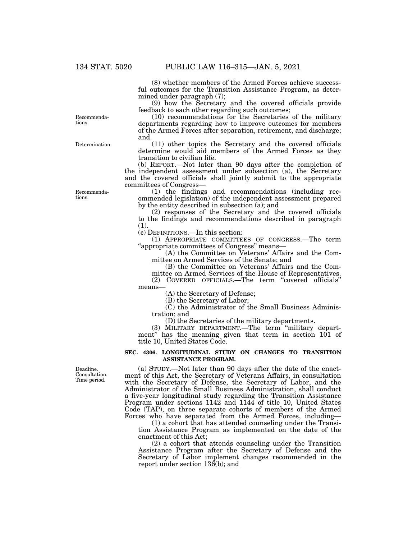(8) whether members of the Armed Forces achieve successful outcomes for the Transition Assistance Program, as determined under paragraph (7);

(9) how the Secretary and the covered officials provide feedback to each other regarding such outcomes;

(10) recommendations for the Secretaries of the military departments regarding how to improve outcomes for members of the Armed Forces after separation, retirement, and discharge; and

(11) other topics the Secretary and the covered officials determine would aid members of the Armed Forces as they transition to civilian life.

(b) REPORT.—Not later than 90 days after the completion of the independent assessment under subsection (a), the Secretary and the covered officials shall jointly submit to the appropriate committees of Congress—

(1) the findings and recommendations (including recommended legislation) of the independent assessment prepared by the entity described in subsection (a); and

(2) responses of the Secretary and the covered officials to the findings and recommendations described in paragraph (1).

(c) DEFINITIONS.—In this section:

(1) APPROPRIATE COMMITTEES OF CONGRESS.—The term ''appropriate committees of Congress'' means—

(A) the Committee on Veterans' Affairs and the Committee on Armed Services of the Senate; and

(B) the Committee on Veterans' Affairs and the Committee on Armed Services of the House of Representatives.

(2) COVERED OFFICIALS.—The term ''covered officials'' means—

(A) the Secretary of Defense;

(B) the Secretary of Labor;

(C) the Administrator of the Small Business Administration; and

(D) the Secretaries of the military departments.

(3) MILITARY DEPARTMENT.—The term ''military department'' has the meaning given that term in section 101 of title 10, United States Code.

## **SEC. 4306. LONGITUDINAL STUDY ON CHANGES TO TRANSITION ASSISTANCE PROGRAM.**

(a) STUDY.—Not later than 90 days after the date of the enactment of this Act, the Secretary of Veterans Affairs, in consultation with the Secretary of Defense, the Secretary of Labor, and the Administrator of the Small Business Administration, shall conduct a five-year longitudinal study regarding the Transition Assistance Program under sections 1142 and 1144 of title 10, United States Code (TAP), on three separate cohorts of members of the Armed Forces who have separated from the Armed Forces, including-

(1) a cohort that has attended counseling under the Transition Assistance Program as implemented on the date of the enactment of this Act;

(2) a cohort that attends counseling under the Transition Assistance Program after the Secretary of Defense and the Secretary of Labor implement changes recommended in the report under section 136(b); and

Recommendations.

Determination.

Recommendations.

Deadline. Consultation. Time period.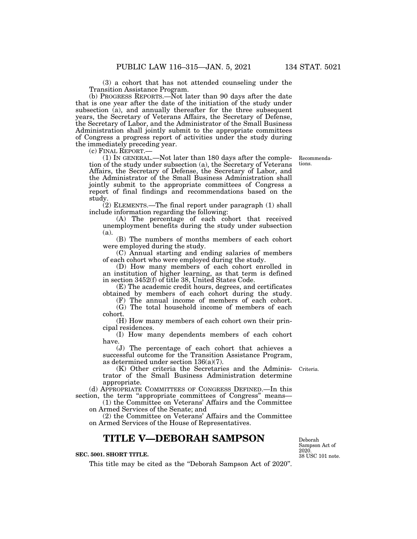(3) a cohort that has not attended counseling under the Transition Assistance Program.

(b) PROGRESS REPORTS.—Not later than 90 days after the date that is one year after the date of the initiation of the study under subsection (a), and annually thereafter for the three subsequent years, the Secretary of Veterans Affairs, the Secretary of Defense, the Secretary of Labor, and the Administrator of the Small Business Administration shall jointly submit to the appropriate committees of Congress a progress report of activities under the study during the immediately preceding year.<br>(c) FINAL REPORT.—

 $(1)$  In GENERAL.—Not later than 180 days after the completion of the study under subsection (a), the Secretary of Veterans Affairs, the Secretary of Defense, the Secretary of Labor, and the Administrator of the Small Business Administration shall jointly submit to the appropriate committees of Congress a report of final findings and recommendations based on the study.

(2) ELEMENTS.—The final report under paragraph (1) shall include information regarding the following:

(A) The percentage of each cohort that received unemployment benefits during the study under subsection (a).

(B) The numbers of months members of each cohort were employed during the study.

(C) Annual starting and ending salaries of members of each cohort who were employed during the study.

(D) How many members of each cohort enrolled in an institution of higher learning, as that term is defined in section 3452(f) of title 38, United States Code.

(E) The academic credit hours, degrees, and certificates obtained by members of each cohort during the study.

(F) The annual income of members of each cohort. (G) The total household income of members of each cohort.

(H) How many members of each cohort own their principal residences.

(I) How many dependents members of each cohort have.

(J) The percentage of each cohort that achieves a successful outcome for the Transition Assistance Program, as determined under section 136(a)(7).

(K) Other criteria the Secretaries and the Administrator of the Small Business Administration determine appropriate.

(d) APPROPRIATE COMMITTEES OF CONGRESS DEFINED.—In this section, the term "appropriate committees of Congress" means—

(1) the Committee on Veterans' Affairs and the Committee on Armed Services of the Senate; and

(2) the Committee on Veterans' Affairs and the Committee on Armed Services of the House of Representatives.

# **TITLE V—DEBORAH SAMPSON**

# **SEC. 5001. SHORT TITLE.**

This title may be cited as the "Deborah Sampson Act of 2020".

38 USC 101 note. Deborah Sampson Act of 2020.

Criteria.

Recommendations.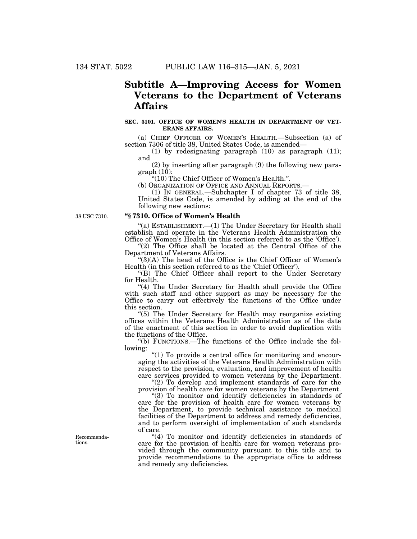# **Subtitle A—Improving Access for Women Veterans to the Department of Veterans Affairs**

### **SEC. 5101. OFFICE OF WOMEN'S HEALTH IN DEPARTMENT OF VET-ERANS AFFAIRS.**

(a) CHIEF OFFICER OF WOMEN'S HEALTH.—Subsection (a) of section 7306 of title 38, United States Code, is amended—

(1) by redesignating paragraph (10) as paragraph (11); and

(2) by inserting after paragraph (9) the following new para $graph (10):$ 

"(10) The Chief Officer of Women's Health.".<br>(b) ORGANIZATION OF OFFICE AND ANNUAL REPORTS.-

(1) IN GENERAL.—Subchapter I of chapter 73 of title 38, United States Code, is amended by adding at the end of the following new sections:

38 USC 7310.

## **''§ 7310. Office of Women's Health**

''(a) ESTABLISHMENT.—(1) The Under Secretary for Health shall establish and operate in the Veterans Health Administration the Office of Women's Health (in this section referred to as the 'Office').

"(2) The Office shall be located at the Central Office of the Department of Veterans Affairs.

''(3)(A) The head of the Office is the Chief Officer of Women's Health (in this section referred to as the 'Chief Officer').

''(B) The Chief Officer shall report to the Under Secretary for Health.

"(4) The Under Secretary for Health shall provide the Office with such staff and other support as may be necessary for the Office to carry out effectively the functions of the Office under this section.

''(5) The Under Secretary for Health may reorganize existing offices within the Veterans Health Administration as of the date of the enactment of this section in order to avoid duplication with the functions of the Office.

''(b) FUNCTIONS.—The functions of the Office include the following:

" $(1)$  To provide a central office for monitoring and encouraging the activities of the Veterans Health Administration with respect to the provision, evaluation, and improvement of health care services provided to women veterans by the Department.

" $(2)$  To develop and implement standards of care for the provision of health care for women veterans by the Department.

''(3) To monitor and identify deficiencies in standards of care for the provision of health care for women veterans by the Department, to provide technical assistance to medical facilities of the Department to address and remedy deficiencies, and to perform oversight of implementation of such standards of care.

"(4) To monitor and identify deficiencies in standards of care for the provision of health care for women veterans provided through the community pursuant to this title and to provide recommendations to the appropriate office to address and remedy any deficiencies.

Recommendations.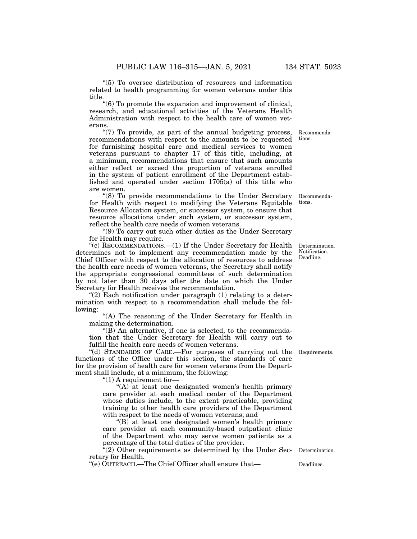''(5) To oversee distribution of resources and information related to health programming for women veterans under this title.

''(6) To promote the expansion and improvement of clinical, research, and educational activities of the Veterans Health Administration with respect to the health care of women veterans.

"(7) To provide, as part of the annual budgeting process, recommendations with respect to the amounts to be requested for furnishing hospital care and medical services to women veterans pursuant to chapter 17 of this title, including, at a minimum, recommendations that ensure that such amounts either reflect or exceed the proportion of veterans enrolled in the system of patient enrollment of the Department established and operated under section 1705(a) of this title who are women.

''(8) To provide recommendations to the Under Secretary for Health with respect to modifying the Veterans Equitable Resource Allocation system, or successor system, to ensure that resource allocations under such system, or successor system, reflect the health care needs of women veterans.

''(9) To carry out such other duties as the Under Secretary for Health may require.

"(c) RECOMMENDATIONS.—(1) If the Under Secretary for Health determines not to implement any recommendation made by the Chief Officer with respect to the allocation of resources to address the health care needs of women veterans, the Secretary shall notify the appropriate congressional committees of such determination by not later than 30 days after the date on which the Under Secretary for Health receives the recommendation.

" $(2)$  Each notification under paragraph  $(1)$  relating to a determination with respect to a recommendation shall include the following:

''(A) The reasoning of the Under Secretary for Health in making the determination.

''(B) An alternative, if one is selected, to the recommendation that the Under Secretary for Health will carry out to fulfill the health care needs of women veterans.

''(d) STANDARDS OF CARE.—For purposes of carrying out the functions of the Office under this section, the standards of care for the provision of health care for women veterans from the Department shall include, at a minimum, the following:

" $(1)$  A requirement for-

"(A) at least one designated women's health primary care provider at each medical center of the Department whose duties include, to the extent practicable, providing training to other health care providers of the Department with respect to the needs of women veterans; and

''(B) at least one designated women's health primary care provider at each community-based outpatient clinic of the Department who may serve women patients as a percentage of the total duties of the provider.

" $(2)$  Other requirements as determined by the Under Secretary for Health.

"(e)  $\text{OUTREACH.}$ -The Chief Officer shall ensure that-<br>Deadlines.

Determination.

Determination. Notification. Deadline.

Requirements.

Recommendations.

Recommendations.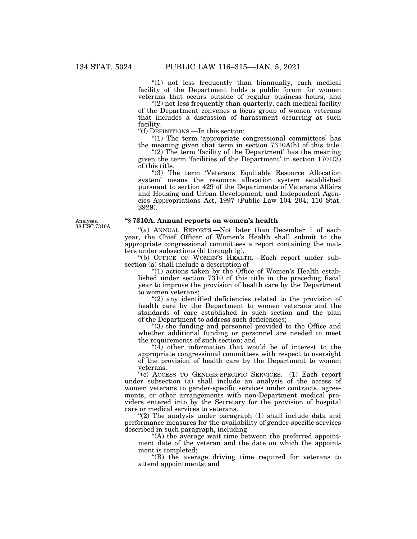"(1) not less frequently than biannually, each medical facility of the Department holds a public forum for women veterans that occurs outside of regular business hours; and

"(2) not less frequently than quarterly, each medical facility of the Department convenes a focus group of women veterans that includes a discussion of harassment occurring at such facility.

''(f) DEFINITIONS.—In this section:

''(1) The term 'appropriate congressional committees' has the meaning given that term in section 7310A(h) of this title.

" $(2)$  The term 'facility of the Department' has the meaning given the term 'facilities of the Department' in section 1701(3) of this title.

''(3) The term 'Veterans Equitable Resource Allocation system' means the resource allocation system established pursuant to section 429 of the Departments of Veterans Affairs and Housing and Urban Development, and Independent Agencies Appropriations Act, 1997 (Public Law 104–204; 110 Stat. 2929).

Analyses. 38 USC 7310A.

# **''§ 7310A. Annual reports on women's health**

"(a) ANNUAL REPORTS.—Not later than December 1 of each year, the Chief Officer of Women's Health shall submit to the appropriate congressional committees a report containing the matters under subsections (b) through (g).

''(b) OFFICE OF WOMEN'S HEALTH.—Each report under subsection (a) shall include a description of—

" $(1)$  actions taken by the Office of Women's Health established under section 7310 of this title in the preceding fiscal year to improve the provision of health care by the Department to women veterans;

"(2) any identified deficiencies related to the provision of health care by the Department to women veterans and the standards of care established in such section and the plan of the Department to address such deficiencies;

''(3) the funding and personnel provided to the Office and whether additional funding or personnel are needed to meet the requirements of such section; and

" $(4)$  other information that would be of interest to the appropriate congressional committees with respect to oversight of the provision of health care by the Department to women veterans.

''(c) ACCESS TO GENDER-SPECIFIC SERVICES.—(1) Each report under subsection (a) shall include an analysis of the access of women veterans to gender-specific services under contracts, agreements, or other arrangements with non-Department medical providers entered into by the Secretary for the provision of hospital care or medical services to veterans.

" $(2)$  The analysis under paragraph  $(1)$  shall include data and performance measures for the availability of gender-specific services described in such paragraph, including—

 $(A)$  the average wait time between the preferred appointment date of the veteran and the date on which the appointment is completed;

''(B) the average driving time required for veterans to attend appointments; and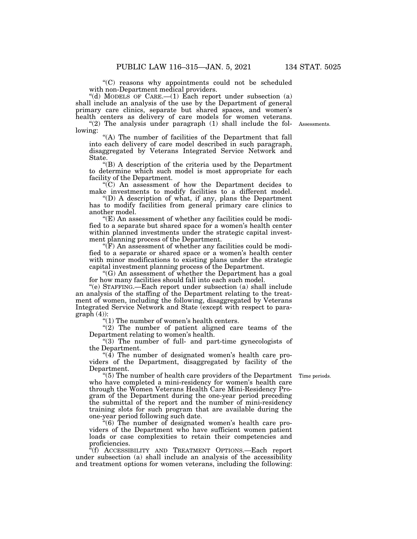''(C) reasons why appointments could not be scheduled with non-Department medical providers.

"(d) MODELS OF CARE.— $(1)$  Each report under subsection  $(a)$ shall include an analysis of the use by the Department of general primary care clinics, separate but shared spaces, and women's health centers as delivery of care models for women veterans.

"(2) The analysis under paragraph (1) shall include the fol- Assessments. lowing:

"(A) The number of facilities of the Department that fall into each delivery of care model described in such paragraph, disaggregated by Veterans Integrated Service Network and State.

''(B) A description of the criteria used by the Department to determine which such model is most appropriate for each facility of the Department.

''(C) An assessment of how the Department decides to make investments to modify facilities to a different model.

''(D) A description of what, if any, plans the Department has to modify facilities from general primary care clinics to another model.

 $(E)$  An assessment of whether any facilities could be modified to a separate but shared space for a women's health center within planned investments under the strategic capital investment planning process of the Department.

''(F) An assessment of whether any facilities could be modified to a separate or shared space or a women's health center with minor modifications to existing plans under the strategic capital investment planning process of the Department.

"(G) An assessment of whether the Department has a goal for how many facilities should fall into each such model.

''(e) STAFFING.—Each report under subsection (a) shall include an analysis of the staffing of the Department relating to the treatment of women, including the following, disaggregated by Veterans Integrated Service Network and State (except with respect to para $graph (4)$ :

''(1) The number of women's health centers.

" $(2)$  The number of patient aligned care teams of the Department relating to women's health.

"(3) The number of full- and part-time gynecologists of the Department.

" $(4)$  The number of designated women's health care providers of the Department, disaggregated by facility of the Department.

Time periods.

''(5) The number of health care providers of the Department who have completed a mini-residency for women's health care through the Women Veterans Health Care Mini-Residency Program of the Department during the one-year period preceding the submittal of the report and the number of mini-residency training slots for such program that are available during the one-year period following such date.

''(6) The number of designated women's health care providers of the Department who have sufficient women patient loads or case complexities to retain their competencies and proficiencies.

''(f) ACCESSIBILITY AND TREATMENT OPTIONS.—Each report under subsection (a) shall include an analysis of the accessibility and treatment options for women veterans, including the following: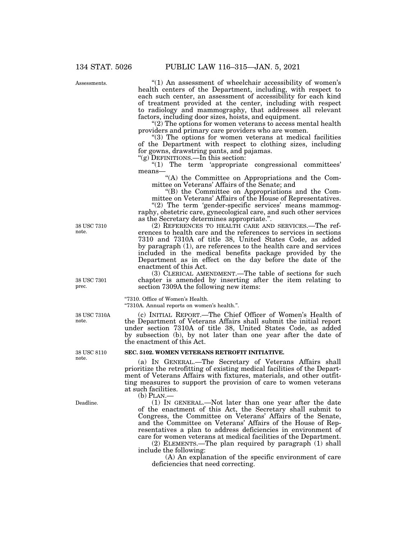134 STAT. 5026 PUBLIC LAW 116–315—JAN. 5, 2021

Assessments.

" $(1)$  An assessment of wheelchair accessibility of women's health centers of the Department, including, with respect to each such center, an assessment of accessibility for each kind of treatment provided at the center, including with respect to radiology and mammography, that addresses all relevant factors, including door sizes, hoists, and equipment.

"(2) The options for women veterans to access mental health providers and primary care providers who are women.

"(3) The options for women veterans at medical facilities of the Department with respect to clothing sizes, including for gowns, drawstring pants, and pajamas.

"(g) DEFINITIONS.—In this section:

"(1) The term 'appropriate congressional committees' means—

''(A) the Committee on Appropriations and the Committee on Veterans' Affairs of the Senate; and

''(B) the Committee on Appropriations and the Committee on Veterans' Affairs of the House of Representatives.

"(2) The term 'gender-specific services' means mammography, obstetric care, gynecological care, and such other services as the Secretary determines appropriate.''.

(2) REFERENCES TO HEALTH CARE AND SERVICES.—The references to health care and the references to services in sections 7310 and 7310A of title 38, United States Code, as added by paragraph (1), are references to the health care and services included in the medical benefits package provided by the Department as in effect on the day before the date of the enactment of this Act.

(3) CLERICAL AMENDMENT.—The table of sections for such chapter is amended by inserting after the item relating to section 7309A the following new items:

''7310. Office of Women's Health.

''7310A. Annual reports on women's health.''.

(c) INITIAL REPORT.—The Chief Officer of Women's Health of the Department of Veterans Affairs shall submit the initial report under section 7310A of title 38, United States Code, as added by subsection (b), by not later than one year after the date of the enactment of this Act.

# **SEC. 5102. WOMEN VETERANS RETROFIT INITIATIVE.**

(a) IN GENERAL.—The Secretary of Veterans Affairs shall prioritize the retrofitting of existing medical facilities of the Department of Veterans Affairs with fixtures, materials, and other outfitting measures to support the provision of care to women veterans at such facilities.

(b) PLAN.—

(1) IN GENERAL.—Not later than one year after the date of the enactment of this Act, the Secretary shall submit to Congress, the Committee on Veterans' Affairs of the Senate, and the Committee on Veterans' Affairs of the House of Representatives a plan to address deficiencies in environment of care for women veterans at medical facilities of the Department.

(2) ELEMENTS.—The plan required by paragraph (1) shall include the following:

(A) An explanation of the specific environment of care deficiencies that need correcting.

38 USC 7310 note.

38 USC 7301 prec.

38 USC 7310A note.

38 USC 8110 note.

Deadline.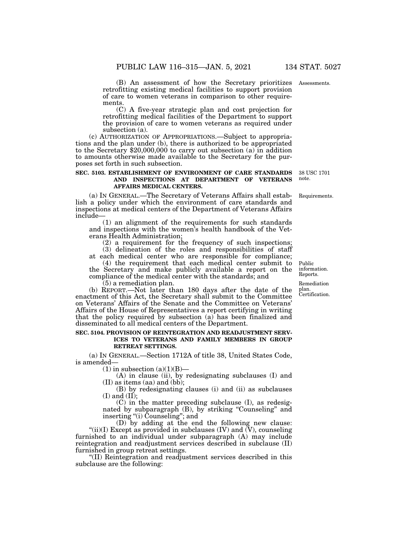(B) An assessment of how the Secretary prioritizes Assessments. retrofitting existing medical facilities to support provision of care to women veterans in comparison to other requirements.

(C) A five-year strategic plan and cost projection for retrofitting medical facilities of the Department to support the provision of care to women veterans as required under subsection (a).

(c) AUTHORIZATION OF APPROPRIATIONS.—Subject to appropriations and the plan under (b), there is authorized to be appropriated to the Secretary \$20,000,000 to carry out subsection (a) in addition to amounts otherwise made available to the Secretary for the purposes set forth in such subsection.

# **SEC. 5103. ESTABLISHMENT OF ENVIRONMENT OF CARE STANDARDS AND INSPECTIONS AT DEPARTMENT OF VETERANS AFFAIRS MEDICAL CENTERS.**

(a) IN GENERAL.—The Secretary of Veterans Affairs shall establish a policy under which the environment of care standards and inspections at medical centers of the Department of Veterans Affairs include—

(1) an alignment of the requirements for such standards and inspections with the women's health handbook of the Veterans Health Administration;

(2) a requirement for the frequency of such inspections; (3) delineation of the roles and responsibilities of staff at each medical center who are responsible for compliance;

(4) the requirement that each medical center submit to

the Secretary and make publicly available a report on the compliance of the medical center with the standards; and

(5) a remediation plan.

(b) REPORT.—Not later than 180 days after the date of the enactment of this Act, the Secretary shall submit to the Committee on Veterans' Affairs of the Senate and the Committee on Veterans' Affairs of the House of Representatives a report certifying in writing that the policy required by subsection (a) has been finalized and disseminated to all medical centers of the Department.

### **SEC. 5104. PROVISION OF REINTEGRATION AND READJUSTMENT SERV-ICES TO VETERANS AND FAMILY MEMBERS IN GROUP RETREAT SETTINGS.**

(a) IN GENERAL.—Section 1712A of title 38, United States Code, is amended—

 $(1)$  in subsection  $(a)(1)(B)$ —

(A) in clause (ii), by redesignating subclauses (I) and (II) as items (aa) and (bb);

(B) by redesignating clauses (i) and (ii) as subclauses  $(I)$  and  $(II)$ ;

(C) in the matter preceding subclause (I), as redesignated by subparagraph (B), by striking ''Counseling'' and inserting ''(i) Counseling''; and

(D) by adding at the end the following new clause: "(ii)(I) Except as provided in subclauses (IV) and  $\check{\text{U}}$ ), counseling furnished to an individual under subparagraph (A) may include reintegration and readjustment services described in subclause (II) furnished in group retreat settings.

''(II) Reintegration and readjustment services described in this subclause are the following:

Public information. Reports.

Certification. Remediation plan.

38 USC 1701 note.

Requirements.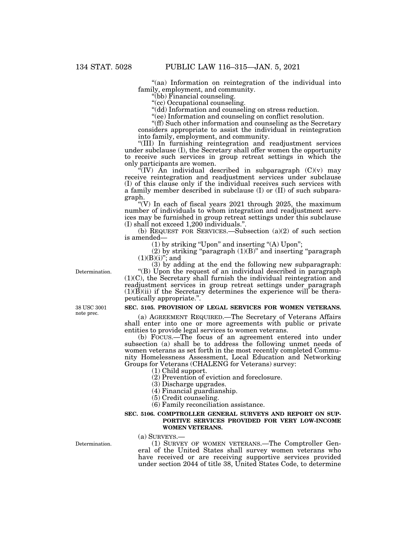''(aa) Information on reintegration of the individual into family, employment, and community.

''(bb) Financial counseling.

''(cc) Occupational counseling.

''(dd) Information and counseling on stress reduction.

"(ee) Information and counseling on conflict resolution.

''(ff) Such other information and counseling as the Secretary considers appropriate to assist the individual in reintegration into family, employment, and community.

''(III) In furnishing reintegration and readjustment services under subclause (I), the Secretary shall offer women the opportunity to receive such services in group retreat settings in which the only participants are women.

 $\sqrt{f}(IV)$  An individual described in subparagraph  $(C)(v)$  may receive reintegration and readjustment services under subclause (I) of this clause only if the individual receives such services with a family member described in subclause (I) or (II) of such subparagraph.

"(V) In each of fiscal years  $2021$  through  $2025$ , the maximum number of individuals to whom integration and readjustment services may be furnished in group retreat settings under this subclause (I) shall not exceed 1,200 individuals.''.

(b) REQUEST FOR SERVICES.—Subsection (a)(2) of such section is amended—

(1) by striking ''Upon'' and inserting ''(A) Upon'';

 $(2)$  by striking "paragraph  $(1)(B)$ " and inserting "paragraph"  $(1)(B)(i)''$ ; and

(3) by adding at the end the following new subparagraph:

''(B) Upon the request of an individual described in paragraph (1)(C), the Secretary shall furnish the individual reintegration and readjustment services in group retreat settings under paragraph  $(1)(B)(ii)$  if the Secretary determines the experience will be therapeutically appropriate.''.

# **SEC. 5105. PROVISION OF LEGAL SERVICES FOR WOMEN VETERANS.**

(a) AGREEMENT REQUIRED.—The Secretary of Veterans Affairs shall enter into one or more agreements with public or private entities to provide legal services to women veterans.

(b) FOCUS.—The focus of an agreement entered into under subsection (a) shall be to address the following unmet needs of women veterans as set forth in the most recently completed Community Homelessness Assessment, Local Education and Networking Groups for Veterans (CHALENG for Veterans) survey:

(1) Child support.

(2) Prevention of eviction and foreclosure.

(3) Discharge upgrades.

(4) Financial guardianship.

(5) Credit counseling.

(6) Family reconciliation assistance.

## **SEC. 5106. COMPTROLLER GENERAL SURVEYS AND REPORT ON SUP-PORTIVE SERVICES PROVIDED FOR VERY LOW-INCOME WOMEN VETERANS.**

(a) SURVEYS.—

(1) SURVEY OF WOMEN VETERANS.—The Comptroller General of the United States shall survey women veterans who have received or are receiving supportive services provided under section 2044 of title 38, United States Code, to determine

Determination.

38 USC 3001 note prec.

Determination.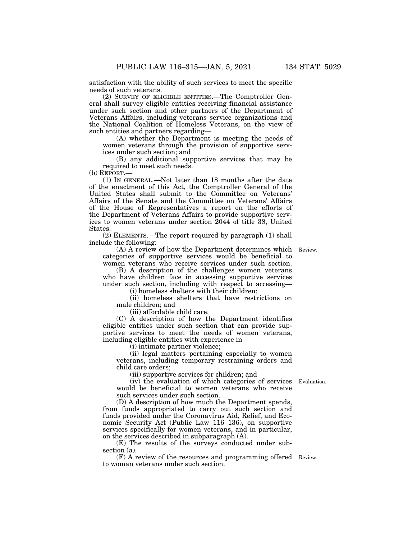satisfaction with the ability of such services to meet the specific needs of such veterans.

(2) SURVEY OF ELIGIBLE ENTITIES.—The Comptroller General shall survey eligible entities receiving financial assistance under such section and other partners of the Department of Veterans Affairs, including veterans service organizations and the National Coalition of Homeless Veterans, on the view of such entities and partners regarding—

(A) whether the Department is meeting the needs of women veterans through the provision of supportive services under such section; and

(B) any additional supportive services that may be required to meet such needs.

(b) REPORT.—

(1) IN GENERAL.—Not later than 18 months after the date of the enactment of this Act, the Comptroller General of the United States shall submit to the Committee on Veterans' Affairs of the Senate and the Committee on Veterans' Affairs of the House of Representatives a report on the efforts of the Department of Veterans Affairs to provide supportive services to women veterans under section 2044 of title 38, United States.

(2) ELEMENTS.—The report required by paragraph (1) shall include the following:

(A) A review of how the Department determines which Review. categories of supportive services would be beneficial to women veterans who receive services under such section.

(B) A description of the challenges women veterans who have children face in accessing supportive services under such section, including with respect to accessing—

(i) homeless shelters with their children;

(ii) homeless shelters that have restrictions on male children; and

(iii) affordable child care.

(C) A description of how the Department identifies eligible entities under such section that can provide supportive services to meet the needs of women veterans, including eligible entities with experience in—

(i) intimate partner violence;

(ii) legal matters pertaining especially to women veterans, including temporary restraining orders and child care orders;

(iii) supportive services for children; and

(iv) the evaluation of which categories of services would be beneficial to women veterans who receive such services under such section.

(D) A description of how much the Department spends, from funds appropriated to carry out such section and funds provided under the Coronavirus Aid, Relief, and Economic Security Act (Public Law 116–136), on supportive services specifically for women veterans, and in particular, on the services described in subparagraph (A).

(E) The results of the surveys conducted under subsection (a).

(F) A review of the resources and programming offered Review. to woman veterans under such section.

Evaluation.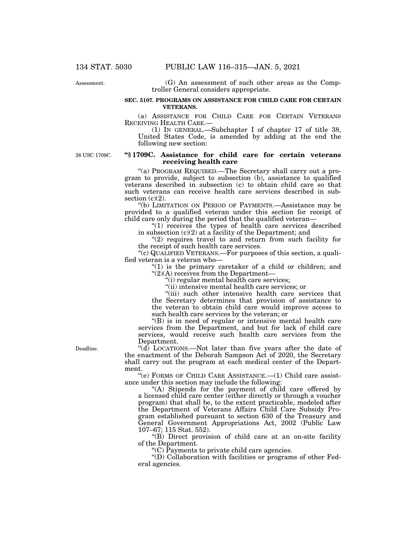Assessment.

(G) An assessment of such other areas as the Comptroller General considers appropriate.

# **SEC. 5107. PROGRAMS ON ASSISTANCE FOR CHILD CARE FOR CERTAIN VETERANS.**

(a) ASSISTANCE FOR CHILD CARE FOR CERTAIN VETERANS RECEIVING HEALTH CARE.— (1) IN GENERAL.—Subchapter I of chapter 17 of title 38,

United States Code, is amended by adding at the end the following new section:

38 USC 1709C.

# **''§ 1709C. Assistance for child care for certain veterans receiving health care**

''(a) PROGRAM REQUIRED.—The Secretary shall carry out a program to provide, subject to subsection (b), assistance to qualified veterans described in subsection (c) to obtain child care so that such veterans can receive health care services described in subsection  $(c)(2)$ .

''(b) LIMITATION ON PERIOD OF PAYMENTS.—Assistance may be provided to a qualified veteran under this section for receipt of child care only during the period that the qualified veteran—

"(1) receives the types of health care services described in subsection (c)(2) at a facility of the Department; and

 $''(2)$  requires travel to and return from such facility for the receipt of such health care services.

''(c) QUALIFIED VETERANS.—For purposes of this section, a qualified veteran is a veteran who—

" $(1)$  is the primary caretaker of a child or children; and "(2)(A) receives from the Department-

''(i) regular mental health care services;

''(ii) intensive mental health care services; or

"(iii) such other intensive health care services that the Secretary determines that provision of assistance to the veteran to obtain child care would improve access to such health care services by the veteran; or

''(B) is in need of regular or intensive mental health care services from the Department, and but for lack of child care services, would receive such health care services from the Department.

''(d) LOCATIONS.—Not later than five years after the date of the enactment of the Deborah Sampson Act of 2020, the Secretary shall carry out the program at each medical center of the Department.

''(e) FORMS OF CHILD CARE ASSISTANCE.—(1) Child care assistance under this section may include the following:

''(A) Stipends for the payment of child care offered by a licensed child care center (either directly or through a voucher program) that shall be, to the extent practicable, modeled after the Department of Veterans Affairs Child Care Subsidy Program established pursuant to section 630 of the Treasury and General Government Appropriations Act, 2002 (Public Law 107–67; 115 Stat. 552).

''(B) Direct provision of child care at an on-site facility of the Department.

''(C) Payments to private child care agencies.

''(D) Collaboration with facilities or programs of other Federal agencies.

Deadline.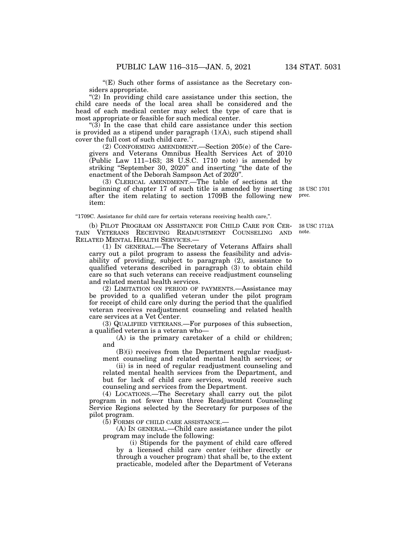" $(E)$  Such other forms of assistance as the Secretary considers appropriate.

" $(2)$  In providing child care assistance under this section, the child care needs of the local area shall be considered and the head of each medical center may select the type of care that is most appropriate or feasible for such medical center.

''(3) In the case that child care assistance under this section is provided as a stipend under paragraph  $(1)(A)$ , such stipend shall cover the full cost of such child care."

(2) CONFORMING AMENDMENT.—Section 205(e) of the Caregivers and Veterans Omnibus Health Services Act of 2010  $(Public Law 111–163; 38 U.S.C. 1710 note)$  is amended by striking "September 30, 2020" and inserting "the date of the enactment of the Deborah Sampson Act of 2020''.

(3) CLERICAL AMENDMENT.—The table of sections at the beginning of chapter 17 of such title is amended by inserting after the item relating to section 1709B the following new item: 38 USC 1701 prec.

''1709C. Assistance for child care for certain veterans receiving health care,''.

(b) PILOT PROGRAM ON ASSISTANCE FOR CHILD CARE FOR CER-TAIN VETERANS RECEIVING READJUSTMENT COUNSELING AND RELATED MENTAL HEALTH SERVICES.—

(1) IN GENERAL.—The Secretary of Veterans Affairs shall carry out a pilot program to assess the feasibility and advisability of providing, subject to paragraph (2), assistance to qualified veterans described in paragraph (3) to obtain child care so that such veterans can receive readjustment counseling and related mental health services.

(2) LIMITATION ON PERIOD OF PAYMENTS.—Assistance may be provided to a qualified veteran under the pilot program for receipt of child care only during the period that the qualified veteran receives readjustment counseling and related health care services at a Vet Center.

(3) QUALIFIED VETERANS.—For purposes of this subsection, a qualified veteran is a veteran who—

(A) is the primary caretaker of a child or children; and

(B)(i) receives from the Department regular readjustment counseling and related mental health services; or

(ii) is in need of regular readjustment counseling and related mental health services from the Department, and but for lack of child care services, would receive such counseling and services from the Department.

(4) LOCATIONS.—The Secretary shall carry out the pilot program in not fewer than three Readjustment Counseling Service Regions selected by the Secretary for purposes of the pilot program.

(5) FORMS OF CHILD CARE ASSISTANCE.—

(A) IN GENERAL.—Child care assistance under the pilot program may include the following:

(i) Stipends for the payment of child care offered by a licensed child care center (either directly or through a voucher program) that shall be, to the extent practicable, modeled after the Department of Veterans

38 USC 1712A

note.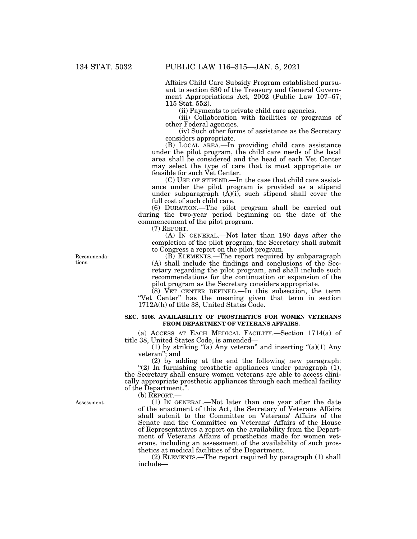Affairs Child Care Subsidy Program established pursuant to section 630 of the Treasury and General Government Appropriations Act, 2002 (Public Law 107–67; 115 Stat. 552).

(ii) Payments to private child care agencies.

(iii) Collaboration with facilities or programs of other Federal agencies.

(iv) Such other forms of assistance as the Secretary considers appropriate.

(B) LOCAL AREA.—In providing child care assistance under the pilot program, the child care needs of the local area shall be considered and the head of each Vet Center may select the type of care that is most appropriate or feasible for such Vet Center.

(C) USE OF STIPEND.—In the case that child care assistance under the pilot program is provided as a stipend under subparagraph (A)(i), such stipend shall cover the full cost of such child care.

(6) DURATION.—The pilot program shall be carried out during the two-year period beginning on the date of the commencement of the pilot program.

(7) REPORT.—

(A) IN GENERAL.—Not later than 180 days after the completion of the pilot program, the Secretary shall submit to Congress a report on the pilot program.

(B) ELEMENTS.—The report required by subparagraph (A) shall include the findings and conclusions of the Secretary regarding the pilot program, and shall include such recommendations for the continuation or expansion of the pilot program as the Secretary considers appropriate.

(8) VET CENTER DEFINED.—In this subsection, the term "Vet Center" has the meaning given that term in section 1712A(h) of title 38, United States Code.

# **SEC. 5108. AVAILABILITY OF PROSTHETICS FOR WOMEN VETERANS FROM DEPARTMENT OF VETERANS AFFAIRS.**

(a) ACCESS AT EACH MEDICAL FACILITY.—Section 1714(a) of title 38, United States Code, is amended—

(1) by striking "(a) Any veteran" and inserting "(a)(1) Any veteran''; and

(2) by adding at the end the following new paragraph: "(2) In furnishing prosthetic appliances under paragraph  $(1)$ , the Secretary shall ensure women veterans are able to access clinically appropriate prosthetic appliances through each medical facility of the Department.''.

(b) REPORT.—

(1) IN GENERAL.—Not later than one year after the date of the enactment of this Act, the Secretary of Veterans Affairs shall submit to the Committee on Veterans' Affairs of the Senate and the Committee on Veterans' Affairs of the House of Representatives a report on the availability from the Department of Veterans Affairs of prosthetics made for women veterans, including an assessment of the availability of such prosthetics at medical facilities of the Department.

(2) ELEMENTS.—The report required by paragraph (1) shall include—

Recommendations.

Assessment.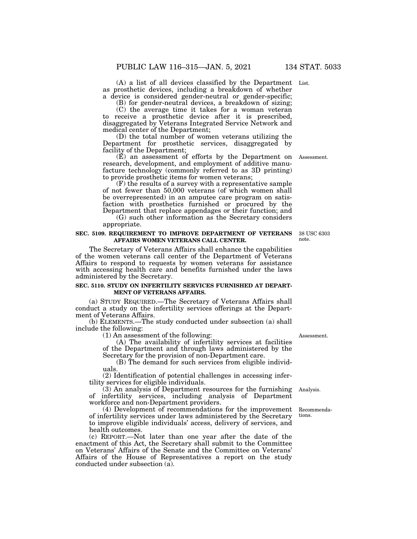(A) a list of all devices classified by the Department List. as prosthetic devices, including a breakdown of whether a device is considered gender-neutral or gender-specific;

(B) for gender-neutral devices, a breakdown of sizing;

(C) the average time it takes for a woman veteran

to receive a prosthetic device after it is prescribed, disaggregated by Veterans Integrated Service Network and medical center of the Department;

(D) the total number of women veterans utilizing the Department for prosthetic services, disaggregated by facility of the Department;

(E) an assessment of efforts by the Department on Assessment. research, development, and employment of additive manufacture technology (commonly referred to as 3D printing) to provide prosthetic items for women veterans;

(F) the results of a survey with a representative sample of not fewer than 50,000 veterans (of which women shall be overrepresented) in an amputee care program on satisfaction with prosthetics furnished or procured by the Department that replace appendages or their function; and

(G) such other information as the Secretary considers appropriate.

#### **SEC. 5109. REQUIREMENT TO IMPROVE DEPARTMENT OF VETERANS AFFAIRS WOMEN VETERANS CALL CENTER.**

The Secretary of Veterans Affairs shall enhance the capabilities of the women veterans call center of the Department of Veterans Affairs to respond to requests by women veterans for assistance with accessing health care and benefits furnished under the laws administered by the Secretary.

# **SEC. 5110. STUDY ON INFERTILITY SERVICES FURNISHED AT DEPART-MENT OF VETERANS AFFAIRS.**

(a) STUDY REQUIRED.—The Secretary of Veterans Affairs shall conduct a study on the infertility services offerings at the Department of Veterans Affairs.

(b) ELEMENTS.—The study conducted under subsection (a) shall include the following:

(1) An assessment of the following:

(A) The availability of infertility services at facilities of the Department and through laws administered by the Secretary for the provision of non-Department care.

(B) The demand for such services from eligible individuals.

(2) Identification of potential challenges in accessing infertility services for eligible individuals.

(3) An analysis of Department resources for the furnishing of infertility services, including analysis of Department workforce and non-Department providers. Analysis.

(4) Development of recommendations for the improvement of infertility services under laws administered by the Secretary to improve eligible individuals' access, delivery of services, and health outcomes.

(c) REPORT.—Not later than one year after the date of the enactment of this Act, the Secretary shall submit to the Committee on Veterans' Affairs of the Senate and the Committee on Veterans' Affairs of the House of Representatives a report on the study conducted under subsection (a).

Assessment.

Recommendations.

38 USC 6303 note.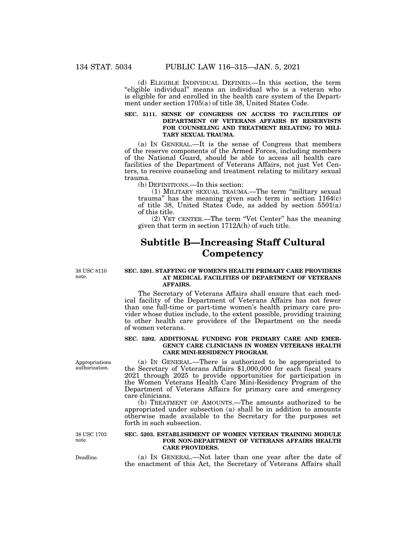(d) ELIGIBLE INDIVIDUAL DEFINED.—In this section, the term "eligible individual" means an individual who is a veteran who is eligible for and enrolled in the health care system of the Department under section 1705(a) of title 38, United States Code.

## **SEC. 5111. SENSE OF CONGRESS ON ACCESS TO FACILITIES OF DEPARTMENT OF VETERANS AFFAIRS BY RESERVISTS FOR COUNSELING AND TREATMENT RELATING TO MILI-TARY SEXUAL TRAUMA.**

(a) IN GENERAL.—It is the sense of Congress that members of the reserve components of the Armed Forces, including members of the National Guard, should be able to access all health care facilities of the Department of Veterans Affairs, not just Vet Centers, to receive counseling and treatment relating to military sexual trauma.

(b) DEFINITIONS.—In this section:

(1) MILITARY SEXUAL TRAUMA.—The term ''military sexual trauma'' has the meaning given such term in section 1164(c) of title 38, United States Code, as added by section 5501(a) of this title.

(2) VET CENTER.—The term ''Vet Center'' has the meaning given that term in section 1712A(h) of such title.

# **Subtitle B—Increasing Staff Cultural Competency**

38 USC 8110 note.

#### **SEC. 5201. STAFFING OF WOMEN'S HEALTH PRIMARY CARE PROVIDERS AT MEDICAL FACILITIES OF DEPARTMENT OF VETERANS AFFAIRS.**

The Secretary of Veterans Affairs shall ensure that each medical facility of the Department of Veterans Affairs has not fewer than one full-time or part-time women's health primary care provider whose duties include, to the extent possible, providing training to other health care providers of the Department on the needs of women veterans.

### **SEC. 5202. ADDITIONAL FUNDING FOR PRIMARY CARE AND EMER-GENCY CARE CLINICIANS IN WOMEN VETERANS HEALTH CARE MINI-RESIDENCY PROGRAM.**

(a) IN GENERAL.—There is authorized to be appropriated to the Secretary of Veterans Affairs \$1,000,000 for each fiscal years 2021 through 2025 to provide opportunities for participation in the Women Veterans Health Care Mini-Residency Program of the Department of Veterans Affairs for primary care and emergency care clinicians.

(b) TREATMENT OF AMOUNTS.—The amounts authorized to be appropriated under subsection (a) shall be in addition to amounts otherwise made available to the Secretary for the purposes set forth in such subsection.

## **SEC. 5203. ESTABLISHMENT OF WOMEN VETERAN TRAINING MODULE FOR NON-DEPARTMENT OF VETERANS AFFAIRS HEALTH CARE PROVIDERS.**

(a) IN GENERAL.—Not later than one year after the date of the enactment of this Act, the Secretary of Veterans Affairs shall

Appropriations authorization.

Deadline.

38 USC 1703 note.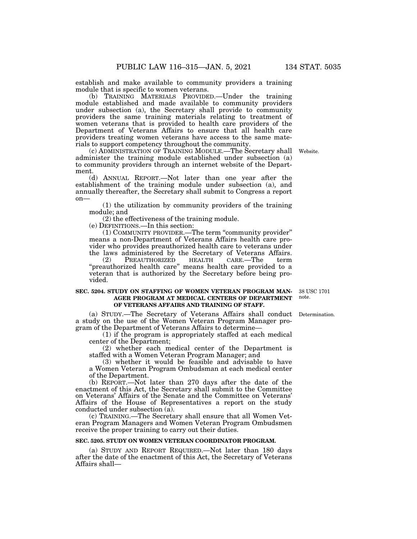establish and make available to community providers a training module that is specific to women veterans.

(b) TRAINING MATERIALS PROVIDED.—Under the training module established and made available to community providers under subsection (a), the Secretary shall provide to community providers the same training materials relating to treatment of women veterans that is provided to health care providers of the Department of Veterans Affairs to ensure that all health care providers treating women veterans have access to the same materials to support competency throughout the community.

(c) ADMINISTRATION OF TRAINING MODULE.—The Secretary shall administer the training module established under subsection (a) to community providers through an internet website of the Department.

(d) ANNUAL REPORT.—Not later than one year after the establishment of the training module under subsection (a), and annually thereafter, the Secretary shall submit to Congress a report on—

(1) the utilization by community providers of the training module; and

(2) the effectiveness of the training module.

(e) DEFINITIONS.—In this section:

(1) COMMUNITY PROVIDER.—The term ''community provider'' means a non-Department of Veterans Affairs health care provider who provides preauthorized health care to veterans under the laws administered by the Secretary of Veterans Affairs.

(2) PREAUTHORIZED HEALTH CARE.—The term "preauthorized health care" means health care provided to a veteran that is authorized by the Secretary before being provided.

## **SEC. 5204. STUDY ON STAFFING OF WOMEN VETERAN PROGRAM MAN-AGER PROGRAM AT MEDICAL CENTERS OF DEPARTMENT OF VETERANS AFFAIRS AND TRAINING OF STAFF.**

(a) STUDY.—The Secretary of Veterans Affairs shall conduct Determination. a study on the use of the Women Veteran Program Manager program of the Department of Veterans Affairs to determine—

(1) if the program is appropriately staffed at each medical center of the Department;

(2) whether each medical center of the Department is staffed with a Women Veteran Program Manager; and

(3) whether it would be feasible and advisable to have a Women Veteran Program Ombudsman at each medical center of the Department.

(b) REPORT.—Not later than 270 days after the date of the enactment of this Act, the Secretary shall submit to the Committee on Veterans' Affairs of the Senate and the Committee on Veterans' Affairs of the House of Representatives a report on the study conducted under subsection (a).

(c) TRAINING.—The Secretary shall ensure that all Women Veteran Program Managers and Women Veteran Program Ombudsmen receive the proper training to carry out their duties.

# **SEC. 5205. STUDY ON WOMEN VETERAN COORDINATOR PROGRAM.**

(a) STUDY AND REPORT REQUIRED.—Not later than 180 days after the date of the enactment of this Act, the Secretary of Veterans Affairs shall—

38 USC 1701 note.

Website.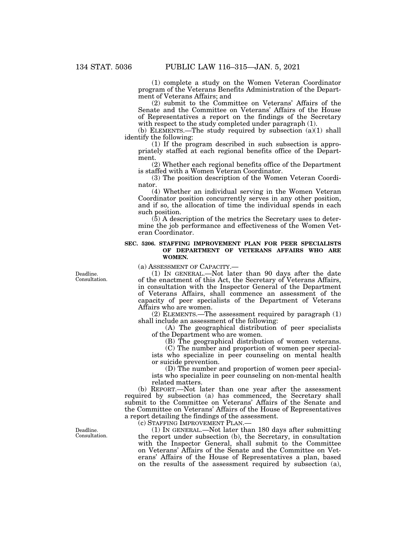(1) complete a study on the Women Veteran Coordinator program of the Veterans Benefits Administration of the Department of Veterans Affairs; and

(2) submit to the Committee on Veterans' Affairs of the Senate and the Committee on Veterans' Affairs of the House of Representatives a report on the findings of the Secretary with respect to the study completed under paragraph  $(1)$ .

(b) ELEMENTS.—The study required by subsection (a)(1) shall identify the following:

(1) If the program described in such subsection is appropriately staffed at each regional benefits office of the Department.

(2) Whether each regional benefits office of the Department is staffed with a Women Veteran Coordinator.

(3) The position description of the Women Veteran Coordinator.

(4) Whether an individual serving in the Women Veteran Coordinator position concurrently serves in any other position, and if so, the allocation of time the individual spends in each such position.

(5) A description of the metrics the Secretary uses to determine the job performance and effectiveness of the Women Veteran Coordinator.

# **SEC. 5206. STAFFING IMPROVEMENT PLAN FOR PEER SPECIALISTS OF DEPARTMENT OF VETERANS AFFAIRS WHO ARE WOMEN.**

(a) ASSESSMENT OF CAPACITY.—

Deadline. Consultation.

(1) IN GENERAL.—Not later than 90 days after the date of the enactment of this Act, the Secretary of Veterans Affairs, in consultation with the Inspector General of the Department of Veterans Affairs, shall commence an assessment of the capacity of peer specialists of the Department of Veterans Affairs who are women.

(2) ELEMENTS.—The assessment required by paragraph (1) shall include an assessment of the following:

(A) The geographical distribution of peer specialists of the Department who are women.

(B) The geographical distribution of women veterans.

(C) The number and proportion of women peer specialists who specialize in peer counseling on mental health or suicide prevention.

(D) The number and proportion of women peer specialists who specialize in peer counseling on non-mental health related matters.

(b) REPORT.—Not later than one year after the assessment required by subsection (a) has commenced, the Secretary shall submit to the Committee on Veterans' Affairs of the Senate and the Committee on Veterans' Affairs of the House of Representatives a report detailing the findings of the assessment.

(c) STAFFING IMPROVEMENT PLAN.—

(1) IN GENERAL.—Not later than 180 days after submitting the report under subsection (b), the Secretary, in consultation with the Inspector General, shall submit to the Committee on Veterans' Affairs of the Senate and the Committee on Veterans' Affairs of the House of Representatives a plan, based on the results of the assessment required by subsection (a),

Deadline. Consultation.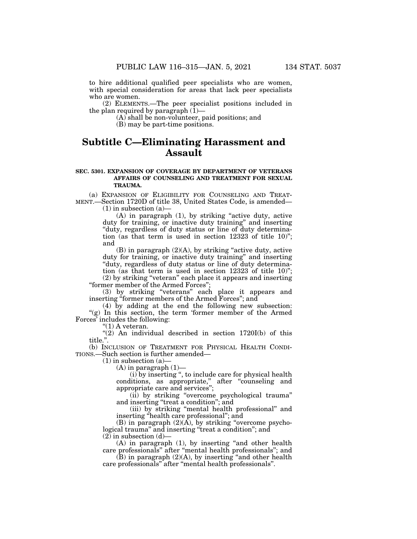to hire additional qualified peer specialists who are women, with special consideration for areas that lack peer specialists who are women.

(2) ELEMENTS.—The peer specialist positions included in the plan required by paragraph  $(1)$ —

(A) shall be non-volunteer, paid positions; and

(B) may be part-time positions.

# **Subtitle C—Eliminating Harassment and Assault**

## **SEC. 5301. EXPANSION OF COVERAGE BY DEPARTMENT OF VETERANS AFFAIRS OF COUNSELING AND TREATMENT FOR SEXUAL TRAUMA.**

(a) EXPANSION OF ELIGIBILITY FOR COUNSELING AND TREAT-MENT.—Section 1720D of title 38, United States Code, is amended—

 $(1)$  in subsection  $(a)$ —

 $(A)$  in paragraph  $(1)$ , by striking "active duty, active duty for training, or inactive duty training'' and inserting ''duty, regardless of duty status or line of duty determination (as that term is used in section 12323 of title 10)''; and

(B) in paragraph  $(2)(A)$ , by striking "active duty, active duty for training, or inactive duty training'' and inserting ''duty, regardless of duty status or line of duty determination (as that term is used in section 12323 of title 10)''; (2) by striking ''veteran'' each place it appears and inserting

''former member of the Armed Forces'';

(3) by striking ''veterans'' each place it appears and inserting "former members of the Armed Forces"; and

(4) by adding at the end the following new subsection: "(g) In this section, the term 'former member of the Armed Forces' includes the following:

''(1) A veteran.

" $(2)$  An individual described in section 1720I(b) of this title.''.

(b) INCLUSION OF TREATMENT FOR PHYSICAL HEALTH CONDI-TIONS.—Such section is further amended—

 $(1)$  in subsection  $(a)$ 

 $(A)$  in paragraph  $(1)$ —

(i) by inserting '', to include care for physical health conditions, as appropriate,'' after ''counseling and appropriate care and services'';

(ii) by striking ''overcome psychological trauma'' and inserting ''treat a condition''; and

(iii) by striking ''mental health professional'' and inserting ''health care professional''; and

(B) in paragraph  $(2)(\overline{A})$ , by striking "overcome psychological trauma" and inserting "treat a condition"; and  $(2)$  in subsection  $(d)$ —

(A) in paragraph (1), by inserting ''and other health care professionals'' after ''mental health professionals''; and

 $(B)$  in paragraph  $(2)(A)$ , by inserting "and other health care professionals'' after ''mental health professionals''.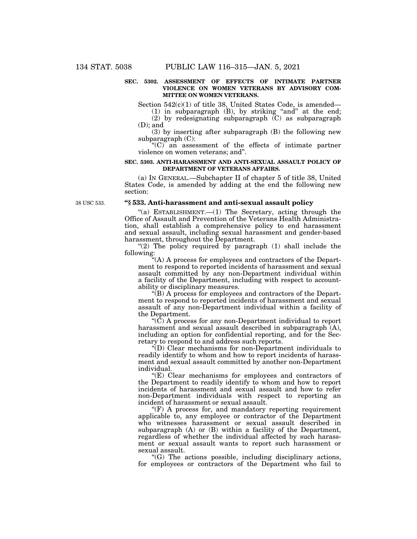## **SEC. 5302. ASSESSMENT OF EFFECTS OF INTIMATE PARTNER VIOLENCE ON WOMEN VETERANS BY ADVISORY COM-MITTEE ON WOMEN VETERANS.**

Section 542(c)(1) of title 38, United States Code, is amended—

 $(1)$  in subparagraph  $(B)$ , by striking "and" at the end; (2) by redesignating subparagraph (C) as subparagraph

(D); and (3) by inserting after subparagraph (B) the following new

subparagraph (C):

 $(C)$  an assessment of the effects of intimate partner violence on women veterans; and''.

## **SEC. 5303. ANTI-HARASSMENT AND ANTI-SEXUAL ASSAULT POLICY OF DEPARTMENT OF VETERANS AFFAIRS.**

(a) IN GENERAL.—Subchapter II of chapter 5 of title 38, United States Code, is amended by adding at the end the following new section:

38 USC 533.

# **''§ 533. Anti-harassment and anti-sexual assault policy**

"(a) ESTABLISHMENT.— $(1)$  The Secretary, acting through the Office of Assault and Prevention of the Veterans Health Administration, shall establish a comprehensive policy to end harassment and sexual assault, including sexual harassment and gender-based harassment, throughout the Department.

" $(2)$  The policy required by paragraph  $(1)$  shall include the following:

''(A) A process for employees and contractors of the Department to respond to reported incidents of harassment and sexual assault committed by any non-Department individual within a facility of the Department, including with respect to accountability or disciplinary measures.

''(B) A process for employees and contractors of the Department to respond to reported incidents of harassment and sexual assault of any non-Department individual within a facility of the Department.

 $\rm C$ ) A process for any non-Department individual to report harassment and sexual assault described in subparagraph (A), including an option for confidential reporting, and for the Secretary to respond to and address such reports.

''(D) Clear mechanisms for non-Department individuals to readily identify to whom and how to report incidents of harassment and sexual assault committed by another non-Department individual.

''(E) Clear mechanisms for employees and contractors of the Department to readily identify to whom and how to report incidents of harassment and sexual assault and how to refer non-Department individuals with respect to reporting an incident of harassment or sexual assault.

 $\mathcal{F}(F)$  A process for, and mandatory reporting requirement applicable to, any employee or contractor of the Department who witnesses harassment or sexual assault described in subparagraph (A) or (B) within a facility of the Department, regardless of whether the individual affected by such harassment or sexual assault wants to report such harassment or sexual assault.

''(G) The actions possible, including disciplinary actions, for employees or contractors of the Department who fail to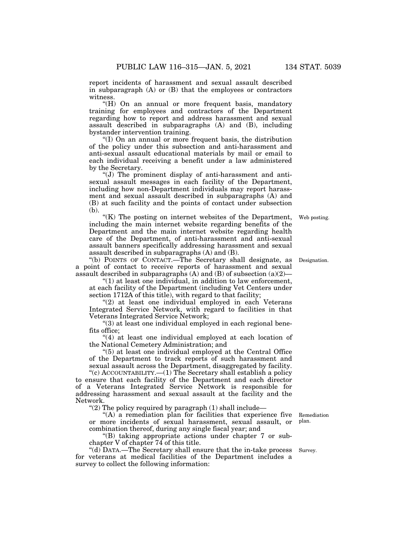report incidents of harassment and sexual assault described in subparagraph (A) or (B) that the employees or contractors witness.

''(H) On an annual or more frequent basis, mandatory training for employees and contractors of the Department regarding how to report and address harassment and sexual assault described in subparagraphs (A) and (B), including bystander intervention training.

''(I) On an annual or more frequent basis, the distribution of the policy under this subsection and anti-harassment and anti-sexual assault educational materials by mail or email to each individual receiving a benefit under a law administered by the Secretary.

''(J) The prominent display of anti-harassment and antisexual assault messages in each facility of the Department, including how non-Department individuals may report harassment and sexual assault described in subparagraphs (A) and (B) at such facility and the points of contact under subsection (b).

 $K(K)$  The posting on internet websites of the Department, including the main internet website regarding benefits of the Department and the main internet website regarding health care of the Department, of anti-harassment and anti-sexual assault banners specifically addressing harassment and sexual assault described in subparagraphs (A) and (B).

''(b) POINTS OF CONTACT.—The Secretary shall designate, as Designation. a point of contact to receive reports of harassment and sexual assault described in subparagraphs  $(A)$  and  $(B)$  of subsection  $(a)(2)$ —

 $''(1)$  at least one individual, in addition to law enforcement, at each facility of the Department (including Vet Centers under section 1712A of this title), with regard to that facility;

"(2) at least one individual employed in each Veterans Integrated Service Network, with regard to facilities in that Veterans Integrated Service Network;

''(3) at least one individual employed in each regional benefits office;

"(4) at least one individual employed at each location of the National Cemetery Administration; and

''(5) at least one individual employed at the Central Office of the Department to track reports of such harassment and sexual assault across the Department, disaggregated by facility.

''(c) ACCOUNTABILITY.—(1) The Secretary shall establish a policy to ensure that each facility of the Department and each director of a Veterans Integrated Service Network is responsible for addressing harassment and sexual assault at the facility and the Network.

"(2) The policy required by paragraph  $(1)$  shall include—

"(A) a remediation plan for facilities that experience five or more incidents of sexual harassment, sexual assault, or combination thereof, during any single fiscal year; and

''(B) taking appropriate actions under chapter 7 or subchapter V of chapter 74 of this title.

''(d) DATA.—The Secretary shall ensure that the in-take process Survey. for veterans at medical facilities of the Department includes a survey to collect the following information:

Remediation plan.

Web posting.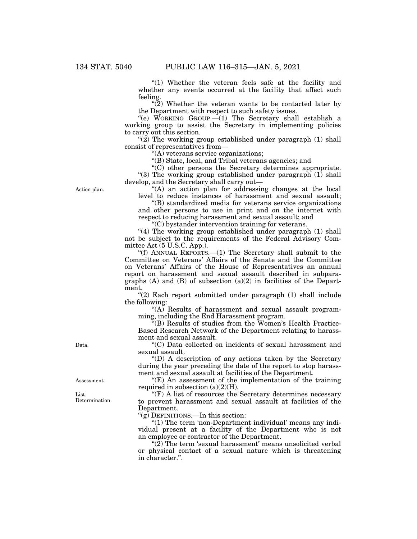"(1) Whether the veteran feels safe at the facility and whether any events occurred at the facility that affect such feeling.

 $\sqrt{\left(2\right)}$  Whether the veteran wants to be contacted later by the Department with respect to such safety issues.

''(e) WORKING GROUP.—(1) The Secretary shall establish a working group to assist the Secretary in implementing policies to carry out this section.

"(2) The working group established under paragraph (1) shall consist of representatives from—

''(A) veterans service organizations;

''(B) State, local, and Tribal veterans agencies; and

''(C) other persons the Secretary determines appropriate. "(3) The working group established under paragraph (1) shall develop, and the Secretary shall carry out—

''(A) an action plan for addressing changes at the local level to reduce instances of harassment and sexual assault;

''(B) standardized media for veterans service organizations and other persons to use in print and on the internet with respect to reducing harassment and sexual assault; and

''(C) bystander intervention training for veterans.

"(4) The working group established under paragraph  $(1)$  shall not be subject to the requirements of the Federal Advisory Committee Act (5 U.S.C. App.).

"(f) ANNUAL REPORTS.— $(1)$  The Secretary shall submit to the Committee on Veterans' Affairs of the Senate and the Committee on Veterans' Affairs of the House of Representatives an annual report on harassment and sexual assault described in subparagraphs  $(A)$  and  $(B)$  of subsection  $(a)(2)$  in facilities of the Department.

"(2) Each report submitted under paragraph (1) shall include the following:

 $\mathcal{H}(A)$  Results of harassment and sexual assault programming, including the End Harassment program.

(B) Results of studies from the Women's Health Practice-Based Research Network of the Department relating to harassment and sexual assault.

''(C) Data collected on incidents of sexual harassment and sexual assault.

''(D) A description of any actions taken by the Secretary during the year preceding the date of the report to stop harassment and sexual assault at facilities of the Department.

 $f(E)$  An assessment of the implementation of the training required in subsection  $(a)(2)(H)$ .

 $\mathrm{``(F)}$  A list of resources the Secretary determines necessary to prevent harassment and sexual assault at facilities of the Department.

" $(g)$  DEFINITIONS.—In this section:

 $"(1)$  The term 'non-Department individual' means any individual present at a facility of the Department who is not an employee or contractor of the Department.

"(2) The term 'sexual harassment' means unsolicited verbal or physical contact of a sexual nature which is threatening in character.''.

Action plan.

Data.

Assessment.

List. Determination.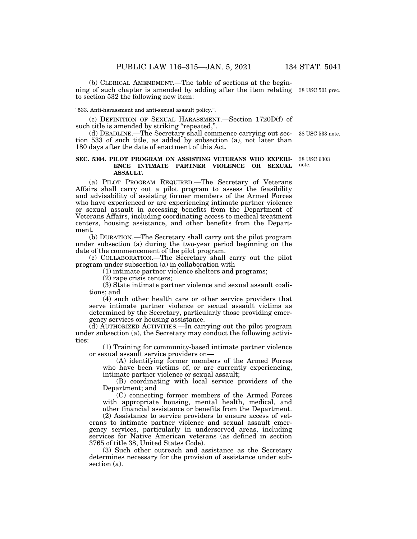(b) CLERICAL AMENDMENT.—The table of sections at the beginning of such chapter is amended by adding after the item relating 38 USC 501 prec. to section 532 the following new item:

''533. Anti-harassment and anti-sexual assault policy.''.

(c) DEFINITION OF SEXUAL HARASSMENT.—Section 1720D(f) of such title is amended by striking "repeated,".

(d) DEADLINE.—The Secretary shall commence carrying out section 533 of such title, as added by subsection (a), not later than 180 days after the date of enactment of this Act.

#### **SEC. 5304. PILOT PROGRAM ON ASSISTING VETERANS WHO EXPERI-ENCE INTIMATE PARTNER VIOLENCE OR SEXUAL ASSAULT.**  38 USC 6303 note.

(a) PILOT PROGRAM REQUIRED.—The Secretary of Veterans Affairs shall carry out a pilot program to assess the feasibility and advisability of assisting former members of the Armed Forces who have experienced or are experiencing intimate partner violence or sexual assault in accessing benefits from the Department of Veterans Affairs, including coordinating access to medical treatment centers, housing assistance, and other benefits from the Department.

(b) DURATION.—The Secretary shall carry out the pilot program under subsection (a) during the two-year period beginning on the date of the commencement of the pilot program.

(c) COLLABORATION.—The Secretary shall carry out the pilot program under subsection (a) in collaboration with—

(1) intimate partner violence shelters and programs;

(2) rape crisis centers;

(3) State intimate partner violence and sexual assault coalitions; and

(4) such other health care or other service providers that serve intimate partner violence or sexual assault victims as determined by the Secretary, particularly those providing emergency services or housing assistance.

(d) AUTHORIZED ACTIVITIES.—In carrying out the pilot program under subsection (a), the Secretary may conduct the following activities:

(1) Training for community-based intimate partner violence or sexual assault service providers on—

(A) identifying former members of the Armed Forces who have been victims of, or are currently experiencing, intimate partner violence or sexual assault;

(B) coordinating with local service providers of the Department; and

(C) connecting former members of the Armed Forces with appropriate housing, mental health, medical, and other financial assistance or benefits from the Department.

(2) Assistance to service providers to ensure access of veterans to intimate partner violence and sexual assault emergency services, particularly in underserved areas, including services for Native American veterans (as defined in section 3765 of title 38, United States Code).

(3) Such other outreach and assistance as the Secretary determines necessary for the provision of assistance under subsection (a).

38 USC 533 note.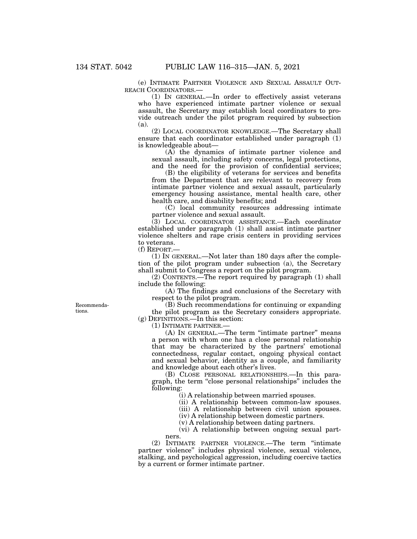(e) INTIMATE PARTNER VIOLENCE AND SEXUAL ASSAULT OUT-REACH COORDINATORS.—

(1) IN GENERAL.—In order to effectively assist veterans who have experienced intimate partner violence or sexual assault, the Secretary may establish local coordinators to provide outreach under the pilot program required by subsection (a).

(2) LOCAL COORDINATOR KNOWLEDGE.—The Secretary shall ensure that each coordinator established under paragraph (1) is knowledgeable about—

(A) the dynamics of intimate partner violence and sexual assault, including safety concerns, legal protections, and the need for the provision of confidential services;

(B) the eligibility of veterans for services and benefits from the Department that are relevant to recovery from intimate partner violence and sexual assault, particularly emergency housing assistance, mental health care, other health care, and disability benefits; and

(C) local community resources addressing intimate partner violence and sexual assault.

(3) LOCAL COORDINATOR ASSISTANCE.—Each coordinator established under paragraph (1) shall assist intimate partner violence shelters and rape crisis centers in providing services to veterans.

(f) REPORT.—

(1) IN GENERAL.—Not later than 180 days after the completion of the pilot program under subsection (a), the Secretary shall submit to Congress a report on the pilot program.

(2) CONTENTS.—The report required by paragraph (1) shall include the following:

(A) The findings and conclusions of the Secretary with respect to the pilot program.

(B) Such recommendations for continuing or expanding the pilot program as the Secretary considers appropriate. (g) DEFINITIONS.—In this section:

(1) INTIMATE PARTNER.—

(A) IN GENERAL.—The term "intimate partner" means a person with whom one has a close personal relationship that may be characterized by the partners' emotional connectedness, regular contact, ongoing physical contact and sexual behavior, identity as a couple, and familiarity and knowledge about each other's lives.

(B) CLOSE PERSONAL RELATIONSHIPS.—In this paragraph, the term ''close personal relationships'' includes the following:

(i) A relationship between married spouses.

(ii) A relationship between common-law spouses.

(iii) A relationship between civil union spouses.

(iv) A relationship between domestic partners.

(v) A relationship between dating partners.

(vi) A relationship between ongoing sexual partners.

(2) INTIMATE PARTNER VIOLENCE.—The term ''intimate partner violence'' includes physical violence, sexual violence, stalking, and psychological aggression, including coercive tactics by a current or former intimate partner.

Recommendations.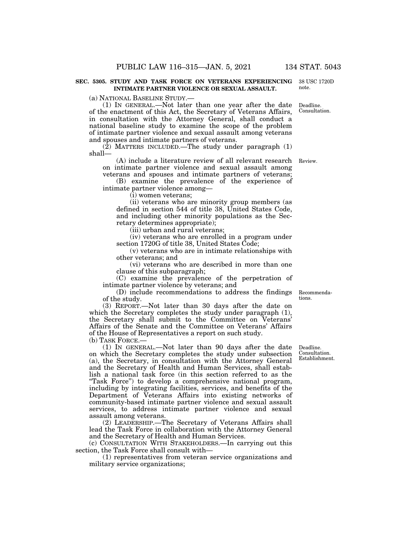#### **SEC. 5305. STUDY AND TASK FORCE ON VETERANS EXPERIENCING INTIMATE PARTNER VIOLENCE OR SEXUAL ASSAULT.**

(a) NATIONAL BASELINE STUDY.—

(1) IN GENERAL.—Not later than one year after the date of the enactment of this Act, the Secretary of Veterans Affairs, in consultation with the Attorney General, shall conduct a national baseline study to examine the scope of the problem of intimate partner violence and sexual assault among veterans and spouses and intimate partners of veterans. Deadline. Consultation.

 $(2)$  MATTERS INCLUDED.—The study under paragraph  $(1)$ shall—

(A) include a literature review of all relevant research Review. on intimate partner violence and sexual assault among veterans and spouses and intimate partners of veterans;

(B) examine the prevalence of the experience of intimate partner violence among—

(i) women veterans;

(ii) veterans who are minority group members (as defined in section 544 of title 38, United States Code, and including other minority populations as the Secretary determines appropriate);

(iii) urban and rural veterans;

(iv) veterans who are enrolled in a program under section 1720G of title 38, United States Code;

(v) veterans who are in intimate relationships with other veterans; and

(vi) veterans who are described in more than one clause of this subparagraph;

(C) examine the prevalence of the perpetration of intimate partner violence by veterans; and

(D) include recommendations to address the findings of the study. Recommendations.

(3) REPORT.—Not later than 30 days after the date on which the Secretary completes the study under paragraph (1), the Secretary shall submit to the Committee on Veterans' Affairs of the Senate and the Committee on Veterans' Affairs of the House of Representatives a report on such study.

(b) TASK FORCE.—

(1) IN GENERAL.—Not later than 90 days after the date on which the Secretary completes the study under subsection (a), the Secretary, in consultation with the Attorney General and the Secretary of Health and Human Services, shall establish a national task force (in this section referred to as the "Task Force") to develop a comprehensive national program, including by integrating facilities, services, and benefits of the Department of Veterans Affairs into existing networks of community-based intimate partner violence and sexual assault services, to address intimate partner violence and sexual assault among veterans.

(2) LEADERSHIP.—The Secretary of Veterans Affairs shall lead the Task Force in collaboration with the Attorney General and the Secretary of Health and Human Services.

(c) CONSULTATION WITH STAKEHOLDERS.—In carrying out this section, the Task Force shall consult with—

(1) representatives from veteran service organizations and military service organizations;

Deadline. Consultation. Establishment.

38 USC 1720D note.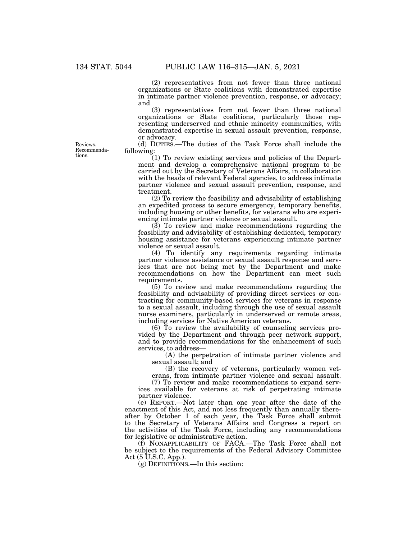(2) representatives from not fewer than three national organizations or State coalitions with demonstrated expertise in intimate partner violence prevention, response, or advocacy; and

(3) representatives from not fewer than three national organizations or State coalitions, particularly those representing underserved and ethnic minority communities, with demonstrated expertise in sexual assault prevention, response, or advocacy.

(d) DUTIES.—The duties of the Task Force shall include the following:

(1) To review existing services and policies of the Department and develop a comprehensive national program to be carried out by the Secretary of Veterans Affairs, in collaboration with the heads of relevant Federal agencies, to address intimate partner violence and sexual assault prevention, response, and treatment.

(2) To review the feasibility and advisability of establishing an expedited process to secure emergency, temporary benefits, including housing or other benefits, for veterans who are experiencing intimate partner violence or sexual assault.

(3) To review and make recommendations regarding the feasibility and advisability of establishing dedicated, temporary housing assistance for veterans experiencing intimate partner violence or sexual assault.

(4) To identify any requirements regarding intimate partner violence assistance or sexual assault response and services that are not being met by the Department and make recommendations on how the Department can meet such requirements.

(5) To review and make recommendations regarding the feasibility and advisability of providing direct services or contracting for community-based services for veterans in response to a sexual assault, including through the use of sexual assault nurse examiners, particularly in underserved or remote areas, including services for Native American veterans.

(6) To review the availability of counseling services provided by the Department and through peer network support, and to provide recommendations for the enhancement of such services, to address—

(A) the perpetration of intimate partner violence and sexual assault; and

(B) the recovery of veterans, particularly women veterans, from intimate partner violence and sexual assault.

(7) To review and make recommendations to expand services available for veterans at risk of perpetrating intimate partner violence.

(e) REPORT.—Not later than one year after the date of the enactment of this Act, and not less frequently than annually thereafter by October 1 of each year, the Task Force shall submit to the Secretary of Veterans Affairs and Congress a report on the activities of the Task Force, including any recommendations for legislative or administrative action.

(f) NONAPPLICABILITY OF FACA.—The Task Force shall not be subject to the requirements of the Federal Advisory Committee Act (5 U.S.C. App.).

(g) DEFINITIONS.—In this section:

Reviews. Recommendations.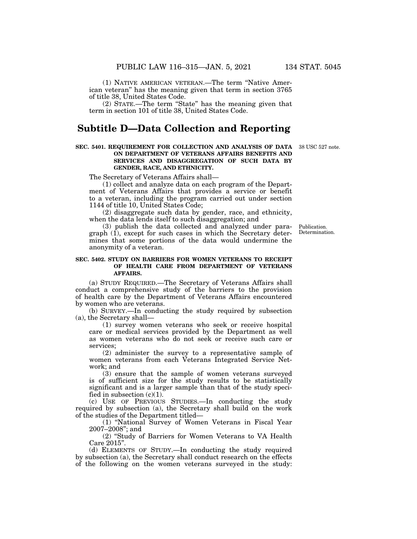(1) NATIVE AMERICAN VETERAN.—The term ''Native American veteran'' has the meaning given that term in section 3765

of title 38, United States Code.

(2) STATE.—The term ''State'' has the meaning given that term in section 101 of title 38, United States Code.

### **Subtitle D—Data Collection and Reporting**

#### **SEC. 5401. REQUIREMENT FOR COLLECTION AND ANALYSIS OF DATA**  38 USC 527 note. **ON DEPARTMENT OF VETERANS AFFAIRS BENEFITS AND SERVICES AND DISAGGREGATION OF SUCH DATA BY GENDER, RACE, AND ETHNICITY.**

The Secretary of Veterans Affairs shall—

(1) collect and analyze data on each program of the Department of Veterans Affairs that provides a service or benefit to a veteran, including the program carried out under section 1144 of title 10, United States Code;

(2) disaggregate such data by gender, race, and ethnicity, when the data lends itself to such disaggregation; and

(3) publish the data collected and analyzed under paragraph (1), except for such cases in which the Secretary determines that some portions of the data would undermine the anonymity of a veteran.

#### **SEC. 5402. STUDY ON BARRIERS FOR WOMEN VETERANS TO RECEIPT OF HEALTH CARE FROM DEPARTMENT OF VETERANS AFFAIRS.**

(a) STUDY REQUIRED.—The Secretary of Veterans Affairs shall conduct a comprehensive study of the barriers to the provision of health care by the Department of Veterans Affairs encountered by women who are veterans.

(b) SURVEY.—In conducting the study required by subsection (a), the Secretary shall—

(1) survey women veterans who seek or receive hospital care or medical services provided by the Department as well as women veterans who do not seek or receive such care or services;

(2) administer the survey to a representative sample of women veterans from each Veterans Integrated Service Network; and

(3) ensure that the sample of women veterans surveyed is of sufficient size for the study results to be statistically significant and is a larger sample than that of the study specified in subsection  $(c)(1)$ .

(c) USE OF PREVIOUS STUDIES.—In conducting the study required by subsection (a), the Secretary shall build on the work of the studies of the Department titled—

(1) ''National Survey of Women Veterans in Fiscal Year 2007–2008''; and

(2) ''Study of Barriers for Women Veterans to VA Health Care 2015''.

(d) ELEMENTS OF STUDY.—In conducting the study required by subsection (a), the Secretary shall conduct research on the effects of the following on the women veterans surveyed in the study:

Publication. Determination.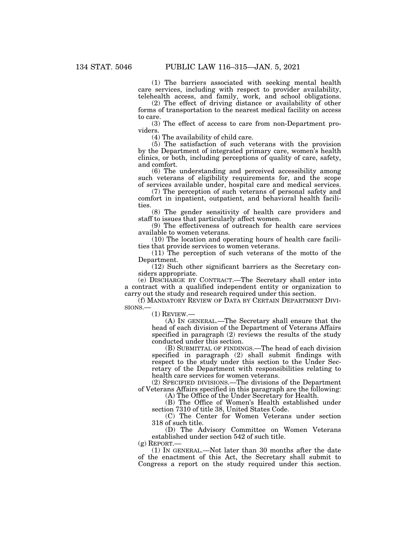(1) The barriers associated with seeking mental health care services, including with respect to provider availability, telehealth access, and family, work, and school obligations.

(2) The effect of driving distance or availability of other forms of transportation to the nearest medical facility on access to care.

(3) The effect of access to care from non-Department providers.

(4) The availability of child care.

(5) The satisfaction of such veterans with the provision by the Department of integrated primary care, women's health clinics, or both, including perceptions of quality of care, safety, and comfort.

(6) The understanding and perceived accessibility among such veterans of eligibility requirements for, and the scope of services available under, hospital care and medical services.

(7) The perception of such veterans of personal safety and comfort in inpatient, outpatient, and behavioral health facilities.

(8) The gender sensitivity of health care providers and staff to issues that particularly affect women.

(9) The effectiveness of outreach for health care services available to women veterans.

(10) The location and operating hours of health care facilities that provide services to women veterans.

(11) The perception of such veterans of the motto of the Department.

(12) Such other significant barriers as the Secretary considers appropriate.

(e) DISCHARGE BY CONTRACT.—The Secretary shall enter into a contract with a qualified independent entity or organization to carry out the study and research required under this section.

(f) MANDATORY REVIEW OF DATA BY CERTAIN DEPARTMENT DIVI-SIONS.— (1) REVIEW.—

(A) IN GENERAL.—The Secretary shall ensure that the head of each division of the Department of Veterans Affairs specified in paragraph (2) reviews the results of the study conducted under this section.

(B) SUBMITTAL OF FINDINGS.—The head of each division specified in paragraph (2) shall submit findings with respect to the study under this section to the Under Secretary of the Department with responsibilities relating to health care services for women veterans.

(2) SPECIFIED DIVISIONS.—The divisions of the Department of Veterans Affairs specified in this paragraph are the following:

(A) The Office of the Under Secretary for Health.

(B) The Office of Women's Health established under section 7310 of title 38, United States Code.

(C) The Center for Women Veterans under section 318 of such title.

(D) The Advisory Committee on Women Veterans established under section 542 of such title.

 $(g)$  REPORT.

(1) IN GENERAL.—Not later than 30 months after the date of the enactment of this Act, the Secretary shall submit to Congress a report on the study required under this section.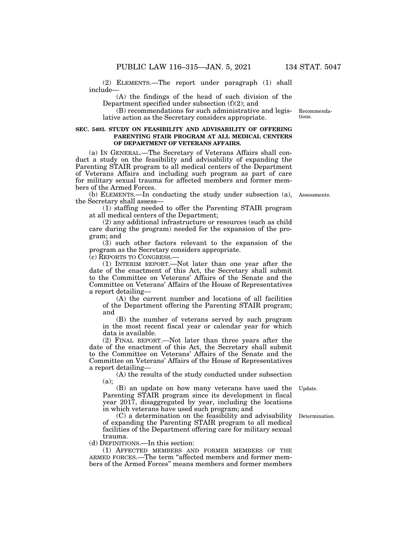(2) ELEMENTS.—The report under paragraph (1) shall include—

(A) the findings of the head of each division of the Department specified under subsection (f)(2); and

(B) recommendations for such administrative and legislative action as the Secretary considers appropriate.

#### **SEC. 5403. STUDY ON FEASIBILITY AND ADVISABILITY OF OFFERING PARENTING STAIR PROGRAM AT ALL MEDICAL CENTERS OF DEPARTMENT OF VETERANS AFFAIRS.**

(a) IN GENERAL.—The Secretary of Veterans Affairs shall conduct a study on the feasibility and advisability of expanding the Parenting STAIR program to all medical centers of the Department of Veterans Affairs and including such program as part of care for military sexual trauma for affected members and former members of the Armed Forces.

(b) ELEMENTS.—In conducting the study under subsection (a), Assessments. the Secretary shall assess—

(1) staffing needed to offer the Parenting STAIR program at all medical centers of the Department;

(2) any additional infrastructure or resources (such as child care during the program) needed for the expansion of the program; and

(3) such other factors relevant to the expansion of the program as the Secretary considers appropriate.

(c) REPORTS TO CONGRESS.—

(1) INTERIM REPORT.—Not later than one year after the date of the enactment of this Act, the Secretary shall submit to the Committee on Veterans' Affairs of the Senate and the Committee on Veterans' Affairs of the House of Representatives a report detailing—

(A) the current number and locations of all facilities of the Department offering the Parenting STAIR program; and

(B) the number of veterans served by such program in the most recent fiscal year or calendar year for which data is available.

(2) FINAL REPORT.—Not later than three years after the date of the enactment of this Act, the Secretary shall submit to the Committee on Veterans' Affairs of the Senate and the Committee on Veterans' Affairs of the House of Representatives a report detailing—

(A) the results of the study conducted under subsection (a);

Update.

(B) an update on how many veterans have used the Parenting STAIR program since its development in fiscal year 2017, disaggregated by year, including the locations in which veterans have used such program; and

(C) a determination on the feasibility and advisability of expanding the Parenting STAIR program to all medical facilities of the Department offering care for military sexual trauma.

(d) DEFINITIONS.—In this section:

(1) AFFECTED MEMBERS AND FORMER MEMBERS OF THE ARMED FORCES.—The term ''affected members and former members of the Armed Forces'' means members and former members

Determination.

Recommendations.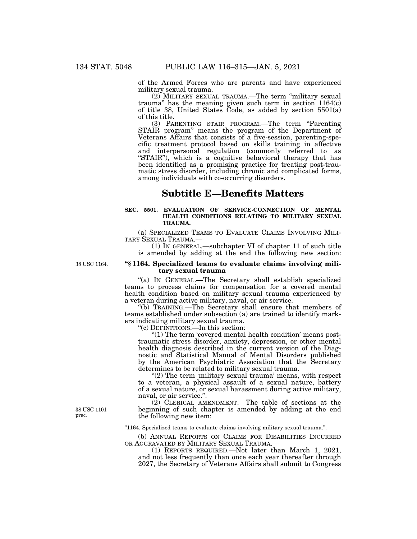of the Armed Forces who are parents and have experienced military sexual trauma.

(2) MILITARY SEXUAL TRAUMA.—The term ''military sexual trauma'' has the meaning given such term in section 1164(c) of title 38, United States Code, as added by section 5501(a) of this title.

(3) PARENTING STAIR PROGRAM.—The term ''Parenting STAIR program'' means the program of the Department of Veterans Affairs that consists of a five-session, parenting-specific treatment protocol based on skills training in affective and interpersonal regulation (commonly referred to as ''STAIR''), which is a cognitive behavioral therapy that has been identified as a promising practice for treating post-traumatic stress disorder, including chronic and complicated forms, among individuals with co-occurring disorders.

## **Subtitle E—Benefits Matters**

#### **SEC. 5501. EVALUATION OF SERVICE-CONNECTION OF MENTAL HEALTH CONDITIONS RELATING TO MILITARY SEXUAL TRAUMA.**

(a) SPECIALIZED TEAMS TO EVALUATE CLAIMS INVOLVING MILI-TARY SEXUAL TRAUMA.—

(1) IN GENERAL.—subchapter VI of chapter 11 of such title is amended by adding at the end the following new section:

38 USC 1164.

#### **''§ 1164. Specialized teams to evaluate claims involving military sexual trauma**

''(a) IN GENERAL.—The Secretary shall establish specialized teams to process claims for compensation for a covered mental health condition based on military sexual trauma experienced by a veteran during active military, naval, or air service.

''(b) TRAINING.—The Secretary shall ensure that members of teams established under subsection (a) are trained to identify markers indicating military sexual trauma.

''(c) DEFINITIONS.—In this section:

"(1) The term 'covered mental health condition' means posttraumatic stress disorder, anxiety, depression, or other mental health diagnosis described in the current version of the Diagnostic and Statistical Manual of Mental Disorders published by the American Psychiatric Association that the Secretary determines to be related to military sexual trauma.

"(2) The term 'military sexual trauma' means, with respect to a veteran, a physical assault of a sexual nature, battery of a sexual nature, or sexual harassment during active military, naval, or air service.''.

(2) CLERICAL AMENDMENT.—The table of sections at the beginning of such chapter is amended by adding at the end the following new item:

''1164. Specialized teams to evaluate claims involving military sexual trauma.''.

(b) ANNUAL REPORTS ON CLAIMS FOR DISABILITIES INCURRED OR AGGRAVATED BY MILITARY SEXUAL TRAUMA.-

(1) REPORTS REQUIRED.—Not later than March 1, 2021, and not less frequently than once each year thereafter through 2027, the Secretary of Veterans Affairs shall submit to Congress

38 USC 1101 prec.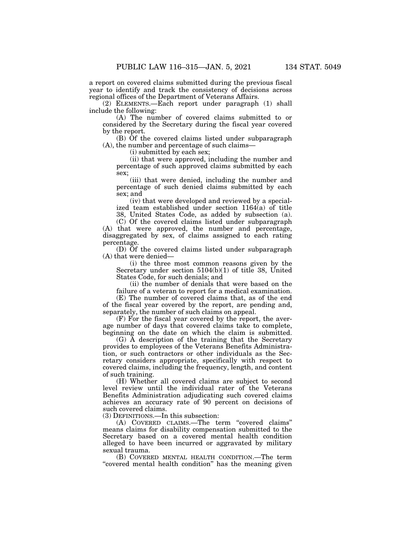a report on covered claims submitted during the previous fiscal year to identify and track the consistency of decisions across regional offices of the Department of Veterans Affairs.

(2) ELEMENTS.—Each report under paragraph (1) shall include the following:

(A) The number of covered claims submitted to or considered by the Secretary during the fiscal year covered by the report.

(B) Of the covered claims listed under subparagraph (A), the number and percentage of such claims—

(i) submitted by each sex;

(ii) that were approved, including the number and percentage of such approved claims submitted by each sex;

(iii) that were denied, including the number and percentage of such denied claims submitted by each sex; and

(iv) that were developed and reviewed by a specialized team established under section 1164(a) of title 38, United States Code, as added by subsection (a).

(C) Of the covered claims listed under subparagraph

(A) that were approved, the number and percentage, disaggregated by sex, of claims assigned to each rating percentage.

(D) Of the covered claims listed under subparagraph (A) that were denied—

(i) the three most common reasons given by the Secretary under section 5104(b)(1) of title 38, United States Code, for such denials; and

(ii) the number of denials that were based on the failure of a veteran to report for a medical examination.

(E) The number of covered claims that, as of the end of the fiscal year covered by the report, are pending and, separately, the number of such claims on appeal.

(F) For the fiscal year covered by the report, the average number of days that covered claims take to complete, beginning on the date on which the claim is submitted.

(G) A description of the training that the Secretary provides to employees of the Veterans Benefits Administration, or such contractors or other individuals as the Secretary considers appropriate, specifically with respect to covered claims, including the frequency, length, and content of such training.

(H) Whether all covered claims are subject to second level review until the individual rater of the Veterans Benefits Administration adjudicating such covered claims achieves an accuracy rate of 90 percent on decisions of such covered claims.

(3) DEFINITIONS.—In this subsection:

(A) COVERED CLAIMS.—The term ''covered claims'' means claims for disability compensation submitted to the Secretary based on a covered mental health condition alleged to have been incurred or aggravated by military sexual trauma.

(B) COVERED MENTAL HEALTH CONDITION.—The term "covered mental health condition" has the meaning given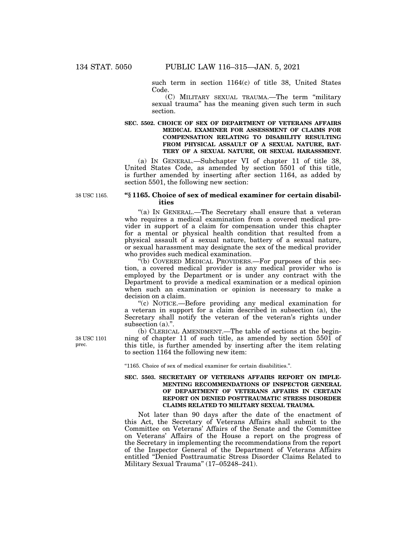such term in section 1164(c) of title 38, United States Code.

(C) MILITARY SEXUAL TRAUMA.—The term ''military sexual trauma'' has the meaning given such term in such section.

#### **SEC. 5502. CHOICE OF SEX OF DEPARTMENT OF VETERANS AFFAIRS MEDICAL EXAMINER FOR ASSESSMENT OF CLAIMS FOR COMPENSATION RELATING TO DISABILITY RESULTING FROM PHYSICAL ASSAULT OF A SEXUAL NATURE, BAT-TERY OF A SEXUAL NATURE, OR SEXUAL HARASSMENT.**

(a) IN GENERAL.—Subchapter VI of chapter 11 of title 38, United States Code, as amended by section 5501 of this title, is further amended by inserting after section 1164, as added by section 5501, the following new section:

38 USC 1165.

#### **''§ 1165. Choice of sex of medical examiner for certain disabilities**

"(a) IN GENERAL.—The Secretary shall ensure that a veteran who requires a medical examination from a covered medical provider in support of a claim for compensation under this chapter for a mental or physical health condition that resulted from a physical assault of a sexual nature, battery of a sexual nature, or sexual harassment may designate the sex of the medical provider who provides such medical examination.

''(b) COVERED MEDICAL PROVIDERS.—For purposes of this section, a covered medical provider is any medical provider who is employed by the Department or is under any contract with the Department to provide a medical examination or a medical opinion when such an examination or opinion is necessary to make a decision on a claim.

''(c) NOTICE.—Before providing any medical examination for a veteran in support for a claim described in subsection (a), the Secretary shall notify the veteran of the veteran's rights under subsection (a).".

(b) CLERICAL AMENDMENT.—The table of sections at the beginning of chapter 11 of such title, as amended by section 5501 of this title, is further amended by inserting after the item relating to section 1164 the following new item:

''1165. Choice of sex of medical examiner for certain disabilities.''.

#### **SEC. 5503. SECRETARY OF VETERANS AFFAIRS REPORT ON IMPLE-MENTING RECOMMENDATIONS OF INSPECTOR GENERAL OF DEPARTMENT OF VETERANS AFFAIRS IN CERTAIN REPORT ON DENIED POSTTRAUMATIC STRESS DISORDER CLAIMS RELATED TO MILITARY SEXUAL TRAUMA.**

Not later than 90 days after the date of the enactment of this Act, the Secretary of Veterans Affairs shall submit to the Committee on Veterans' Affairs of the Senate and the Committee on Veterans' Affairs of the House a report on the progress of the Secretary in implementing the recommendations from the report of the Inspector General of the Department of Veterans Affairs entitled ''Denied Posttraumatic Stress Disorder Claims Related to Military Sexual Trauma'' (17–05248–241).

38 USC 1101 prec.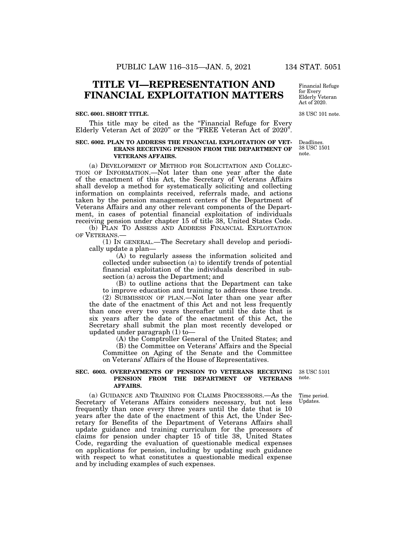# **TITLE VI—REPRESENTATION AND FINANCIAL EXPLOITATION MATTERS**

#### **SEC. 6001. SHORT TITLE.**

This title may be cited as the "Financial Refuge for Every Elderly Veteran Act of 2020" or the "FREE Veteran Act of 2020".

#### **SEC. 6002. PLAN TO ADDRESS THE FINANCIAL EXPLOITATION OF VET-ERANS RECEIVING PENSION FROM THE DEPARTMENT OF VETERANS AFFAIRS.**

(a) DEVELOPMENT OF METHOD FOR SOLICITATION AND COLLEC-TION OF INFORMATION.—Not later than one year after the date of the enactment of this Act, the Secretary of Veterans Affairs shall develop a method for systematically soliciting and collecting information on complaints received, referrals made, and actions taken by the pension management centers of the Department of Veterans Affairs and any other relevant components of the Department, in cases of potential financial exploitation of individuals receiving pension under chapter 15 of title 38, United States Code.

(b) PLAN TO ASSESS AND ADDRESS FINANCIAL EXPLOITATION OF VETERANS.—

(1) IN GENERAL.—The Secretary shall develop and periodically update a plan—

(A) to regularly assess the information solicited and collected under subsection (a) to identify trends of potential financial exploitation of the individuals described in subsection (a) across the Department; and

(B) to outline actions that the Department can take to improve education and training to address those trends.

(2) SUBMISSION OF PLAN.—Not later than one year after the date of the enactment of this Act and not less frequently than once every two years thereafter until the date that is six years after the date of the enactment of this Act, the Secretary shall submit the plan most recently developed or updated under paragraph  $(1)$  to-

(A) the Comptroller General of the United States; and

(B) the Committee on Veterans' Affairs and the Special Committee on Aging of the Senate and the Committee on Veterans' Affairs of the House of Representatives.

#### **SEC. 6003. OVERPAYMENTS OF PENSION TO VETERANS RECEIVING PENSION FROM THE DEPARTMENT OF VETERANS AFFAIRS.**

(a) GUIDANCE AND TRAINING FOR CLAIMS PROCESSORS.—As the Secretary of Veterans Affairs considers necessary, but not less frequently than once every three years until the date that is 10 years after the date of the enactment of this Act, the Under Secretary for Benefits of the Department of Veterans Affairs shall update guidance and training curriculum for the processors of claims for pension under chapter 15 of title 38, United States Code, regarding the evaluation of questionable medical expenses on applications for pension, including by updating such guidance with respect to what constitutes a questionable medical expense and by including examples of such expenses.

38 USC 5101 note.

Time period. Updates.

Financial Refuge for Every Elderly Veteran Act of 2020.

38 USC 101 note.

Deadlines. 38 USC 1501 note.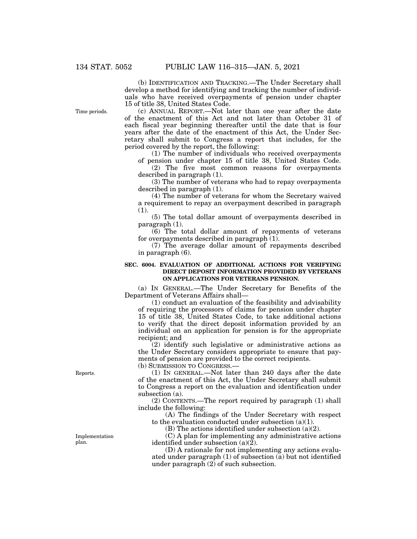(b) IDENTIFICATION AND TRACKING.—The Under Secretary shall develop a method for identifying and tracking the number of individuals who have received overpayments of pension under chapter 15 of title 38, United States Code.

Time periods.

(c) ANNUAL REPORT.—Not later than one year after the date of the enactment of this Act and not later than October 31 of each fiscal year beginning thereafter until the date that is four years after the date of the enactment of this Act, the Under Secretary shall submit to Congress a report that includes, for the period covered by the report, the following:

(1) The number of individuals who received overpayments of pension under chapter 15 of title 38, United States Code.

(2) The five most common reasons for overpayments described in paragraph (1).

(3) The number of veterans who had to repay overpayments described in paragraph (1).

(4) The number of veterans for whom the Secretary waived a requirement to repay an overpayment described in paragraph (1).

(5) The total dollar amount of overpayments described in paragraph (1).

(6) The total dollar amount of repayments of veterans for overpayments described in paragraph (1).

(7) The average dollar amount of repayments described in paragraph (6).

#### **SEC. 6004. EVALUATION OF ADDITIONAL ACTIONS FOR VERIFYING DIRECT DEPOSIT INFORMATION PROVIDED BY VETERANS ON APPLICATIONS FOR VETERANS PENSION.**

(a) IN GENERAL.—The Under Secretary for Benefits of the Department of Veterans Affairs shall—

(1) conduct an evaluation of the feasibility and advisability of requiring the processors of claims for pension under chapter 15 of title 38, United States Code, to take additional actions to verify that the direct deposit information provided by an individual on an application for pension is for the appropriate recipient; and

(2) identify such legislative or administrative actions as the Under Secretary considers appropriate to ensure that payments of pension are provided to the correct recipients. (b) SUBMISSION TO CONGRESS.—

(1) IN GENERAL.—Not later than 240 days after the date of the enactment of this Act, the Under Secretary shall submit to Congress a report on the evaluation and identification under subsection (a).

(2) CONTENTS.—The report required by paragraph (1) shall include the following:

(A) The findings of the Under Secretary with respect to the evaluation conducted under subsection (a)(1).

(B) The actions identified under subsection (a)(2).

(C) A plan for implementing any administrative actions identified under subsection  $(a)(\overline{2})$ .

(D) A rationale for not implementing any actions evaluated under paragraph (1) of subsection (a) but not identified under paragraph  $(2)$  of such subsection.

Reports.

Implementation plan.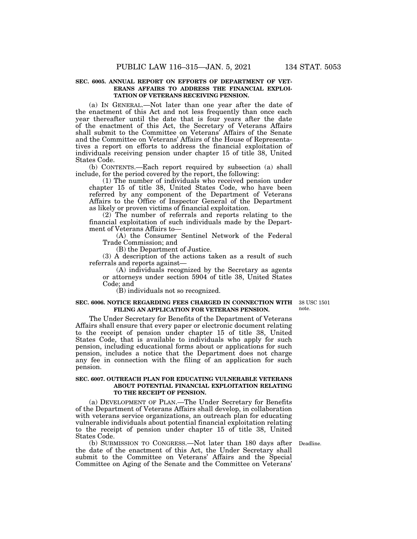#### **SEC. 6005. ANNUAL REPORT ON EFFORTS OF DEPARTMENT OF VET-ERANS AFFAIRS TO ADDRESS THE FINANCIAL EXPLOI-TATION OF VETERANS RECEIVING PENSION.**

(a) IN GENERAL.—Not later than one year after the date of the enactment of this Act and not less frequently than once each year thereafter until the date that is four years after the date of the enactment of this Act, the Secretary of Veterans Affairs shall submit to the Committee on Veterans' Affairs of the Senate and the Committee on Veterans' Affairs of the House of Representatives a report on efforts to address the financial exploitation of individuals receiving pension under chapter 15 of title 38, United States Code.

(b) CONTENTS.—Each report required by subsection (a) shall include, for the period covered by the report, the following:

(1) The number of individuals who received pension under chapter 15 of title 38, United States Code, who have been referred by any component of the Department of Veterans Affairs to the Office of Inspector General of the Department as likely or proven victims of financial exploitation.

(2) The number of referrals and reports relating to the financial exploitation of such individuals made by the Department of Veterans Affairs to—

(A) the Consumer Sentinel Network of the Federal Trade Commission; and

(B) the Department of Justice.

(3) A description of the actions taken as a result of such referrals and reports against—

(A) individuals recognized by the Secretary as agents or attorneys under section 5904 of title 38, United States Code; and

(B) individuals not so recognized.

#### **SEC. 6006. NOTICE REGARDING FEES CHARGED IN CONNECTION WITH**  38 USC 1501 **FILING AN APPLICATION FOR VETERANS PENSION.**

note.

The Under Secretary for Benefits of the Department of Veterans Affairs shall ensure that every paper or electronic document relating to the receipt of pension under chapter 15 of title 38, United States Code, that is available to individuals who apply for such pension, including educational forms about or applications for such pension, includes a notice that the Department does not charge any fee in connection with the filing of an application for such pension.

#### **SEC. 6007. OUTREACH PLAN FOR EDUCATING VULNERABLE VETERANS ABOUT POTENTIAL FINANCIAL EXPLOITATION RELATING TO THE RECEIPT OF PENSION.**

(a) DEVELOPMENT OF PLAN.—The Under Secretary for Benefits of the Department of Veterans Affairs shall develop, in collaboration with veterans service organizations, an outreach plan for educating vulnerable individuals about potential financial exploitation relating to the receipt of pension under chapter 15 of title 38, United States Code.

(b) SUBMISSION TO CONGRESS.—Not later than 180 days after Deadline. the date of the enactment of this Act, the Under Secretary shall submit to the Committee on Veterans' Affairs and the Special Committee on Aging of the Senate and the Committee on Veterans'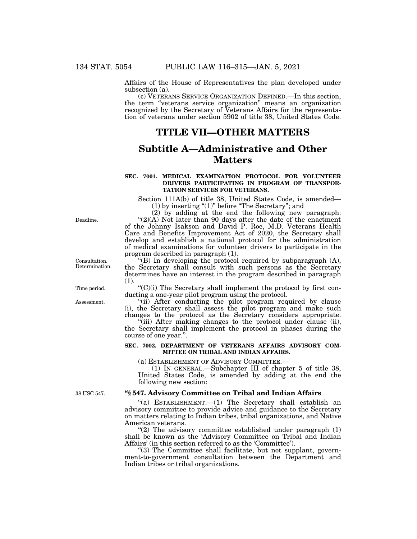Affairs of the House of Representatives the plan developed under subsection (a).

(c) VETERANS SERVICE ORGANIZATION DEFINED.—In this section, the term ''veterans service organization'' means an organization recognized by the Secretary of Veterans Affairs for the representation of veterans under section 5902 of title 38, United States Code.

# **TITLE VII—OTHER MATTERS**

# **Subtitle A—Administrative and Other Matters**

#### **SEC. 7001. MEDICAL EXAMINATION PROTOCOL FOR VOLUNTEER DRIVERS PARTICIPATING IN PROGRAM OF TRANSPOR-TATION SERVICES FOR VETERANS.**

Section 111A(b) of title 38, United States Code, is amended—  $(1)$  by inserting " $(1)$ " before "The Secretary"; and

(2) by adding at the end the following new paragraph: " $(2)(A)$  Not later than 90 days after the date of the enactment of the Johnny Isakson and David P. Roe, M.D. Veterans Health Care and Benefits Improvement Act of 2020, the Secretary shall develop and establish a national protocol for the administration of medical examinations for volunteer drivers to participate in the program described in paragraph (1).

"(B) In developing the protocol required by subparagraph  $(A)$ , the Secretary shall consult with such persons as the Secretary determines have an interest in the program described in paragraph (1).

 $C'(C)(i)$  The Secretary shall implement the protocol by first conducting a one-year pilot program using the protocol.

"(ii) After conducting the pilot program required by clause (i), the Secretary shall assess the pilot program and make such changes to the protocol as the Secretary considers appropriate.

''(iii) After making changes to the protocol under clause (ii), the Secretary shall implement the protocol in phases during the course of one year.''.

#### **SEC. 7002. DEPARTMENT OF VETERANS AFFAIRS ADVISORY COM-MITTEE ON TRIBAL AND INDIAN AFFAIRS.**

(a) ESTABLISHMENT OF ADVISORY COMMITTEE.—

(1) IN GENERAL.—Subchapter III of chapter 5 of title 38, United States Code, is amended by adding at the end the following new section:

38 USC 547.

#### **''§ 547. Advisory Committee on Tribal and Indian Affairs**

"(a) ESTABLISHMENT. $-(1)$  The Secretary shall establish an advisory committee to provide advice and guidance to the Secretary on matters relating to Indian tribes, tribal organizations, and Native American veterans.

" $(2)$  The advisory committee established under paragraph  $(1)$ shall be known as the 'Advisory Committee on Tribal and Indian Affairs' (in this section referred to as the 'Committee').

"(3) The Committee shall facilitate, but not supplant, government-to-government consultation between the Department and Indian tribes or tribal organizations.

Deadline.

Consultation. Determination.

Time period.

Assessment.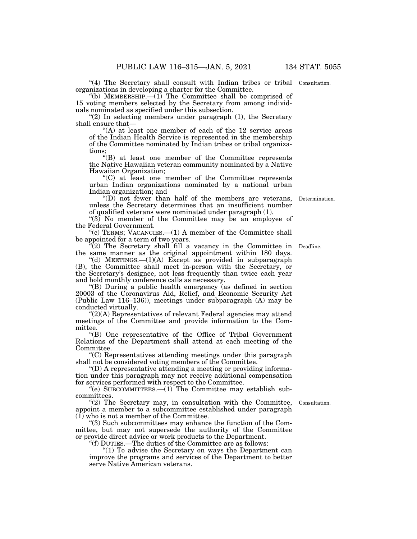"(4) The Secretary shall consult with Indian tribes or tribal Consultation. organizations in developing a charter for the Committee.

"(b) MEMBERSHIP.— $(1)$  The Committee shall be comprised of 15 voting members selected by the Secretary from among individuals nominated as specified under this subsection.

" $(2)$  In selecting members under paragraph  $(1)$ , the Secretary shall ensure that—

"(A) at least one member of each of the 12 service areas of the Indian Health Service is represented in the membership of the Committee nominated by Indian tribes or tribal organizations;

''(B) at least one member of the Committee represents the Native Hawaiian veteran community nominated by a Native Hawaiian Organization;

''(C) at least one member of the Committee represents urban Indian organizations nominated by a national urban Indian organization; and

''(D) not fewer than half of the members are veterans, Determination. unless the Secretary determines that an insufficient number of qualified veterans were nominated under paragraph (1).

" $(3)$  No member of the Committee may be an employee of the Federal Government.

''(c) TERMS; VACANCIES.—(1) A member of the Committee shall be appointed for a term of two years.

 $\mathbb{P}(2)$  The Secretary shall fill a vacancy in the Committee in Deadline. the same manner as the original appointment within 180 days.

"(d) MEETINGS.— $(1)(A)$  Except as provided in subparagraph (B), the Committee shall meet in-person with the Secretary, or the Secretary's designee, not less frequently than twice each year and hold monthly conference calls as necessary.

''(B) During a public health emergency (as defined in section 20003 of the Coronavirus Aid, Relief, and Economic Security Act (Public Law 116–136)), meetings under subparagraph (A) may be conducted virtually.

 $C(2)$ (A) Representatives of relevant Federal agencies may attend meetings of the Committee and provide information to the Committee.

''(B) One representative of the Office of Tribal Government Relations of the Department shall attend at each meeting of the Committee.

''(C) Representatives attending meetings under this paragraph shall not be considered voting members of the Committee.

''(D) A representative attending a meeting or providing information under this paragraph may not receive additional compensation for services performed with respect to the Committee.

"(e) SUBCOMMITTEES.— $(1)$  The Committee may establish subcommittees.

"(2) The Secretary may, in consultation with the Committee, appoint a member to a subcommittee established under paragraph (1) who is not a member of the Committee.

''(3) Such subcommittees may enhance the function of the Committee, but may not supersede the authority of the Committee or provide direct advice or work products to the Department.

''(f) DUTIES.—The duties of the Committee are as follows:

"(1) To advise the Secretary on ways the Department can improve the programs and services of the Department to better serve Native American veterans.

Consultation.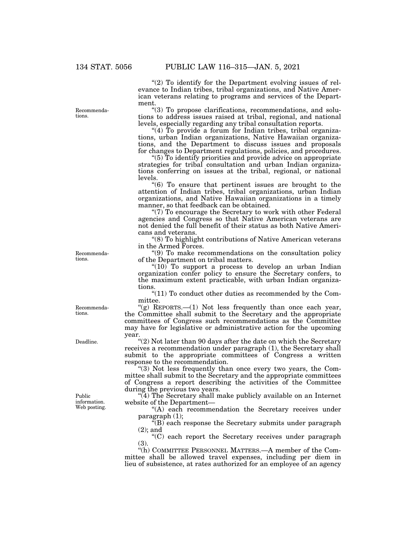"(2) To identify for the Department evolving issues of relevance to Indian tribes, tribal organizations, and Native American veterans relating to programs and services of the Department.

''(3) To propose clarifications, recommendations, and solutions to address issues raised at tribal, regional, and national levels, especially regarding any tribal consultation reports.

"(4) To provide a forum for Indian tribes, tribal organizations, urban Indian organizations, Native Hawaiian organizations, and the Department to discuss issues and proposals for changes to Department regulations, policies, and procedures.

''(5) To identify priorities and provide advice on appropriate strategies for tribal consultation and urban Indian organizations conferring on issues at the tribal, regional, or national levels.

''(6) To ensure that pertinent issues are brought to the attention of Indian tribes, tribal organizations, urban Indian organizations, and Native Hawaiian organizations in a timely manner, so that feedback can be obtained.

''(7) To encourage the Secretary to work with other Federal agencies and Congress so that Native American veterans are not denied the full benefit of their status as both Native Americans and veterans.

''(8) To highlight contributions of Native American veterans in the Armed Forces.

''(9) To make recommendations on the consultation policy of the Department on tribal matters.

"(10) To support a process to develop an urban Indian organization confer policy to ensure the Secretary confers, to the maximum extent practicable, with urban Indian organizations.

" $(11)$  To conduct other duties as recommended by the Committee.

"(g) REPORTS.— $(1)$  Not less frequently than once each year, the Committee shall submit to the Secretary and the appropriate committees of Congress such recommendations as the Committee may have for legislative or administrative action for the upcoming year.

''(2) Not later than 90 days after the date on which the Secretary receives a recommendation under paragraph (1), the Secretary shall submit to the appropriate committees of Congress a written response to the recommendation.

"(3) Not less frequently than once every two years, the Committee shall submit to the Secretary and the appropriate committees of Congress a report describing the activities of the Committee during the previous two years.

''(4) The Secretary shall make publicly available on an Internet website of the Department—

"(A) each recommendation the Secretary receives under paragraph (1);

 $\sqrt{\text{B}}$  each response the Secretary submits under paragraph (2); and

''(C) each report the Secretary receives under paragraph (3).

"(h) COMMITTEE PERSONNEL MATTERS.—A member of the Committee shall be allowed travel expenses, including per diem in lieu of subsistence, at rates authorized for an employee of an agency

Recommenda-

Public information. Web posting.

Deadline.

Recommendations.

tions.

Recommendations.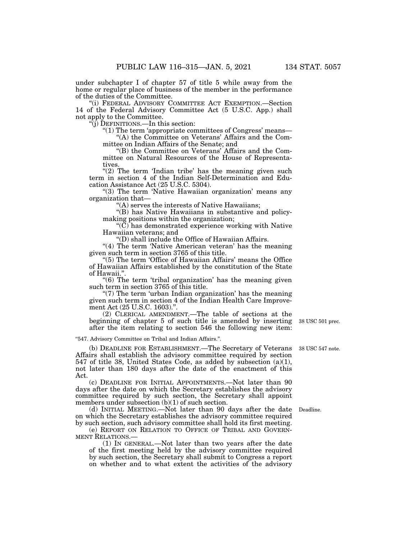under subchapter I of chapter 57 of title 5 while away from the home or regular place of business of the member in the performance of the duties of the Committee.

''(i) FEDERAL ADVISORY COMMITTEE ACT EXEMPTION.—Section 14 of the Federal Advisory Committee Act (5 U.S.C. App.) shall not apply to the Committee.

''(j) DEFINITIONS.—In this section:

''(1) The term 'appropriate committees of Congress' means— ''(A) the Committee on Veterans' Affairs and the Committee on Indian Affairs of the Senate; and

''(B) the Committee on Veterans' Affairs and the Committee on Natural Resources of the House of Representatives

" $(2)$  The term 'Indian tribe' has the meaning given such term in section 4 of the Indian Self-Determination and Education Assistance Act (25 U.S.C. 5304).

"(3) The term 'Native Hawaiian organization' means any organization that—

''(A) serves the interests of Native Hawaiians;

''(B) has Native Hawaiians in substantive and policymaking positions within the organization;

" $(\tilde{C})$  has demonstrated experience working with Native Hawaiian veterans; and

''(D) shall include the Office of Hawaiian Affairs.

"(4) The term 'Native American veteran' has the meaning given such term in section 3765 of this title.

"(5) The term 'Office of Hawaiian Affairs' means the Office of Hawaiian Affairs established by the constitution of the State of Hawaii.''.

"(6) The term 'tribal organization' has the meaning given such term in section 3765 of this title.

"(7) The term 'urban Indian organization' has the meaning given such term in section 4 of the Indian Health Care Improvement Act (25 U.S.C. 1603).''.

(2) CLERICAL AMENDMENT.—The table of sections at the beginning of chapter 5 of such title is amended by inserting after the item relating to section 546 the following new item:

''547. Advisory Committee on Tribal and Indian Affairs.''.

(b) DEADLINE FOR ESTABLISHMENT.—The Secretary of Veterans Affairs shall establish the advisory committee required by section 547 of title 38, United States Code, as added by subsection (a)(1), not later than 180 days after the date of the enactment of this Act.

(c) DEADLINE FOR INITIAL APPOINTMENTS.—Not later than 90 days after the date on which the Secretary establishes the advisory committee required by such section, the Secretary shall appoint members under subsection (b)(1) of such section.

(d) INITIAL MEETING.—Not later than 90 days after the date on which the Secretary establishes the advisory committee required by such section, such advisory committee shall hold its first meeting.

(e) REPORT ON RELATION TO OFFICE OF TRIBAL AND GOVERN-MENT RELATIONS.—

(1) IN GENERAL.—Not later than two years after the date of the first meeting held by the advisory committee required by such section, the Secretary shall submit to Congress a report on whether and to what extent the activities of the advisory

38 USC 547 note.

38 USC 501 prec.

Deadline.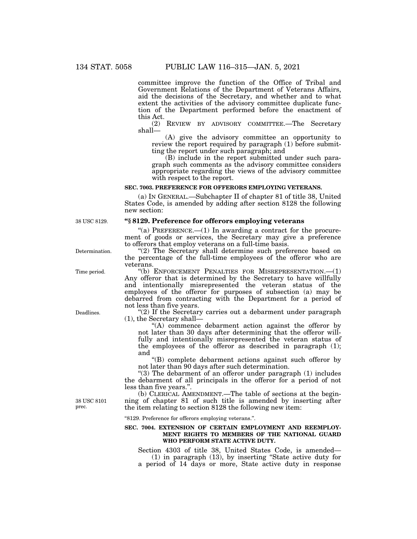committee improve the function of the Office of Tribal and Government Relations of the Department of Veterans Affairs, aid the decisions of the Secretary, and whether and to what extent the activities of the advisory committee duplicate function of the Department performed before the enactment of this Act.

(2) REVIEW BY ADVISORY COMMITTEE.—The Secretary shall—

(A) give the advisory committee an opportunity to review the report required by paragraph (1) before submitting the report under such paragraph; and

(B) include in the report submitted under such paragraph such comments as the advisory committee considers appropriate regarding the views of the advisory committee with respect to the report.

#### **SEC. 7003. PREFERENCE FOR OFFERORS EMPLOYING VETERANS.**

(a) IN GENERAL.—Subchapter II of chapter 81 of title 38, United States Code, is amended by adding after section 8128 the following new section:

#### **''§ 8129. Preference for offerors employing veterans**

"(a) PREFERENCE.—(1) In awarding a contract for the procurement of goods or services, the Secretary may give a preference to offerors that employ veterans on a full-time basis.

"(2) The Secretary shall determine such preference based on the percentage of the full-time employees of the offeror who are veterans.

''(b) ENFORCEMENT PENALTIES FOR MISREPRESENTATION.—(1) Any offeror that is determined by the Secretary to have willfully and intentionally misrepresented the veteran status of the employees of the offeror for purposes of subsection (a) may be debarred from contracting with the Department for a period of not less than five years.

"(2) If the Secretary carries out a debarment under paragraph (1), the Secretary shall—

''(A) commence debarment action against the offeror by not later than 30 days after determining that the offeror willfully and intentionally misrepresented the veteran status of the employees of the offeror as described in paragraph (1); and

''(B) complete debarment actions against such offeror by not later than 90 days after such determination.

" $(3)$  The debarment of an offeror under paragraph  $(1)$  includes the debarment of all principals in the offeror for a period of not less than five years.''.

(b) CLERICAL AMENDMENT.—The table of sections at the beginning of chapter 81 of such title is amended by inserting after the item relating to section 8128 the following new item:

''8129. Preference for offerors employing veterans.''.

#### **SEC. 7004. EXTENSION OF CERTAIN EMPLOYMENT AND REEMPLOY-MENT RIGHTS TO MEMBERS OF THE NATIONAL GUARD WHO PERFORM STATE ACTIVE DUTY.**

Section 4303 of title 38, United States Code, is amended— (1) in paragraph (13), by inserting ''State active duty for a period of 14 days or more, State active duty in response

38 USC 8129.

Determination.

Time period.

Deadlines.

38 USC 8101 prec.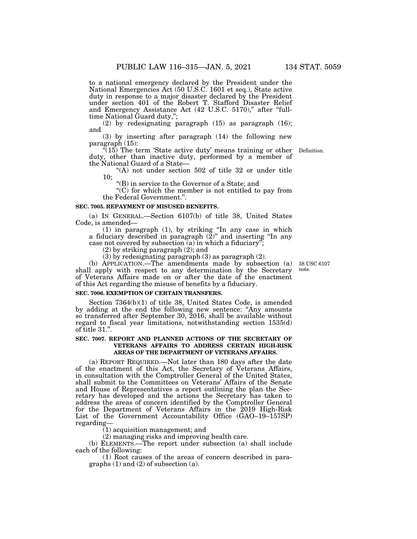to a national emergency declared by the President under the National Emergencies Act (50 U.S.C. 1601 et seq.), State active duty in response to a major disaster declared by the President under section 401 of the Robert T. Stafford Disaster Relief and Emergency Assistance Act (42 U.S.C. 5170)," after "fulltime National Guard duty,'';

(2) by redesignating paragraph (15) as paragraph (16); and

(3) by inserting after paragraph (14) the following new paragraph (15):

 $(15)$  The term 'State active duty' means training or other duty, other than inactive duty, performed by a member of the National Guard of a State— Definition.

''(A) not under section 502 of title 32 or under title 10;

''(B) in service to the Governor of a State; and

 $(C)$  for which the member is not entitled to pay from the Federal Government.''.

#### **SEC. 7005. REPAYMENT OF MISUSED BENEFITS.**

(a) IN GENERAL.—Section 6107(b) of title 38, United States Code, is amended—

(1) in paragraph (1), by striking ''In any case in which a fiduciary described in paragraph (2)'' and inserting ''In any case not covered by subsection  $(a)$  in which a fiduciary";

(2) by striking paragraph (2); and

(3) by redesignating paragraph (3) as paragraph (2).

(b) APPLICATION.—The amendments made by subsection (a) shall apply with respect to any determination by the Secretary of Veterans Affairs made on or after the date of the enactment of this Act regarding the misuse of benefits by a fiduciary.

### **SEC. 7006. EXEMPTION OF CERTAIN TRANSFERS.**

Section 7364(b)(1) of title 38, United States Code, is amended by adding at the end the following new sentence: ''Any amounts so transferred after September 30, 2016, shall be available without regard to fiscal year limitations, notwithstanding section 1535(d) of title 31.''.

#### **SEC. 7007. REPORT AND PLANNED ACTIONS OF THE SECRETARY OF VETERANS AFFAIRS TO ADDRESS CERTAIN HIGH-RISK AREAS OF THE DEPARTMENT OF VETERANS AFFAIRS.**

(a) REPORT REQUIRED.—Not later than 180 days after the date of the enactment of this Act, the Secretary of Veterans Affairs, in consultation with the Comptroller General of the United States, shall submit to the Committees on Veterans' Affairs of the Senate and House of Representatives a report outlining the plan the Secretary has developed and the actions the Secretary has taken to address the areas of concern identified by the Comptroller General for the Department of Veterans Affairs in the 2019 High-Risk List of the Government Accountability Office (GAO–19–157SP) regarding—

(1) acquisition management; and

(2) managing risks and improving health care.

(b) ELEMENTS.—The report under subsection (a) shall include each of the following:

(1) Root causes of the areas of concern described in paragraphs (1) and (2) of subsection (a).

38 USC 6107 note.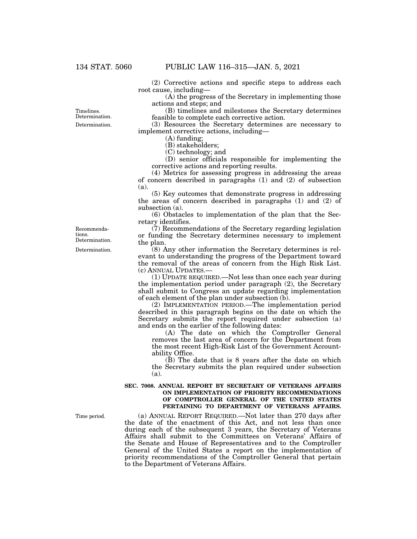(2) Corrective actions and specific steps to address each root cause, including—

 $(A)$  the progress of the Secretary in implementing those actions and steps; and

(B) timelines and milestones the Secretary determines feasible to complete each corrective action.

(3) Resources the Secretary determines are necessary to implement corrective actions, including—

(A) funding;

(B) stakeholders;

(C) technology; and

(D) senior officials responsible for implementing the corrective actions and reporting results.

(4) Metrics for assessing progress in addressing the areas of concern described in paragraphs  $(1)$  and  $(2)$  of subsection (a).

(5) Key outcomes that demonstrate progress in addressing the areas of concern described in paragraphs (1) and (2) of subsection (a).

(6) Obstacles to implementation of the plan that the Secretary identifies.

(7) Recommendations of the Secretary regarding legislation or funding the Secretary determines necessary to implement the plan.

(8) Any other information the Secretary determines is relevant to understanding the progress of the Department toward the removal of the areas of concern from the High Risk List. (c) ANNUAL UPDATES.—

(1) UPDATE REQUIRED.—Not less than once each year during the implementation period under paragraph (2), the Secretary shall submit to Congress an update regarding implementation of each element of the plan under subsection (b).

(2) IMPLEMENTATION PERIOD.—The implementation period described in this paragraph begins on the date on which the Secretary submits the report required under subsection (a) and ends on the earlier of the following dates:

(A) The date on which the Comptroller General removes the last area of concern for the Department from the most recent High-Risk List of the Government Accountability Office.

(B) The date that is 8 years after the date on which the Secretary submits the plan required under subsection (a).

#### **SEC. 7008. ANNUAL REPORT BY SECRETARY OF VETERANS AFFAIRS ON IMPLEMENTATION OF PRIORITY RECOMMENDATIONS OF COMPTROLLER GENERAL OF THE UNITED STATES PERTAINING TO DEPARTMENT OF VETERANS AFFAIRS.**

(a) ANNUAL REPORT REQUIRED.—Not later than 270 days after the date of the enactment of this Act, and not less than once during each of the subsequent 3 years, the Secretary of Veterans Affairs shall submit to the Committees on Veterans' Affairs of the Senate and House of Representatives and to the Comptroller General of the United States a report on the implementation of priority recommendations of the Comptroller General that pertain to the Department of Veterans Affairs.

Recommendations.

Determination.

Timelines. Determination.

Determination. Determination.

Time period.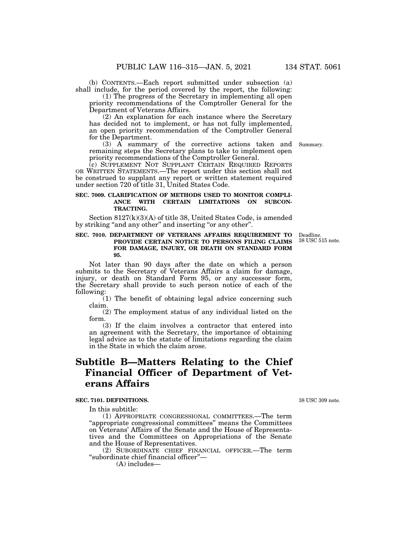(b) CONTENTS.—Each report submitted under subsection (a) shall include, for the period covered by the report, the following:

(1) The progress of the Secretary in implementing all open priority recommendations of the Comptroller General for the Department of Veterans Affairs.

(2) An explanation for each instance where the Secretary has decided not to implement, or has not fully implemented, an open priority recommendation of the Comptroller General for the Department.

(3) A summary of the corrective actions taken and Summary. remaining steps the Secretary plans to take to implement open priority recommendations of the Comptroller General.

(c) SUPPLEMENT NOT SUPPLANT CERTAIN REQUIRED REPORTS OR WRITTEN STATEMENTS.—The report under this section shall not be construed to supplant any report or written statement required under section 720 of title 31, United States Code.

#### **SEC. 7009. CLARIFICATION OF METHODS USED TO MONITOR COMPLI-ANCE WITH CERTAIN LIMITATIONS ON SUBCON-TRACTING.**

Section 8127(k)(3)(A) of title 38, United States Code, is amended by striking "and any other" and inserting "or any other".

#### **SEC. 7010. DEPARTMENT OF VETERANS AFFAIRS REQUIREMENT TO PROVIDE CERTAIN NOTICE TO PERSONS FILING CLAIMS FOR DAMAGE, INJURY, OR DEATH ON STANDARD FORM 95.**

Not later than 90 days after the date on which a person submits to the Secretary of Veterans Affairs a claim for damage, injury, or death on Standard Form 95, or any successor form, the Secretary shall provide to such person notice of each of the following:

(1) The benefit of obtaining legal advice concerning such claim.

(2) The employment status of any individual listed on the form.

(3) If the claim involves a contractor that entered into an agreement with the Secretary, the importance of obtaining legal advice as to the statute of limitations regarding the claim in the State in which the claim arose.

# **Subtitle B—Matters Relating to the Chief Financial Officer of Department of Veterans Affairs**

#### **SEC. 7101. DEFINITIONS.**

In this subtitle:

(1) APPROPRIATE CONGRESSIONAL COMMITTEES.—The term ''appropriate congressional committees'' means the Committees on Veterans' Affairs of the Senate and the House of Representatives and the Committees on Appropriations of the Senate and the House of Representatives.

(2) SUBORDINATE CHIEF FINANCIAL OFFICER.—The term ''subordinate chief financial officer''—

(A) includes—

38 USC 309 note.

Deadline. 38 USC 515 note.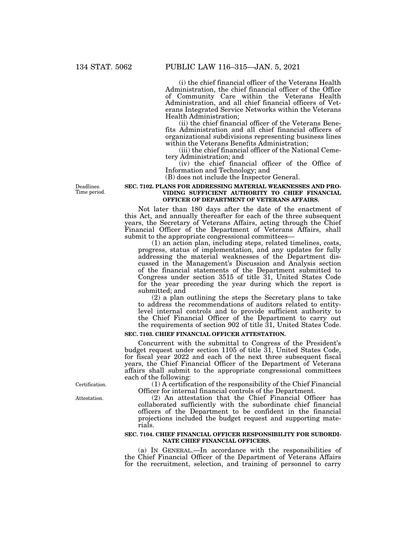(i) the chief financial officer of the Veterans Health Administration, the chief financial officer of the Office of Community Care within the Veterans Health Administration, and all chief financial officers of Veterans Integrated Service Networks within the Veterans Health Administration;

(ii) the chief financial officer of the Veterans Benefits Administration and all chief financial officers of organizational subdivisions representing business lines within the Veterans Benefits Administration;

(iii) the chief financial officer of the National Cemetery Administration; and

(iv) the chief financial officer of the Office of Information and Technology; and

(B) does not include the Inspector General.

#### **SEC. 7102. PLANS FOR ADDRESSING MATERIAL WEAKNESSES AND PRO-VIDING SUFFICIENT AUTHORITY TO CHIEF FINANCIAL OFFICER OF DEPARTMENT OF VETERANS AFFAIRS.**

Not later than 180 days after the date of the enactment of this Act, and annually thereafter for each of the three subsequent years, the Secretary of Veterans Affairs, acting through the Chief Financial Officer of the Department of Veterans Affairs, shall submit to the appropriate congressional committees-

(1) an action plan, including steps, related timelines, costs, progress, status of implementation, and any updates for fully addressing the material weaknesses of the Department discussed in the Management's Discussion and Analysis section of the financial statements of the Department submitted to Congress under section 3515 of title 31, United States Code for the year preceding the year during which the report is submitted; and

(2) a plan outlining the steps the Secretary plans to take to address the recommendations of auditors related to entitylevel internal controls and to provide sufficient authority to the Chief Financial Officer of the Department to carry out the requirements of section 902 of title 31, United States Code.

#### **SEC. 7103. CHIEF FINANCIAL OFFICER ATTESTATION.**

Concurrent with the submittal to Congress of the President's budget request under section 1105 of title 31, United States Code, for fiscal year 2022 and each of the next three subsequent fiscal years, the Chief Financial Officer of the Department of Veterans affairs shall submit to the appropriate congressional committees each of the following:

(1) A certification of the responsibility of the Chief Financial Officer for internal financial controls of the Department.

(2) An attestation that the Chief Financial Officer has collaborated sufficiently with the subordinate chief financial officers of the Department to be confident in the financial projections included the budget request and supporting materials.

#### **SEC. 7104. CHIEF FINANCIAL OFFICER RESPONSIBILITY FOR SUBORDI-NATE CHIEF FINANCIAL OFFICERS.**

(a) IN GENERAL.—In accordance with the responsibilities of the Chief Financial Officer of the Department of Veterans Affairs for the recruitment, selection, and training of personnel to carry

Deadlines. Time period.

Certification.

Attestation.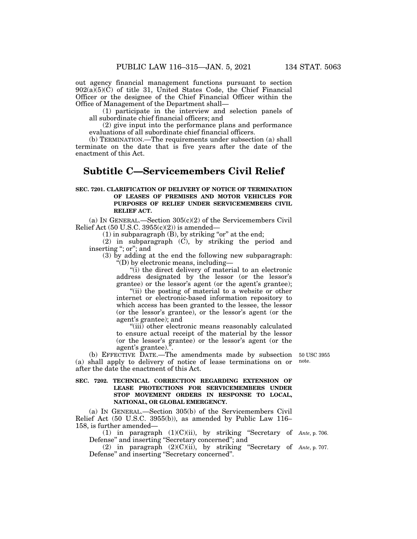out agency financial management functions pursuant to section  $902(a)(5)(C)$  of title 31, United States Code, the Chief Financial Officer or the designee of the Chief Financial Officer within the Office of Management of the Department shall—

(1) participate in the interview and selection panels of all subordinate chief financial officers; and

(2) give input into the performance plans and performance evaluations of all subordinate chief financial officers.

(b) TERMINATION.—The requirements under subsection (a) shall terminate on the date that is five years after the date of the enactment of this Act.

# **Subtitle C—Servicemembers Civil Relief**

#### **SEC. 7201. CLARIFICATION OF DELIVERY OF NOTICE OF TERMINATION OF LEASES OF PREMISES AND MOTOR VEHICLES FOR PURPOSES OF RELIEF UNDER SERVICEMEMBERS CIVIL RELIEF ACT.**

(a) IN GENERAL.—Section  $305(c)(2)$  of the Servicemembers Civil Relief Act  $(50 \text{ U.S.C. } 3955(c)(2))$  is amended—

 $(1)$  in subparagraph  $(B)$ , by striking "or" at the end;

(2) in subparagraph (C), by striking the period and inserting "; or"; and

(3) by adding at the end the following new subparagraph:  $\mathbf{H}^{\mu}(\mathbf{D})$  by electronic means, including—

"(i) the direct delivery of material to an electronic address designated by the lessor (or the lessor's grantee) or the lessor's agent (or the agent's grantee); "(ii) the posting of material to a website or other

internet or electronic-based information repository to which access has been granted to the lessee, the lessor (or the lessor's grantee), or the lessor's agent (or the agent's grantee); and

''(iii) other electronic means reasonably calculated to ensure actual receipt of the material by the lessor (or the lessor's grantee) or the lessor's agent (or the agent's grantee).''.

(b) EFFECTIVE DATE.—The amendments made by subsection 50 USC 3955 (a) shall apply to delivery of notice of lease terminations on or after the date the enactment of this Act.

#### **SEC. 7202. TECHNICAL CORRECTION REGARDING EXTENSION OF LEASE PROTECTIONS FOR SERVICEMEMBERS UNDER STOP MOVEMENT ORDERS IN RESPONSE TO LOCAL, NATIONAL, OR GLOBAL EMERGENCY.**

(a) IN GENERAL.—Section 305(b) of the Servicemembers Civil Relief Act (50 U.S.C. 3955(b)), as amended by Public Law 116– 158, is further amended—

(1) in paragraph (1)(C)(ii), by striking ''Secretary of *Ante*, p. 706. Defense'' and inserting ''Secretary concerned''; and

(2) in paragraph (2)(C)(ii), by striking ''Secretary of *Ante*, p. 707. Defense'' and inserting ''Secretary concerned''.

note.